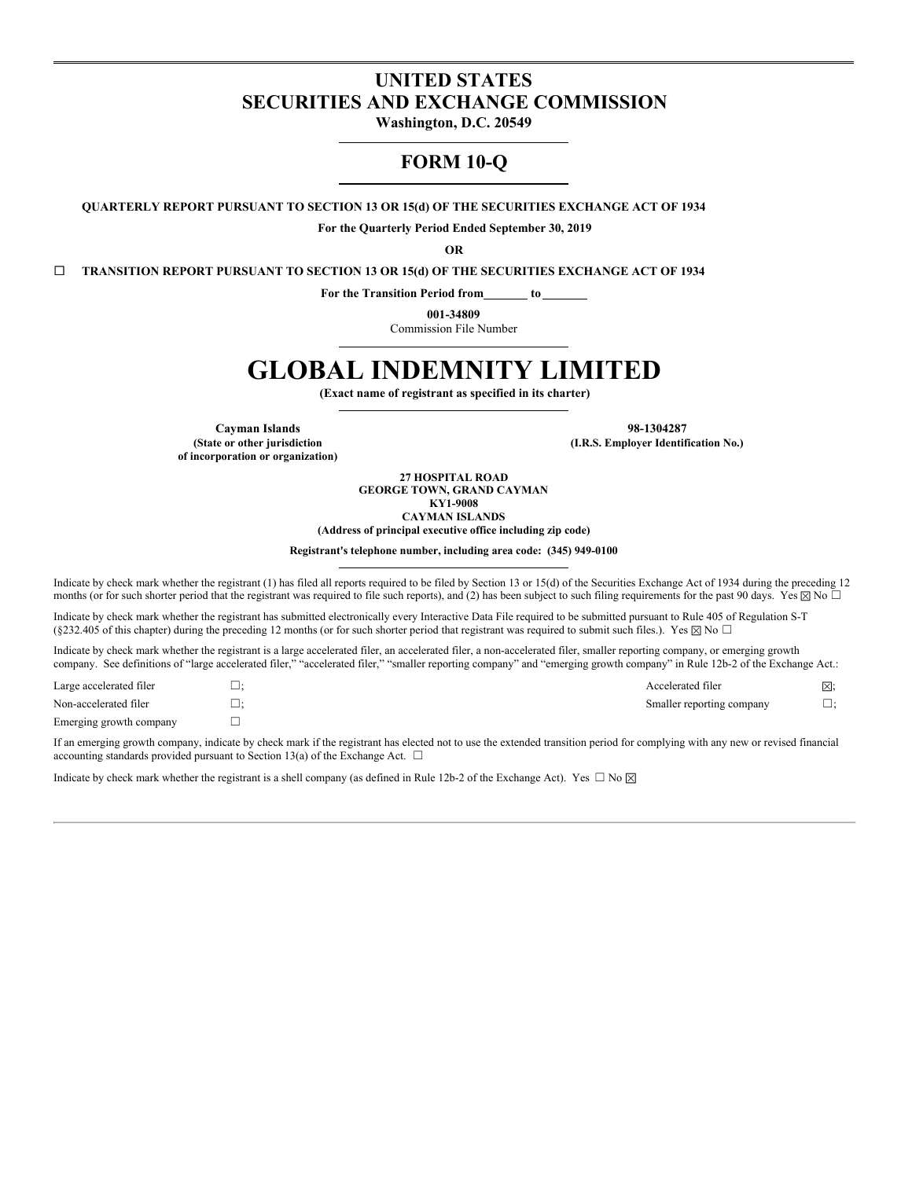# **UNITED STATES SECURITIES AND EXCHANGE COMMISSION**

**Washington, D.C. 20549**

# **FORM 10-Q**

**QUARTERLY REPORT PURSUANT TO SECTION 13 OR 15(d) OF THE SECURITIES EXCHANGE ACT OF 1934**

**For the Quarterly Period Ended September 30, 2019**

**OR**

☐ **TRANSITION REPORT PURSUANT TO SECTION 13 OR 15(d) OF THE SECURITIES EXCHANGE ACT OF 1934**

**For the Transition Period from to**

**001-34809**

Commission File Number

# **GLOBAL INDEMNITY LIMITED**

**(Exact name of registrant as specified in its charter)**

**Cayman Islands 98-1304287 (State or other jurisdiction of incorporation or organization)**

**(I.R.S. Employer Identification No.)**

**27 HOSPITAL ROAD GEORGE TOWN, GRAND CAYMAN KY1-9008 CAYMAN ISLANDS (Address of principal executive office including zip code)**

**Registrant's telephone number, including area code: (345) 949-0100**

Indicate by check mark whether the registrant (1) has filed all reports required to be filed by Section 13 or 15(d) of the Securities Exchange Act of 1934 during the preceding 12 months (or for such shorter period that the registrant was required to file such reports), and (2) has been subject to such filing requirements for the past 90 days. Yes  $\boxtimes$  No  $\Box$ 

Indicate by check mark whether the registrant has submitted electronically every Interactive Data File required to be submitted pursuant to Rule 405 of Regulation S-T (§232.405 of this chapter) during the preceding 12 months (or for such shorter period that registrant was required to submit such files.). Yes ⊠ No  $\Box$ 

Indicate by check mark whether the registrant is a large accelerated filer, an accelerated filer, a non-accelerated filer, smaller reporting company, or emerging growth company. See definitions of "large accelerated filer," "accelerated filer," "smaller reporting company" and "emerging growth company" in Rule 12b-2 of the Exchange Act.:

| Large accelerated filer | Accelerated filer         | 冈;           |
|-------------------------|---------------------------|--------------|
| Non-accelerated filer   | Smaller reporting company | $\mathbf{r}$ |
| Emerging growth company |                           |              |

If an emerging growth company, indicate by check mark if the registrant has elected not to use the extended transition period for complying with any new or revised financial accounting standards provided pursuant to Section 13(a) of the Exchange Act.  $\Box$ 

Indicate by check mark whether the registrant is a shell company (as defined in Rule 12b-2 of the Exchange Act). Yes  $\Box$  No  $\boxtimes$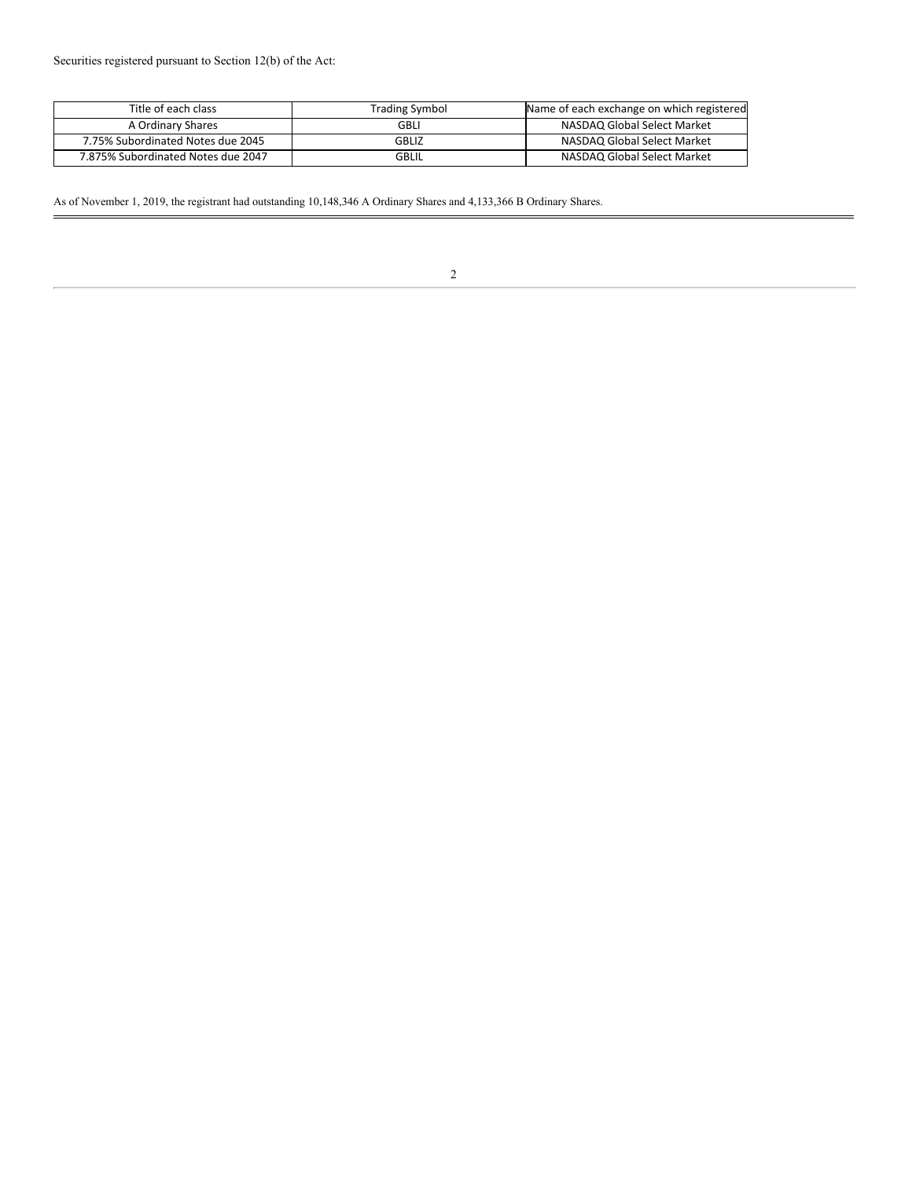Securities registered pursuant to Section 12(b) of the Act:

| Title of each class                | Trading Symbol | Name of each exchange on which registered |
|------------------------------------|----------------|-------------------------------------------|
| A Ordinary Shares                  | <b>GBLI</b>    | NASDAQ Global Select Market               |
| 7.75% Subordinated Notes due 2045  | GBLIZ          | NASDAQ Global Select Market               |
| 7.875% Subordinated Notes due 2047 | GBLIL          | NASDAQ Global Select Market               |

As of November 1, 2019, the registrant had outstanding 10,148,346 A Ordinary Shares and 4,133,366 B Ordinary Shares.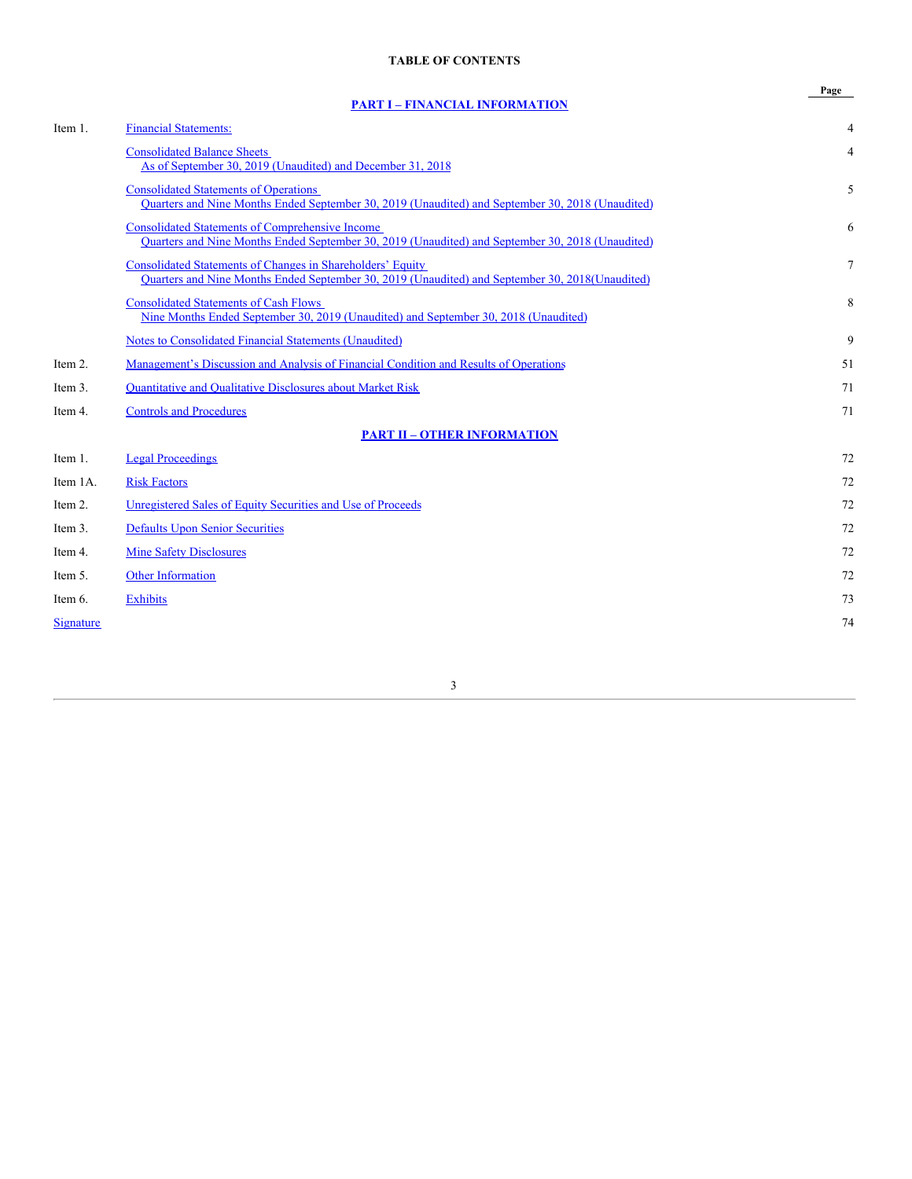# **TABLE OF CONTENTS**

**PART I – FINANCIAL [INFORMATION](#page-3-0)**

**Page**

| Item 1.   | <b>Financial Statements:</b>                                                                                                                                   | $\overline{4}$ |
|-----------|----------------------------------------------------------------------------------------------------------------------------------------------------------------|----------------|
|           | <b>Consolidated Balance Sheets</b><br>As of September 30, 2019 (Unaudited) and December 31, 2018                                                               | 4              |
|           | <b>Consolidated Statements of Operations</b><br>Ouarters and Nine Months Ended September 30, 2019 (Unaudited) and September 30, 2018 (Unaudited)               | 5              |
|           | <b>Consolidated Statements of Comprehensive Income</b><br>Ouarters and Nine Months Ended September 30, 2019 (Unaudited) and September 30, 2018 (Unaudited)     | 6              |
|           | Consolidated Statements of Changes in Shareholders' Equity<br>Ouarters and Nine Months Ended September 30, 2019 (Unaudited) and September 30, 2018 (Unaudited) | 7              |
|           | <b>Consolidated Statements of Cash Flows</b><br>Nine Months Ended September 30, 2019 (Unaudited) and September 30, 2018 (Unaudited)                            | 8              |
|           | Notes to Consolidated Financial Statements (Unaudited)                                                                                                         | 9              |
| Item 2.   | Management's Discussion and Analysis of Financial Condition and Results of Operations                                                                          | 51             |
| Item 3.   | <b>Quantitative and Qualitative Disclosures about Market Risk</b>                                                                                              | 71             |
| Item 4.   | <b>Controls and Procedures</b>                                                                                                                                 | 71             |
|           | <b>PART II - OTHER INFORMATION</b>                                                                                                                             |                |
| Item 1.   | <b>Legal Proceedings</b>                                                                                                                                       | 72             |
| Item 1A.  | <b>Risk Factors</b>                                                                                                                                            | 72             |
| Item 2.   | Unregistered Sales of Equity Securities and Use of Proceeds                                                                                                    | 72             |
| Item 3.   | <b>Defaults Upon Senior Securities</b>                                                                                                                         | 72             |
| Item 4.   | <b>Mine Safety Disclosures</b>                                                                                                                                 | 72             |
| Item 5.   | Other Information                                                                                                                                              | 72             |
| Item 6.   | <b>Exhibits</b>                                                                                                                                                | 73             |
| Signature |                                                                                                                                                                | 74             |
|           |                                                                                                                                                                |                |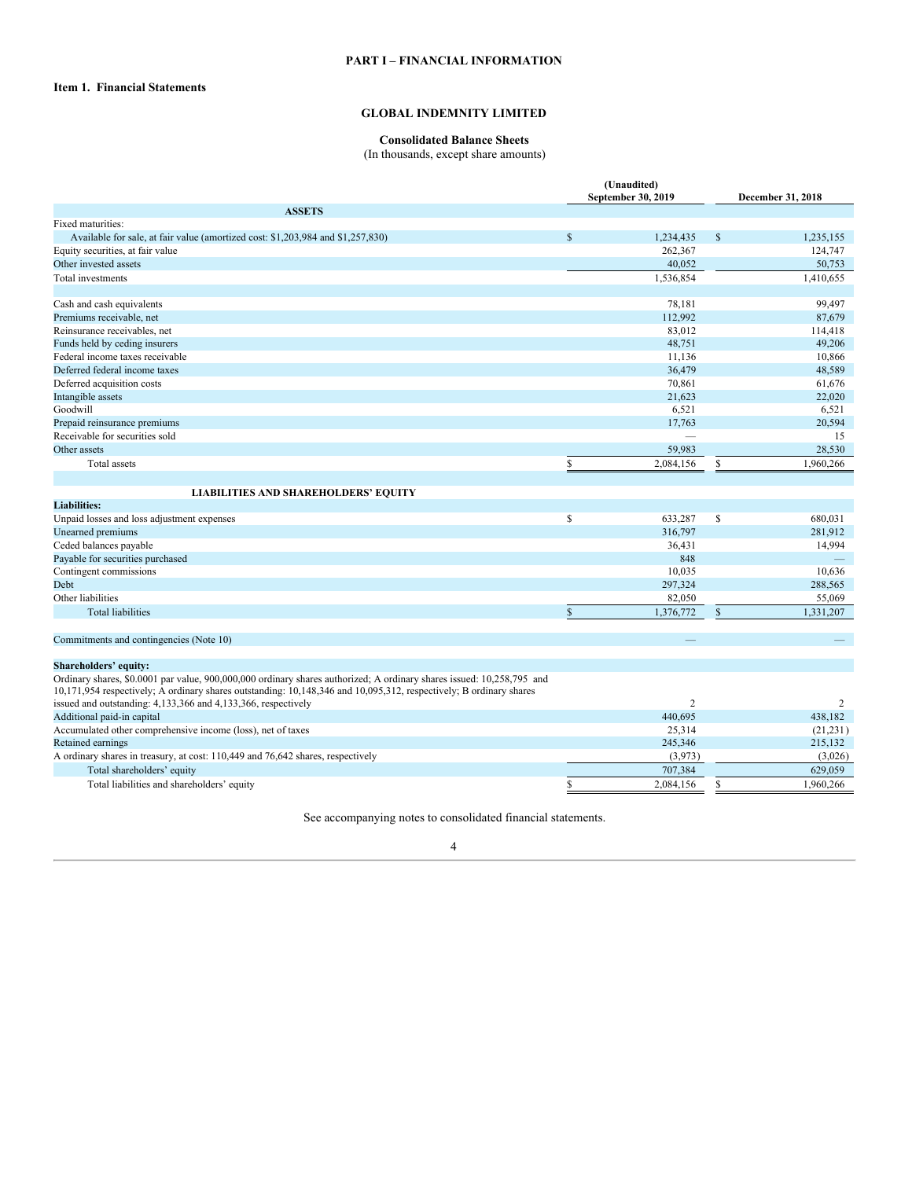## **PART I – FINANCIAL INFORMATION**

#### <span id="page-3-0"></span>**Item 1. Financial Statements**

# **GLOBAL INDEMNITY LIMITED**

# **Consolidated Balance Sheets**

(In thousands, except share amounts)

|                                                                                                                                                                                                                                             |               | (Unaudited)<br>September 30, 2019 | December 31, 2018 |           |  |
|---------------------------------------------------------------------------------------------------------------------------------------------------------------------------------------------------------------------------------------------|---------------|-----------------------------------|-------------------|-----------|--|
| <b>ASSETS</b>                                                                                                                                                                                                                               |               |                                   |                   |           |  |
| Fixed maturities:                                                                                                                                                                                                                           |               |                                   |                   |           |  |
| Available for sale, at fair value (amortized cost: \$1,203,984 and \$1,257,830)                                                                                                                                                             | $\mathcal{S}$ | 1,234,435                         | $\mathsf{\$}$     | 1,235,155 |  |
| Equity securities, at fair value                                                                                                                                                                                                            |               | 262,367                           |                   | 124,747   |  |
| Other invested assets                                                                                                                                                                                                                       |               | 40,052                            |                   | 50,753    |  |
| Total investments                                                                                                                                                                                                                           |               | 1,536,854                         |                   | 1,410,655 |  |
| Cash and cash equivalents                                                                                                                                                                                                                   |               | 78,181                            |                   | 99,497    |  |
| Premiums receivable, net                                                                                                                                                                                                                    |               | 112,992                           |                   | 87,679    |  |
| Reinsurance receivables, net                                                                                                                                                                                                                |               | 83,012                            |                   | 114,418   |  |
| Funds held by ceding insurers                                                                                                                                                                                                               |               | 48,751                            |                   | 49,206    |  |
| Federal income taxes receivable                                                                                                                                                                                                             |               | 11,136                            |                   | 10,866    |  |
| Deferred federal income taxes                                                                                                                                                                                                               |               | 36,479                            |                   | 48,589    |  |
| Deferred acquisition costs                                                                                                                                                                                                                  |               | 70,861                            |                   | 61,676    |  |
| Intangible assets                                                                                                                                                                                                                           |               | 21,623                            |                   | 22,020    |  |
| Goodwill                                                                                                                                                                                                                                    |               | 6,521                             |                   | 6,521     |  |
| Prepaid reinsurance premiums                                                                                                                                                                                                                |               | 17,763                            |                   | 20,594    |  |
| Receivable for securities sold                                                                                                                                                                                                              |               |                                   |                   | 15        |  |
| Other assets                                                                                                                                                                                                                                |               | 59,983                            |                   | 28,530    |  |
| Total assets                                                                                                                                                                                                                                | \$            | 2,084,156                         | $\mathbb S$       | 1,960,266 |  |
|                                                                                                                                                                                                                                             |               |                                   |                   |           |  |
| <b>LIABILITIES AND SHAREHOLDERS' EQUITY</b><br>Liabilities:                                                                                                                                                                                 |               |                                   |                   |           |  |
| Unpaid losses and loss adjustment expenses                                                                                                                                                                                                  | $\mathbb{S}$  | 633,287                           | \$                | 680,031   |  |
|                                                                                                                                                                                                                                             |               | 316,797                           |                   | 281,912   |  |
| Unearned premiums<br>Ceded balances payable                                                                                                                                                                                                 |               | 36,431                            |                   | 14,994    |  |
| Payable for securities purchased                                                                                                                                                                                                            |               | 848                               |                   |           |  |
| Contingent commissions                                                                                                                                                                                                                      |               | 10,035                            |                   | 10,636    |  |
| Debt                                                                                                                                                                                                                                        |               | 297,324                           |                   | 288,565   |  |
| Other liabilities                                                                                                                                                                                                                           |               | 82,050                            |                   | 55,069    |  |
| <b>Total liabilities</b>                                                                                                                                                                                                                    | \$            | 1,376,772                         | $\mathsf{\$}$     | 1,331,207 |  |
|                                                                                                                                                                                                                                             |               |                                   |                   |           |  |
| Commitments and contingencies (Note 10)                                                                                                                                                                                                     |               |                                   |                   |           |  |
| Shareholders' equity:                                                                                                                                                                                                                       |               |                                   |                   |           |  |
| Ordinary shares, \$0.0001 par value, 900,000,000 ordinary shares authorized; A ordinary shares issued: 10,258,795 and<br>10,171,954 respectively; A ordinary shares outstanding: 10,148,346 and 10,095,312, respectively; B ordinary shares |               |                                   |                   |           |  |
| issued and outstanding: 4,133,366 and 4,133,366, respectively                                                                                                                                                                               |               | $\overline{c}$                    |                   | 2         |  |
| Additional paid-in capital                                                                                                                                                                                                                  |               | 440,695                           |                   | 438,182   |  |
| Accumulated other comprehensive income (loss), net of taxes                                                                                                                                                                                 |               | 25,314                            |                   | (21, 231) |  |
| Retained earnings                                                                                                                                                                                                                           |               | 245,346                           |                   | 215,132   |  |
| A ordinary shares in treasury, at cost: 110,449 and 76,642 shares, respectively                                                                                                                                                             |               | (3,973)                           |                   | (3,026)   |  |
| Total shareholders' equity                                                                                                                                                                                                                  |               | 707,384                           |                   | 629,059   |  |
| Total liabilities and shareholders' equity                                                                                                                                                                                                  | \$            | 2.084.156                         | \$                | 1,960,266 |  |

See accompanying notes to consolidated financial statements.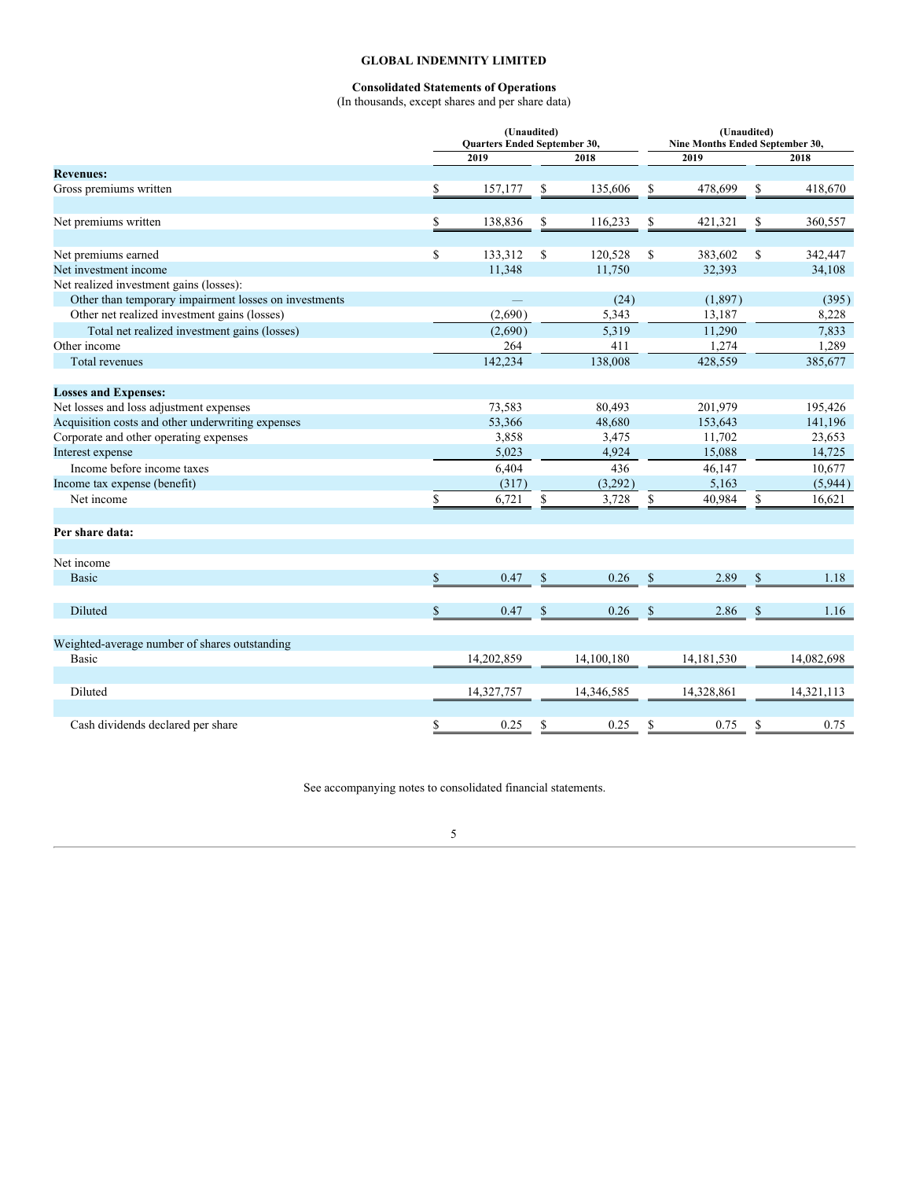#### **Consolidated Statements of Operations**

(In thousands, except shares and per share data)

<span id="page-4-0"></span>

|                                                       |    | (Unaudited)<br>Quarters Ended September 30, |    | (Unaudited)<br>Nine Months Ended September 30, |    |            |      |            |
|-------------------------------------------------------|----|---------------------------------------------|----|------------------------------------------------|----|------------|------|------------|
|                                                       |    | 2019                                        |    | 2018                                           |    | 2019       |      | 2018       |
| <b>Revenues:</b>                                      |    |                                             |    |                                                |    |            |      |            |
| Gross premiums written                                | \$ | 157,177                                     | \$ | 135,606                                        | \$ | 478,699    | \$   | 418,670    |
| Net premiums written                                  | S  | 138,836                                     | \$ | 116,233                                        | \$ | 421,321    | \$   | 360,557    |
| Net premiums earned                                   | \$ | 133,312                                     | \$ | 120,528                                        | \$ | 383,602    | \$   | 342,447    |
| Net investment income                                 |    | 11,348                                      |    | 11,750                                         |    | 32,393     |      | 34,108     |
| Net realized investment gains (losses):               |    |                                             |    |                                                |    |            |      |            |
| Other than temporary impairment losses on investments |    |                                             |    | (24)                                           |    | (1,897)    |      | (395)      |
| Other net realized investment gains (losses)          |    | (2,690)                                     |    | 5,343                                          |    | 13,187     |      | 8,228      |
| Total net realized investment gains (losses)          |    | (2,690)                                     |    | 5,319                                          |    | 11,290     |      | 7,833      |
| Other income                                          |    | 264                                         |    | 411                                            |    | 1,274      |      | 1,289      |
| Total revenues                                        |    | 142,234                                     |    | 138,008                                        |    | 428,559    |      | 385,677    |
| <b>Losses and Expenses:</b>                           |    |                                             |    |                                                |    |            |      |            |
| Net losses and loss adjustment expenses               |    | 73,583                                      |    | 80,493                                         |    | 201,979    |      | 195,426    |
| Acquisition costs and other underwriting expenses     |    | 53,366                                      |    | 48,680                                         |    | 153,643    |      | 141,196    |
| Corporate and other operating expenses                |    | 3,858                                       |    | 3,475                                          |    | 11,702     |      | 23,653     |
| Interest expense                                      |    | 5,023                                       |    | 4,924                                          |    | 15,088     |      | 14,725     |
| Income before income taxes                            |    | 6,404                                       |    | 436                                            |    | 46,147     |      | 10,677     |
| Income tax expense (benefit)                          |    | (317)                                       |    | (3,292)                                        |    | 5,163      |      | (5,944)    |
| Net income                                            | \$ | 6,721                                       | \$ | 3,728                                          | \$ | 40,984     | \$   | 16,621     |
| Per share data:                                       |    |                                             |    |                                                |    |            |      |            |
|                                                       |    |                                             |    |                                                |    |            |      |            |
| Net income                                            |    |                                             |    |                                                |    |            |      |            |
| <b>Basic</b>                                          | \$ | 0.47                                        | \$ | 0.26                                           | \$ | 2.89       | \$   | 1.18       |
| Diluted                                               | \$ | 0.47                                        | \$ | 0.26                                           | \$ | 2.86       | $\$$ | 1.16       |
|                                                       |    |                                             |    |                                                |    |            |      |            |
| Weighted-average number of shares outstanding         |    |                                             |    |                                                |    |            |      |            |
| Basic                                                 |    | 14,202,859                                  |    | 14,100,180                                     |    | 14,181,530 |      | 14,082,698 |
| Diluted                                               |    | 14,327,757                                  |    | 14,346,585                                     |    | 14,328,861 |      | 14,321,113 |
|                                                       |    |                                             |    |                                                |    |            |      |            |
| Cash dividends declared per share                     | \$ | 0.25                                        | \$ | 0.25                                           | \$ | 0.75       | \$   | 0.75       |

See accompanying notes to consolidated financial statements.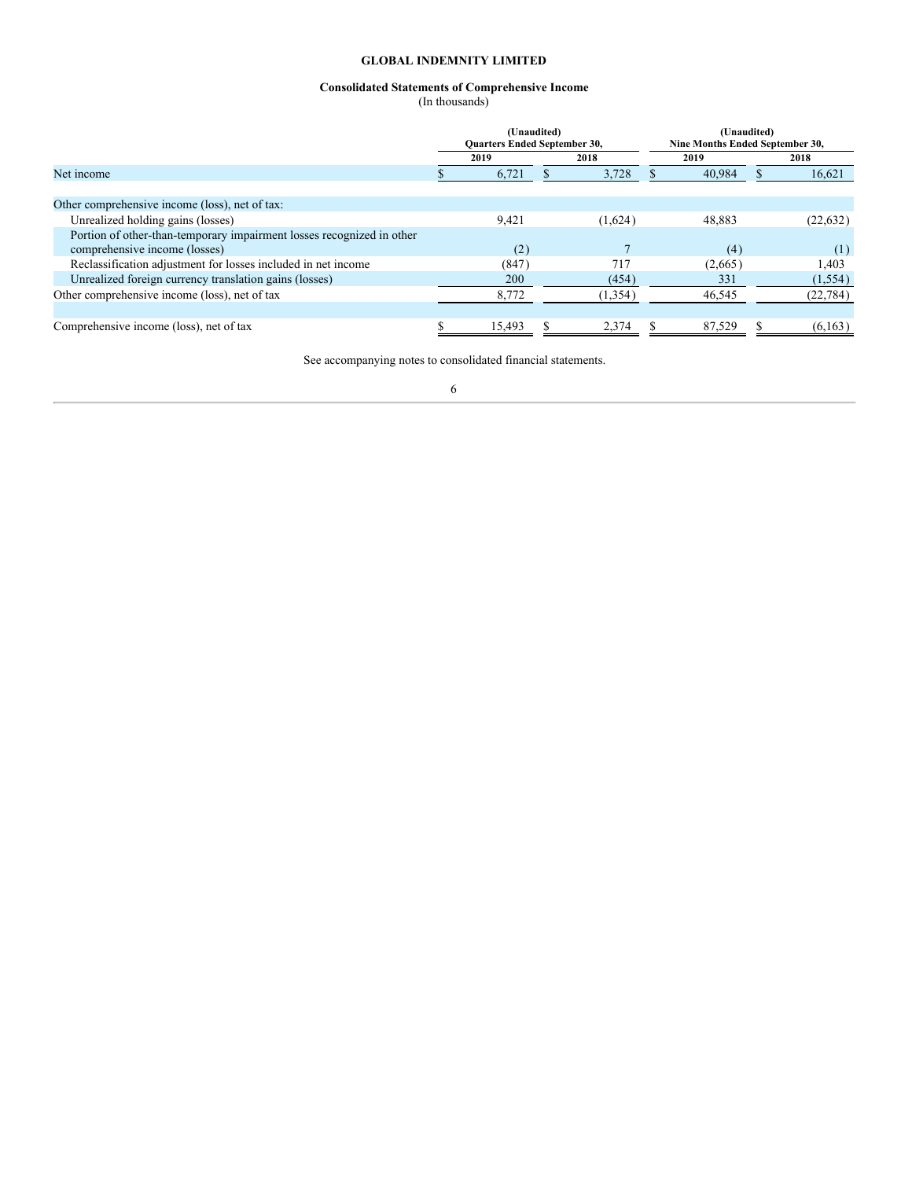#### **Consolidated Statements of Comprehensive Income**

(In thousands)

<span id="page-5-0"></span>

|                                                                       | (Unaudited)<br><b>Ouarters Ended September 30,</b> |          |         | (Unaudited)<br>Nine Months Ended September 30, |           |  |
|-----------------------------------------------------------------------|----------------------------------------------------|----------|---------|------------------------------------------------|-----------|--|
|                                                                       | 2019                                               | 2018     | 2019    |                                                | 2018      |  |
| Net income                                                            | 6,721                                              | 3,728    | 40.984  |                                                | 16,621    |  |
|                                                                       |                                                    |          |         |                                                |           |  |
| Other comprehensive income (loss), net of tax:                        |                                                    |          |         |                                                |           |  |
| Unrealized holding gains (losses)                                     | 9,421                                              | (1,624)  | 48,883  |                                                | (22, 632) |  |
| Portion of other-than-temporary impairment losses recognized in other |                                                    |          |         |                                                |           |  |
| comprehensive income (losses)                                         | (2)                                                |          | (4)     |                                                | (1)       |  |
| Reclassification adjustment for losses included in net income         | (847)                                              | 717      | (2,665) |                                                | 1,403     |  |
| Unrealized foreign currency translation gains (losses)                | 200                                                | (454)    | 331     |                                                | (1, 554)  |  |
| Other comprehensive income (loss), net of tax                         | 8,772                                              | (1, 354) | 46,545  |                                                | (22, 784) |  |
|                                                                       |                                                    |          |         |                                                |           |  |
| Comprehensive income (loss), net of tax                               | 15,493                                             | 2,374    | 87,529  |                                                | (6,163)   |  |
|                                                                       |                                                    |          |         |                                                |           |  |

See accompanying notes to consolidated financial statements.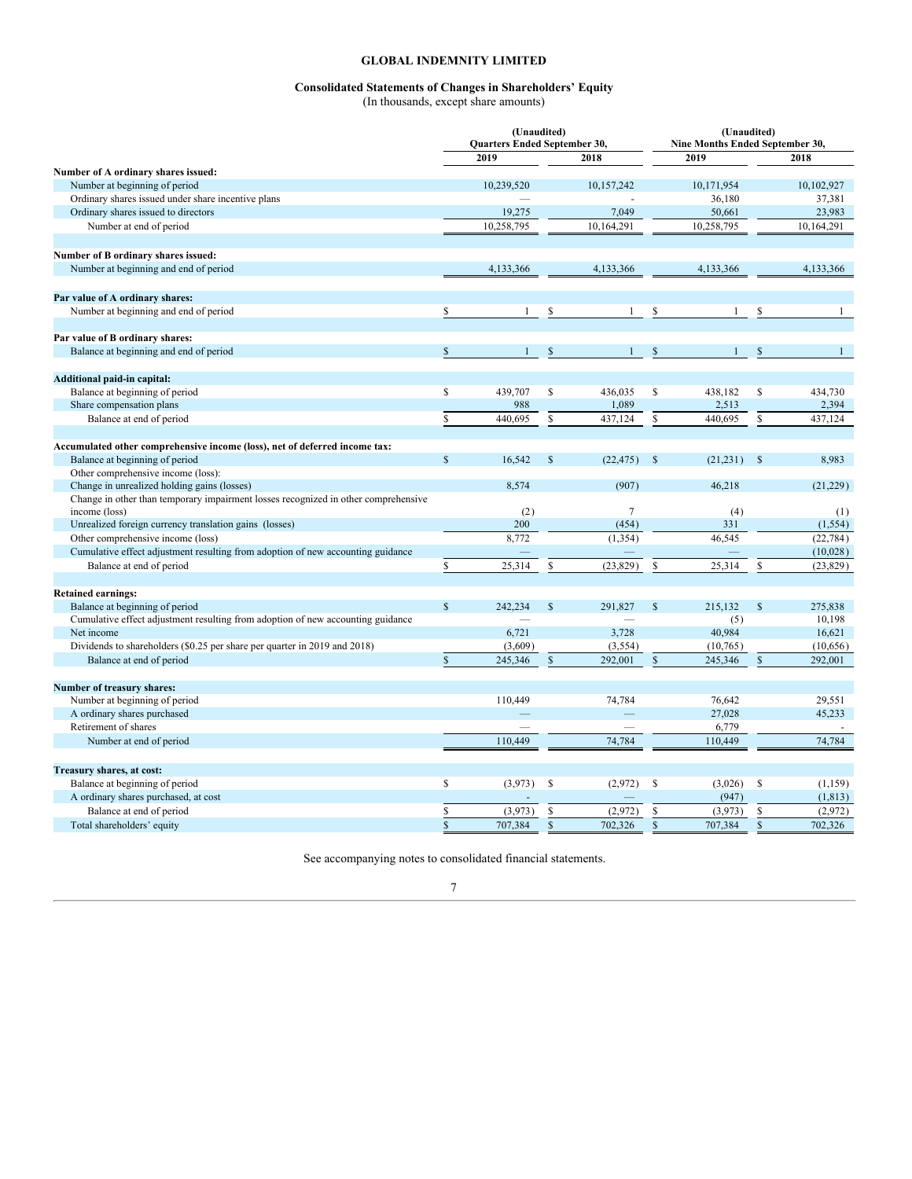#### **Consolidated Statements of Changes in Shareholders' Equity**

(In thousands, except share amounts)

<span id="page-6-0"></span>

|                                                                                    |                         | (Unaudited)<br>Quarters Ended September 30, |                | (Unaudited)<br>Nine Months Ended September 30, |               |              |               |                     |
|------------------------------------------------------------------------------------|-------------------------|---------------------------------------------|----------------|------------------------------------------------|---------------|--------------|---------------|---------------------|
|                                                                                    |                         | 2019                                        |                | 2018                                           |               | 2019         |               | 2018                |
| Number of A ordinary shares issued:                                                |                         |                                             |                |                                                |               |              |               |                     |
| Number at beginning of period                                                      |                         | 10,239,520                                  |                | 10,157,242                                     |               | 10,171,954   |               | 10,102,927          |
| Ordinary shares issued under share incentive plans                                 |                         |                                             |                |                                                |               | 36,180       |               | 37,381              |
| Ordinary shares issued to directors                                                |                         | 19,275                                      |                | 7,049                                          |               | 50,661       |               | 23,983              |
| Number at end of period                                                            |                         | 10,258,795                                  |                | 10,164,291                                     |               | 10,258,795   |               | 10,164,291          |
|                                                                                    |                         |                                             |                |                                                |               |              |               |                     |
| Number of B ordinary shares issued:                                                |                         |                                             |                |                                                |               |              |               |                     |
| Number at beginning and end of period                                              |                         | 4,133,366                                   |                | 4,133,366                                      |               | 4,133,366    |               | 4.133.366           |
|                                                                                    |                         |                                             |                |                                                |               |              |               |                     |
| Par value of A ordinary shares:                                                    |                         |                                             |                |                                                |               |              |               |                     |
| Number at beginning and end of period                                              | \$                      | 1                                           | \$             | $\mathbf{1}$                                   | S             | $\mathbf{1}$ | \$            |                     |
|                                                                                    |                         |                                             |                |                                                |               |              |               |                     |
| Par value of B ordinary shares:                                                    |                         |                                             |                |                                                |               |              |               |                     |
| Balance at beginning and end of period                                             | $\mathbf S$             | 1                                           | <sup>\$</sup>  | $\mathbf{1}$                                   | \$            | 1            | <sup>\$</sup> | 1                   |
|                                                                                    |                         |                                             |                |                                                |               |              |               |                     |
| <b>Additional paid-in capital:</b>                                                 |                         |                                             |                |                                                |               |              |               |                     |
| Balance at beginning of period                                                     | \$                      | 439,707                                     | \$             | 436,035                                        | \$            | 438,182      | $\mathbb{S}$  | 434,730             |
| Share compensation plans                                                           |                         | 988                                         |                | 1,089                                          |               | 2,513        |               | 2,394               |
| Balance at end of period                                                           | \$                      | 440,695                                     | \$             | 437,124                                        | $\mathsf S$   | 440,695      | $\mathsf S$   | 437,124             |
|                                                                                    |                         |                                             |                |                                                |               |              |               |                     |
| Accumulated other comprehensive income (loss), net of deferred income tax:         |                         |                                             |                |                                                |               |              |               |                     |
| Balance at beginning of period                                                     | $\mathcal{S}$           | 16,542                                      | <sup>\$</sup>  | (22, 475)                                      | <sup>\$</sup> | (21, 231)    | - S           | 8.983               |
| Other comprehensive income (loss):                                                 |                         |                                             |                |                                                |               |              |               |                     |
| Change in unrealized holding gains (losses)                                        |                         | 8,574                                       |                | (907)                                          |               | 46,218       |               | (21, 229)           |
| Change in other than temporary impairment losses recognized in other comprehensive |                         |                                             |                |                                                |               |              |               |                     |
| income (loss)                                                                      |                         | (2)                                         |                | $\overline{7}$                                 |               | (4)          |               | (1)                 |
| Unrealized foreign currency translation gains (losses)                             |                         | 200                                         |                | (454)                                          |               | 331          |               | (1, 554)            |
| Other comprehensive income (loss)                                                  |                         | 8,772                                       |                | (1, 354)                                       |               | 46,545       |               | (22, 784)           |
| Cumulative effect adjustment resulting from adoption of new accounting guidance    |                         |                                             |                |                                                |               |              |               | (10,028)            |
| Balance at end of period                                                           | \$                      | 25,314                                      | \$             | (23, 829)                                      | \$            | 25,314       | \$            | (23, 829)           |
|                                                                                    |                         |                                             |                |                                                |               |              |               |                     |
| <b>Retained earnings:</b>                                                          |                         |                                             |                |                                                |               |              |               |                     |
| Balance at beginning of period                                                     | $\mathbf{s}$            | 242.234                                     | <sup>\$</sup>  | 291.827                                        | $\mathbf S$   | 215.132      | $\mathcal{S}$ | 275,838             |
| Cumulative effect adjustment resulting from adoption of new accounting guidance    |                         |                                             |                |                                                |               | (5)          |               | 10,198              |
| Net income                                                                         |                         | 6,721                                       |                | 3,728                                          |               | 40,984       |               | 16,621              |
| Dividends to shareholders (\$0.25 per share per quarter in 2019 and 2018)          |                         | (3,609)                                     |                | (3,554)                                        |               | (10, 765)    |               | (10, 656)           |
| Balance at end of period                                                           | $\mathbf{s}$            | 245,346                                     | $\mathbf S$    | 292,001                                        | $\mathbf S$   | 245,346      | $\mathbb{S}$  | 292,001             |
|                                                                                    |                         |                                             |                |                                                |               |              |               |                     |
| Number of treasury shares:<br>Number at beginning of period                        |                         | 110,449                                     |                | 74,784                                         |               | 76,642       |               | 29,551              |
| A ordinary shares purchased                                                        |                         |                                             |                |                                                |               | 27,028       |               | 45,233              |
| Retirement of shares                                                               |                         |                                             |                |                                                |               | 6,779        |               |                     |
| Number at end of period                                                            |                         | 110,449                                     |                | 74,784                                         |               | 110,449      |               | 74.784              |
|                                                                                    |                         |                                             |                |                                                |               |              |               |                     |
|                                                                                    |                         |                                             |                |                                                |               |              |               |                     |
| Treasury shares, at cost:<br>Balance at beginning of period                        | \$                      | (3,973)                                     | \$             | (2,972)                                        | $\mathbb{S}$  | (3,026)      | \$            |                     |
|                                                                                    |                         |                                             |                |                                                |               | (947)        |               | (1, 159)            |
| A ordinary shares purchased, at cost                                               | \$                      | (3,973)                                     | \$             | (2,972)                                        | \$            | (3,973)      | \$            | (1, 813)<br>(2,972) |
| Balance at end of period                                                           | $\overline{\mathbb{S}}$ | 707,384                                     | $\overline{s}$ | 702,326                                        | $\mathsf{s}$  | 707,384      | \$            | 702,326             |
| Total shareholders' equity                                                         |                         |                                             |                |                                                |               |              |               |                     |

See accompanying notes to consolidated financial statements.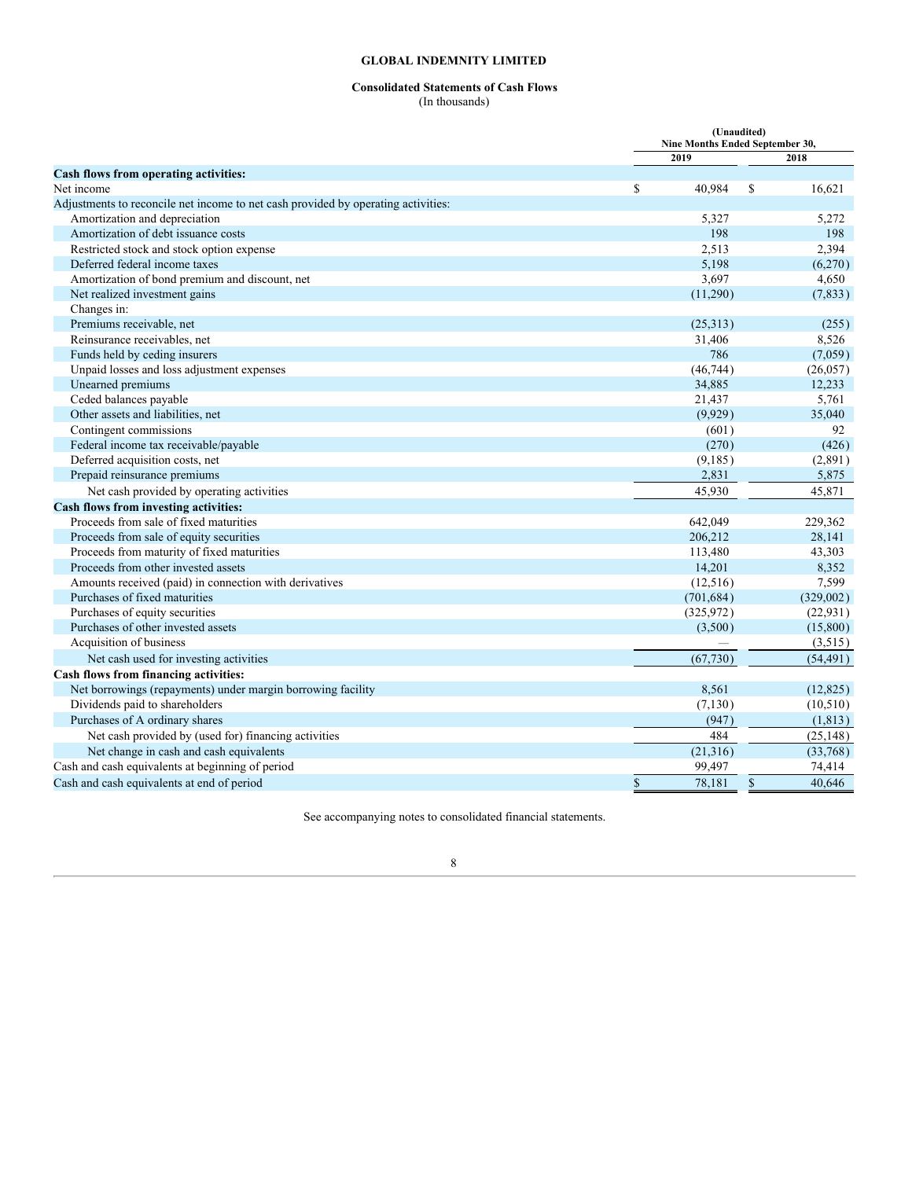#### **Consolidated Statements of Cash Flows** (In thousands)

<span id="page-7-0"></span>

| 2019<br>2018<br>\$<br>40,984<br>S<br>16,621<br>Amortization and depreciation<br>5,327<br>5,272<br>Amortization of debt issuance costs<br>198<br>198<br>Restricted stock and stock option expense<br>2,513<br>2,394<br>5,198<br>Deferred federal income taxes<br>(6,270)<br>Amortization of bond premium and discount, net<br>3,697<br>4,650<br>(11,290)<br>(7,833)<br>Net realized investment gains<br>Changes in:<br>Premiums receivable, net<br>(25,313)<br>(255)<br>Reinsurance receivables, net<br>31,406<br>8,526<br>786<br>Funds held by ceding insurers<br>(7,059)<br>Unpaid losses and loss adjustment expenses<br>(46,744)<br>(26, 057)<br>Unearned premiums<br>12,233<br>34,885<br>Ceded balances payable<br>21,437<br>5,761<br>Other assets and liabilities, net<br>(9,929)<br>35,040<br>Contingent commissions<br>92<br>(601)<br>Federal income tax receivable/payable<br>(270)<br>(426)<br>Deferred acquisition costs, net<br>(9,185)<br>(2,891)<br>Prepaid reinsurance premiums<br>2,831<br>5,875<br>Net cash provided by operating activities<br>45,930<br>45,871<br>Cash flows from investing activities:<br>Proceeds from sale of fixed maturities<br>642,049<br>229,362<br>Proceeds from sale of equity securities<br>206,212<br>28,141<br>Proceeds from maturity of fixed maturities<br>113,480<br>43,303<br>14,201<br>Proceeds from other invested assets<br>8,352<br>Amounts received (paid) in connection with derivatives<br>(12,516)<br>7,599<br>Purchases of fixed maturities<br>(701, 684)<br>(329,002)<br>Purchases of equity securities<br>(325, 972)<br>(22, 931)<br>Purchases of other invested assets<br>(3,500)<br>(15,800)<br>Acquisition of business<br>(3,515)<br>(67, 730)<br>(54, 491)<br>Net cash used for investing activities<br>Cash flows from financing activities:<br>Net borrowings (repayments) under margin borrowing facility<br>8,561<br>(12, 825)<br>Dividends paid to shareholders<br>(7,130)<br>(10, 510) |                                                                                   | (Unaudited)<br>Nine Months Ended September 30, |  |          |  |  |
|---------------------------------------------------------------------------------------------------------------------------------------------------------------------------------------------------------------------------------------------------------------------------------------------------------------------------------------------------------------------------------------------------------------------------------------------------------------------------------------------------------------------------------------------------------------------------------------------------------------------------------------------------------------------------------------------------------------------------------------------------------------------------------------------------------------------------------------------------------------------------------------------------------------------------------------------------------------------------------------------------------------------------------------------------------------------------------------------------------------------------------------------------------------------------------------------------------------------------------------------------------------------------------------------------------------------------------------------------------------------------------------------------------------------------------------------------------------------------------------------------------------------------------------------------------------------------------------------------------------------------------------------------------------------------------------------------------------------------------------------------------------------------------------------------------------------------------------------------------------------------------------------------------------------------------------------------------------|-----------------------------------------------------------------------------------|------------------------------------------------|--|----------|--|--|
|                                                                                                                                                                                                                                                                                                                                                                                                                                                                                                                                                                                                                                                                                                                                                                                                                                                                                                                                                                                                                                                                                                                                                                                                                                                                                                                                                                                                                                                                                                                                                                                                                                                                                                                                                                                                                                                                                                                                                               |                                                                                   |                                                |  |          |  |  |
|                                                                                                                                                                                                                                                                                                                                                                                                                                                                                                                                                                                                                                                                                                                                                                                                                                                                                                                                                                                                                                                                                                                                                                                                                                                                                                                                                                                                                                                                                                                                                                                                                                                                                                                                                                                                                                                                                                                                                               | Cash flows from operating activities:                                             |                                                |  |          |  |  |
|                                                                                                                                                                                                                                                                                                                                                                                                                                                                                                                                                                                                                                                                                                                                                                                                                                                                                                                                                                                                                                                                                                                                                                                                                                                                                                                                                                                                                                                                                                                                                                                                                                                                                                                                                                                                                                                                                                                                                               | Net income                                                                        |                                                |  |          |  |  |
|                                                                                                                                                                                                                                                                                                                                                                                                                                                                                                                                                                                                                                                                                                                                                                                                                                                                                                                                                                                                                                                                                                                                                                                                                                                                                                                                                                                                                                                                                                                                                                                                                                                                                                                                                                                                                                                                                                                                                               | Adjustments to reconcile net income to net cash provided by operating activities: |                                                |  |          |  |  |
|                                                                                                                                                                                                                                                                                                                                                                                                                                                                                                                                                                                                                                                                                                                                                                                                                                                                                                                                                                                                                                                                                                                                                                                                                                                                                                                                                                                                                                                                                                                                                                                                                                                                                                                                                                                                                                                                                                                                                               |                                                                                   |                                                |  |          |  |  |
|                                                                                                                                                                                                                                                                                                                                                                                                                                                                                                                                                                                                                                                                                                                                                                                                                                                                                                                                                                                                                                                                                                                                                                                                                                                                                                                                                                                                                                                                                                                                                                                                                                                                                                                                                                                                                                                                                                                                                               |                                                                                   |                                                |  |          |  |  |
|                                                                                                                                                                                                                                                                                                                                                                                                                                                                                                                                                                                                                                                                                                                                                                                                                                                                                                                                                                                                                                                                                                                                                                                                                                                                                                                                                                                                                                                                                                                                                                                                                                                                                                                                                                                                                                                                                                                                                               |                                                                                   |                                                |  |          |  |  |
|                                                                                                                                                                                                                                                                                                                                                                                                                                                                                                                                                                                                                                                                                                                                                                                                                                                                                                                                                                                                                                                                                                                                                                                                                                                                                                                                                                                                                                                                                                                                                                                                                                                                                                                                                                                                                                                                                                                                                               |                                                                                   |                                                |  |          |  |  |
|                                                                                                                                                                                                                                                                                                                                                                                                                                                                                                                                                                                                                                                                                                                                                                                                                                                                                                                                                                                                                                                                                                                                                                                                                                                                                                                                                                                                                                                                                                                                                                                                                                                                                                                                                                                                                                                                                                                                                               |                                                                                   |                                                |  |          |  |  |
|                                                                                                                                                                                                                                                                                                                                                                                                                                                                                                                                                                                                                                                                                                                                                                                                                                                                                                                                                                                                                                                                                                                                                                                                                                                                                                                                                                                                                                                                                                                                                                                                                                                                                                                                                                                                                                                                                                                                                               |                                                                                   |                                                |  |          |  |  |
|                                                                                                                                                                                                                                                                                                                                                                                                                                                                                                                                                                                                                                                                                                                                                                                                                                                                                                                                                                                                                                                                                                                                                                                                                                                                                                                                                                                                                                                                                                                                                                                                                                                                                                                                                                                                                                                                                                                                                               |                                                                                   |                                                |  |          |  |  |
|                                                                                                                                                                                                                                                                                                                                                                                                                                                                                                                                                                                                                                                                                                                                                                                                                                                                                                                                                                                                                                                                                                                                                                                                                                                                                                                                                                                                                                                                                                                                                                                                                                                                                                                                                                                                                                                                                                                                                               |                                                                                   |                                                |  |          |  |  |
|                                                                                                                                                                                                                                                                                                                                                                                                                                                                                                                                                                                                                                                                                                                                                                                                                                                                                                                                                                                                                                                                                                                                                                                                                                                                                                                                                                                                                                                                                                                                                                                                                                                                                                                                                                                                                                                                                                                                                               |                                                                                   |                                                |  |          |  |  |
|                                                                                                                                                                                                                                                                                                                                                                                                                                                                                                                                                                                                                                                                                                                                                                                                                                                                                                                                                                                                                                                                                                                                                                                                                                                                                                                                                                                                                                                                                                                                                                                                                                                                                                                                                                                                                                                                                                                                                               |                                                                                   |                                                |  |          |  |  |
|                                                                                                                                                                                                                                                                                                                                                                                                                                                                                                                                                                                                                                                                                                                                                                                                                                                                                                                                                                                                                                                                                                                                                                                                                                                                                                                                                                                                                                                                                                                                                                                                                                                                                                                                                                                                                                                                                                                                                               |                                                                                   |                                                |  |          |  |  |
|                                                                                                                                                                                                                                                                                                                                                                                                                                                                                                                                                                                                                                                                                                                                                                                                                                                                                                                                                                                                                                                                                                                                                                                                                                                                                                                                                                                                                                                                                                                                                                                                                                                                                                                                                                                                                                                                                                                                                               |                                                                                   |                                                |  |          |  |  |
|                                                                                                                                                                                                                                                                                                                                                                                                                                                                                                                                                                                                                                                                                                                                                                                                                                                                                                                                                                                                                                                                                                                                                                                                                                                                                                                                                                                                                                                                                                                                                                                                                                                                                                                                                                                                                                                                                                                                                               |                                                                                   |                                                |  |          |  |  |
|                                                                                                                                                                                                                                                                                                                                                                                                                                                                                                                                                                                                                                                                                                                                                                                                                                                                                                                                                                                                                                                                                                                                                                                                                                                                                                                                                                                                                                                                                                                                                                                                                                                                                                                                                                                                                                                                                                                                                               |                                                                                   |                                                |  |          |  |  |
|                                                                                                                                                                                                                                                                                                                                                                                                                                                                                                                                                                                                                                                                                                                                                                                                                                                                                                                                                                                                                                                                                                                                                                                                                                                                                                                                                                                                                                                                                                                                                                                                                                                                                                                                                                                                                                                                                                                                                               |                                                                                   |                                                |  |          |  |  |
|                                                                                                                                                                                                                                                                                                                                                                                                                                                                                                                                                                                                                                                                                                                                                                                                                                                                                                                                                                                                                                                                                                                                                                                                                                                                                                                                                                                                                                                                                                                                                                                                                                                                                                                                                                                                                                                                                                                                                               |                                                                                   |                                                |  |          |  |  |
|                                                                                                                                                                                                                                                                                                                                                                                                                                                                                                                                                                                                                                                                                                                                                                                                                                                                                                                                                                                                                                                                                                                                                                                                                                                                                                                                                                                                                                                                                                                                                                                                                                                                                                                                                                                                                                                                                                                                                               |                                                                                   |                                                |  |          |  |  |
|                                                                                                                                                                                                                                                                                                                                                                                                                                                                                                                                                                                                                                                                                                                                                                                                                                                                                                                                                                                                                                                                                                                                                                                                                                                                                                                                                                                                                                                                                                                                                                                                                                                                                                                                                                                                                                                                                                                                                               |                                                                                   |                                                |  |          |  |  |
|                                                                                                                                                                                                                                                                                                                                                                                                                                                                                                                                                                                                                                                                                                                                                                                                                                                                                                                                                                                                                                                                                                                                                                                                                                                                                                                                                                                                                                                                                                                                                                                                                                                                                                                                                                                                                                                                                                                                                               |                                                                                   |                                                |  |          |  |  |
|                                                                                                                                                                                                                                                                                                                                                                                                                                                                                                                                                                                                                                                                                                                                                                                                                                                                                                                                                                                                                                                                                                                                                                                                                                                                                                                                                                                                                                                                                                                                                                                                                                                                                                                                                                                                                                                                                                                                                               |                                                                                   |                                                |  |          |  |  |
|                                                                                                                                                                                                                                                                                                                                                                                                                                                                                                                                                                                                                                                                                                                                                                                                                                                                                                                                                                                                                                                                                                                                                                                                                                                                                                                                                                                                                                                                                                                                                                                                                                                                                                                                                                                                                                                                                                                                                               |                                                                                   |                                                |  |          |  |  |
|                                                                                                                                                                                                                                                                                                                                                                                                                                                                                                                                                                                                                                                                                                                                                                                                                                                                                                                                                                                                                                                                                                                                                                                                                                                                                                                                                                                                                                                                                                                                                                                                                                                                                                                                                                                                                                                                                                                                                               |                                                                                   |                                                |  |          |  |  |
|                                                                                                                                                                                                                                                                                                                                                                                                                                                                                                                                                                                                                                                                                                                                                                                                                                                                                                                                                                                                                                                                                                                                                                                                                                                                                                                                                                                                                                                                                                                                                                                                                                                                                                                                                                                                                                                                                                                                                               |                                                                                   |                                                |  |          |  |  |
|                                                                                                                                                                                                                                                                                                                                                                                                                                                                                                                                                                                                                                                                                                                                                                                                                                                                                                                                                                                                                                                                                                                                                                                                                                                                                                                                                                                                                                                                                                                                                                                                                                                                                                                                                                                                                                                                                                                                                               |                                                                                   |                                                |  |          |  |  |
|                                                                                                                                                                                                                                                                                                                                                                                                                                                                                                                                                                                                                                                                                                                                                                                                                                                                                                                                                                                                                                                                                                                                                                                                                                                                                                                                                                                                                                                                                                                                                                                                                                                                                                                                                                                                                                                                                                                                                               |                                                                                   |                                                |  |          |  |  |
|                                                                                                                                                                                                                                                                                                                                                                                                                                                                                                                                                                                                                                                                                                                                                                                                                                                                                                                                                                                                                                                                                                                                                                                                                                                                                                                                                                                                                                                                                                                                                                                                                                                                                                                                                                                                                                                                                                                                                               |                                                                                   |                                                |  |          |  |  |
|                                                                                                                                                                                                                                                                                                                                                                                                                                                                                                                                                                                                                                                                                                                                                                                                                                                                                                                                                                                                                                                                                                                                                                                                                                                                                                                                                                                                                                                                                                                                                                                                                                                                                                                                                                                                                                                                                                                                                               |                                                                                   |                                                |  |          |  |  |
|                                                                                                                                                                                                                                                                                                                                                                                                                                                                                                                                                                                                                                                                                                                                                                                                                                                                                                                                                                                                                                                                                                                                                                                                                                                                                                                                                                                                                                                                                                                                                                                                                                                                                                                                                                                                                                                                                                                                                               |                                                                                   |                                                |  |          |  |  |
|                                                                                                                                                                                                                                                                                                                                                                                                                                                                                                                                                                                                                                                                                                                                                                                                                                                                                                                                                                                                                                                                                                                                                                                                                                                                                                                                                                                                                                                                                                                                                                                                                                                                                                                                                                                                                                                                                                                                                               |                                                                                   |                                                |  |          |  |  |
|                                                                                                                                                                                                                                                                                                                                                                                                                                                                                                                                                                                                                                                                                                                                                                                                                                                                                                                                                                                                                                                                                                                                                                                                                                                                                                                                                                                                                                                                                                                                                                                                                                                                                                                                                                                                                                                                                                                                                               |                                                                                   |                                                |  |          |  |  |
|                                                                                                                                                                                                                                                                                                                                                                                                                                                                                                                                                                                                                                                                                                                                                                                                                                                                                                                                                                                                                                                                                                                                                                                                                                                                                                                                                                                                                                                                                                                                                                                                                                                                                                                                                                                                                                                                                                                                                               |                                                                                   |                                                |  |          |  |  |
|                                                                                                                                                                                                                                                                                                                                                                                                                                                                                                                                                                                                                                                                                                                                                                                                                                                                                                                                                                                                                                                                                                                                                                                                                                                                                                                                                                                                                                                                                                                                                                                                                                                                                                                                                                                                                                                                                                                                                               |                                                                                   |                                                |  |          |  |  |
|                                                                                                                                                                                                                                                                                                                                                                                                                                                                                                                                                                                                                                                                                                                                                                                                                                                                                                                                                                                                                                                                                                                                                                                                                                                                                                                                                                                                                                                                                                                                                                                                                                                                                                                                                                                                                                                                                                                                                               |                                                                                   |                                                |  |          |  |  |
|                                                                                                                                                                                                                                                                                                                                                                                                                                                                                                                                                                                                                                                                                                                                                                                                                                                                                                                                                                                                                                                                                                                                                                                                                                                                                                                                                                                                                                                                                                                                                                                                                                                                                                                                                                                                                                                                                                                                                               | Purchases of A ordinary shares                                                    | (947)                                          |  | (1, 813) |  |  |
| 484<br>Net cash provided by (used for) financing activities<br>(25, 148)                                                                                                                                                                                                                                                                                                                                                                                                                                                                                                                                                                                                                                                                                                                                                                                                                                                                                                                                                                                                                                                                                                                                                                                                                                                                                                                                                                                                                                                                                                                                                                                                                                                                                                                                                                                                                                                                                      |                                                                                   |                                                |  |          |  |  |
| (21,316)<br>Net change in cash and cash equivalents<br>(33,768)                                                                                                                                                                                                                                                                                                                                                                                                                                                                                                                                                                                                                                                                                                                                                                                                                                                                                                                                                                                                                                                                                                                                                                                                                                                                                                                                                                                                                                                                                                                                                                                                                                                                                                                                                                                                                                                                                               |                                                                                   |                                                |  |          |  |  |
| 99,497<br>74,414                                                                                                                                                                                                                                                                                                                                                                                                                                                                                                                                                                                                                                                                                                                                                                                                                                                                                                                                                                                                                                                                                                                                                                                                                                                                                                                                                                                                                                                                                                                                                                                                                                                                                                                                                                                                                                                                                                                                              | Cash and cash equivalents at beginning of period                                  |                                                |  |          |  |  |
| $\mathbb{S}$<br>\$<br>40,646<br>78,181                                                                                                                                                                                                                                                                                                                                                                                                                                                                                                                                                                                                                                                                                                                                                                                                                                                                                                                                                                                                                                                                                                                                                                                                                                                                                                                                                                                                                                                                                                                                                                                                                                                                                                                                                                                                                                                                                                                        | Cash and cash equivalents at end of period                                        |                                                |  |          |  |  |

See accompanying notes to consolidated financial statements.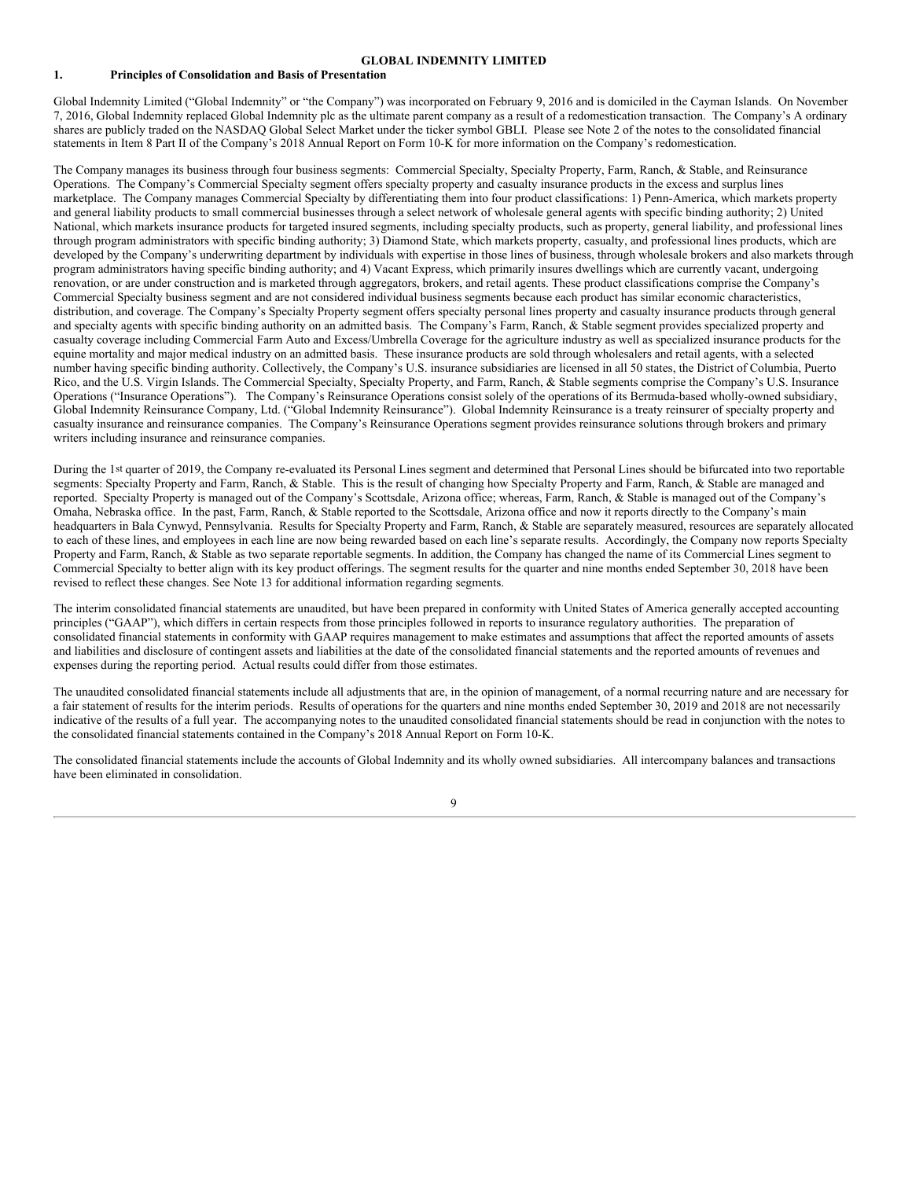#### <span id="page-8-0"></span>**1. Principles of Consolidation and Basis of Presentation**

Global Indemnity Limited ("Global Indemnity" or "the Company") was incorporated on February 9, 2016 and is domiciled in the Cayman Islands. On November 7, 2016, Global Indemnity replaced Global Indemnity plc as the ultimate parent company as a result of a redomestication transaction. The Company's A ordinary shares are publicly traded on the NASDAQ Global Select Market under the ticker symbol GBLI. Please see Note 2 of the notes to the consolidated financial statements in Item 8 Part II of the Company's 2018 Annual Report on Form 10-K for more information on the Company's redomestication.

The Company manages its business through four business segments: Commercial Specialty, Specialty Property, Farm, Ranch, & Stable, and Reinsurance Operations. The Company's Commercial Specialty segment offers specialty property and casualty insurance products in the excess and surplus lines marketplace. The Company manages Commercial Specialty by differentiating them into four product classifications: 1) Penn-America, which markets property and general liability products to small commercial businesses through a select network of wholesale general agents with specific binding authority; 2) United National, which markets insurance products for targeted insured segments, including specialty products, such as property, general liability, and professional lines through program administrators with specific binding authority; 3) Diamond State, which markets property, casualty, and professional lines products, which are developed by the Company's underwriting department by individuals with expertise in those lines of business, through wholesale brokers and also markets through program administrators having specific binding authority; and 4) Vacant Express, which primarily insures dwellings which are currently vacant, undergoing renovation, or are under construction and is marketed through aggregators, brokers, and retail agents. These product classifications comprise the Company's Commercial Specialty business segment and are not considered individual business segments because each product has similar economic characteristics, distribution, and coverage. The Company's Specialty Property segment offers specialty personal lines property and casualty insurance products through general and specialty agents with specific binding authority on an admitted basis. The Company's Farm, Ranch, & Stable segment provides specialized property and casualty coverage including Commercial Farm Auto and Excess/Umbrella Coverage for the agriculture industry as well as specialized insurance products for the equine mortality and major medical industry on an admitted basis. These insurance products are sold through wholesalers and retail agents, with a selected number having specific binding authority. Collectively, the Company's U.S. insurance subsidiaries are licensed in all 50 states, the District of Columbia, Puerto Rico, and the U.S. Virgin Islands. The Commercial Specialty, Specialty Property, and Farm, Ranch, & Stable segments comprise the Company's U.S. Insurance Operations ("Insurance Operations"). The Company's Reinsurance Operations consist solely of the operations of its Bermuda-based wholly-owned subsidiary, Global Indemnity Reinsurance Company, Ltd. ("Global Indemnity Reinsurance"). Global Indemnity Reinsurance is a treaty reinsurer of specialty property and casualty insurance and reinsurance companies. The Company's Reinsurance Operations segment provides reinsurance solutions through brokers and primary writers including insurance and reinsurance companies.

During the 1st quarter of 2019, the Company re-evaluated its Personal Lines segment and determined that Personal Lines should be bifurcated into two reportable segments: Specialty Property and Farm, Ranch, & Stable. This is the result of changing how Specialty Property and Farm, Ranch, & Stable are managed and reported. Specialty Property is managed out of the Company's Scottsdale, Arizona office; whereas, Farm, Ranch, & Stable is managed out of the Company's Omaha, Nebraska office. In the past, Farm, Ranch, & Stable reported to the Scottsdale, Arizona office and now it reports directly to the Company's main headquarters in Bala Cynwyd, Pennsylvania. Results for Specialty Property and Farm, Ranch, & Stable are separately measured, resources are separately allocated to each of these lines, and employees in each line are now being rewarded based on each line's separate results. Accordingly, the Company now reports Specialty Property and Farm, Ranch, & Stable as two separate reportable segments. In addition, the Company has changed the name of its Commercial Lines segment to Commercial Specialty to better align with its key product offerings. The segment results for the quarter and nine months ended September 30, 2018 have been revised to reflect these changes. See Note 13 for additional information regarding segments.

The interim consolidated financial statements are unaudited, but have been prepared in conformity with United States of America generally accepted accounting principles ("GAAP"), which differs in certain respects from those principles followed in reports to insurance regulatory authorities. The preparation of consolidated financial statements in conformity with GAAP requires management to make estimates and assumptions that affect the reported amounts of assets and liabilities and disclosure of contingent assets and liabilities at the date of the consolidated financial statements and the reported amounts of revenues and expenses during the reporting period. Actual results could differ from those estimates.

The unaudited consolidated financial statements include all adjustments that are, in the opinion of management, of a normal recurring nature and are necessary for a fair statement of results for the interim periods. Results of operations for the quarters and nine months ended September 30, 2019 and 2018 are not necessarily indicative of the results of a full year. The accompanying notes to the unaudited consolidated financial statements should be read in conjunction with the notes to the consolidated financial statements contained in the Company's 2018 Annual Report on Form 10-K.

The consolidated financial statements include the accounts of Global Indemnity and its wholly owned subsidiaries. All intercompany balances and transactions have been eliminated in consolidation.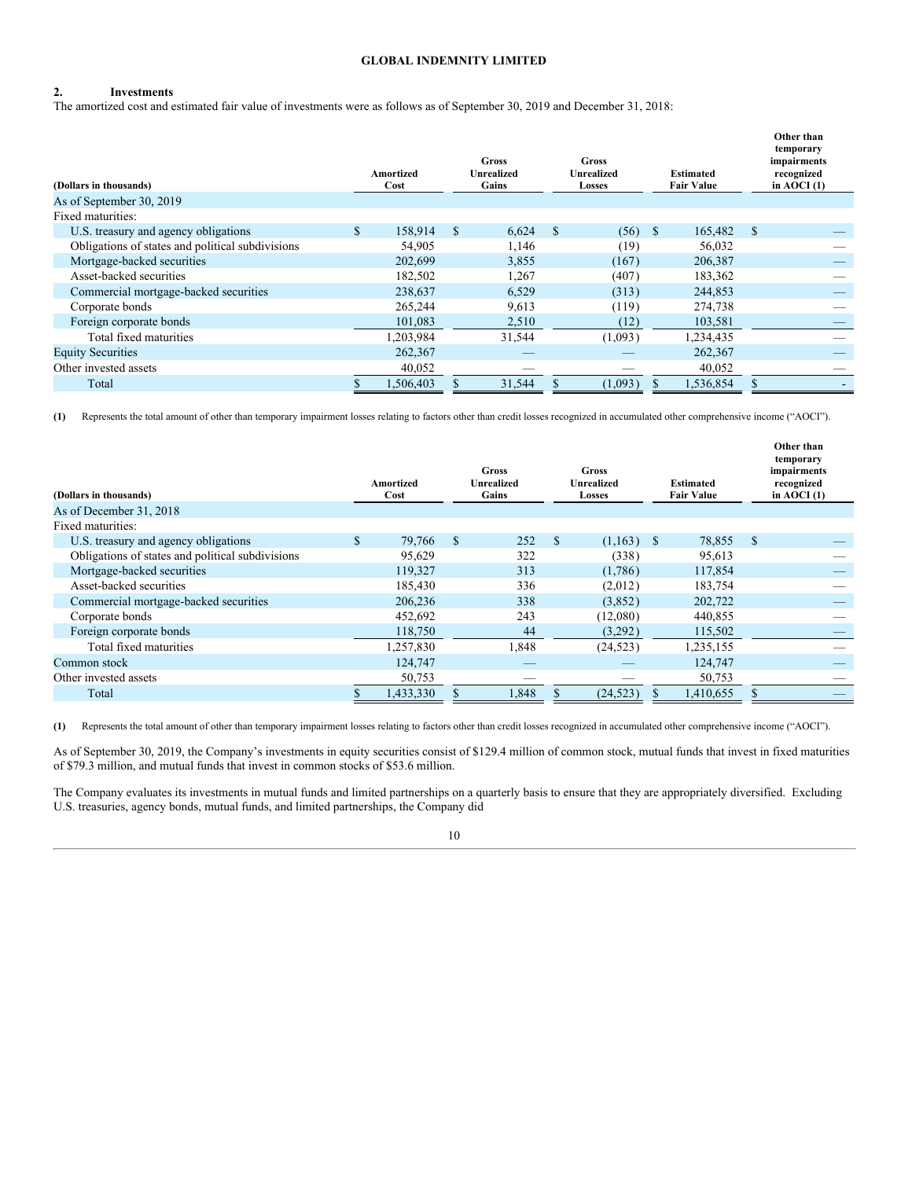#### **2. Investments**

The amortized cost and estimated fair value of investments were as follows as of September 30, 2019 and December 31, 2018:

| Amortized<br>Cost |           |      | <b>Gross</b><br><b>Unrealized</b><br>Gains | Gross<br>Unrealized<br>Losses |         |               | <b>Estimated</b><br><b>Fair Value</b> |               | Other than<br>temporary<br>impairments<br>recognized<br>in AOCI $(1)$ |
|-------------------|-----------|------|--------------------------------------------|-------------------------------|---------|---------------|---------------------------------------|---------------|-----------------------------------------------------------------------|
|                   |           |      |                                            |                               |         |               |                                       |               |                                                                       |
|                   |           |      |                                            |                               |         |               |                                       |               |                                                                       |
| \$                | 158,914   | - \$ | 6,624                                      | <sup>\$</sup>                 | (56)    | <sup>\$</sup> | 165,482                               | <sup>\$</sup> |                                                                       |
|                   | 54,905    |      | 1,146                                      |                               | (19)    |               | 56,032                                |               |                                                                       |
|                   | 202,699   |      | 3,855                                      |                               | (167)   |               | 206,387                               |               |                                                                       |
|                   | 182,502   |      | 1,267                                      |                               | (407)   |               | 183,362                               |               |                                                                       |
|                   | 238,637   |      | 6,529                                      |                               | (313)   |               | 244,853                               |               |                                                                       |
|                   | 265,244   |      | 9,613                                      |                               | (119)   |               | 274,738                               |               |                                                                       |
|                   | 101,083   |      | 2,510                                      |                               | (12)    |               | 103,581                               |               |                                                                       |
|                   | 1,203,984 |      | 31,544                                     |                               | (1,093) |               | 1,234,435                             |               |                                                                       |
|                   | 262,367   |      | $\overline{\phantom{a}}$                   |                               |         |               | 262,367                               |               |                                                                       |
|                   | 40,052    |      | $\qquad \qquad$                            |                               | ---     |               | 40,052                                |               |                                                                       |
|                   | 1,506,403 |      | 31,544                                     |                               | (1,093) |               | 1,536,854                             |               |                                                                       |
|                   |           |      |                                            |                               |         |               |                                       |               |                                                                       |

**(1)** Represents the total amount of other than temporary impairment losses relating to factors other than credit losses recognized in accumulated other comprehensive income ("AOCI").

| (Dollars in thousands)<br>As of December 31, 2018 | Amortized<br>Cost |      | Gross<br><b>Unrealized</b><br>Gains | Gross<br><b>Unrealized</b><br>Losses |           |              | <b>Estimated</b><br><b>Fair Value</b> |    | Other than<br>temporary<br>impairments<br>recognized<br>in AOCI $(1)$ |
|---------------------------------------------------|-------------------|------|-------------------------------------|--------------------------------------|-----------|--------------|---------------------------------------|----|-----------------------------------------------------------------------|
| Fixed maturities:                                 |                   |      |                                     |                                      |           |              |                                       |    |                                                                       |
| U.S. treasury and agency obligations              | \$<br>79,766      | - \$ | 252                                 | <b>S</b>                             | (1,163)   | <sup>S</sup> | 78,855                                | -S |                                                                       |
| Obligations of states and political subdivisions  | 95,629            |      | 322                                 |                                      | (338)     |              | 95,613                                |    |                                                                       |
| Mortgage-backed securities                        | 119,327           |      | 313                                 |                                      | (1,786)   |              | 117,854                               |    |                                                                       |
| Asset-backed securities                           | 185,430           |      | 336                                 |                                      | (2,012)   |              | 183,754                               |    |                                                                       |
| Commercial mortgage-backed securities             | 206,236           |      | 338                                 |                                      | (3,852)   |              | 202,722                               |    |                                                                       |
| Corporate bonds                                   | 452,692           |      | 243                                 |                                      | (12,080)  |              | 440,855                               |    |                                                                       |
| Foreign corporate bonds                           | 118,750           |      | 44                                  |                                      | (3,292)   |              | 115,502                               |    |                                                                       |
| Total fixed maturities                            | 1,257,830         |      | 1,848                               |                                      | (24, 523) |              | 1,235,155                             |    |                                                                       |
| Common stock                                      | 124,747           |      | __                                  |                                      |           |              | 124,747                               |    |                                                                       |
| Other invested assets                             | 50,753            |      | __                                  |                                      |           |              | 50,753                                |    |                                                                       |
| Total                                             | 1,433,330         |      | 1,848                               |                                      | (24, 523) |              | 1,410,655                             |    |                                                                       |

**(1)** Represents the total amount of other than temporary impairment losses relating to factors other than credit losses recognized in accumulated other comprehensive income ("AOCI").

As of September 30, 2019, the Company's investments in equity securities consist of \$129.4 million of common stock, mutual funds that invest in fixed maturities of \$79.3 million, and mutual funds that invest in common stocks of \$53.6 million.

The Company evaluates its investments in mutual funds and limited partnerships on a quarterly basis to ensure that they are appropriately diversified. Excluding U.S. treasuries, agency bonds, mutual funds, and limited partnerships, the Company did

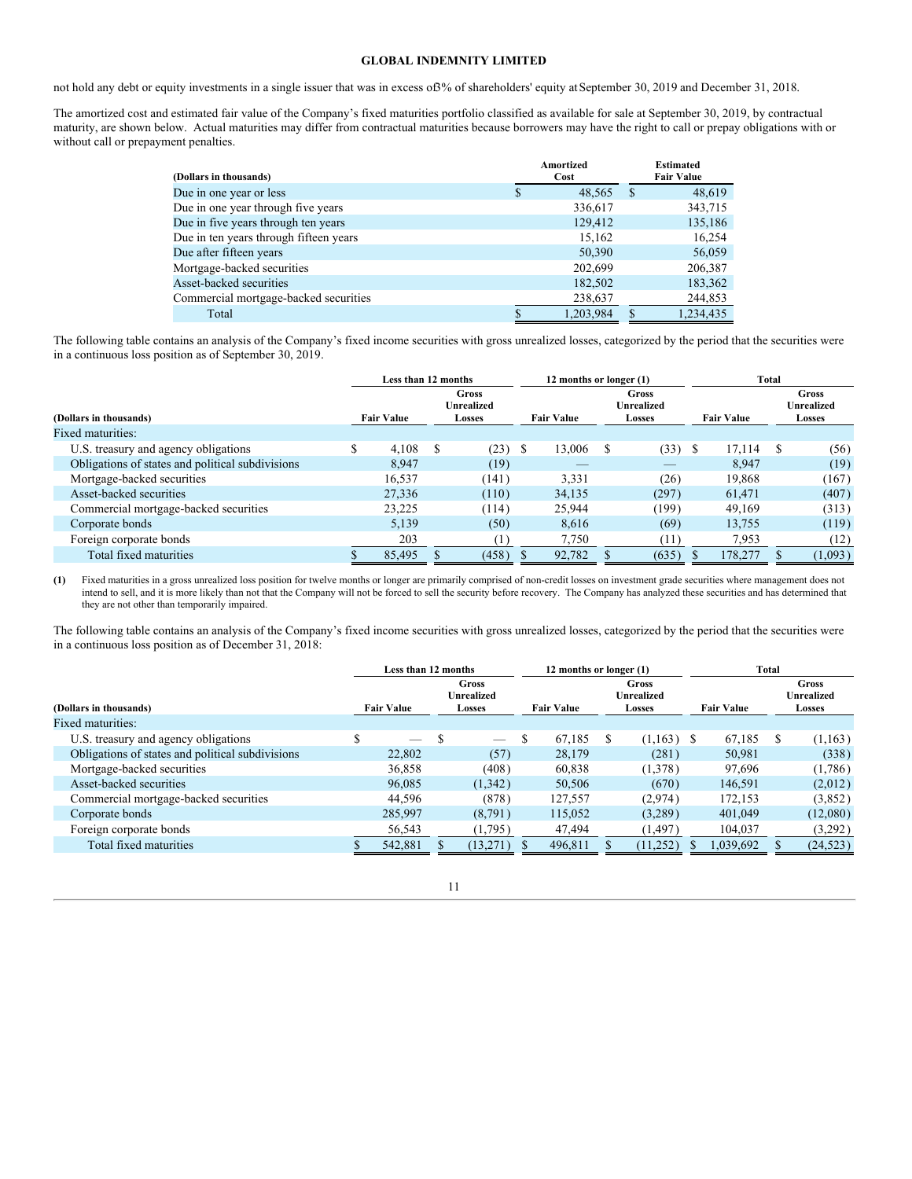not hold any debt or equity investments in a single issuer that was in excess of3% of shareholders' equity atSeptember 30, 2019 and December 31, 2018.

The amortized cost and estimated fair value of the Company's fixed maturities portfolio classified as available for sale at September 30, 2019, by contractual maturity, are shown below. Actual maturities may differ from contractual maturities because borrowers may have the right to call or prepay obligations with or without call or prepayment penalties.

| (Dollars in thousands)                 | <b>Amortized</b> |           | <b>Estimated</b><br><b>Fair Value</b> |           |
|----------------------------------------|------------------|-----------|---------------------------------------|-----------|
|                                        |                  | Cost      |                                       |           |
| Due in one year or less                | S                | 48,565    | S                                     | 48,619    |
| Due in one year through five years     |                  | 336,617   |                                       | 343,715   |
| Due in five years through ten years    |                  | 129,412   |                                       | 135,186   |
| Due in ten years through fifteen years |                  | 15,162    |                                       | 16,254    |
| Due after fifteen years                |                  | 50,390    |                                       | 56,059    |
| Mortgage-backed securities             |                  | 202,699   |                                       | 206,387   |
| Asset-backed securities                |                  | 182,502   |                                       | 183,362   |
| Commercial mortgage-backed securities  |                  | 238,637   |                                       | 244,853   |
| Total                                  | S                | 1.203.984 |                                       | 1.234.435 |

The following table contains an analysis of the Company's fixed income securities with gross unrealized losses, categorized by the period that the securities were in a continuous loss position as of September 30, 2019.

|                                                  |     | Less than 12 months                                              |      |                   | 12 months or longer (1) |        |                                      |                   | Total |         |                                      |         |  |  |
|--------------------------------------------------|-----|------------------------------------------------------------------|------|-------------------|-------------------------|--------|--------------------------------------|-------------------|-------|---------|--------------------------------------|---------|--|--|
| (Dollars in thousands)                           |     | Gross<br><b>Unrealized</b><br><b>Fair Value</b><br><b>Losses</b> |      | <b>Fair Value</b> |                         |        | Gross<br><b>Unrealized</b><br>Losses | <b>Fair Value</b> |       |         | Gross<br><b>Unrealized</b><br>Losses |         |  |  |
| Fixed maturities:                                |     |                                                                  |      |                   |                         |        |                                      |                   |       |         |                                      |         |  |  |
| U.S. treasury and agency obligations             | Эħ. | 4.108                                                            | - \$ | (23)              | <sup>\$</sup>           | 13,006 | - \$                                 | (33)              | -S    | 17.114  | - S                                  | (56)    |  |  |
| Obligations of states and political subdivisions |     | 8.947                                                            |      | (19)              |                         |        |                                      |                   |       | 8.947   |                                      | (19)    |  |  |
| Mortgage-backed securities                       |     | 16.537                                                           |      | (141)             |                         | 3,331  |                                      | (26)              |       | 19,868  |                                      | (167)   |  |  |
| Asset-backed securities                          |     | 27.336                                                           |      | (110)             |                         | 34,135 |                                      | (297)             |       | 61.471  |                                      | (407)   |  |  |
| Commercial mortgage-backed securities            |     | 23.225                                                           |      | (114)             |                         | 25,944 |                                      | (199)             |       | 49,169  |                                      | (313)   |  |  |
| Corporate bonds                                  |     | 5,139                                                            |      | (50)              |                         | 8,616  |                                      | (69)              |       | 13,755  |                                      | (119)   |  |  |
| Foreign corporate bonds                          |     | 203                                                              |      | (1)               |                         | 7,750  |                                      | (11)              |       | 7,953   |                                      | (12)    |  |  |
| Total fixed maturities                           |     | 85,495                                                           |      | (458)             |                         | 92,782 |                                      | (635)             |       | 178,277 |                                      | (1,093) |  |  |

**(1)** Fixed maturities in a gross unrealized loss position for twelve months or longer are primarily comprised of non-credit losses on investment grade securities where management does not intend to sell, and it is more likely than not that the Company will not be forced to sell the security before recovery. The Company has analyzed these securities and has determined that they are not other than temporarily impaired.

The following table contains an analysis of the Company's fixed income securities with gross unrealized losses, categorized by the period that the securities were in a continuous loss position as of December 31, 2018:

|                                                  | Less than 12 months            |               |                                             | 12 months or longer (1) |                   |     |                                             | <b>Total</b> |           |   |                   |  |                                             |
|--------------------------------------------------|--------------------------------|---------------|---------------------------------------------|-------------------------|-------------------|-----|---------------------------------------------|--------------|-----------|---|-------------------|--|---------------------------------------------|
| (Dollars in thousands)                           | <b>Fair Value</b>              |               | Gross<br><b>Unrealized</b><br><b>Losses</b> |                         | <b>Fair Value</b> |     | Gross<br><b>Unrealized</b><br><b>Losses</b> |              |           |   | <b>Fair Value</b> |  | Gross<br><b>Unrealized</b><br><b>Losses</b> |
| Fixed maturities:                                |                                |               |                                             |                         |                   |     |                                             |              |           |   |                   |  |                                             |
| U.S. treasury and agency obligations             | \$<br>$\overline{\phantom{a}}$ | <sup>\$</sup> | $\overline{\phantom{a}}$                    | S                       | 67,185            | \$. | $(1,163)$ \$                                |              | 67,185    | S | (1,163)           |  |                                             |
| Obligations of states and political subdivisions | 22,802                         |               | (57)                                        |                         | 28,179            |     | (281)                                       |              | 50,981    |   | (338)             |  |                                             |
| Mortgage-backed securities                       | 36,858                         |               | (408)                                       |                         | 60,838            |     | (1,378)                                     |              | 97.696    |   | (1,786)           |  |                                             |
| Asset-backed securities                          | 96,085                         |               | (1,342)                                     |                         | 50,506            |     | (670)                                       |              | 146,591   |   | (2,012)           |  |                                             |
| Commercial mortgage-backed securities            | 44,596                         |               | (878)                                       |                         | 127,557           |     | (2,974)                                     |              | 172,153   |   | (3,852)           |  |                                             |
| Corporate bonds                                  | 285,997                        |               | (8,791)                                     |                         | 115,052           |     | (3,289)                                     |              | 401,049   |   | (12,080)          |  |                                             |
| Foreign corporate bonds                          | 56,543                         |               | (1,795)                                     |                         | 47,494            |     | (1, 497)                                    |              | 104,037   |   | (3,292)           |  |                                             |
| Total fixed maturities                           | 542,881                        |               | (13,271)                                    |                         | 496,811           |     | (11,252)                                    |              | 1,039,692 |   | (24, 523)         |  |                                             |

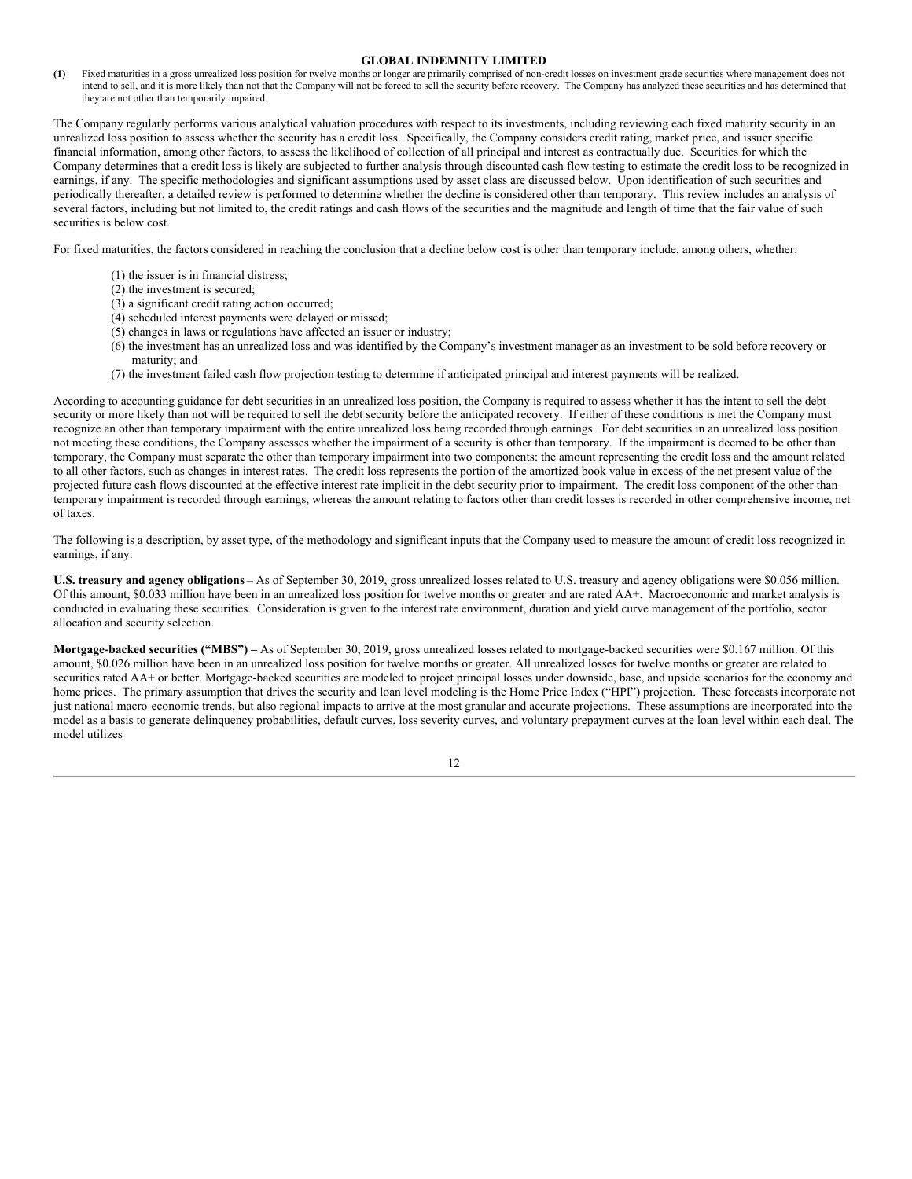**(1)** Fixed maturities in a gross unrealized loss position for twelve months or longer are primarily comprised of non-credit losses on investment grade securities where management does not intend to sell, and it is more likely than not that the Company will not be forced to sell the security before recovery. The Company has analyzed these securities and has determined that they are not other than temporarily impaired.

The Company regularly performs various analytical valuation procedures with respect to its investments, including reviewing each fixed maturity security in an unrealized loss position to assess whether the security has a credit loss. Specifically, the Company considers credit rating, market price, and issuer specific financial information, among other factors, to assess the likelihood of collection of all principal and interest as contractually due. Securities for which the Company determines that a credit loss is likely are subjected to further analysis through discounted cash flow testing to estimate the credit loss to be recognized in earnings, if any. The specific methodologies and significant assumptions used by asset class are discussed below. Upon identification of such securities and periodically thereafter, a detailed review is performed to determine whether the decline is considered other than temporary. This review includes an analysis of several factors, including but not limited to, the credit ratings and cash flows of the securities and the magnitude and length of time that the fair value of such securities is below cost.

For fixed maturities, the factors considered in reaching the conclusion that a decline below cost is other than temporary include, among others, whether:

- (1) the issuer is in financial distress;
- (2) the investment is secured;
- (3) a significant credit rating action occurred;
- (4) scheduled interest payments were delayed or missed;
- (5) changes in laws or regulations have affected an issuer or industry;
- (6) the investment has an unrealized loss and was identified by the Company's investment manager as an investment to be sold before recovery or maturity; and
- (7) the investment failed cash flow projection testing to determine if anticipated principal and interest payments will be realized.

According to accounting guidance for debt securities in an unrealized loss position, the Company is required to assess whether it has the intent to sell the debt security or more likely than not will be required to sell the debt security before the anticipated recovery. If either of these conditions is met the Company must recognize an other than temporary impairment with the entire unrealized loss being recorded through earnings. For debt securities in an unrealized loss position not meeting these conditions, the Company assesses whether the impairment of a security is other than temporary. If the impairment is deemed to be other than temporary, the Company must separate the other than temporary impairment into two components: the amount representing the credit loss and the amount related to all other factors, such as changes in interest rates. The credit loss represents the portion of the amortized book value in excess of the net present value of the projected future cash flows discounted at the effective interest rate implicit in the debt security prior to impairment. The credit loss component of the other than temporary impairment is recorded through earnings, whereas the amount relating to factors other than credit losses is recorded in other comprehensive income, net of taxes.

The following is a description, by asset type, of the methodology and significant inputs that the Company used to measure the amount of credit loss recognized in earnings, if any:

**U.S. treasury and agency obligations** – As of September 30, 2019, gross unrealized losses related to U.S. treasury and agency obligations were \$0.056 million. Of this amount, \$0.033 million have been in an unrealized loss position for twelve months or greater and are rated AA+. Macroeconomic and market analysis is conducted in evaluating these securities. Consideration is given to the interest rate environment, duration and yield curve management of the portfolio, sector allocation and security selection.

**Mortgage-backed securities ("MBS") –** As of September 30, 2019, gross unrealized losses related to mortgage-backed securities were \$0.167 million. Of this amount, \$0.026 million have been in an unrealized loss position for twelve months or greater. All unrealized losses for twelve months or greater are related to securities rated AA+ or better. Mortgage-backed securities are modeled to project principal losses under downside, base, and upside scenarios for the economy and home prices. The primary assumption that drives the security and loan level modeling is the Home Price Index ("HPI") projection. These forecasts incorporate not just national macro-economic trends, but also regional impacts to arrive at the most granular and accurate projections. These assumptions are incorporated into the model as a basis to generate delinquency probabilities, default curves, loss severity curves, and voluntary prepayment curves at the loan level within each deal. The model utilizes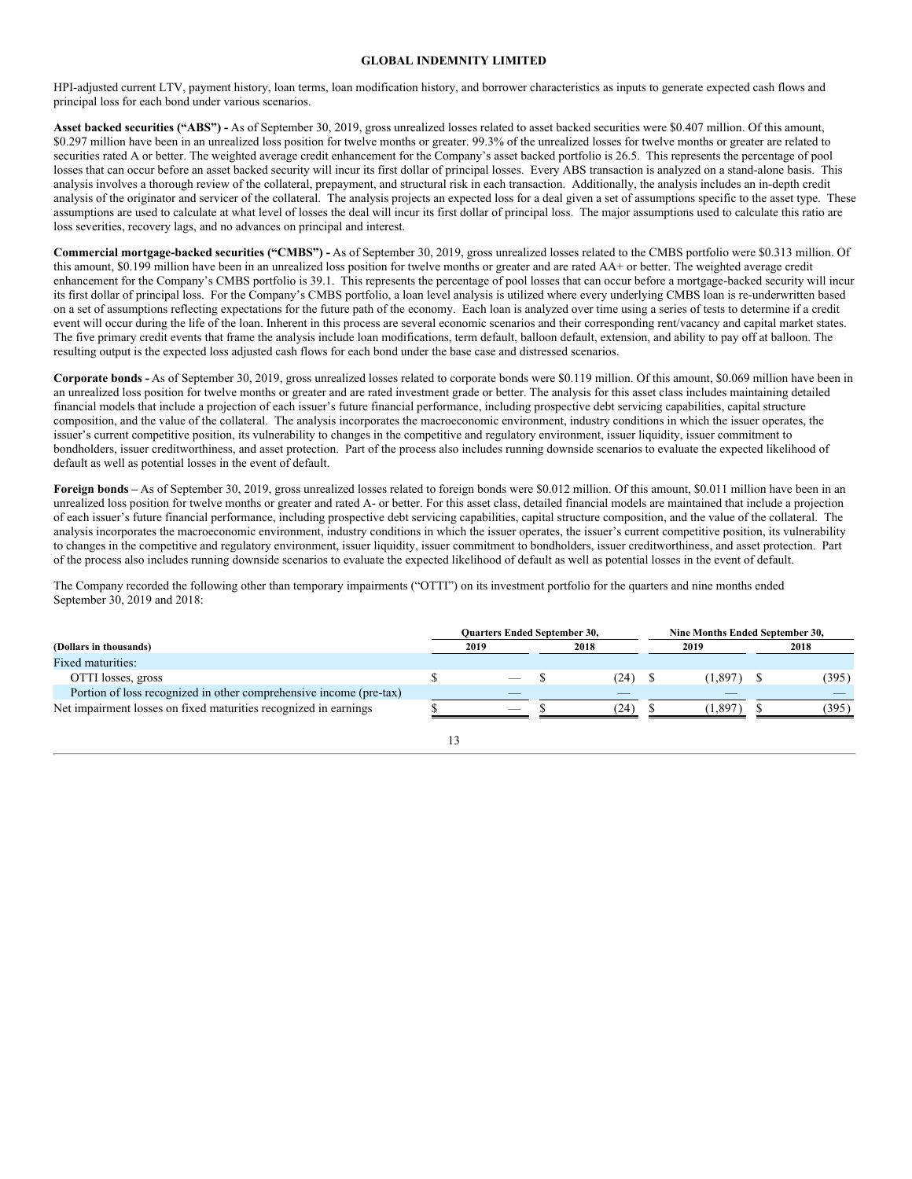HPI-adjusted current LTV, payment history, loan terms, loan modification history, and borrower characteristics as inputs to generate expected cash flows and principal loss for each bond under various scenarios.

**Asset backed securities ("ABS") -** As of September 30, 2019, gross unrealized losses related to asset backed securities were \$0.407 million. Of this amount, \$0.297 million have been in an unrealized loss position for twelve months or greater. 99.3% of the unrealized losses for twelve months or greater are related to securities rated A or better. The weighted average credit enhancement for the Company's asset backed portfolio is 26.5. This represents the percentage of pool losses that can occur before an asset backed security will incur its first dollar of principal losses. Every ABS transaction is analyzed on a stand-alone basis. This analysis involves a thorough review of the collateral, prepayment, and structural risk in each transaction. Additionally, the analysis includes an in-depth credit analysis of the originator and servicer of the collateral. The analysis projects an expected loss for a deal given a set of assumptions specific to the asset type. These assumptions are used to calculate at what level of losses the deal will incur its first dollar of principal loss. The major assumptions used to calculate this ratio are loss severities, recovery lags, and no advances on principal and interest.

**Commercial mortgage-backed securities ("CMBS") -** As of September 30, 2019, gross unrealized losses related to the CMBS portfolio were \$0.313 million. Of this amount, \$0.199 million have been in an unrealized loss position for twelve months or greater and are rated AA+ or better. The weighted average credit enhancement for the Company's CMBS portfolio is 39.1. This represents the percentage of pool losses that can occur before a mortgage-backed security will incur its first dollar of principal loss. For the Company's CMBS portfolio, a loan level analysis is utilized where every underlying CMBS loan is re-underwritten based on a set of assumptions reflecting expectations for the future path of the economy. Each loan is analyzed over time using a series of tests to determine if a credit event will occur during the life of the loan. Inherent in this process are several economic scenarios and their corresponding rent/vacancy and capital market states. The five primary credit events that frame the analysis include loan modifications, term default, balloon default, extension, and ability to pay off at balloon. The resulting output is the expected loss adjusted cash flows for each bond under the base case and distressed scenarios.

**Corporate bonds -** As of September 30, 2019, gross unrealized losses related to corporate bonds were \$0.119 million. Of this amount, \$0.069 million have been in an unrealized loss position for twelve months or greater and are rated investment grade or better. The analysis for this asset class includes maintaining detailed financial models that include a projection of each issuer's future financial performance, including prospective debt servicing capabilities, capital structure composition, and the value of the collateral. The analysis incorporates the macroeconomic environment, industry conditions in which the issuer operates, the issuer's current competitive position, its vulnerability to changes in the competitive and regulatory environment, issuer liquidity, issuer commitment to bondholders, issuer creditworthiness, and asset protection. Part of the process also includes running downside scenarios to evaluate the expected likelihood of default as well as potential losses in the event of default.

Foreign bonds – As of September 30, 2019, gross unrealized losses related to foreign bonds were \$0.012 million. Of this amount, \$0.011 million have been in an unrealized loss position for twelve months or greater and rated A- or better. For this asset class, detailed financial models are maintained that include a projection of each issuer's future financial performance, including prospective debt servicing capabilities, capital structure composition, and the value of the collateral. The analysis incorporates the macroeconomic environment, industry conditions in which the issuer operates, the issuer's current competitive position, its vulnerability to changes in the competitive and regulatory environment, issuer liquidity, issuer commitment to bondholders, issuer creditworthiness, and asset protection. Part of the process also includes running downside scenarios to evaluate the expected likelihood of default as well as potential losses in the event of default.

The Company recorded the following other than temporary impairments ("OTTI") on its investment portfolio for the quarters and nine months ended September 30, 2019 and 2018:

|                                                                    | <b>Ouarters Ended September 30,</b> |                          |  |      |  | Nine Months Ended September 30, |  |       |  |
|--------------------------------------------------------------------|-------------------------------------|--------------------------|--|------|--|---------------------------------|--|-------|--|
| (Dollars in thousands)                                             |                                     | 2019                     |  | 2018 |  | 2019                            |  | 2018  |  |
| Fixed maturities:                                                  |                                     |                          |  |      |  |                                 |  |       |  |
| OTTI losses, gross                                                 |                                     |                          |  | 24)  |  | (1.897)                         |  | (395) |  |
| Portion of loss recognized in other comprehensive income (pre-tax) |                                     |                          |  |      |  |                                 |  |       |  |
| Net impairment losses on fixed maturities recognized in earnings   |                                     | $\overline{\phantom{a}}$ |  | 24)  |  | 1.897                           |  | (395) |  |

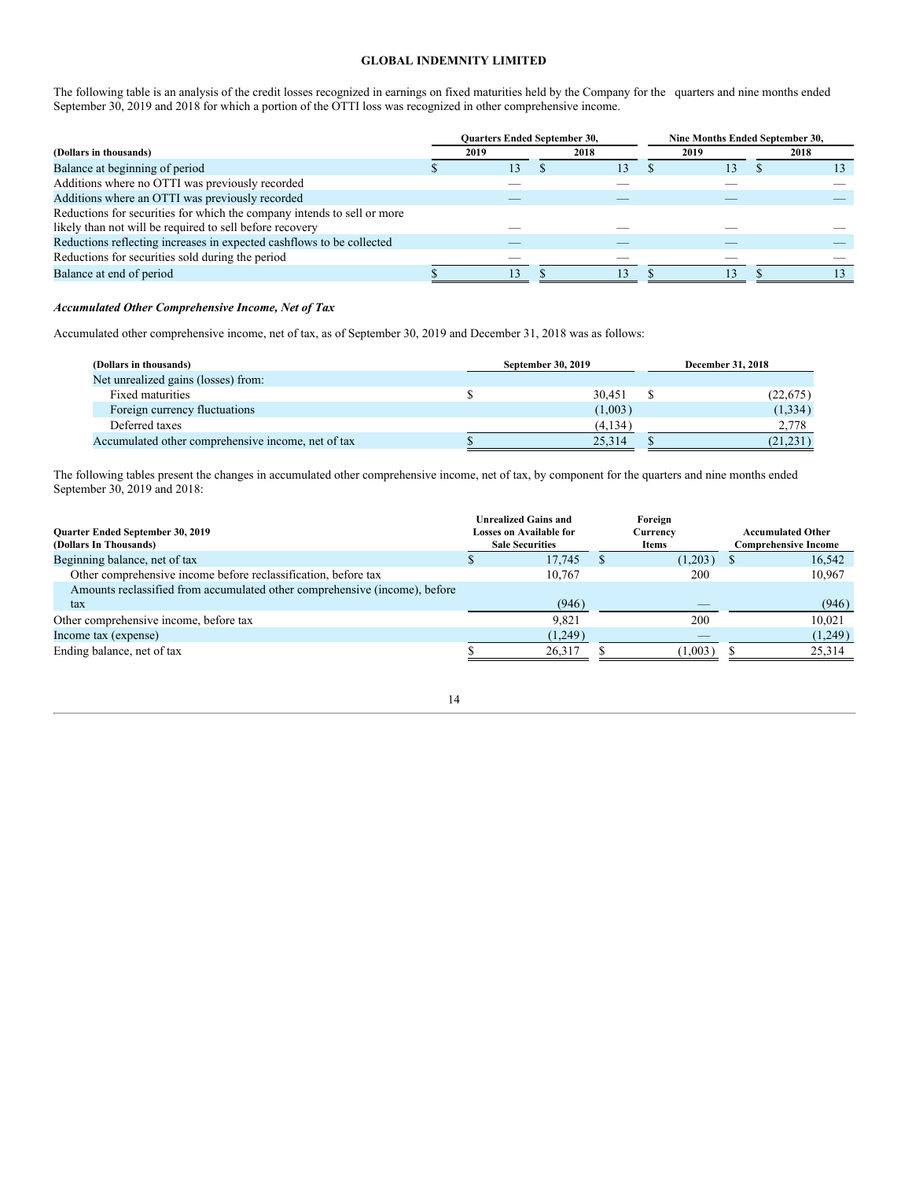The following table is an analysis of the credit losses recognized in earnings on fixed maturities held by the Company for the quarters and nine months ended September 30, 2019 and 2018 for which a portion of the OTTI loss was recognized in other comprehensive income.

|                                                                         | <b>Ouarters Ended September 30,</b> |    |  | Nine Months Ended September 30, |      |  |      |
|-------------------------------------------------------------------------|-------------------------------------|----|--|---------------------------------|------|--|------|
| (Dollars in thousands)                                                  | 2019                                |    |  | 2018                            | 2019 |  | 2018 |
| Balance at beginning of period                                          |                                     | -3 |  | 13                              | 13   |  |      |
| Additions where no OTTI was previously recorded                         |                                     |    |  |                                 |      |  |      |
| Additions where an OTTI was previously recorded                         |                                     |    |  |                                 |      |  |      |
| Reductions for securities for which the company intends to sell or more |                                     |    |  |                                 |      |  |      |
| likely than not will be required to sell before recovery                |                                     |    |  |                                 |      |  |      |
| Reductions reflecting increases in expected cashflows to be collected   |                                     |    |  |                                 |      |  |      |
| Reductions for securities sold during the period                        |                                     |    |  |                                 |      |  |      |
| Balance at end of period                                                |                                     |    |  | $\overline{13}$                 | 13.  |  |      |

## *Accumulated Other Comprehensive Income, Net of Tax*

Accumulated other comprehensive income, net of tax, as of September 30, 2019 and December 31, 2018 was as follows:

| (Dollars in thousands)                             | September 30, 2019 |         | <b>December 31, 2018</b> |
|----------------------------------------------------|--------------------|---------|--------------------------|
| Net unrealized gains (losses) from:                |                    |         |                          |
| Fixed maturities                                   |                    | 30.451  | (22,675)                 |
| Foreign currency fluctuations                      |                    | (1,003) | (1, 334)                 |
| Deferred taxes                                     |                    | (4,134) | 2,778                    |
| Accumulated other comprehensive income, net of tax |                    | 25.314  | (21, 231)                |

The following tables present the changes in accumulated other comprehensive income, net of tax, by component for the quarters and nine months ended September 30, 2019 and 2018:

| Quarter Ended September 30, 2019<br>(Dollars In Thousands)                 | <b>Unrealized Gains and</b><br><b>Losses on Available for</b><br><b>Sale Securities</b> | Foreign<br>Currency<br>Items | <b>Accumulated Other</b><br><b>Comprehensive Income</b> |         |  |
|----------------------------------------------------------------------------|-----------------------------------------------------------------------------------------|------------------------------|---------------------------------------------------------|---------|--|
| Beginning balance, net of tax                                              | 17.745                                                                                  | (1,203)                      |                                                         | 16.542  |  |
| Other comprehensive income before reclassification, before tax             | 10.767                                                                                  | 200                          |                                                         | 10.967  |  |
| Amounts reclassified from accumulated other comprehensive (income), before |                                                                                         |                              |                                                         |         |  |
| tax                                                                        | (946)                                                                                   |                              |                                                         | (946)   |  |
| Other comprehensive income, before tax                                     | 9.821                                                                                   | 200                          |                                                         | 10.021  |  |
| Income tax (expense)                                                       | (1,249)                                                                                 |                              |                                                         | (1,249) |  |
| Ending balance, net of tax                                                 | 26,317                                                                                  | (1.003)                      |                                                         | 25,314  |  |
|                                                                            |                                                                                         |                              |                                                         |         |  |

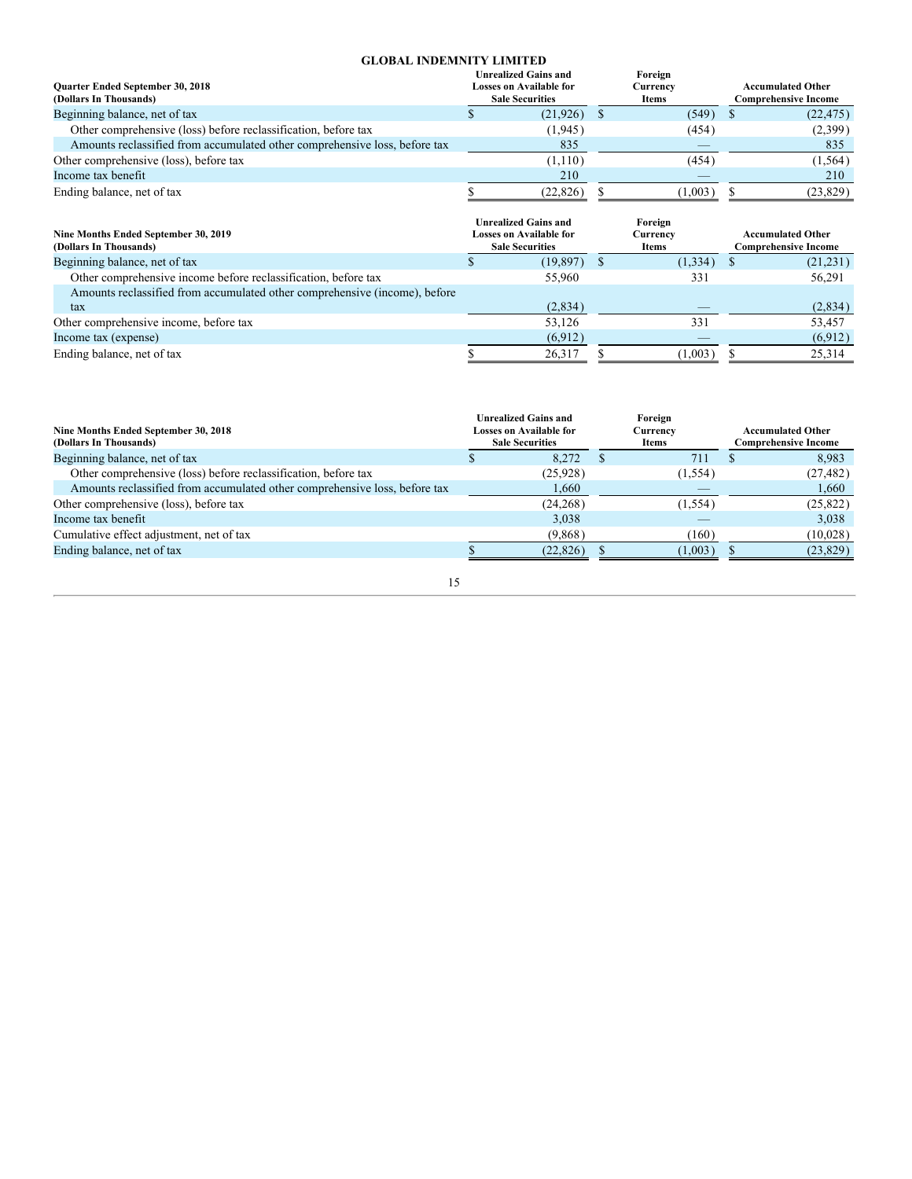| Quarter Ended September 30, 2018<br>(Dollars In Thousands)                 |  | <b>Unrealized Gains and</b><br><b>Losses on Available for</b><br><b>Sale Securities</b> |               | Foreign<br>Currency<br><b>Items</b> | <b>Accumulated Other</b><br><b>Comprehensive Income</b> |                                                         |  |
|----------------------------------------------------------------------------|--|-----------------------------------------------------------------------------------------|---------------|-------------------------------------|---------------------------------------------------------|---------------------------------------------------------|--|
| Beginning balance, net of tax                                              |  | (21, 926)                                                                               | S             | (549)                               | S                                                       | (22, 475)                                               |  |
| Other comprehensive (loss) before reclassification, before tax             |  | (1, 945)                                                                                |               | (454)                               |                                                         | (2,399)                                                 |  |
| Amounts reclassified from accumulated other comprehensive loss, before tax |  | 835                                                                                     |               |                                     |                                                         | 835                                                     |  |
| Other comprehensive (loss), before tax                                     |  | (1,110)                                                                                 |               | (454)                               |                                                         | (1, 564)                                                |  |
| Income tax benefit                                                         |  | 210                                                                                     |               |                                     |                                                         | 210                                                     |  |
| Ending balance, net of tax                                                 |  | (22, 826)                                                                               |               | (1,003)                             |                                                         | (23, 829)                                               |  |
|                                                                            |  |                                                                                         |               |                                     |                                                         |                                                         |  |
| Nine Months Ended September 30, 2019<br>(Dollars In Thousands)             |  | <b>Unrealized Gains and</b><br><b>Losses on Available for</b><br><b>Sale Securities</b> |               | Foreign<br>Currency<br><b>Items</b> |                                                         | <b>Accumulated Other</b><br><b>Comprehensive Income</b> |  |
| Beginning balance, net of tax                                              |  | (19, 897)                                                                               | <sup>\$</sup> | (1, 334)                            | <sup>\$</sup>                                           | (21, 231)                                               |  |
| Other comprehensive income before reclassification, before tax             |  | 55,960                                                                                  |               | 331                                 |                                                         | 56,291                                                  |  |
| Amounts reclassified from accumulated other comprehensive (income), before |  |                                                                                         |               |                                     |                                                         |                                                         |  |
| tax                                                                        |  | (2,834)                                                                                 |               |                                     |                                                         | (2,834)                                                 |  |
| Other comprehensive income, before tax                                     |  | 53,126                                                                                  |               | 331                                 |                                                         | 53,457                                                  |  |
| Income tax (expense)                                                       |  | (6,912)                                                                                 |               |                                     |                                                         | (6,912)                                                 |  |
| Ending balance, net of tax                                                 |  | 26,317                                                                                  |               | (1,003)                             |                                                         | 25,314                                                  |  |

| Nine Months Ended September 30, 2018<br>(Dollars In Thousands)             |  | <b>Unrealized Gains and</b><br>Losses on Available for<br><b>Sale Securities</b> | Foreign<br>Currency<br>Items | <b>Accumulated Other</b><br><b>Comprehensive Income</b> |           |  |
|----------------------------------------------------------------------------|--|----------------------------------------------------------------------------------|------------------------------|---------------------------------------------------------|-----------|--|
| Beginning balance, net of tax                                              |  | 8.272                                                                            | 711                          |                                                         | 8.983     |  |
| Other comprehensive (loss) before reclassification, before tax             |  | (25, 928)                                                                        | (1, 554)                     |                                                         | (27, 482) |  |
| Amounts reclassified from accumulated other comprehensive loss, before tax |  | 1.660                                                                            |                              |                                                         | 1,660     |  |
| Other comprehensive (loss), before tax                                     |  | (24, 268)                                                                        | (1, 554)                     |                                                         | (25, 822) |  |
| Income tax benefit                                                         |  | 3,038                                                                            |                              |                                                         | 3,038     |  |
| Cumulative effect adjustment, net of tax                                   |  | (9,868)                                                                          | (160)                        |                                                         | (10,028)  |  |
| Ending balance, net of tax                                                 |  | (22, 826)                                                                        | (1,003)                      |                                                         | (23, 829) |  |
|                                                                            |  |                                                                                  |                              |                                                         |           |  |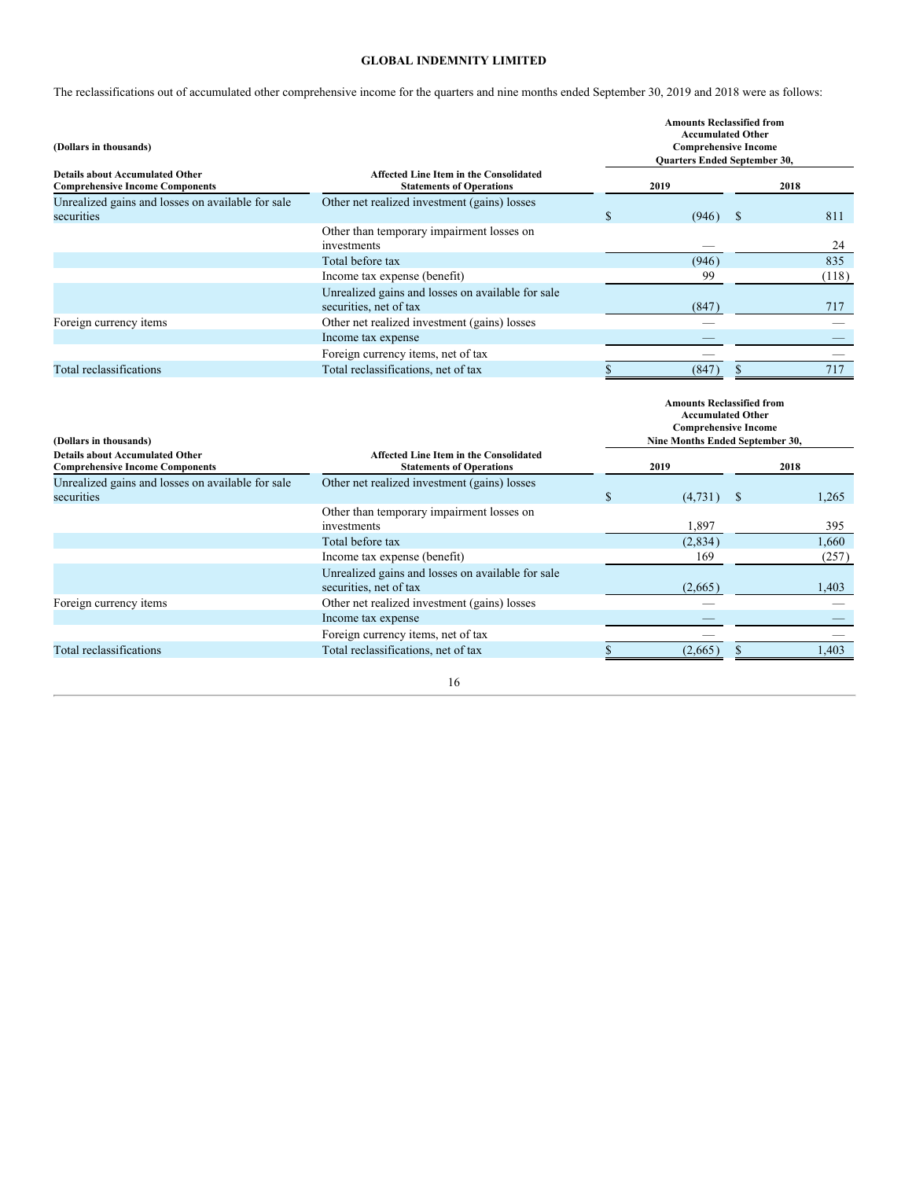The reclassifications out of accumulated other comprehensive income for the quarters and nine months ended September 30, 2019 and 2018 were as follows:

| (Dollars in thousands)                                                           | <b>Amounts Reclassified from</b><br><b>Accumulated Other</b><br><b>Comprehensive Income</b><br>Quarters Ended September 30, |    |                                  |      |       |  |  |  |
|----------------------------------------------------------------------------------|-----------------------------------------------------------------------------------------------------------------------------|----|----------------------------------|------|-------|--|--|--|
| <b>Details about Accumulated Other</b><br><b>Comprehensive Income Components</b> | <b>Affected Line Item in the Consolidated</b><br><b>Statements of Operations</b>                                            |    | 2019                             | 2018 |       |  |  |  |
| Unrealized gains and losses on available for sale<br>securities                  | Other net realized investment (gains) losses                                                                                | \$ | (946)                            | - \$ | 811   |  |  |  |
|                                                                                  | Other than temporary impairment losses on<br>investments                                                                    |    |                                  |      | 24    |  |  |  |
|                                                                                  | Total before tax                                                                                                            |    | (946)                            |      | 835   |  |  |  |
|                                                                                  | Income tax expense (benefit)                                                                                                |    | 99                               |      | (118) |  |  |  |
|                                                                                  | Unrealized gains and losses on available for sale<br>securities, net of tax                                                 |    | (847)                            |      | 717   |  |  |  |
| Foreign currency items                                                           | Other net realized investment (gains) losses                                                                                |    |                                  |      |       |  |  |  |
|                                                                                  | Income tax expense                                                                                                          |    |                                  |      |       |  |  |  |
|                                                                                  | Foreign currency items, net of tax                                                                                          |    |                                  |      |       |  |  |  |
| Total reclassifications                                                          | Total reclassifications, net of tax                                                                                         |    | (847)                            |      | 717   |  |  |  |
|                                                                                  |                                                                                                                             |    | <b>Amounts Reclassified from</b> |      |       |  |  |  |

| (Dollars in thousands)                                                           |                                                                                  | <b>Accumulated Other</b><br><b>Comprehensive Income</b><br>Nine Months Ended September 30, |              |      |       |  |  |  |  |
|----------------------------------------------------------------------------------|----------------------------------------------------------------------------------|--------------------------------------------------------------------------------------------|--------------|------|-------|--|--|--|--|
| <b>Details about Accumulated Other</b><br><b>Comprehensive Income Components</b> | <b>Affected Line Item in the Consolidated</b><br><b>Statements of Operations</b> |                                                                                            | 2019         | 2018 |       |  |  |  |  |
| Unrealized gains and losses on available for sale<br>securities                  | Other net realized investment (gains) losses                                     |                                                                                            | $(4,731)$ \$ |      | 1,265 |  |  |  |  |
|                                                                                  | Other than temporary impairment losses on<br>investments                         |                                                                                            | 1,897        |      | 395   |  |  |  |  |
|                                                                                  | Total before tax                                                                 |                                                                                            | (2,834)      |      | 1,660 |  |  |  |  |
|                                                                                  | Income tax expense (benefit)                                                     |                                                                                            | 169          |      | (257) |  |  |  |  |
|                                                                                  | Unrealized gains and losses on available for sale<br>securities, net of tax      |                                                                                            | (2,665)      |      | 1,403 |  |  |  |  |
| Foreign currency items                                                           | Other net realized investment (gains) losses                                     |                                                                                            |              |      |       |  |  |  |  |
|                                                                                  | Income tax expense                                                               |                                                                                            |              |      |       |  |  |  |  |
|                                                                                  | Foreign currency items, net of tax                                               |                                                                                            |              |      |       |  |  |  |  |
| Total reclassifications                                                          | Total reclassifications, net of tax                                              |                                                                                            | (2,665)      |      | 1,403 |  |  |  |  |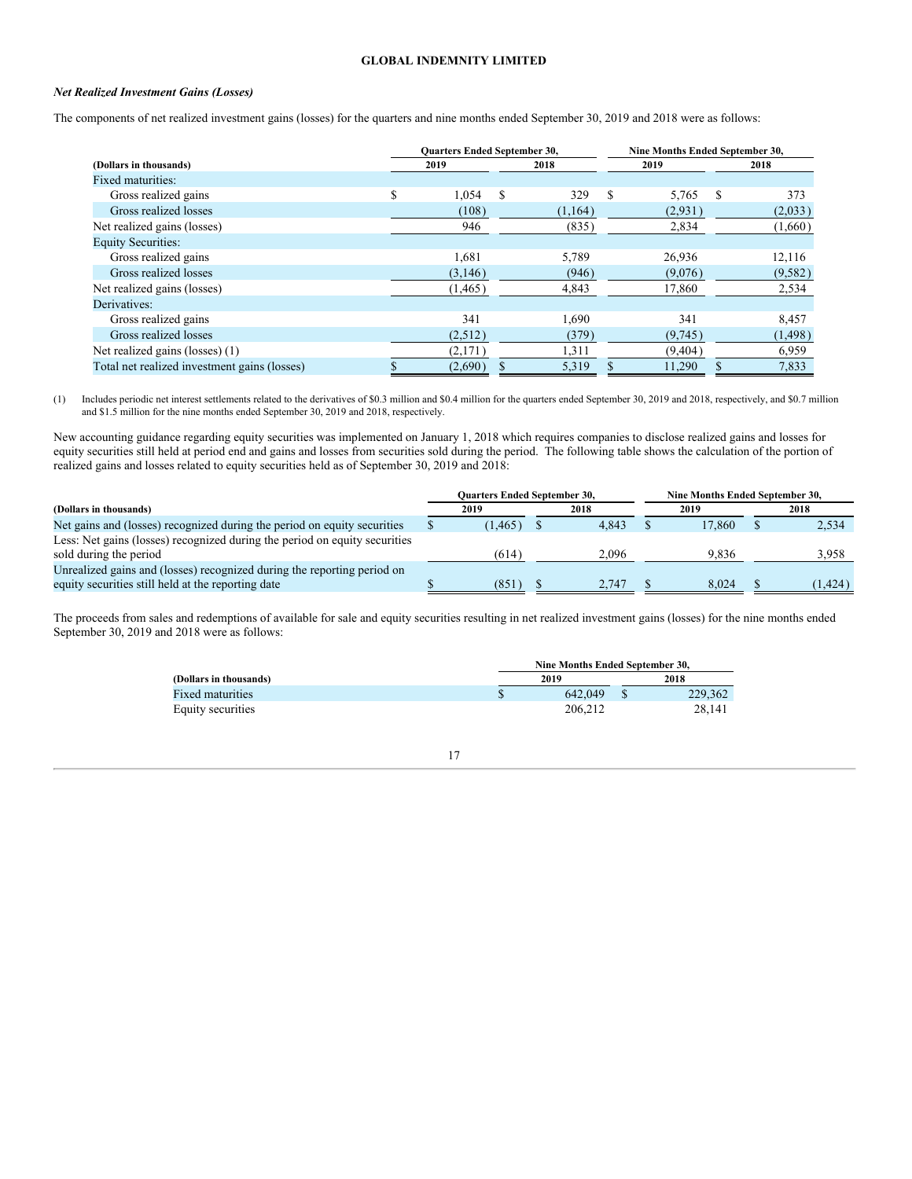#### *Net Realized Investment Gains (Losses)*

The components of net realized investment gains (losses) for the quarters and nine months ended September 30, 2019 and 2018 were as follows:

|                                              | <b>Ouarters Ended September 30,</b> |          |   |         |          | Nine Months Ended September 30, |   |          |  |  |
|----------------------------------------------|-------------------------------------|----------|---|---------|----------|---------------------------------|---|----------|--|--|
| (Dollars in thousands)                       |                                     | 2019     |   | 2018    | 2019     |                                 |   | 2018     |  |  |
| Fixed maturities:                            |                                     |          |   |         |          |                                 |   |          |  |  |
| Gross realized gains                         | S                                   | 1,054    | S | 329     | <b>S</b> | 5,765                           | S | 373      |  |  |
| Gross realized losses                        |                                     | (108)    |   | (1,164) |          | (2,931)                         |   | (2,033)  |  |  |
| Net realized gains (losses)                  |                                     | 946      |   | (835)   |          | 2,834                           |   | (1,660)  |  |  |
| <b>Equity Securities:</b>                    |                                     |          |   |         |          |                                 |   |          |  |  |
| Gross realized gains                         |                                     | 1,681    |   | 5,789   |          | 26,936                          |   | 12,116   |  |  |
| Gross realized losses                        |                                     | (3,146)  |   | (946)   |          | (9,076)                         |   | (9,582)  |  |  |
| Net realized gains (losses)                  |                                     | (1, 465) |   | 4,843   |          | 17,860                          |   | 2,534    |  |  |
| Derivatives:                                 |                                     |          |   |         |          |                                 |   |          |  |  |
| Gross realized gains                         |                                     | 341      |   | 1,690   |          | 341                             |   | 8,457    |  |  |
| Gross realized losses                        |                                     | (2,512)  |   | (379)   |          | (9,745)                         |   | (1, 498) |  |  |
| Net realized gains (losses) (1)              |                                     | (2,171)  |   | 1,311   |          | (9,404)                         |   | 6,959    |  |  |
| Total net realized investment gains (losses) |                                     | (2,690)  |   | 5,319   |          | 11.290                          |   | 7,833    |  |  |

(1) Includes periodic net interest settlements related to the derivatives of \$0.3 million and \$0.4 million for the quarters ended September 30, 2019 and 2018, respectively, and \$0.7 million and \$1.5 million for the nine months ended September 30, 2019 and 2018, respectively.

New accounting guidance regarding equity securities was implemented on January 1, 2018 which requires companies to disclose realized gains and losses for equity securities still held at period end and gains and losses from securities sold during the period. The following table shows the calculation of the portion of realized gains and losses related to equity securities held as of September 30, 2019 and 2018:

|                                                                                                                               | <b>Ouarters Ended September 30,</b> |         |  | Nine Months Ended September 30. |  |        |  |         |
|-------------------------------------------------------------------------------------------------------------------------------|-------------------------------------|---------|--|---------------------------------|--|--------|--|---------|
| (Dollars in thousands)                                                                                                        |                                     | 2019    |  | 2018                            |  | 2019   |  | 2018    |
| Net gains and (losses) recognized during the period on equity securities                                                      |                                     | (1.465) |  | 4.843                           |  | 17.860 |  | 2,534   |
| Less: Net gains (losses) recognized during the period on equity securities<br>sold during the period                          |                                     | (614)   |  | 2.096                           |  | 9.836  |  | 3.958   |
| Unrealized gains and (losses) recognized during the reporting period on<br>equity securities still held at the reporting date |                                     | (851)   |  | 2.747                           |  | 8.024  |  | (1.424) |

The proceeds from sales and redemptions of available for sale and equity securities resulting in net realized investment gains (losses) for the nine months ended September 30, 2019 and 2018 were as follows:

|                        | Nine Months Ended September 30, |         |      |         |  |  |  |  |  |
|------------------------|---------------------------------|---------|------|---------|--|--|--|--|--|
| (Dollars in thousands) |                                 | 2019    | 2018 |         |  |  |  |  |  |
| Fixed maturities       |                                 | 642,049 |      | 229,362 |  |  |  |  |  |
| Equity securities      |                                 | 206.212 |      | 28.141  |  |  |  |  |  |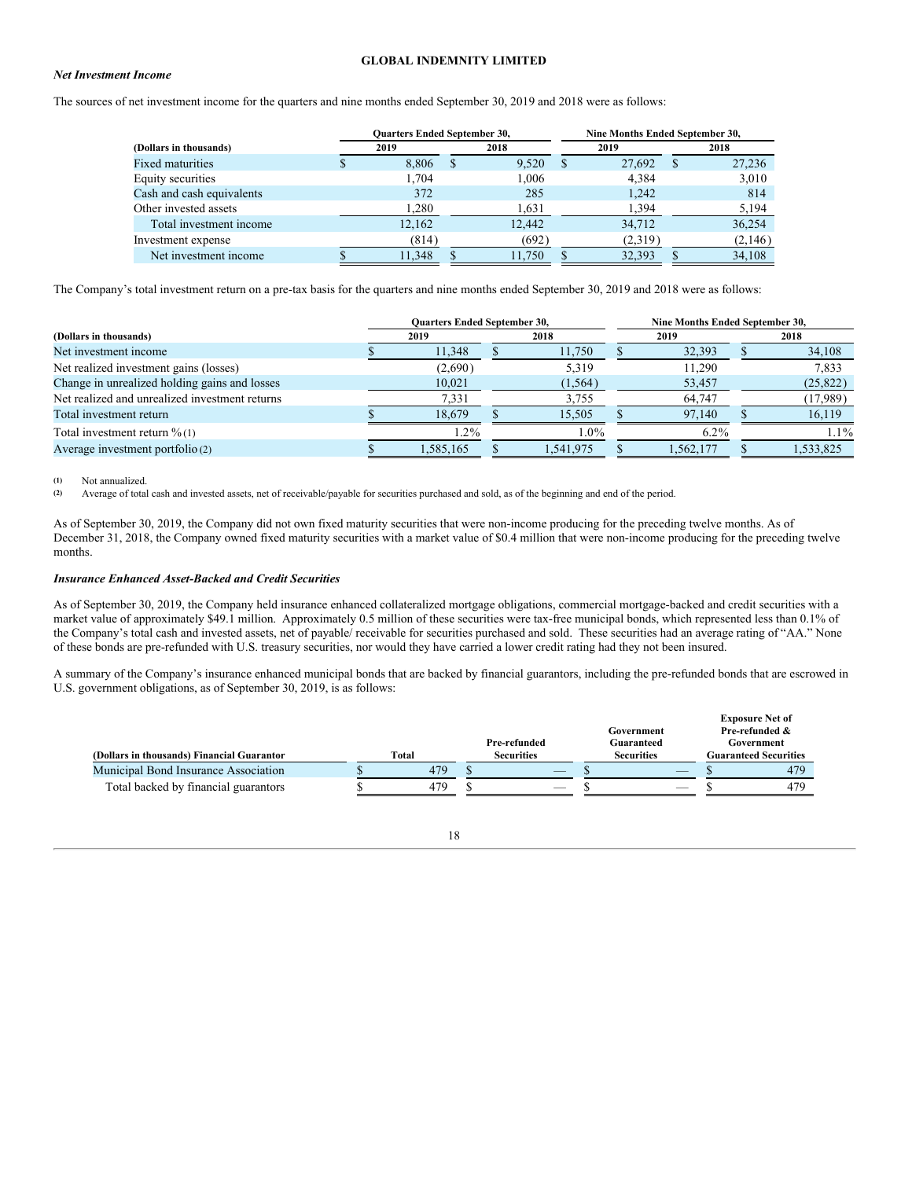## *Net Investment Income*

The sources of net investment income for the quarters and nine months ended September 30, 2019 and 2018 were as follows:

|                           | <b>Ouarters Ended September 30,</b> |        | Nine Months Ended September 30, |         |      |         |  |  |  |  |
|---------------------------|-------------------------------------|--------|---------------------------------|---------|------|---------|--|--|--|--|
| (Dollars in thousands)    | 2019                                | 2018   |                                 | 2019    | 2018 |         |  |  |  |  |
| <b>Fixed maturities</b>   | 8.806                               | 9.520  |                                 | 27,692  |      | 27,236  |  |  |  |  |
| Equity securities         | 1.704                               | 1.006  |                                 | 4.384   |      | 3,010   |  |  |  |  |
| Cash and cash equivalents | 372                                 | 285    |                                 | 1.242   |      | 814     |  |  |  |  |
| Other invested assets     | 1,280                               | 1.631  |                                 | 1.394   |      | 5,194   |  |  |  |  |
| Total investment income   | 12.162                              | 12.442 |                                 | 34.712  |      | 36,254  |  |  |  |  |
| Investment expense        | (814)                               | (692)  |                                 | (2,319) |      | (2,146) |  |  |  |  |
| Net investment income     | 11,348                              | 11.750 |                                 | 32,393  |      | 34,108  |  |  |  |  |

The Company's total investment return on a pre-tax basis for the quarters and nine months ended September 30, 2019 and 2018 were as follows:

|                                                |      | <b>Ouarters Ended September 30,</b> |           | Nine Months Ended September 30, |           |      |           |  |  |
|------------------------------------------------|------|-------------------------------------|-----------|---------------------------------|-----------|------|-----------|--|--|
| (Dollars in thousands)                         | 2019 |                                     | 2018      |                                 | 2019      | 2018 |           |  |  |
| Net investment income                          |      | 11.348                              | 11,750    |                                 | 32,393    |      | 34,108    |  |  |
| Net realized investment gains (losses)         |      | (2,690)                             | 5,319     |                                 | 11.290    |      | 7,833     |  |  |
| Change in unrealized holding gains and losses  |      | 10.021                              | (1, 564)  |                                 | 53,457    |      | (25, 822) |  |  |
| Net realized and unrealized investment returns |      | 7.331                               | 3,755     |                                 | 64.747    |      | (17,989)  |  |  |
| Total investment return                        |      | 18.679                              | 15.505    |                                 | 97.140    |      | 16,119    |  |  |
| Total investment return $\frac{9}{6}(1)$       |      | $1.2\%$                             | $1.0\%$   |                                 | $6.2\%$   |      | $1.1\%$   |  |  |
| Average investment portfolio (2)               |      | 1,585,165                           | 1,541,975 |                                 | 1,562,177 |      | 1,533,825 |  |  |

**(1)** Not annualized.

**(2)** Average of total cash and invested assets, net of receivable/payable for securities purchased and sold, as of the beginning and end of the period.

As of September 30, 2019, the Company did not own fixed maturity securities that were non-income producing for the preceding twelve months. As of December 31, 2018, the Company owned fixed maturity securities with a market value of \$0.4 million that were non-income producing for the preceding twelve months.

#### *Insurance Enhanced Asset-Backed and Credit Securities*

As of September 30, 2019, the Company held insurance enhanced collateralized mortgage obligations, commercial mortgage-backed and credit securities with a market value of approximately \$49.1 million. Approximately 0.5 million of these securities were tax-free municipal bonds, which represented less than 0.1% of the Company's total cash and invested assets, net of payable/ receivable for securities purchased and sold. These securities had an average rating of "AA." None of these bonds are pre-refunded with U.S. treasury securities, nor would they have carried a lower credit rating had they not been insured.

A summary of the Company's insurance enhanced municipal bonds that are backed by financial guarantors, including the pre-refunded bonds that are escrowed in U.S. government obligations, as of September 30, 2019, is as follows:

|                                            |       | Pre-refunded             | Government<br>Guaranteed | <b>Exposure Net of</b><br>Pre-refunded &<br>Government |
|--------------------------------------------|-------|--------------------------|--------------------------|--------------------------------------------------------|
| (Dollars in thousands) Financial Guarantor | Total | <b>Securities</b>        | <b>Securities</b>        | <b>Guaranteed Securities</b>                           |
| Municipal Bond Insurance Association       | 479   | $\overline{\phantom{a}}$ |                          | 479                                                    |
| Total backed by financial guarantors       | 479   | __                       |                          | 479                                                    |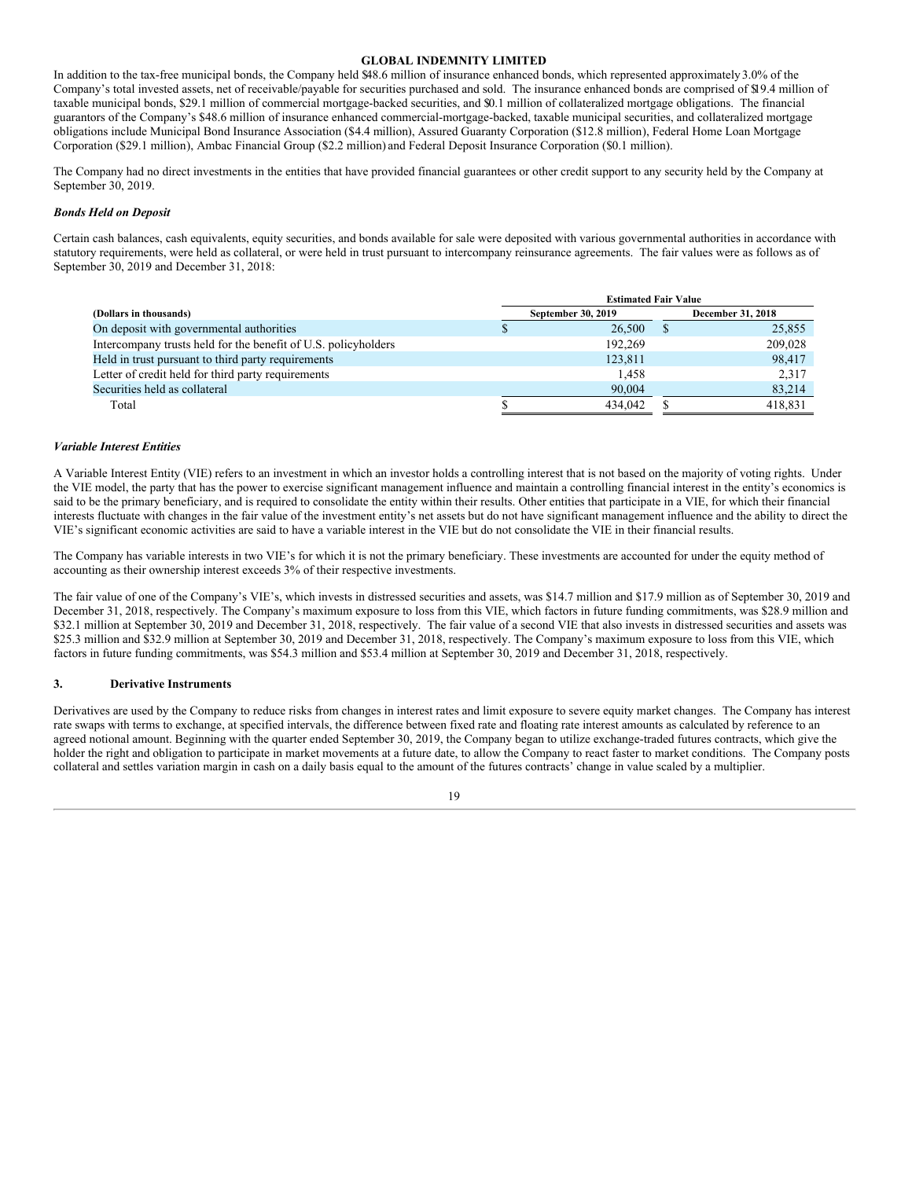In addition to the tax-free municipal bonds, the Company held \$48.6 million of insurance enhanced bonds, which represented approximately 3.0% of the Company's total invested assets, net of receivable/payable for securities purchased and sold. The insurance enhanced bonds are comprised of \$19.4 million of taxable municipal bonds, \$29.1 million of commercial mortgage-backed securities, and \$0.1 million of collateralized mortgage obligations. The financial guarantors of the Company's \$48.6 million of insurance enhanced commercial-mortgage-backed, taxable municipal securities, and collateralized mortgage obligations include Municipal Bond Insurance Association (\$4.4 million), Assured Guaranty Corporation (\$12.8 million), Federal Home Loan Mortgage Corporation (\$29.1 million), Ambac Financial Group (\$2.2 million) and Federal Deposit Insurance Corporation (\$0.1 million).

The Company had no direct investments in the entities that have provided financial guarantees or other credit support to any security held by the Company at September 30, 2019.

#### *Bonds Held on Deposit*

Certain cash balances, cash equivalents, equity securities, and bonds available for sale were deposited with various governmental authorities in accordance with statutory requirements, were held as collateral, or were held in trust pursuant to intercompany reinsurance agreements. The fair values were as follows as of September 30, 2019 and December 31, 2018:

|                                                                |  | <b>Estimated Fair Value</b> |  |                          |
|----------------------------------------------------------------|--|-----------------------------|--|--------------------------|
| (Dollars in thousands)                                         |  | <b>September 30, 2019</b>   |  | <b>December 31, 2018</b> |
| On deposit with governmental authorities                       |  | 26,500                      |  | 25,855                   |
| Intercompany trusts held for the benefit of U.S. policyholders |  | 192,269                     |  | 209,028                  |
| Held in trust pursuant to third party requirements             |  | 123,811                     |  | 98,417                   |
| Letter of credit held for third party requirements             |  | 1,458                       |  | 2,317                    |
| Securities held as collateral                                  |  | 90,004                      |  | 83.214                   |
| Total                                                          |  | 434,042                     |  | 418.831                  |

#### *Variable Interest Entities*

A Variable Interest Entity (VIE) refers to an investment in which an investor holds a controlling interest that is not based on the majority of voting rights. Under the VIE model, the party that has the power to exercise significant management influence and maintain a controlling financial interest in the entity's economics is said to be the primary beneficiary, and is required to consolidate the entity within their results. Other entities that participate in a VIE, for which their financial interests fluctuate with changes in the fair value of the investment entity's net assets but do not have significant management influence and the ability to direct the VIE's significant economic activities are said to have a variable interest in the VIE but do not consolidate the VIE in their financial results.

The Company has variable interests in two VIE's for which it is not the primary beneficiary. These investments are accounted for under the equity method of accounting as their ownership interest exceeds 3% of their respective investments.

The fair value of one of the Company's VIE's, which invests in distressed securities and assets, was \$14.7 million and \$17.9 million as of September 30, 2019 and December 31, 2018, respectively. The Company's maximum exposure to loss from this VIE, which factors in future funding commitments, was \$28.9 million and \$32.1 million at September 30, 2019 and December 31, 2018, respectively. The fair value of a second VIE that also invests in distressed securities and assets was \$25.3 million and \$32.9 million at September 30, 2019 and December 31, 2018, respectively. The Company's maximum exposure to loss from this VIE, which factors in future funding commitments, was \$54.3 million and \$53.4 million at September 30, 2019 and December 31, 2018, respectively.

#### **3. Derivative Instruments**

Derivatives are used by the Company to reduce risks from changes in interest rates and limit exposure to severe equity market changes. The Company has interest rate swaps with terms to exchange, at specified intervals, the difference between fixed rate and floating rate interest amounts as calculated by reference to an agreed notional amount. Beginning with the quarter ended September 30, 2019, the Company began to utilize exchange-traded futures contracts, which give the holder the right and obligation to participate in market movements at a future date, to allow the Company to react faster to market conditions. The Company posts collateral and settles variation margin in cash on a daily basis equal to the amount of the futures contracts' change in value scaled by a multiplier.

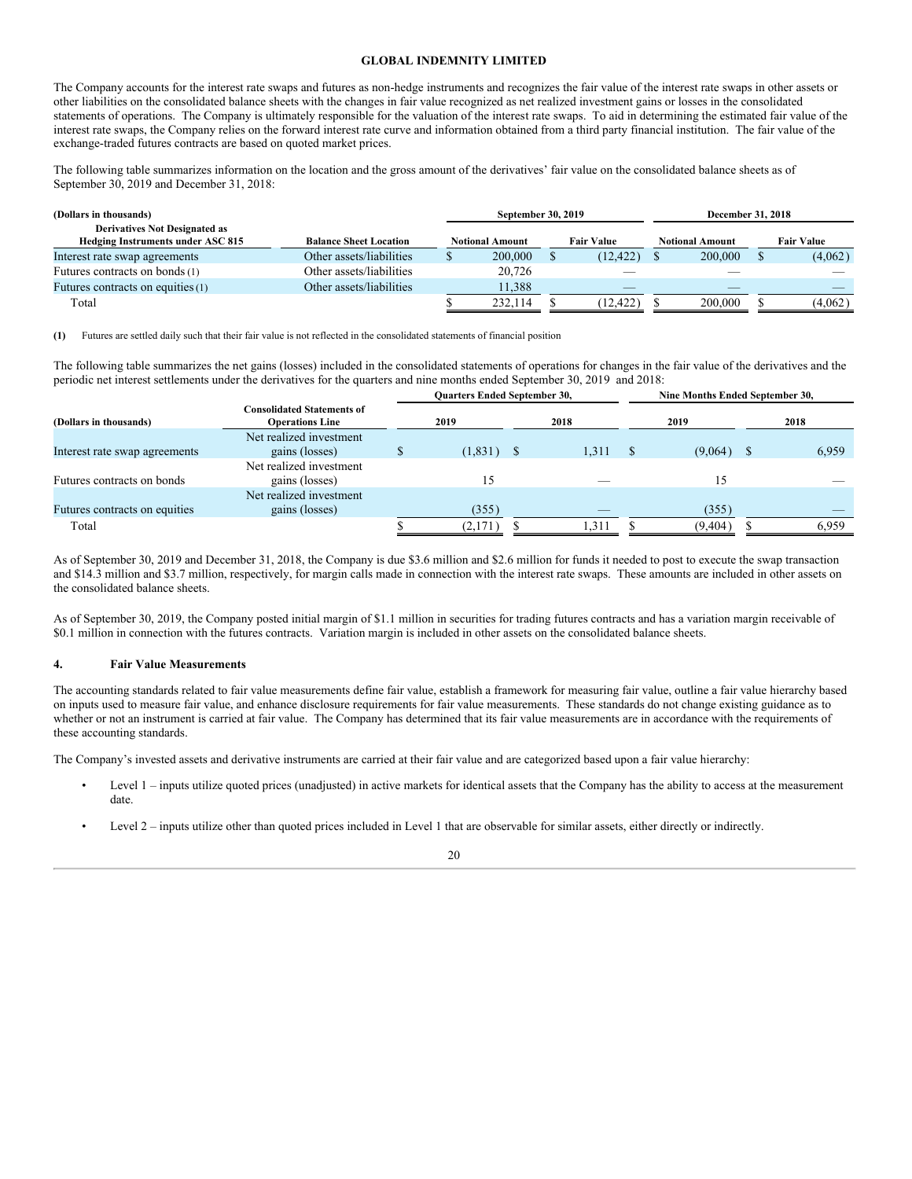The Company accounts for the interest rate swaps and futures as non-hedge instruments and recognizes the fair value of the interest rate swaps in other assets or other liabilities on the consolidated balance sheets with the changes in fair value recognized as net realized investment gains or losses in the consolidated statements of operations. The Company is ultimately responsible for the valuation of the interest rate swaps. To aid in determining the estimated fair value of the interest rate swaps, the Company relies on the forward interest rate curve and information obtained from a third party financial institution. The fair value of the exchange-traded futures contracts are based on quoted market prices.

The following table summarizes information on the location and the gross amount of the derivatives' fair value on the consolidated balance sheets as of September 30, 2019 and December 31, 2018:

| (Dollars in thousands)                                                           |                               | <b>September 30, 2019</b> |                   |  | <b>December 31, 2018</b> |  |                   |
|----------------------------------------------------------------------------------|-------------------------------|---------------------------|-------------------|--|--------------------------|--|-------------------|
| <b>Derivatives Not Designated as</b><br><b>Hedging Instruments under ASC 815</b> | <b>Balance Sheet Location</b> | <b>Notional Amount</b>    | <b>Fair Value</b> |  | <b>Notional Amount</b>   |  | <b>Fair Value</b> |
| Interest rate swap agreements                                                    | Other assets/liabilities      | 200,000                   | (12.422)          |  | 200,000                  |  | (4,062)           |
| Futures contracts on bonds (1)                                                   | Other assets/liabilities      | 20,726                    |                   |  |                          |  |                   |
| Futures contracts on equities (1)                                                | Other assets/liabilities      | 11.388                    |                   |  |                          |  |                   |
| Total                                                                            |                               | 232.114                   | (12, 422)         |  | 200,000                  |  | (4,062)           |

**(1)** Futures are settled daily such that their fair value is not reflected in the consolidated statements of financial position

The following table summarizes the net gains (losses) included in the consolidated statements of operations for changes in the fair value of the derivatives and the periodic net interest settlements under the derivatives for the quarters and nine months ended September 30, 2019 and 2018:

|                               |                                                             |    | <b>Ouarters Ended September 30,</b> |    |       | Nine Months Ended September 30, |          |   |       |  |  |
|-------------------------------|-------------------------------------------------------------|----|-------------------------------------|----|-------|---------------------------------|----------|---|-------|--|--|
| (Dollars in thousands)        | <b>Consolidated Statements of</b><br><b>Operations Line</b> |    | 2019                                |    | 2018  |                                 | 2019     |   | 2018  |  |  |
|                               | Net realized investment                                     |    |                                     |    |       |                                 |          |   |       |  |  |
| Interest rate swap agreements | gains (losses)                                              | ۰D | (1,831)                             | -S | 1,311 |                                 | (9,064)  | S | 6,959 |  |  |
|                               | Net realized investment                                     |    |                                     |    |       |                                 |          |   |       |  |  |
| Futures contracts on bonds    | gains (losses)                                              |    |                                     |    |       |                                 |          |   |       |  |  |
|                               | Net realized investment                                     |    |                                     |    |       |                                 |          |   |       |  |  |
| Futures contracts on equities | gains (losses)                                              |    | (355)                               |    |       |                                 | (355)    |   |       |  |  |
| Total                         |                                                             |    | (2,171)                             |    | 1,311 |                                 | (9, 404) |   | 6,959 |  |  |

As of September 30, 2019 and December 31, 2018, the Company is due \$3.6 million and \$2.6 million for funds it needed to post to execute the swap transaction and \$14.3 million and \$3.7 million, respectively, for margin calls made in connection with the interest rate swaps. These amounts are included in other assets on the consolidated balance sheets.

As of September 30, 2019, the Company posted initial margin of \$1.1 million in securities for trading futures contracts and has a variation margin receivable of \$0.1 million in connection with the futures contracts. Variation margin is included in other assets on the consolidated balance sheets.

#### **4. Fair Value Measurements**

The accounting standards related to fair value measurements define fair value, establish a framework for measuring fair value, outline a fair value hierarchy based on inputs used to measure fair value, and enhance disclosure requirements for fair value measurements. These standards do not change existing guidance as to whether or not an instrument is carried at fair value. The Company has determined that its fair value measurements are in accordance with the requirements of these accounting standards.

The Company's invested assets and derivative instruments are carried at their fair value and are categorized based upon a fair value hierarchy:

- Level 1 inputs utilize quoted prices (unadjusted) in active markets for identical assets that the Company has the ability to access at the measurement date.
- Level 2 inputs utilize other than quoted prices included in Level 1 that are observable for similar assets, either directly or indirectly.

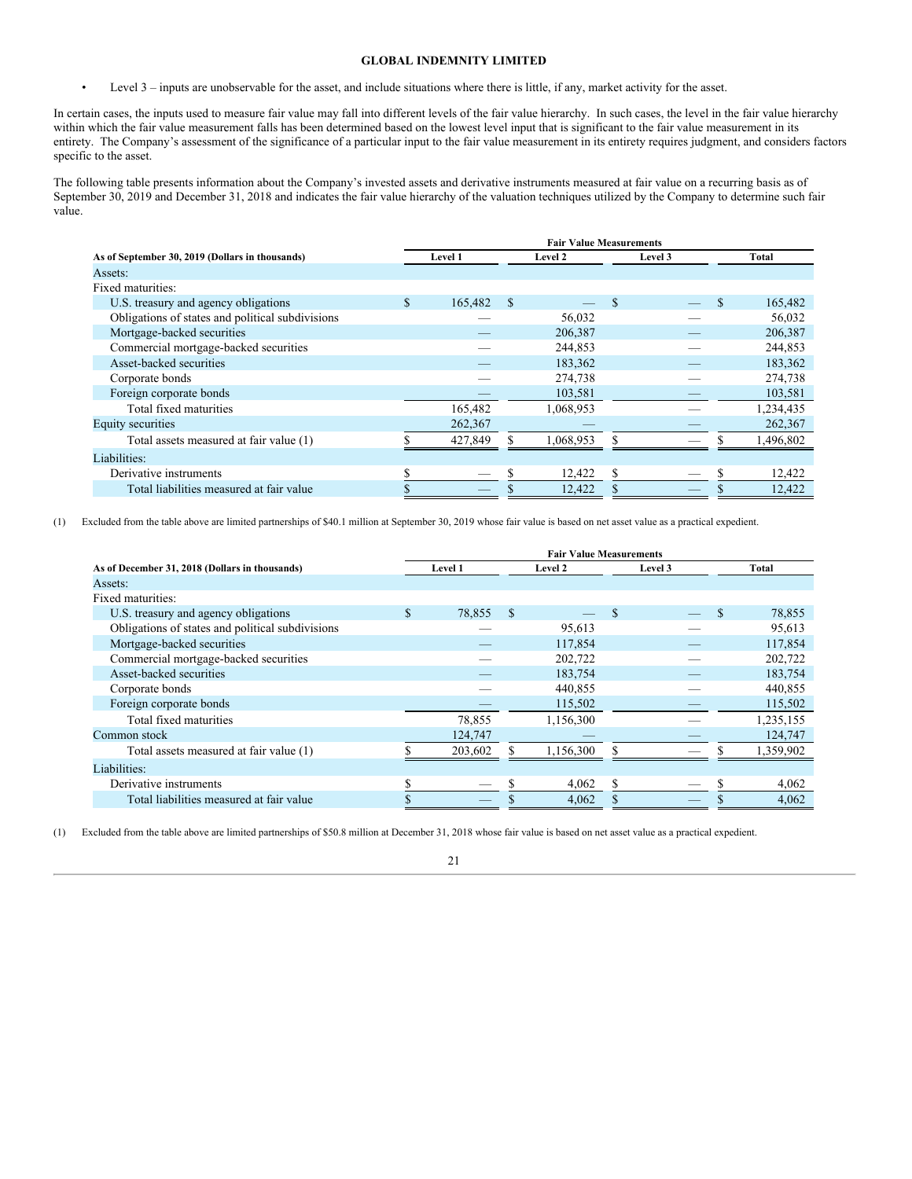• Level 3 – inputs are unobservable for the asset, and include situations where there is little, if any, market activity for the asset.

In certain cases, the inputs used to measure fair value may fall into different levels of the fair value hierarchy. In such cases, the level in the fair value hierarchy within which the fair value measurement falls has been determined based on the lowest level input that is significant to the fair value measurement in its entirety. The Company's assessment of the significance of a particular input to the fair value measurement in its entirety requires judgment, and considers factors specific to the asset.

The following table presents information about the Company's invested assets and derivative instruments measured at fair value on a recurring basis as of September 30, 2019 and December 31, 2018 and indicates the fair value hierarchy of the valuation techniques utilized by the Company to determine such fair value.

|    | <b>Level 1</b> |    | Level 2   |    | Level 3 |                                | Total     |  |  |  |  |
|----|----------------|----|-----------|----|---------|--------------------------------|-----------|--|--|--|--|
|    |                |    |           |    |         |                                |           |  |  |  |  |
|    |                |    |           |    |         |                                |           |  |  |  |  |
| \$ | 165,482        | \$ |           | \$ |         | S                              | 165,482   |  |  |  |  |
|    |                |    | 56,032    |    |         |                                | 56,032    |  |  |  |  |
|    |                |    | 206,387   |    |         |                                | 206,387   |  |  |  |  |
|    |                |    | 244,853   |    |         |                                | 244,853   |  |  |  |  |
|    |                |    | 183,362   |    |         |                                | 183,362   |  |  |  |  |
|    |                |    | 274,738   |    |         |                                | 274,738   |  |  |  |  |
|    |                |    | 103,581   |    |         |                                | 103,581   |  |  |  |  |
|    | 165,482        |    | 1,068,953 |    |         |                                | 1,234,435 |  |  |  |  |
|    | 262,367        |    |           |    |         |                                | 262,367   |  |  |  |  |
|    | 427,849        |    | 1,068,953 |    |         |                                | 1,496,802 |  |  |  |  |
|    |                |    |           |    |         |                                |           |  |  |  |  |
| \$ |                | S  | 12,422    | S  |         | \$                             | 12,422    |  |  |  |  |
|    |                |    | 12,422    |    |         |                                | 12,422    |  |  |  |  |
|    |                |    |           |    |         | <b>Fair Value Measurements</b> |           |  |  |  |  |

(1) Excluded from the table above are limited partnerships of \$40.1 million at September 30, 2019 whose fair value is based on net asset value as a practical expedient.

|                                                  | <b>Fair Value Measurements</b> |         |     |           |    |         |  |           |  |  |  |  |
|--------------------------------------------------|--------------------------------|---------|-----|-----------|----|---------|--|-----------|--|--|--|--|
| As of December 31, 2018 (Dollars in thousands)   |                                | Level 1 |     | Level 2   |    | Level 3 |  | Total     |  |  |  |  |
| Assets:                                          |                                |         |     |           |    |         |  |           |  |  |  |  |
| Fixed maturities:                                |                                |         |     |           |    |         |  |           |  |  |  |  |
| U.S. treasury and agency obligations             | $\mathcal{S}$                  | 78,855  | \$. |           | \$ |         |  | 78,855    |  |  |  |  |
| Obligations of states and political subdivisions |                                |         |     | 95,613    |    |         |  | 95,613    |  |  |  |  |
| Mortgage-backed securities                       |                                |         |     | 117,854   |    |         |  | 117,854   |  |  |  |  |
| Commercial mortgage-backed securities            |                                |         |     | 202,722   |    |         |  | 202,722   |  |  |  |  |
| Asset-backed securities                          |                                |         |     | 183,754   |    |         |  | 183,754   |  |  |  |  |
| Corporate bonds                                  |                                |         |     | 440,855   |    |         |  | 440,855   |  |  |  |  |
| Foreign corporate bonds                          |                                |         |     | 115,502   |    |         |  | 115,502   |  |  |  |  |
| Total fixed maturities                           |                                | 78,855  |     | 1,156,300 |    |         |  | 1,235,155 |  |  |  |  |
| Common stock                                     |                                | 124,747 |     |           |    |         |  | 124,747   |  |  |  |  |
| Total assets measured at fair value (1)          |                                | 203,602 |     | 1,156,300 | S  |         |  | 1,359,902 |  |  |  |  |
| Liabilities:                                     |                                |         |     |           |    |         |  |           |  |  |  |  |
| Derivative instruments                           |                                |         |     | 4,062     | S  |         |  | 4,062     |  |  |  |  |
| Total liabilities measured at fair value         |                                |         |     | 4,062     |    |         |  | 4,062     |  |  |  |  |

(1) Excluded from the table above are limited partnerships of \$50.8 million at December 31, 2018 whose fair value is based on net asset value as a practical expedient.

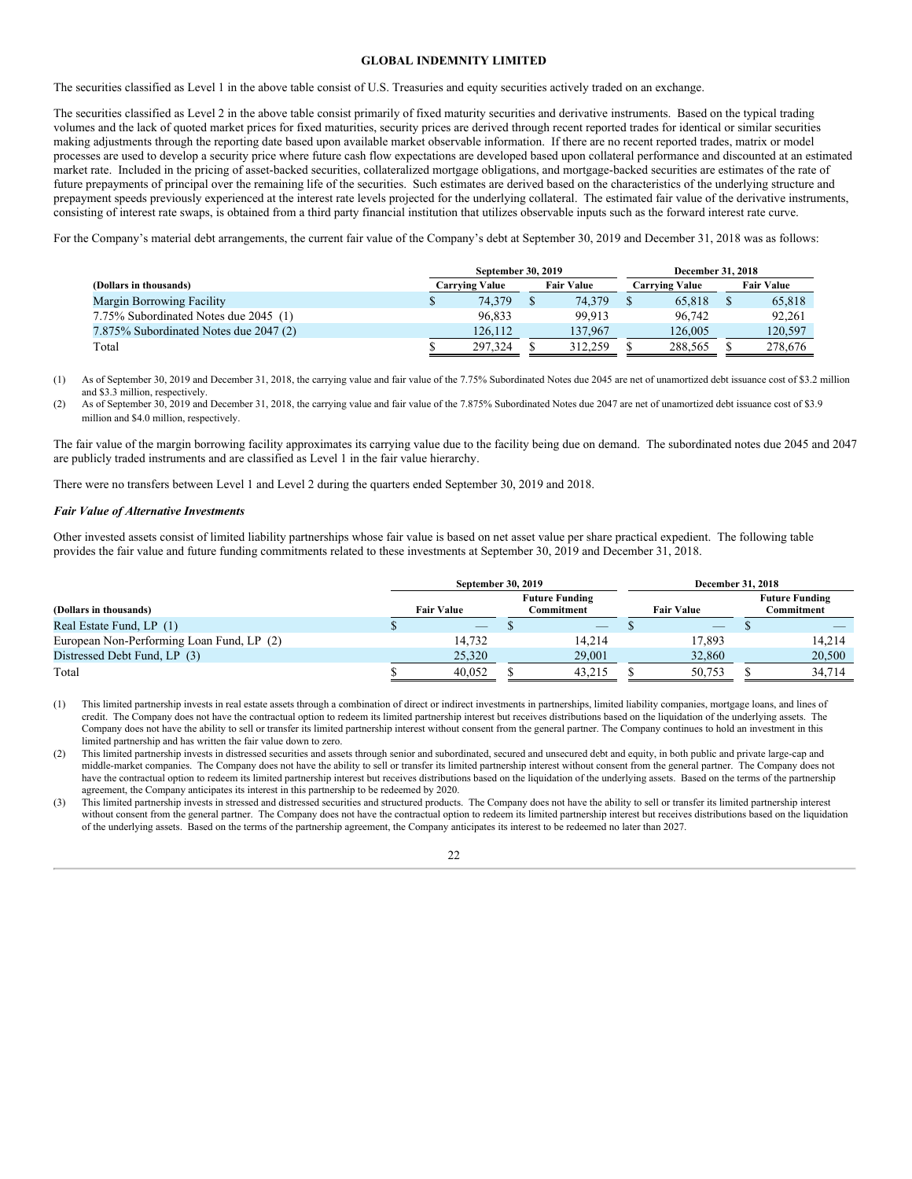The securities classified as Level 1 in the above table consist of U.S. Treasuries and equity securities actively traded on an exchange.

The securities classified as Level 2 in the above table consist primarily of fixed maturity securities and derivative instruments. Based on the typical trading volumes and the lack of quoted market prices for fixed maturities, security prices are derived through recent reported trades for identical or similar securities making adjustments through the reporting date based upon available market observable information. If there are no recent reported trades, matrix or model processes are used to develop a security price where future cash flow expectations are developed based upon collateral performance and discounted at an estimated market rate. Included in the pricing of asset-backed securities, collateralized mortgage obligations, and mortgage-backed securities are estimates of the rate of future prepayments of principal over the remaining life of the securities. Such estimates are derived based on the characteristics of the underlying structure and prepayment speeds previously experienced at the interest rate levels projected for the underlying collateral. The estimated fair value of the derivative instruments, consisting of interest rate swaps, is obtained from a third party financial institution that utilizes observable inputs such as the forward interest rate curve.

For the Company's material debt arrangements, the current fair value of the Company's debt at September 30, 2019 and December 31, 2018 was as follows:

|                                        |                                            | September 30, 2019 |  |         | <b>December 31, 2018</b> |                   |         |  |  |
|----------------------------------------|--------------------------------------------|--------------------|--|---------|--------------------------|-------------------|---------|--|--|
| (Dollars in thousands)                 | <b>Fair Value</b><br><b>Carrying Value</b> |                    |  |         | <b>Carrying Value</b>    | <b>Fair Value</b> |         |  |  |
| <b>Margin Borrowing Facility</b>       |                                            | 74.379             |  | 74.379  | 65.818                   |                   | 65,818  |  |  |
| 7.75% Subordinated Notes due 2045 (1)  |                                            | 96,833             |  | 99.913  | 96,742                   |                   | 92,261  |  |  |
| 7.875% Subordinated Notes due 2047 (2) |                                            | 126.112            |  | 137.967 | 126,005                  |                   | 120.597 |  |  |
| Total                                  |                                            | 297.324            |  | 312.259 | 288,565                  |                   | 278,676 |  |  |

(1) As of September 30, 2019 and December 31, 2018, the carrying value and fair value of the 7.75% Subordinated Notes due 2045 are net of unamortized debt issuance cost of \$3.2 million and \$3.3 million, respectively.

(2) As of September 30, 2019 and December 31, 2018, the carrying value and fair value of the 7.875% Subordinated Notes due 2047 are net of unamortized debt issuance cost of \$3.9 million and \$4.0 million, respectively.

The fair value of the margin borrowing facility approximates its carrying value due to the facility being due on demand. The subordinated notes due 2045 and 2047 are publicly traded instruments and are classified as Level 1 in the fair value hierarchy.

There were no transfers between Level 1 and Level 2 during the quarters ended September 30, 2019 and 2018.

#### *Fair Value of Alternative Investments*

Other invested assets consist of limited liability partnerships whose fair value is based on net asset value per share practical expedient. The following table provides the fair value and future funding commitments related to these investments at September 30, 2019 and December 31, 2018.

|                                           |                   | September 30, 2019 |                                     | <b>December 31, 2018</b> |  |                                     |  |  |
|-------------------------------------------|-------------------|--------------------|-------------------------------------|--------------------------|--|-------------------------------------|--|--|
| (Dollars in thousands)                    | <b>Fair Value</b> |                    | <b>Future Funding</b><br>Commitment | <b>Fair Value</b>        |  | <b>Future Funding</b><br>Commitment |  |  |
| Real Estate Fund, LP (1)                  |                   |                    |                                     |                          |  |                                     |  |  |
| European Non-Performing Loan Fund, LP (2) |                   | 14.732             | 14.214                              | 17.893                   |  | 14,214                              |  |  |
| Distressed Debt Fund, LP (3)              |                   | 25,320             | 29.001                              | 32,860                   |  | 20,500                              |  |  |
| Total                                     |                   | 40,052             | 43.215                              | 50.753                   |  | 34.714                              |  |  |

(1) This limited partnership invests in real estate assets through a combination of direct or indirect investments in partnerships, limited liability companies, mortgage loans, and lines of credit. The Company does not have the contractual option to redeem its limited partnership interest but receives distributions based on the liquidation of the underlying assets. The Company does not have the ability to sell or transfer its limited partnership interest without consent from the general partner. The Company continues to hold an investment in this limited partnership and has written the fair value down to zero.

(2) This limited partnership invests in distressed securities and assets through senior and subordinated, secured and unsecured debt and equity, in both public and private large-cap and middle-market companies. The Company does not have the ability to sell or transfer its limited partnership interest without consent from the general partner. The Company does not have the contractual option to redeem its limited partnership interest but receives distributions based on the liquidation of the underlying assets. Based on the terms of the partnership agreement, the Company anticipates its interest in this partnership to be redeemed by 2020.

(3) This limited partnership invests in stressed and distressed securities and structured products. The Company does not have the ability to sell or transfer its limited partnership interest without consent from the general partner. The Company does not have the contractual option to redeem its limited partnership interest but receives distributions based on the liquidation of the underlying assets. Based on the terms of the partnership agreement, the Company anticipates its interest to be redeemed no later than 2027.

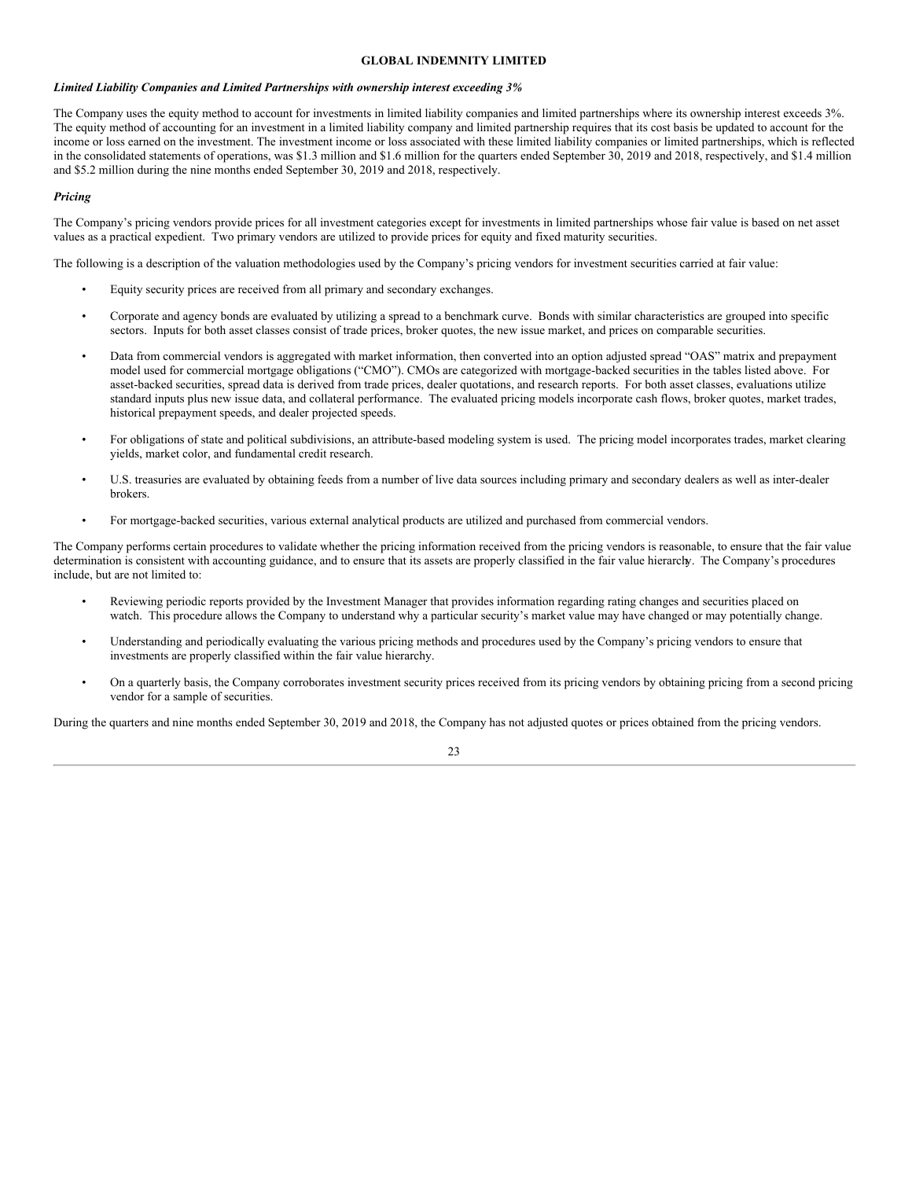#### *Limited Liability Companies and Limited Partnerships with ownership interest exceeding 3%*

The Company uses the equity method to account for investments in limited liability companies and limited partnerships where its ownership interest exceeds 3%. The equity method of accounting for an investment in a limited liability company and limited partnership requires that its cost basis be updated to account for the income or loss earned on the investment. The investment income or loss associated with these limited liability companies or limited partnerships, which is reflected in the consolidated statements of operations, was \$1.3 million and \$1.6 million for the quarters ended September 30, 2019 and 2018, respectively, and \$1.4 million and \$5.2 million during the nine months ended September 30, 2019 and 2018, respectively.

#### *Pricing*

The Company's pricing vendors provide prices for all investment categories except for investments in limited partnerships whose fair value is based on net asset values as a practical expedient. Two primary vendors are utilized to provide prices for equity and fixed maturity securities.

The following is a description of the valuation methodologies used by the Company's pricing vendors for investment securities carried at fair value:

- Equity security prices are received from all primary and secondary exchanges.
- Corporate and agency bonds are evaluated by utilizing a spread to a benchmark curve. Bonds with similar characteristics are grouped into specific sectors. Inputs for both asset classes consist of trade prices, broker quotes, the new issue market, and prices on comparable securities.
- Data from commercial vendors is aggregated with market information, then converted into an option adjusted spread "OAS" matrix and prepayment model used for commercial mortgage obligations ("CMO"). CMOs are categorized with mortgage-backed securities in the tables listed above. For asset-backed securities, spread data is derived from trade prices, dealer quotations, and research reports. For both asset classes, evaluations utilize standard inputs plus new issue data, and collateral performance. The evaluated pricing models incorporate cash flows, broker quotes, market trades, historical prepayment speeds, and dealer projected speeds.
- For obligations of state and political subdivisions, an attribute-based modeling system is used. The pricing model incorporates trades, market clearing yields, market color, and fundamental credit research.
- U.S. treasuries are evaluated by obtaining feeds from a number of live data sources including primary and secondary dealers as well as inter-dealer brokers.
- For mortgage-backed securities, various external analytical products are utilized and purchased from commercial vendors.

The Company performs certain procedures to validate whether the pricing information received from the pricing vendors is reasonable, to ensure that the fair value determination is consistent with accounting guidance, and to ensure that its assets are properly classified in the fair value hierarchy. The Company's procedures include, but are not limited to:

- Reviewing periodic reports provided by the Investment Manager that provides information regarding rating changes and securities placed on watch. This procedure allows the Company to understand why a particular security's market value may have changed or may potentially change.
- Understanding and periodically evaluating the various pricing methods and procedures used by the Company's pricing vendors to ensure that investments are properly classified within the fair value hierarchy.
- On a quarterly basis, the Company corroborates investment security prices received from its pricing vendors by obtaining pricing from a second pricing vendor for a sample of securities.

During the quarters and nine months ended September 30, 2019 and 2018, the Company has not adjusted quotes or prices obtained from the pricing vendors.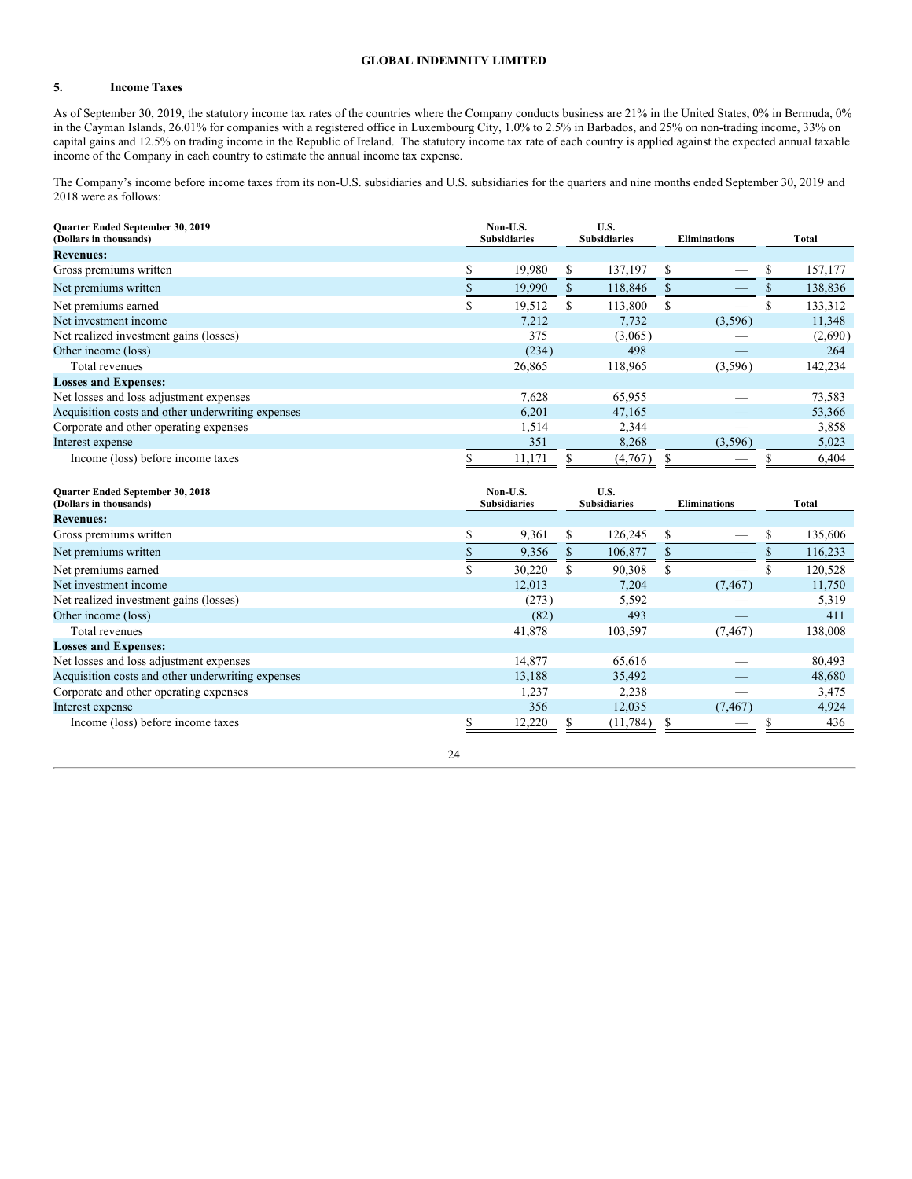#### **5. Income Taxes**

As of September 30, 2019, the statutory income tax rates of the countries where the Company conducts business are 21% in the United States, 0% in Bermuda, 0% in the Cayman Islands, 26.01% for companies with a registered office in Luxembourg City, 1.0% to 2.5% in Barbados, and 25% on non-trading income, 33% on capital gains and 12.5% on trading income in the Republic of Ireland. The statutory income tax rate of each country is applied against the expected annual taxable income of the Company in each country to estimate the annual income tax expense.

The Company's income before income taxes from its non-U.S. subsidiaries and U.S. subsidiaries for the quarters and nine months ended September 30, 2019 and 2018 were as follows:

| <b>Ouarter Ended September 30, 2019</b><br>(Dollars in thousands) | Non-U.S.<br><b>Subsidiaries</b> |  | U.S.<br><b>Subsidiaries</b> | <b>Eliminations</b> |         | Total   |
|-------------------------------------------------------------------|---------------------------------|--|-----------------------------|---------------------|---------|---------|
| <b>Revenues:</b>                                                  |                                 |  |                             |                     |         |         |
| Gross premiums written                                            | 19,980                          |  | 137,197                     | S                   |         | 157,177 |
| Net premiums written                                              | 19,990                          |  | 118,846                     |                     |         | 138,836 |
| Net premiums earned                                               | 19,512                          |  | 113,800                     | S                   |         | 133,312 |
| Net investment income                                             | 7,212                           |  | 7,732                       |                     | (3,596) | 11,348  |
| Net realized investment gains (losses)                            | 375                             |  | (3,065)                     |                     |         | (2,690) |
| Other income (loss)                                               | (234)                           |  | 498                         |                     |         | 264     |
| Total revenues                                                    | 26,865                          |  | 118,965                     |                     | (3,596) | 142,234 |
| <b>Losses and Expenses:</b>                                       |                                 |  |                             |                     |         |         |
| Net losses and loss adjustment expenses                           | 7,628                           |  | 65,955                      |                     |         | 73,583  |
| Acquisition costs and other underwriting expenses                 | 6,201                           |  | 47,165                      |                     |         | 53,366  |
| Corporate and other operating expenses                            | 1,514                           |  | 2,344                       |                     |         | 3,858   |
| Interest expense                                                  | 351                             |  | 8,268                       |                     | (3,596) | 5,023   |
| Income (loss) before income taxes                                 | 11,171                          |  | (4,767)                     |                     |         | 6,404   |

| <b>Ouarter Ended September 30, 2018</b><br>(Dollars in thousands) | Non-U.S.<br><b>Subsidiaries</b> |     | U.S.<br><b>Subsidiaries</b> |     | <b>Eliminations</b> | Total   |
|-------------------------------------------------------------------|---------------------------------|-----|-----------------------------|-----|---------------------|---------|
| <b>Revenues:</b>                                                  |                                 |     |                             |     |                     |         |
| Gross premiums written                                            | 9,361                           | \$. | 126,245                     | S   |                     | 135,606 |
| Net premiums written                                              | 9,356                           |     | 106,877                     |     |                     | 116,233 |
| Net premiums earned                                               | 30,220                          | ъ   | 90,308                      | \$. |                     | 120,528 |
| Net investment income                                             | 12,013                          |     | 7,204                       |     | (7, 467)            | 11,750  |
| Net realized investment gains (losses)                            | (273)                           |     | 5,592                       |     |                     | 5,319   |
| Other income (loss)                                               | (82)                            |     | 493                         |     |                     | 411     |
| Total revenues                                                    | 41,878                          |     | 103,597                     |     | (7, 467)            | 138,008 |
| <b>Losses and Expenses:</b>                                       |                                 |     |                             |     |                     |         |
| Net losses and loss adjustment expenses                           | 14.877                          |     | 65,616                      |     |                     | 80,493  |
| Acquisition costs and other underwriting expenses                 | 13,188                          |     | 35,492                      |     |                     | 48,680  |
| Corporate and other operating expenses                            | 1,237                           |     | 2,238                       |     |                     | 3,475   |
| Interest expense                                                  | 356                             |     | 12,035                      |     | (7, 467)            | 4,924   |
| Income (loss) before income taxes                                 | 12,220                          |     | (11, 784)                   |     |                     | 436     |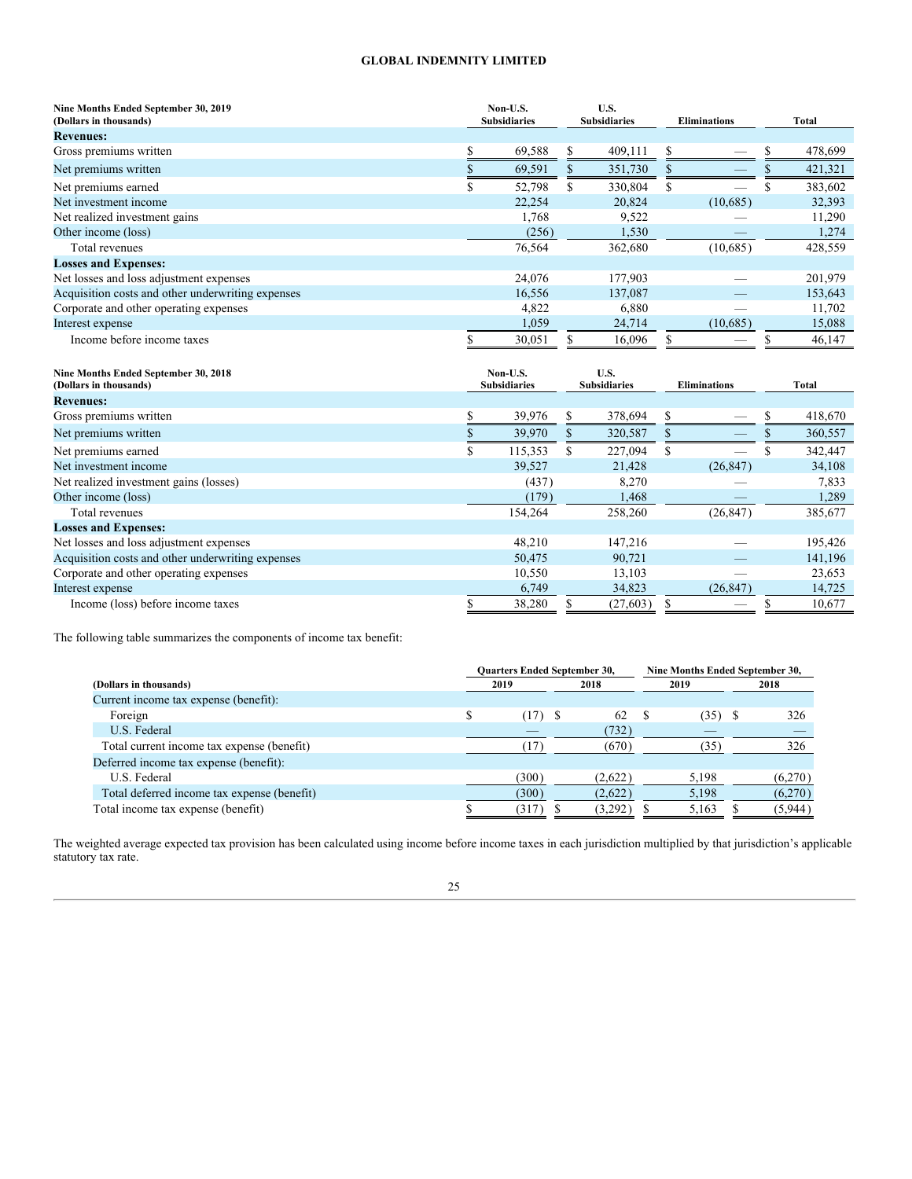| Nine Months Ended September 30, 2019<br>(Dollars in thousands) |   | U.S.<br>Non-U.S.<br><b>Subsidiaries</b><br><b>Subsidiaries</b> |   | <b>Eliminations</b> |    | Total    |  |         |
|----------------------------------------------------------------|---|----------------------------------------------------------------|---|---------------------|----|----------|--|---------|
| <b>Revenues:</b>                                               |   |                                                                |   |                     |    |          |  |         |
| Gross premiums written                                         |   | 69,588                                                         | S | 409,111             |    |          |  | 478,699 |
| Net premiums written                                           |   | 69,591                                                         |   | 351,730             |    |          |  | 421,321 |
| Net premiums earned                                            | ъ | 52,798                                                         | ъ | 330,804             | S. |          |  | 383,602 |
| Net investment income                                          |   | 22,254                                                         |   | 20,824              |    | (10,685) |  | 32,393  |
| Net realized investment gains                                  |   | 1,768                                                          |   | 9,522               |    |          |  | 11,290  |
| Other income (loss)                                            |   | (256)                                                          |   | 1,530               |    |          |  | 1,274   |
| Total revenues                                                 |   | 76,564                                                         |   | 362,680             |    | (10,685) |  | 428,559 |
| <b>Losses and Expenses:</b>                                    |   |                                                                |   |                     |    |          |  |         |
| Net losses and loss adjustment expenses                        |   | 24,076                                                         |   | 177,903             |    |          |  | 201,979 |
| Acquisition costs and other underwriting expenses              |   | 16,556                                                         |   | 137,087             |    |          |  | 153,643 |
| Corporate and other operating expenses                         |   | 4,822                                                          |   | 6,880               |    |          |  | 11,702  |
| Interest expense                                               |   | 1,059                                                          |   | 24,714              |    | (10,685) |  | 15,088  |
| Income before income taxes                                     |   | 30,051                                                         |   | 16,096              |    |          |  | 46,147  |

| Nine Months Ended September 30, 2018<br>(Dollars in thousands) | Non-U.S.<br><b>Subsidiaries</b> |         |     | U.S.<br><b>Subsidiaries</b> |   | <b>Eliminations</b> |  | Total   |  |
|----------------------------------------------------------------|---------------------------------|---------|-----|-----------------------------|---|---------------------|--|---------|--|
| <b>Revenues:</b>                                               |                                 |         |     |                             |   |                     |  |         |  |
| Gross premiums written                                         |                                 | 39,976  | \$. | 378,694                     |   |                     |  | 418,670 |  |
| Net premiums written                                           |                                 | 39,970  |     | 320,587                     |   |                     |  | 360,557 |  |
| Net premiums earned                                            |                                 | 115.353 | S   | 227,094                     | S |                     |  | 342,447 |  |
| Net investment income                                          |                                 | 39,527  |     | 21,428                      |   | (26, 847)           |  | 34,108  |  |
| Net realized investment gains (losses)                         |                                 | (437)   |     | 8,270                       |   |                     |  | 7,833   |  |
| Other income (loss)                                            |                                 | (179)   |     | 1,468                       |   |                     |  | 1,289   |  |
| Total revenues                                                 |                                 | 154,264 |     | 258,260                     |   | (26, 847)           |  | 385,677 |  |
| <b>Losses and Expenses:</b>                                    |                                 |         |     |                             |   |                     |  |         |  |
| Net losses and loss adjustment expenses                        |                                 | 48,210  |     | 147,216                     |   |                     |  | 195,426 |  |
| Acquisition costs and other underwriting expenses              |                                 | 50.475  |     | 90,721                      |   |                     |  | 141,196 |  |
| Corporate and other operating expenses                         |                                 | 10,550  |     | 13,103                      |   |                     |  | 23,653  |  |
| Interest expense                                               |                                 | 6,749   |     | 34,823                      |   | (26, 847)           |  | 14,725  |  |
| Income (loss) before income taxes                              |                                 | 38,280  |     | (27, 603)                   |   |                     |  | 10,677  |  |

The following table summarizes the components of income tax benefit:

|                                             | <b>Quarters Ended September 30,</b> |       |  |         | Nine Months Ended September 30, |       |    |         |
|---------------------------------------------|-------------------------------------|-------|--|---------|---------------------------------|-------|----|---------|
| (Dollars in thousands)                      |                                     | 2019  |  | 2018    |                                 | 2019  |    | 2018    |
| Current income tax expense (benefit):       |                                     |       |  |         |                                 |       |    |         |
| Foreign                                     |                                     | (17)  |  | 62      | S                               | (35)  | -8 | 326     |
| U.S. Federal                                |                                     |       |  | (732)   |                                 |       |    |         |
| Total current income tax expense (benefit)  |                                     |       |  | (670)   |                                 | (35)  |    | 326     |
| Deferred income tax expense (benefit):      |                                     |       |  |         |                                 |       |    |         |
| U.S. Federal                                |                                     | (300) |  | (2,622) |                                 | 5,198 |    | (6,270) |
| Total deferred income tax expense (benefit) |                                     | (300) |  | (2,622) |                                 | 5,198 |    | (6,270) |
| Total income tax expense (benefit)          |                                     | (317  |  | (3,292) |                                 | 5,163 |    | (5,944) |

The weighted average expected tax provision has been calculated using income before income taxes in each jurisdiction multiplied by that jurisdiction's applicable statutory tax rate.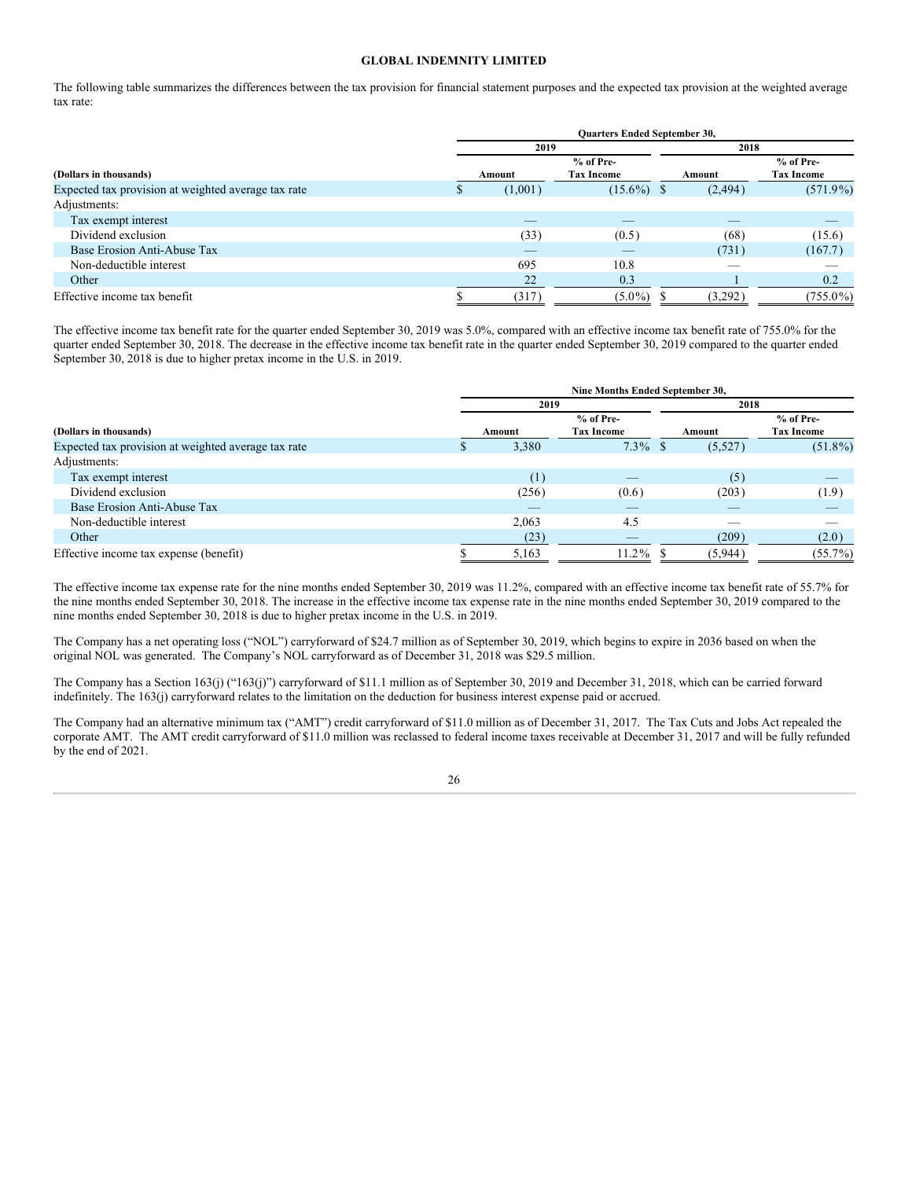The following table summarizes the differences between the tax provision for financial statement purposes and the expected tax provision at the weighted average tax rate:

|                                                     | <b>Ouarters Ended September 30,</b> |                                  |  |          |                                  |  |  |  |
|-----------------------------------------------------|-------------------------------------|----------------------------------|--|----------|----------------------------------|--|--|--|
|                                                     | 2019                                |                                  |  | 2018     |                                  |  |  |  |
| (Dollars in thousands)                              | Amount                              | $%$ of Pre-<br><b>Tax Income</b> |  | Amount   | $%$ of Pre-<br><b>Tax Income</b> |  |  |  |
| Expected tax provision at weighted average tax rate | (1,001)                             | $(15.6\%)$ \$                    |  | (2, 494) | $(571.9\%)$                      |  |  |  |
| Adjustments:                                        |                                     |                                  |  |          |                                  |  |  |  |
| Tax exempt interest                                 |                                     |                                  |  |          |                                  |  |  |  |
| Dividend exclusion                                  | (33)                                | (0.5)                            |  | (68)     | (15.6)                           |  |  |  |
| Base Erosion Anti-Abuse Tax                         | __                                  |                                  |  | (731)    | (167.7)                          |  |  |  |
| Non-deductible interest                             | 695                                 | 10.8                             |  |          |                                  |  |  |  |
| Other                                               | 22                                  | 0.3                              |  |          | 0.2                              |  |  |  |
| Effective income tax benefit                        | (317)                               | $(5.0\%)$                        |  | (3,292)  | $(755.0\%)$                      |  |  |  |

The effective income tax benefit rate for the quarter ended September 30, 2019 was 5.0%, compared with an effective income tax benefit rate of 755.0% for the quarter ended September 30, 2018. The decrease in the effective income tax benefit rate in the quarter ended September 30, 2019 compared to the quarter ended September 30, 2018 is due to higher pretax income in the U.S. in 2019.

|                                                     | Nine Months Ended September 30, |                                  |  |         |                                  |  |  |  |
|-----------------------------------------------------|---------------------------------|----------------------------------|--|---------|----------------------------------|--|--|--|
|                                                     | 2019                            |                                  |  | 2018    |                                  |  |  |  |
| (Dollars in thousands)                              | Amount                          | $%$ of Pre-<br><b>Tax Income</b> |  | Amount  | $%$ of Pre-<br><b>Tax Income</b> |  |  |  |
| Expected tax provision at weighted average tax rate | 3,380                           | $7.3\%$ \$                       |  | (5,527) | $(51.8\%)$                       |  |  |  |
| Adjustments:                                        |                                 |                                  |  |         |                                  |  |  |  |
| Tax exempt interest                                 | (1)                             |                                  |  | (5)     |                                  |  |  |  |
| Dividend exclusion                                  | (256)                           | (0.6)                            |  | (203)   | (1.9)                            |  |  |  |
| Base Erosion Anti-Abuse Tax                         |                                 |                                  |  |         |                                  |  |  |  |
| Non-deductible interest                             | 2,063                           | 4.5                              |  | __      |                                  |  |  |  |
| Other                                               | (23)                            |                                  |  | (209)   | (2.0)                            |  |  |  |
| Effective income tax expense (benefit)              | 5,163                           | $11.2\%$                         |  | (5,944) | $(55.7\%)$                       |  |  |  |

The effective income tax expense rate for the nine months ended September 30, 2019 was 11.2%, compared with an effective income tax benefit rate of 55.7% for the nine months ended September 30, 2018. The increase in the effective income tax expense rate in the nine months ended September 30, 2019 compared to the nine months ended September 30, 2018 is due to higher pretax income in the U.S. in 2019.

The Company has a net operating loss ("NOL") carryforward of \$24.7 million as of September 30, 2019, which begins to expire in 2036 based on when the original NOL was generated. The Company's NOL carryforward as of December 31, 2018 was \$29.5 million.

The Company has a Section 163(j) ("163(j)") carryforward of \$11.1 million as of September 30, 2019 and December 31, 2018, which can be carried forward indefinitely. The 163(j) carryforward relates to the limitation on the deduction for business interest expense paid or accrued.

The Company had an alternative minimum tax ("AMT") credit carryforward of \$11.0 million as of December 31, 2017. The Tax Cuts and Jobs Act repealed the corporate AMT. The AMT credit carryforward of \$11.0 million was reclassed to federal income taxes receivable at December 31, 2017 and will be fully refunded by the end of 2021.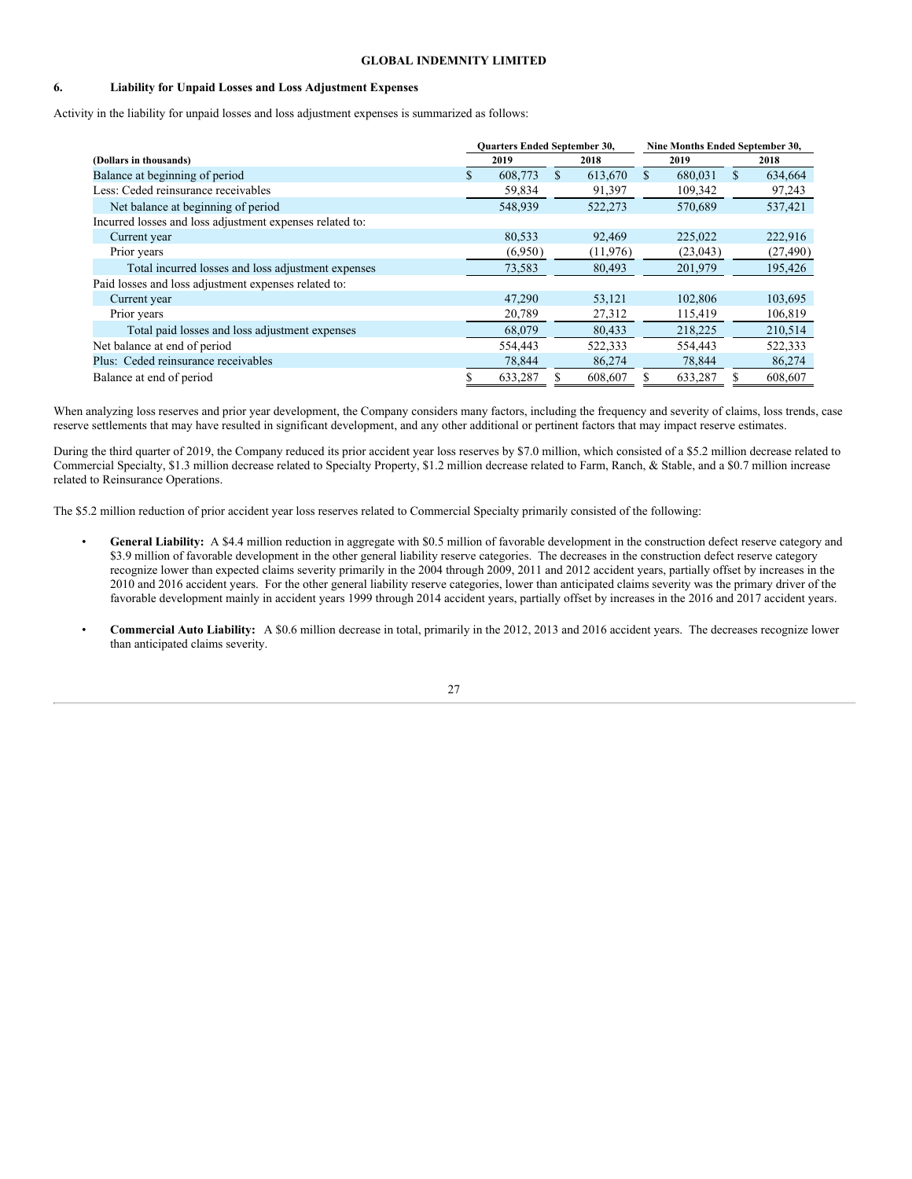#### **6. Liability for Unpaid Losses and Loss Adjustment Expenses**

Activity in the liability for unpaid losses and loss adjustment expenses is summarized as follows:

|                                                          | <b>Ouarters Ended September 30,</b> |         |      | Nine Months Ended September 30, |      |          |    |           |
|----------------------------------------------------------|-------------------------------------|---------|------|---------------------------------|------|----------|----|-----------|
| (Dollars in thousands)                                   | 2019                                |         | 2018 |                                 | 2019 |          |    | 2018      |
| Balance at beginning of period                           |                                     | 608,773 |      | 613,670                         | \$.  | 680.031  | \$ | 634,664   |
| Less: Ceded reinsurance receivables                      |                                     | 59,834  |      | 91,397                          |      | 109,342  |    | 97,243    |
| Net balance at beginning of period                       |                                     | 548,939 |      | 522,273                         |      | 570,689  |    | 537,421   |
| Incurred losses and loss adjustment expenses related to: |                                     |         |      |                                 |      |          |    |           |
| Current year                                             |                                     | 80,533  |      | 92.469                          |      | 225,022  |    | 222,916   |
| Prior years                                              |                                     | (6,950) |      | (11, 976)                       |      | (23,043) |    | (27, 490) |
| Total incurred losses and loss adjustment expenses       |                                     | 73,583  |      | 80,493                          |      | 201,979  |    | 195,426   |
| Paid losses and loss adjustment expenses related to:     |                                     |         |      |                                 |      |          |    |           |
| Current year                                             |                                     | 47,290  |      | 53.121                          |      | 102,806  |    | 103,695   |
| Prior years                                              |                                     | 20,789  |      | 27,312                          |      | 115,419  |    | 106,819   |
| Total paid losses and loss adjustment expenses           |                                     | 68,079  |      | 80,433                          |      | 218,225  |    | 210,514   |
| Net balance at end of period                             |                                     | 554,443 |      | 522,333                         |      | 554,443  |    | 522,333   |
| Plus: Ceded reinsurance receivables                      |                                     | 78,844  |      | 86,274                          |      | 78,844   |    | 86,274    |
| Balance at end of period                                 |                                     | 633,287 |      | 608,607                         |      | 633.287  |    | 608,607   |

When analyzing loss reserves and prior year development, the Company considers many factors, including the frequency and severity of claims, loss trends, case reserve settlements that may have resulted in significant development, and any other additional or pertinent factors that may impact reserve estimates.

During the third quarter of 2019, the Company reduced its prior accident year loss reserves by \$7.0 million, which consisted of a \$5.2 million decrease related to Commercial Specialty, \$1.3 million decrease related to Specialty Property, \$1.2 million decrease related to Farm, Ranch, & Stable, and a \$0.7 million increase related to Reinsurance Operations.

The \$5.2 million reduction of prior accident year loss reserves related to Commercial Specialty primarily consisted of the following:

- **General Liability:** A \$4.4 million reduction in aggregate with \$0.5 million of favorable development in the construction defect reserve category and \$3.9 million of favorable development in the other general liability reserve categories. The decreases in the construction defect reserve category recognize lower than expected claims severity primarily in the 2004 through 2009, 2011 and 2012 accident years, partially offset by increases in the 2010 and 2016 accident years. For the other general liability reserve categories, lower than anticipated claims severity was the primary driver of the favorable development mainly in accident years 1999 through 2014 accident years, partially offset by increases in the 2016 and 2017 accident years.
- **Commercial Auto Liability:** A \$0.6 million decrease in total, primarily in the 2012, 2013 and 2016 accident years. The decreases recognize lower than anticipated claims severity.

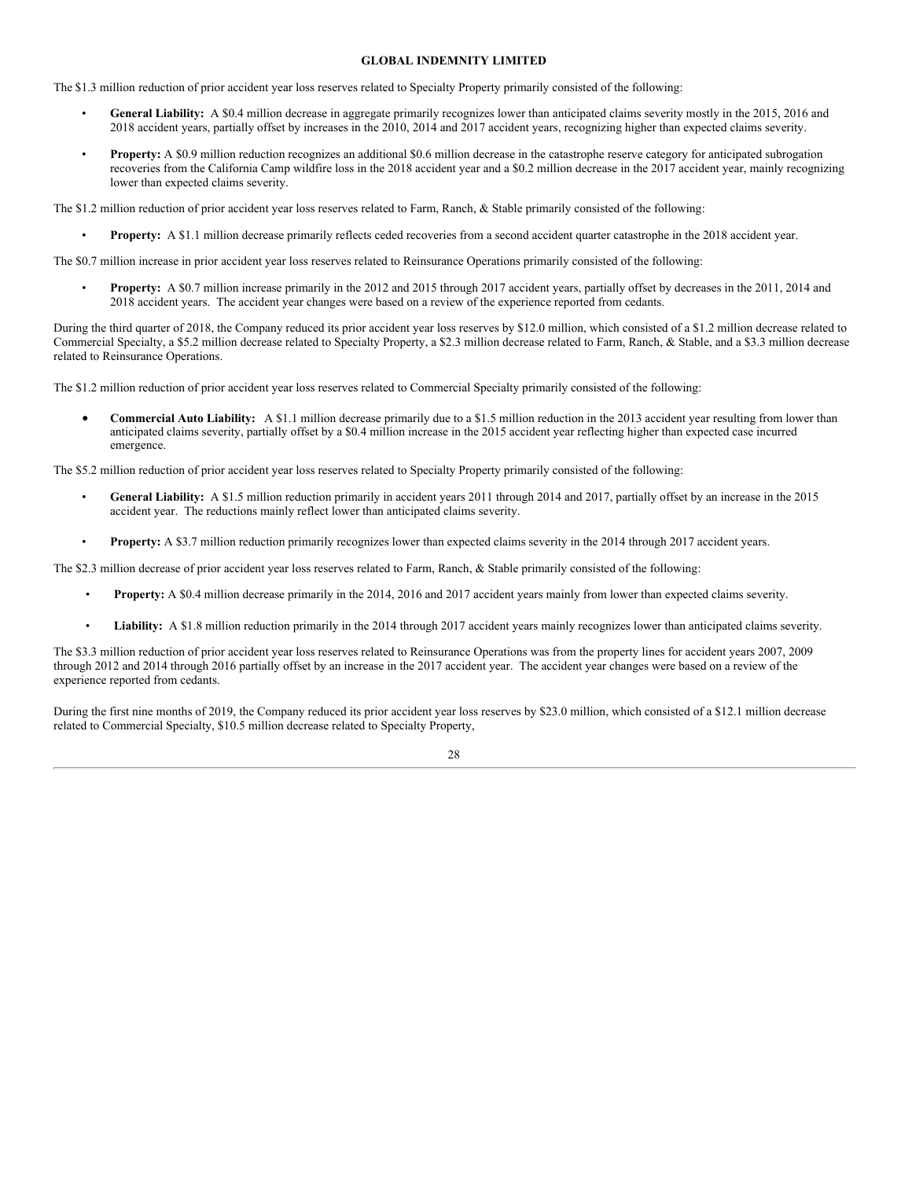The \$1.3 million reduction of prior accident year loss reserves related to Specialty Property primarily consisted of the following:

- **General Liability:** A \$0.4 million decrease in aggregate primarily recognizes lower than anticipated claims severity mostly in the 2015, 2016 and 2018 accident years, partially offset by increases in the 2010, 2014 and 2017 accident years, recognizing higher than expected claims severity.
- **Property:** A \$0.9 million reduction recognizes an additional \$0.6 million decrease in the catastrophe reserve category for anticipated subrogation recoveries from the California Camp wildfire loss in the 2018 accident year and a \$0.2 million decrease in the 2017 accident year, mainly recognizing lower than expected claims severity.

The \$1.2 million reduction of prior accident year loss reserves related to Farm, Ranch, & Stable primarily consisted of the following:

• **Property:** A \$1.1 million decrease primarily reflects ceded recoveries from a second accident quarter catastrophe in the 2018 accident year.

The \$0.7 million increase in prior accident year loss reserves related to Reinsurance Operations primarily consisted of the following:

• **Property:** A \$0.7 million increase primarily in the 2012 and 2015 through 2017 accident years, partially offset by decreases in the 2011, 2014 and 2018 accident years. The accident year changes were based on a review of the experience reported from cedants.

During the third quarter of 2018, the Company reduced its prior accident year loss reserves by \$12.0 million, which consisted of a \$1.2 million decrease related to Commercial Specialty, a \$5.2 million decrease related to Specialty Property, a \$2.3 million decrease related to Farm, Ranch, & Stable, and a \$3.3 million decrease related to Reinsurance Operations.

The \$1.2 million reduction of prior accident year loss reserves related to Commercial Specialty primarily consisted of the following:

• **Commercial Auto Liability:** <sup>A</sup> \$1.1 million decrease primarily due to <sup>a</sup> \$1.5 million reduction in the <sup>2013</sup> accident year resulting from lower than anticipated claims severity, partially offset by a \$0.4 million increase in the 2015 accident year reflecting higher than expected case incurred emergence.

The \$5.2 million reduction of prior accident year loss reserves related to Specialty Property primarily consisted of the following:

- **General Liability:** A \$1.5 million reduction primarily in accident years 2011 through 2014 and 2017, partially offset by an increase in the 2015 accident year. The reductions mainly reflect lower than anticipated claims severity.
- **Property:** A \$3.7 million reduction primarily recognizes lower than expected claims severity in the 2014 through 2017 accident years.

The \$2.3 million decrease of prior accident year loss reserves related to Farm, Ranch, & Stable primarily consisted of the following:

- **Property:** A \$0.4 million decrease primarily in the 2014, 2016 and 2017 accident years mainly from lower than expected claims severity.
- Liability: A \$1.8 million reduction primarily in the 2014 through 2017 accident years mainly recognizes lower than anticipated claims severity.

The \$3.3 million reduction of prior accident year loss reserves related to Reinsurance Operations was from the property lines for accident years 2007, 2009 through 2012 and 2014 through 2016 partially offset by an increase in the 2017 accident year. The accident year changes were based on a review of the experience reported from cedants.

During the first nine months of 2019, the Company reduced its prior accident year loss reserves by \$23.0 million, which consisted of a \$12.1 million decrease related to Commercial Specialty, \$10.5 million decrease related to Specialty Property,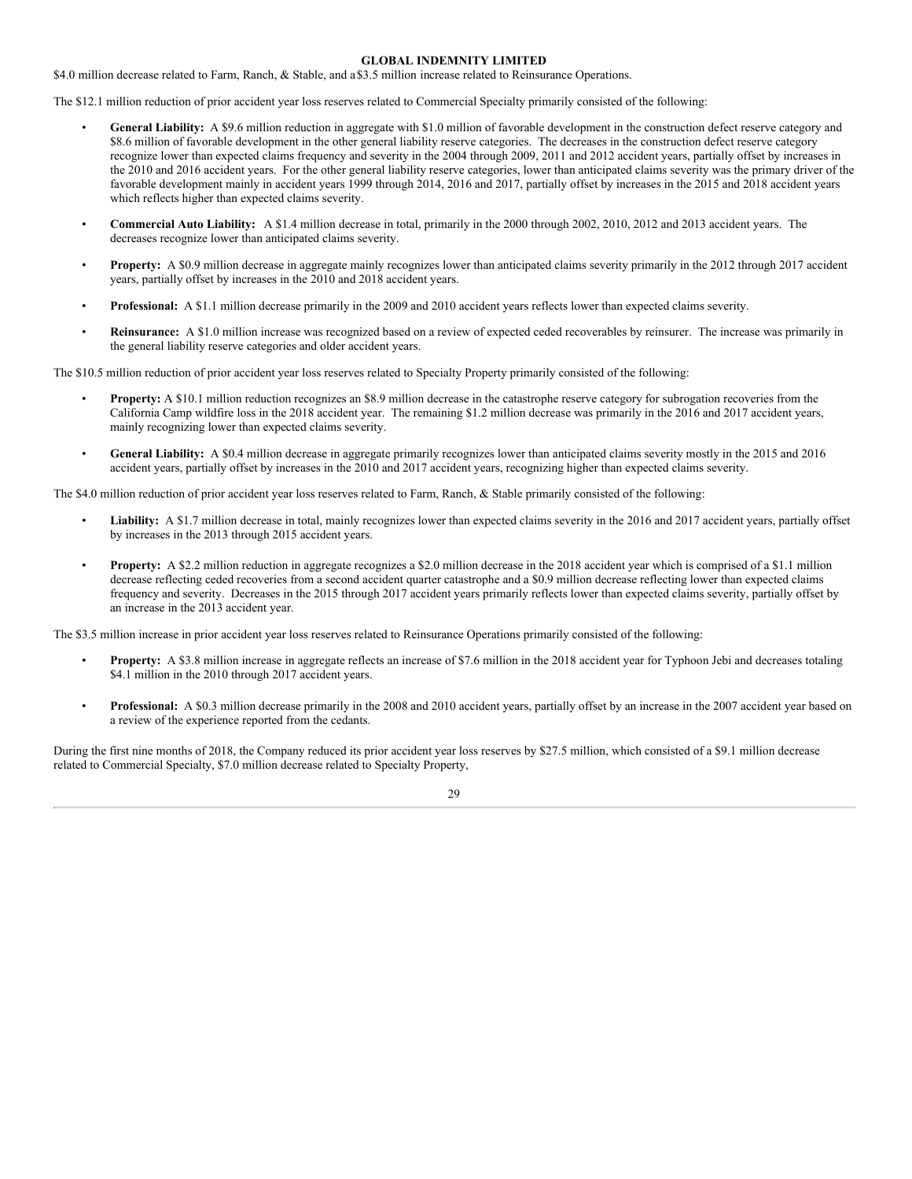\$4.0 million decrease related to Farm, Ranch, & Stable, and a\$3.5 million increase related to Reinsurance Operations.

The \$12.1 million reduction of prior accident year loss reserves related to Commercial Specialty primarily consisted of the following:

- **General Liability:** A \$9.6 million reduction in aggregate with \$1.0 million of favorable development in the construction defect reserve category and \$8.6 million of favorable development in the other general liability reserve categories. The decreases in the construction defect reserve category recognize lower than expected claims frequency and severity in the 2004 through 2009, 2011 and 2012 accident years, partially offset by increases in the 2010 and 2016 accident years. For the other general liability reserve categories, lower than anticipated claims severity was the primary driver of the favorable development mainly in accident years 1999 through 2014, 2016 and 2017, partially offset by increases in the 2015 and 2018 accident years which reflects higher than expected claims severity.
- **Commercial Auto Liability:** A \$1.4 million decrease in total, primarily in the 2000 through 2002, 2010, 2012 and 2013 accident years. The decreases recognize lower than anticipated claims severity.
- **Property:** A \$0.9 million decrease in aggregate mainly recognizes lower than anticipated claims severity primarily in the 2012 through 2017 accident years, partially offset by increases in the 2010 and 2018 accident years.
- **Professional:** A \$1.1 million decrease primarily in the 2009 and 2010 accident years reflects lower than expected claims severity.
- **Reinsurance:** A \$1.0 million increase was recognized based on a review of expected ceded recoverables by reinsurer. The increase was primarily in the general liability reserve categories and older accident years.

The \$10.5 million reduction of prior accident year loss reserves related to Specialty Property primarily consisted of the following:

- **Property:** A \$10.1 million reduction recognizes an \$8.9 million decrease in the catastrophe reserve category for subrogation recoveries from the California Camp wildfire loss in the 2018 accident year. The remaining \$1.2 million decrease was primarily in the 2016 and 2017 accident years, mainly recognizing lower than expected claims severity.
- **General Liability:** A \$0.4 million decrease in aggregate primarily recognizes lower than anticipated claims severity mostly in the 2015 and 2016 accident years, partially offset by increases in the 2010 and 2017 accident years, recognizing higher than expected claims severity.

The \$4.0 million reduction of prior accident year loss reserves related to Farm, Ranch, & Stable primarily consisted of the following:

- Liability: A \$1.7 million decrease in total, mainly recognizes lower than expected claims severity in the 2016 and 2017 accident years, partially offset by increases in the 2013 through 2015 accident years.
- **Property:** A \$2.2 million reduction in aggregate recognizes a \$2.0 million decrease in the 2018 accident year which is comprised of a \$1.1 million decrease reflecting ceded recoveries from a second accident quarter catastrophe and a \$0.9 million decrease reflecting lower than expected claims frequency and severity. Decreases in the 2015 through 2017 accident years primarily reflects lower than expected claims severity, partially offset by an increase in the 2013 accident year.

The \$3.5 million increase in prior accident year loss reserves related to Reinsurance Operations primarily consisted of the following:

- **Property:** A \$3.8 million increase in aggregate reflects an increase of \$7.6 million in the 2018 accident year for Typhoon Jebi and decreases totaling \$4.1 million in the 2010 through 2017 accident years.
- **Professional:** A \$0.3 million decrease primarily in the 2008 and 2010 accident years, partially offset by an increase in the 2007 accident year based on a review of the experience reported from the cedants.

During the first nine months of 2018, the Company reduced its prior accident year loss reserves by \$27.5 million, which consisted of a \$9.1 million decrease related to Commercial Specialty, \$7.0 million decrease related to Specialty Property,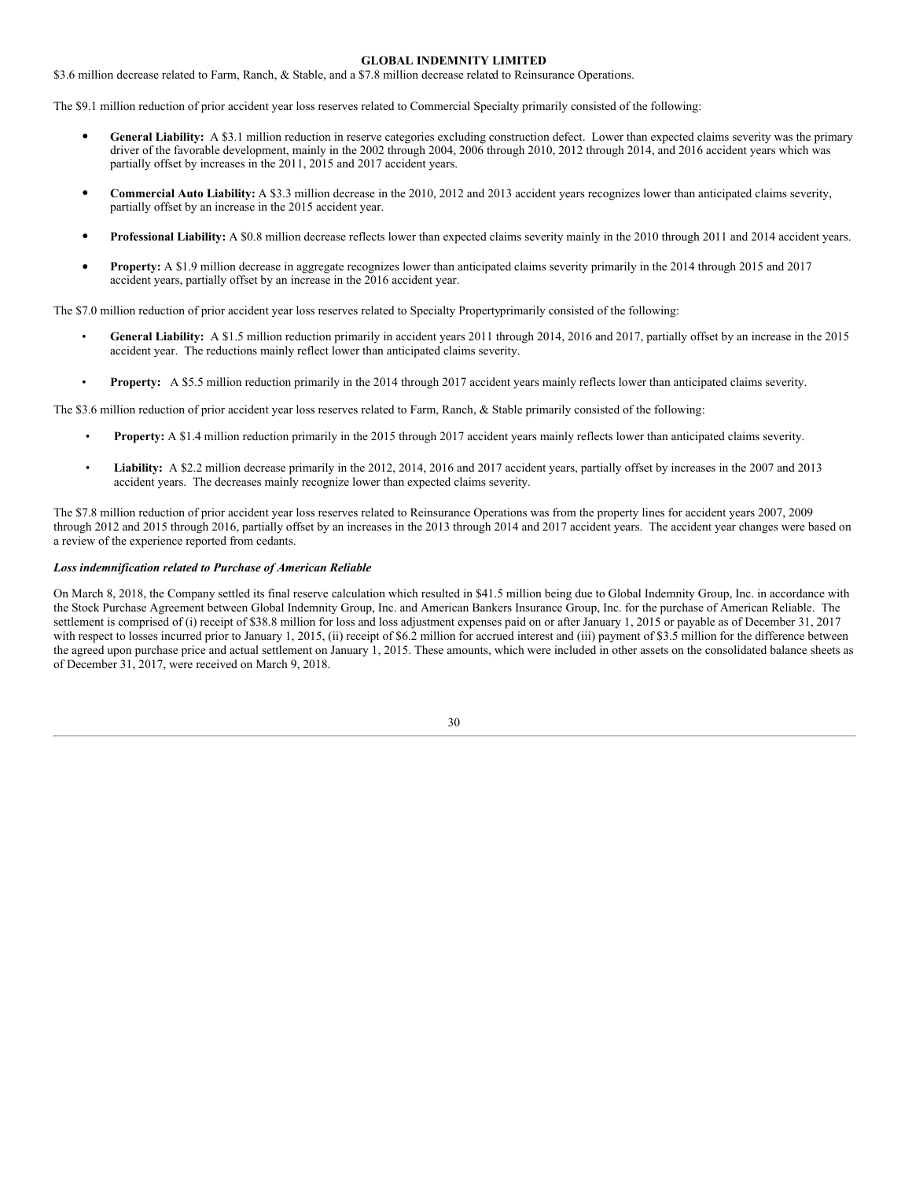\$3.6 million decrease related to Farm, Ranch, & Stable, and a \$7.8 million decrease related to Reinsurance Operations.

The \$9.1 million reduction of prior accident year loss reserves related to Commercial Specialty primarily consisted of the following:

- **General Liability:** <sup>A</sup> \$3.1 million reduction in reserve categories excluding construction defect. Lower than expected claims severity was the primary driver of the favorable development, mainly in the 2002 through 2004, 2006 through 2010, 2012 through 2014, and 2016 accident years which was partially offset by increases in the 2011, 2015 and 2017 accident years.
- **Commercial Auto Liability:** <sup>A</sup> \$3.3 million decrease in the 2010, <sup>2012</sup> and <sup>2013</sup> accident years recognizes lower than anticipated claims severity, partially offset by an increase in the 2015 accident year.
- **Professional Liability:** <sup>A</sup> \$0.8 million decrease reflects lower than expected claims severity mainly in the <sup>2010</sup> through <sup>2011</sup> and <sup>2014</sup> accident years.
- **Property:** <sup>A</sup> \$1.9 million decrease in aggregate recognizes lower than anticipated claims severity primarily in the <sup>2014</sup> through <sup>2015</sup> and <sup>2017</sup> accident years, partially offset by an increase in the 2016 accident year.

The \$7.0 million reduction of prior accident year loss reserves related to Specialty Propertyprimarily consisted of the following:

- **General Liability:** A \$1.5 million reduction primarily in accident years 2011 through 2014, 2016 and 2017, partially offset by an increase in the 2015 accident year. The reductions mainly reflect lower than anticipated claims severity.
- **Property:** A \$5.5 million reduction primarily in the 2014 through 2017 accident years mainly reflects lower than anticipated claims severity.

The \$3.6 million reduction of prior accident year loss reserves related to Farm, Ranch, & Stable primarily consisted of the following:

- **Property:** A \$1.4 million reduction primarily in the 2015 through 2017 accident years mainly reflects lower than anticipated claims severity.
- **Liability:** A \$2.2 million decrease primarily in the 2012, 2014, 2016 and 2017 accident years, partially offset by increases in the 2007 and 2013 accident years. The decreases mainly recognize lower than expected claims severity.

The \$7.8 million reduction of prior accident year loss reserves related to Reinsurance Operations was from the property lines for accident years 2007, 2009 through 2012 and 2015 through 2016, partially offset by an increases in the 2013 through 2014 and 2017 accident years. The accident year changes were based on a review of the experience reported from cedants.

#### *Loss indemnification related to Purchase of American Reliable*

On March 8, 2018, the Company settled its final reserve calculation which resulted in \$41.5 million being due to Global Indemnity Group, Inc. in accordance with the Stock Purchase Agreement between Global Indemnity Group, Inc. and American Bankers Insurance Group, Inc. for the purchase of American Reliable. The settlement is comprised of (i) receipt of \$38.8 million for loss and loss adjustment expenses paid on or after January 1, 2015 or payable as of December 31, 2017 with respect to losses incurred prior to January 1, 2015, (ii) receipt of \$6.2 million for accrued interest and (iii) payment of \$3.5 million for the difference between the agreed upon purchase price and actual settlement on January 1, 2015. These amounts, which were included in other assets on the consolidated balance sheets as of December 31, 2017, were received on March 9, 2018.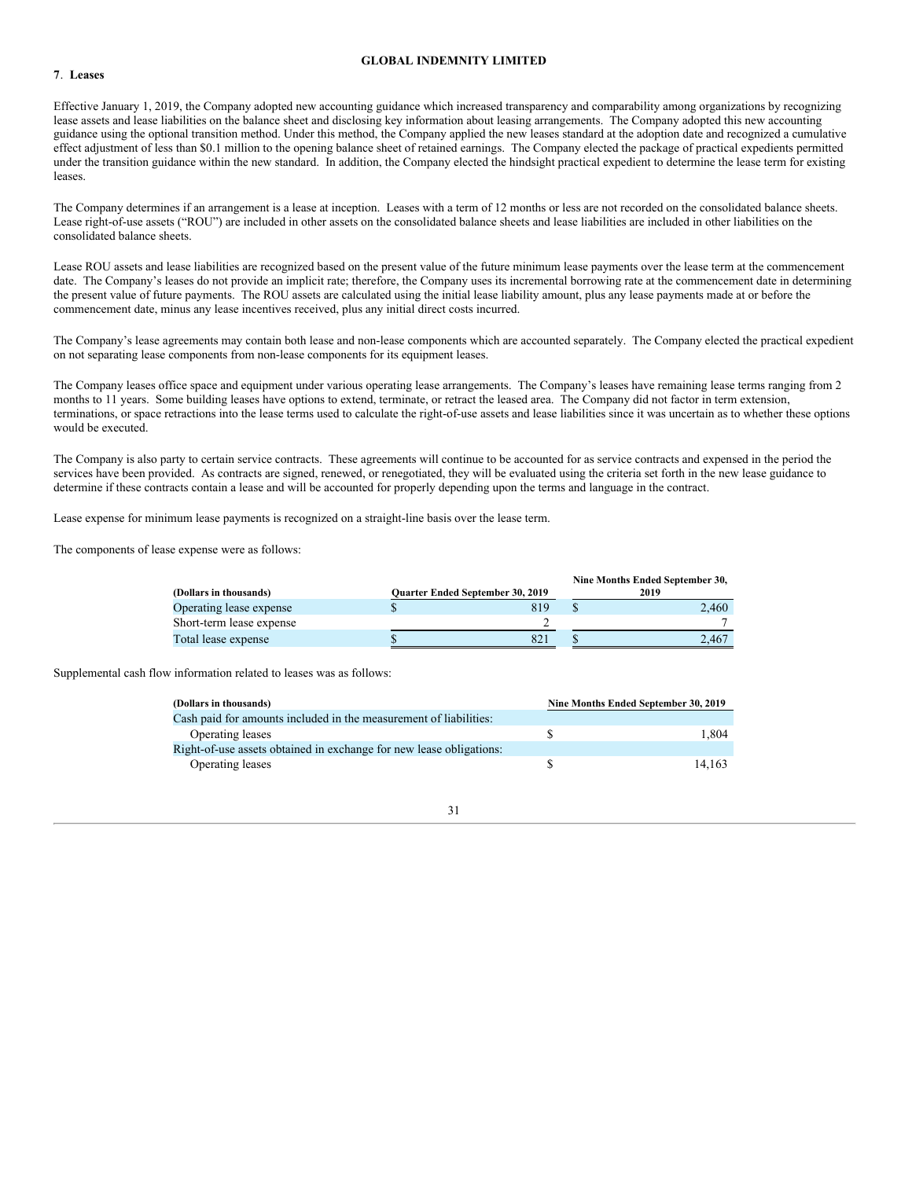#### **7**. **Leases**

Effective January 1, 2019, the Company adopted new accounting guidance which increased transparency and comparability among organizations by recognizing lease assets and lease liabilities on the balance sheet and disclosing key information about leasing arrangements. The Company adopted this new accounting guidance using the optional transition method. Under this method, the Company applied the new leases standard at the adoption date and recognized a cumulative effect adjustment of less than \$0.1 million to the opening balance sheet of retained earnings. The Company elected the package of practical expedients permitted under the transition guidance within the new standard. In addition, the Company elected the hindsight practical expedient to determine the lease term for existing leases.

The Company determines if an arrangement is a lease at inception. Leases with a term of 12 months or less are not recorded on the consolidated balance sheets. Lease right-of-use assets ("ROU") are included in other assets on the consolidated balance sheets and lease liabilities are included in other liabilities on the consolidated balance sheets.

Lease ROU assets and lease liabilities are recognized based on the present value of the future minimum lease payments over the lease term at the commencement date. The Company's leases do not provide an implicit rate; therefore, the Company uses its incremental borrowing rate at the commencement date in determining the present value of future payments. The ROU assets are calculated using the initial lease liability amount, plus any lease payments made at or before the commencement date, minus any lease incentives received, plus any initial direct costs incurred.

The Company's lease agreements may contain both lease and non-lease components which are accounted separately. The Company elected the practical expedient on not separating lease components from non-lease components for its equipment leases.

The Company leases office space and equipment under various operating lease arrangements. The Company's leases have remaining lease terms ranging from 2 months to 11 years. Some building leases have options to extend, terminate, or retract the leased area. The Company did not factor in term extension, terminations, or space retractions into the lease terms used to calculate the right-of-use assets and lease liabilities since it was uncertain as to whether these options would be executed.

The Company is also party to certain service contracts. These agreements will continue to be accounted for as service contracts and expensed in the period the services have been provided. As contracts are signed, renewed, or renegotiated, they will be evaluated using the criteria set forth in the new lease guidance to determine if these contracts contain a lease and will be accounted for properly depending upon the terms and language in the contract.

Lease expense for minimum lease payments is recognized on a straight-line basis over the lease term.

The components of lease expense were as follows:

| (Dollars in thousands)   | <b>Ouarter Ended September 30, 2019</b> | Nine Months Ended September 30,<br>2019 |
|--------------------------|-----------------------------------------|-----------------------------------------|
| Operating lease expense  | 819                                     | 2.460                                   |
| Short-term lease expense |                                         |                                         |
| Total lease expense      |                                         | 2.467                                   |

Supplemental cash flow information related to leases was as follows:

| (Dollars in thousands)                                              | Nine Months Ended September 30, 2019 |
|---------------------------------------------------------------------|--------------------------------------|
| Cash paid for amounts included in the measurement of liabilities:   |                                      |
| Operating leases                                                    | 1.804                                |
| Right-of-use assets obtained in exchange for new lease obligations: |                                      |
| Operating leases                                                    | 14.163                               |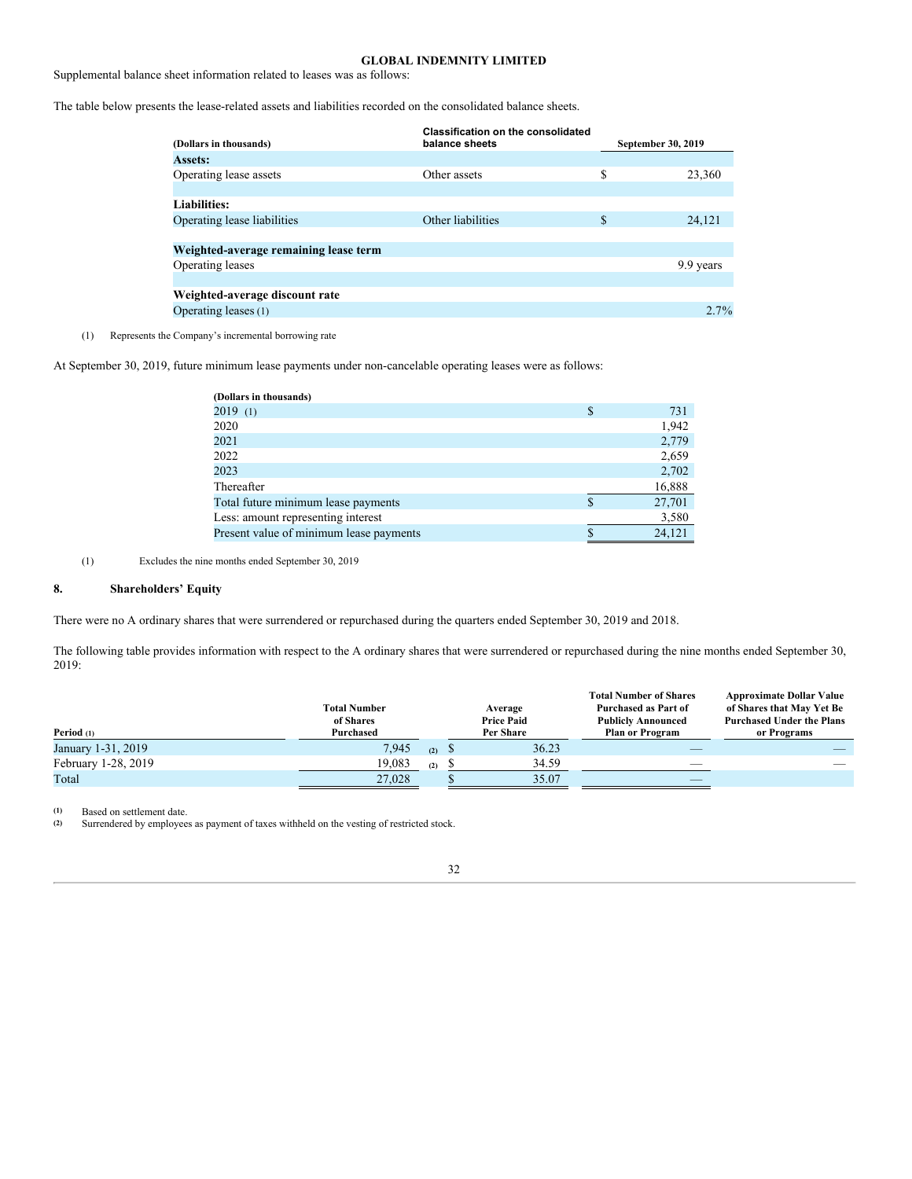Supplemental balance sheet information related to leases was as follows:

The table below presents the lease-related assets and liabilities recorded on the consolidated balance sheets.

| (Dollars in thousands)                                    | <b>Classification on the consolidated</b><br>balance sheets | September 30, 2019 |           |
|-----------------------------------------------------------|-------------------------------------------------------------|--------------------|-----------|
| Assets:                                                   |                                                             |                    |           |
| Operating lease assets                                    | Other assets                                                | \$                 | 23,360    |
| Liabilities:                                              |                                                             |                    |           |
| Operating lease liabilities                               | Other liabilities                                           | \$                 | 24.121    |
| Weighted-average remaining lease term<br>Operating leases |                                                             |                    | 9.9 years |
|                                                           |                                                             |                    |           |
| Weighted-average discount rate                            |                                                             |                    |           |
| Operating leases (1)                                      |                                                             |                    | $2.7\%$   |

(1) Represents the Company's incremental borrowing rate

At September 30, 2019, future minimum lease payments under non-cancelable operating leases were as follows:

| (Dollars in thousands)                  |    |        |
|-----------------------------------------|----|--------|
| 2019(1)                                 | \$ | 731    |
| 2020                                    |    | 1,942  |
| 2021                                    |    | 2,779  |
| 2022                                    |    | 2,659  |
| 2023                                    |    | 2,702  |
| Thereafter                              |    | 16,888 |
| Total future minimum lease payments     | S  | 27,701 |
| Less: amount representing interest      |    | 3,580  |
| Present value of minimum lease payments |    | 24,121 |

(1) Excludes the nine months ended September 30, 2019

#### **8. Shareholders' Equity**

There were no A ordinary shares that were surrendered or repurchased during the quarters ended September 30, 2019 and 2018.

The following table provides information with respect to the A ordinary shares that were surrendered or repurchased during the nine months ended September 30, 2019:

| Period (1)          | <b>Total Number</b><br>of Shares<br>Purchased |     | Average<br><b>Price Paid</b><br>Per Share | <b>Total Number of Shares</b><br>Purchased as Part of<br><b>Publicly Announced</b><br><b>Plan or Program</b> | <b>Approximate Dollar Value</b><br>of Shares that May Yet Be<br><b>Purchased Under the Plans</b><br>or Programs |
|---------------------|-----------------------------------------------|-----|-------------------------------------------|--------------------------------------------------------------------------------------------------------------|-----------------------------------------------------------------------------------------------------------------|
| January 1-31, 2019  | 7,945                                         | (2) | 36.23                                     |                                                                                                              |                                                                                                                 |
| February 1-28, 2019 | 19,083                                        | (2) | 34.59                                     | $\overline{\phantom{a}}$                                                                                     |                                                                                                                 |
| Total               | 27.028                                        |     | 35.07                                     | __                                                                                                           |                                                                                                                 |

**(1)** Based on settlement date.

**(2)** Surrendered by employees as payment of taxes withheld on the vesting of restricted stock.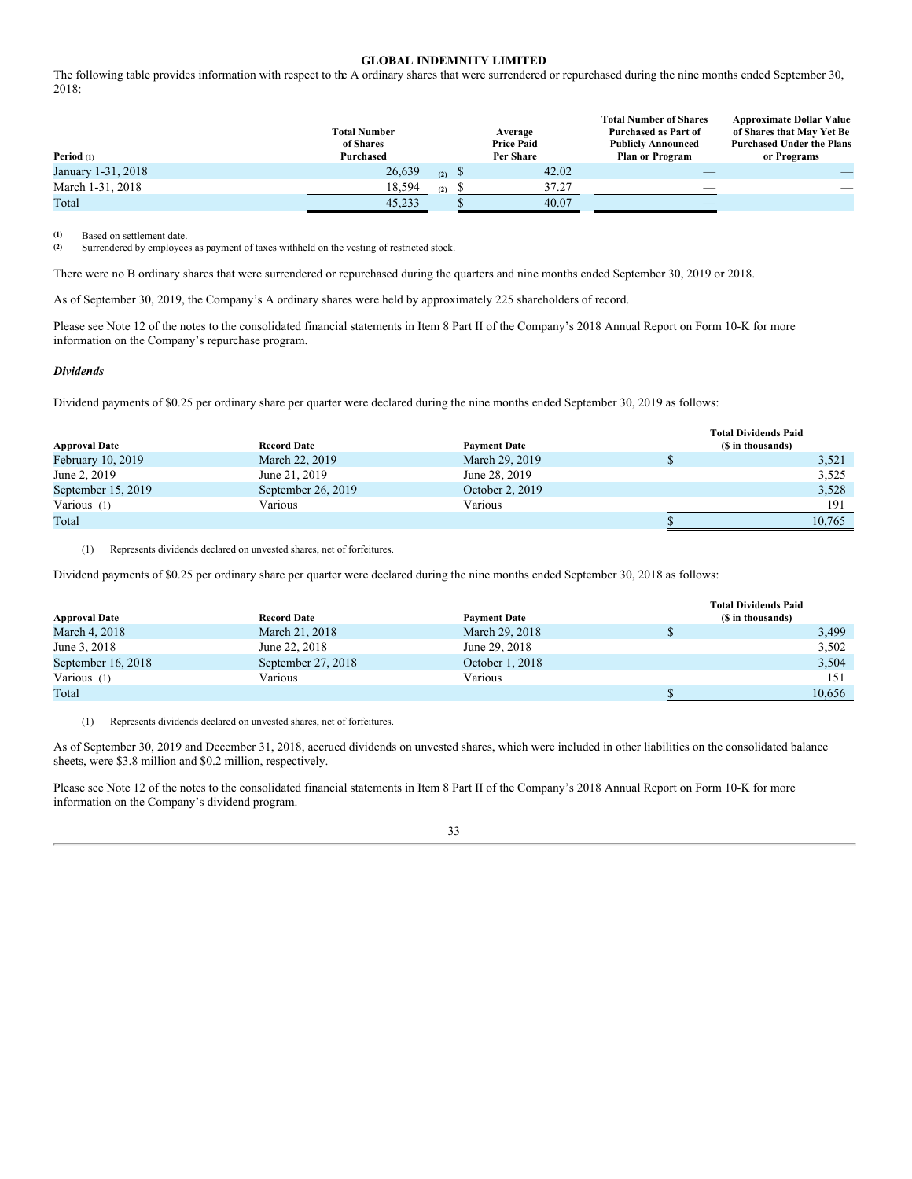The following table provides information with respect to the A ordinary shares that were surrendered or repurchased during the nine months ended September 30, 2018:

|                    | <b>Total Number</b><br>of Shares |     | Average<br><b>Price Paid</b> | <b>Total Number of Shares</b><br>Purchased as Part of<br><b>Publicly Announced</b> | <b>Approximate Dollar Value</b><br>of Shares that May Yet Be<br><b>Purchased Under the Plans</b> |
|--------------------|----------------------------------|-----|------------------------------|------------------------------------------------------------------------------------|--------------------------------------------------------------------------------------------------|
| Period (1)         | Purchased                        |     | Per Share                    | <b>Plan or Program</b>                                                             | or Programs                                                                                      |
| January 1-31, 2018 | 26,639                           | (2) | 42.02                        |                                                                                    |                                                                                                  |
| March 1-31, 2018   | 18.594                           | (2) | 37.27                        |                                                                                    |                                                                                                  |
| Total              | 45.233                           |     | 40.07                        |                                                                                    |                                                                                                  |

**(1)** Based on settlement date.

**(2)** Surrendered by employees as payment of taxes withheld on the vesting of restricted stock.

There were no B ordinary shares that were surrendered or repurchased during the quarters and nine months ended September 30, 2019 or 2018.

As of September 30, 2019, the Company's A ordinary shares were held by approximately 225 shareholders of record.

Please see Note 12 of the notes to the consolidated financial statements in Item 8 Part II of the Company's 2018 Annual Report on Form 10-K for more information on the Company's repurchase program.

#### *Dividends*

Dividend payments of \$0.25 per ordinary share per quarter were declared during the nine months ended September 30, 2019 as follows:

| <b>Approval Date</b>     | <b>Record Date</b> | <b>Payment Date</b> | <b>Total Dividends Paid</b><br>(\$ in thousands) |        |  |
|--------------------------|--------------------|---------------------|--------------------------------------------------|--------|--|
| <b>February 10, 2019</b> | March 22, 2019     | March 29, 2019      |                                                  | 3,521  |  |
| June 2, 2019             | June 21, 2019      | June 28, 2019       |                                                  | 3,525  |  |
| September 15, 2019       | September 26, 2019 | October 2, 2019     |                                                  | 3,528  |  |
| Various (1)              | Various            | Various             |                                                  | 191    |  |
| Total                    |                    |                     |                                                  | 10.765 |  |

(1) Represents dividends declared on unvested shares, net of forfeitures.

Dividend payments of \$0.25 per ordinary share per quarter were declared during the nine months ended September 30, 2018 as follows:

|                      |                    |                     | <b>Total Dividends Paid</b> |        |  |  |
|----------------------|--------------------|---------------------|-----------------------------|--------|--|--|
| <b>Approval Date</b> | <b>Record Date</b> | <b>Payment Date</b> | (\$ in thousands)           |        |  |  |
| March 4, 2018        | March 21, 2018     | March 29, 2018      |                             | 3,499  |  |  |
| June 3, 2018         | June 22, 2018      | June 29, 2018       |                             | 3,502  |  |  |
| September 16, 2018   | September 27, 2018 | October 1, 2018     |                             | 3,504  |  |  |
| Various (1)          | Various            | Various             |                             | 151    |  |  |
| Total                |                    |                     |                             | 10.656 |  |  |

(1) Represents dividends declared on unvested shares, net of forfeitures.

As of September 30, 2019 and December 31, 2018, accrued dividends on unvested shares, which were included in other liabilities on the consolidated balance sheets, were \$3.8 million and \$0.2 million, respectively.

Please see Note 12 of the notes to the consolidated financial statements in Item 8 Part II of the Company's 2018 Annual Report on Form 10-K for more information on the Company's dividend program.

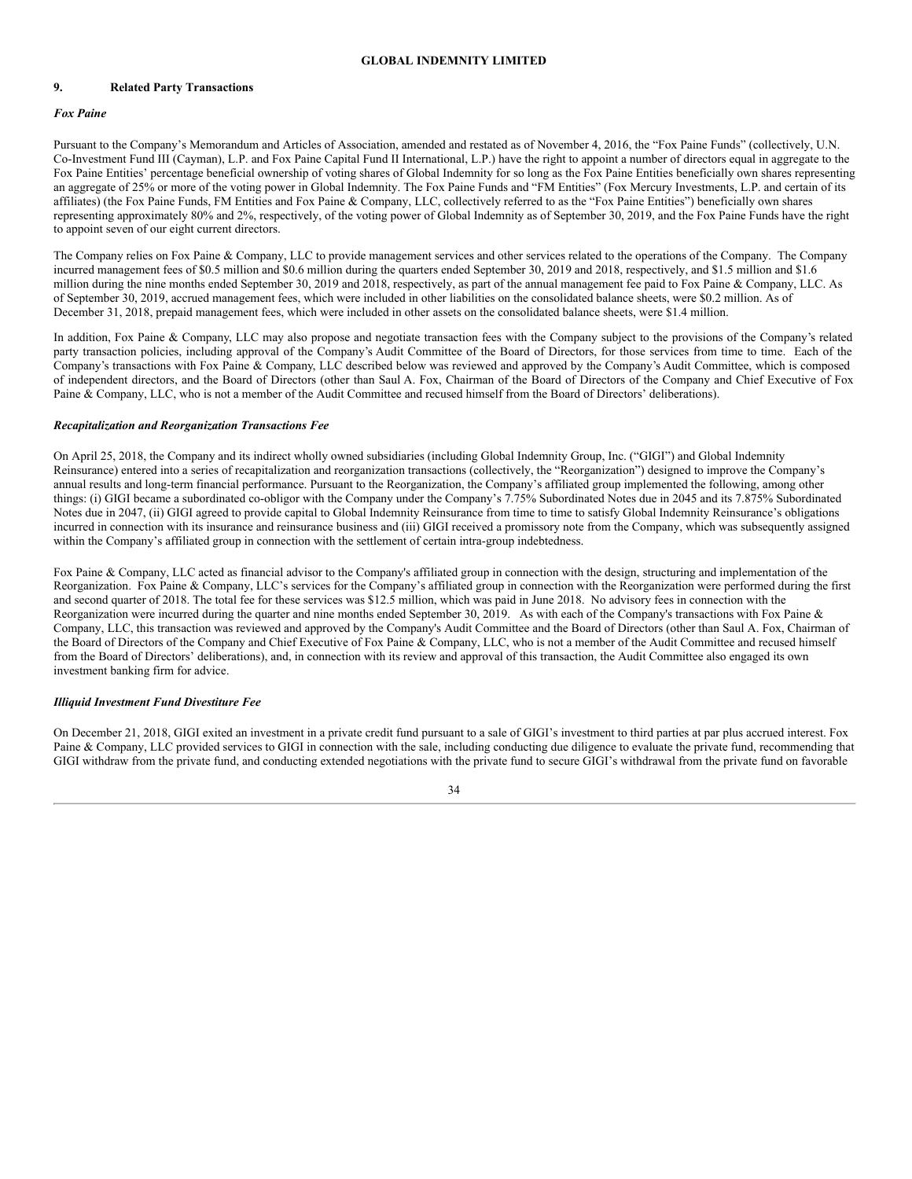#### **9. Related Party Transactions**

#### *Fox Paine*

Pursuant to the Company's Memorandum and Articles of Association, amended and restated as of November 4, 2016, the "Fox Paine Funds" (collectively, U.N. Co-Investment Fund III (Cayman), L.P. and Fox Paine Capital Fund II International, L.P.) have the right to appoint a number of directors equal in aggregate to the Fox Paine Entities' percentage beneficial ownership of voting shares of Global Indemnity for so long as the Fox Paine Entities beneficially own shares representing an aggregate of 25% or more of the voting power in Global Indemnity. The Fox Paine Funds and "FM Entities" (Fox Mercury Investments, L.P. and certain of its affiliates) (the Fox Paine Funds, FM Entities and Fox Paine & Company, LLC, collectively referred to as the "Fox Paine Entities") beneficially own shares representing approximately 80% and 2%, respectively, of the voting power of Global Indemnity as of September 30, 2019, and the Fox Paine Funds have the right to appoint seven of our eight current directors.

The Company relies on Fox Paine & Company, LLC to provide management services and other services related to the operations of the Company. The Company incurred management fees of \$0.5 million and \$0.6 million during the quarters ended September 30, 2019 and 2018, respectively, and \$1.5 million and \$1.6 million during the nine months ended September 30, 2019 and 2018, respectively, as part of the annual management fee paid to Fox Paine & Company, LLC. As of September 30, 2019, accrued management fees, which were included in other liabilities on the consolidated balance sheets, were \$0.2 million. As of December 31, 2018, prepaid management fees, which were included in other assets on the consolidated balance sheets, were \$1.4 million.

In addition, Fox Paine & Company, LLC may also propose and negotiate transaction fees with the Company subject to the provisions of the Company's related party transaction policies, including approval of the Company's Audit Committee of the Board of Directors, for those services from time to time. Each of the Company's transactions with Fox Paine & Company, LLC described below was reviewed and approved by the Company's Audit Committee, which is composed of independent directors, and the Board of Directors (other than Saul A. Fox, Chairman of the Board of Directors of the Company and Chief Executive of Fox Paine & Company, LLC, who is not a member of the Audit Committee and recused himself from the Board of Directors' deliberations).

#### *Recapitalization and Reorganization Transactions Fee*

On April 25, 2018, the Company and its indirect wholly owned subsidiaries (including Global Indemnity Group, Inc. ("GIGI") and Global Indemnity Reinsurance) entered into a series of recapitalization and reorganization transactions (collectively, the "Reorganization") designed to improve the Company's annual results and long-term financial performance. Pursuant to the Reorganization, the Company's affiliated group implemented the following, among other things: (i) GIGI became a subordinated co-obligor with the Company under the Company's 7.75% Subordinated Notes due in 2045 and its 7.875% Subordinated Notes due in 2047, (ii) GIGI agreed to provide capital to Global Indemnity Reinsurance from time to time to satisfy Global Indemnity Reinsurance's obligations incurred in connection with its insurance and reinsurance business and (iii) GIGI received a promissory note from the Company, which was subsequently assigned within the Company's affiliated group in connection with the settlement of certain intra-group indebtedness.

Fox Paine & Company, LLC acted as financial advisor to the Company's affiliated group in connection with the design, structuring and implementation of the Reorganization. Fox Paine & Company, LLC's services for the Company's affiliated group in connection with the Reorganization were performed during the first and second quarter of 2018. The total fee for these services was \$12.5 million, which was paid in June 2018. No advisory fees in connection with the Reorganization were incurred during the quarter and nine months ended September 30, 2019. As with each of the Company's transactions with Fox Paine & Company, LLC, this transaction was reviewed and approved by the Company's Audit Committee and the Board of Directors (other than Saul A. Fox, Chairman of the Board of Directors of the Company and Chief Executive of Fox Paine & Company, LLC, who is not a member of the Audit Committee and recused himself from the Board of Directors' deliberations), and, in connection with its review and approval of this transaction, the Audit Committee also engaged its own investment banking firm for advice.

#### *Illiquid Investment Fund Divestiture Fee*

On December 21, 2018, GIGI exited an investment in a private credit fund pursuant to a sale of GIGI's investment to third parties at par plus accrued interest. Fox Paine & Company, LLC provided services to GIGI in connection with the sale, including conducting due diligence to evaluate the private fund, recommending that GIGI withdraw from the private fund, and conducting extended negotiations with the private fund to secure GIGI's withdrawal from the private fund on favorable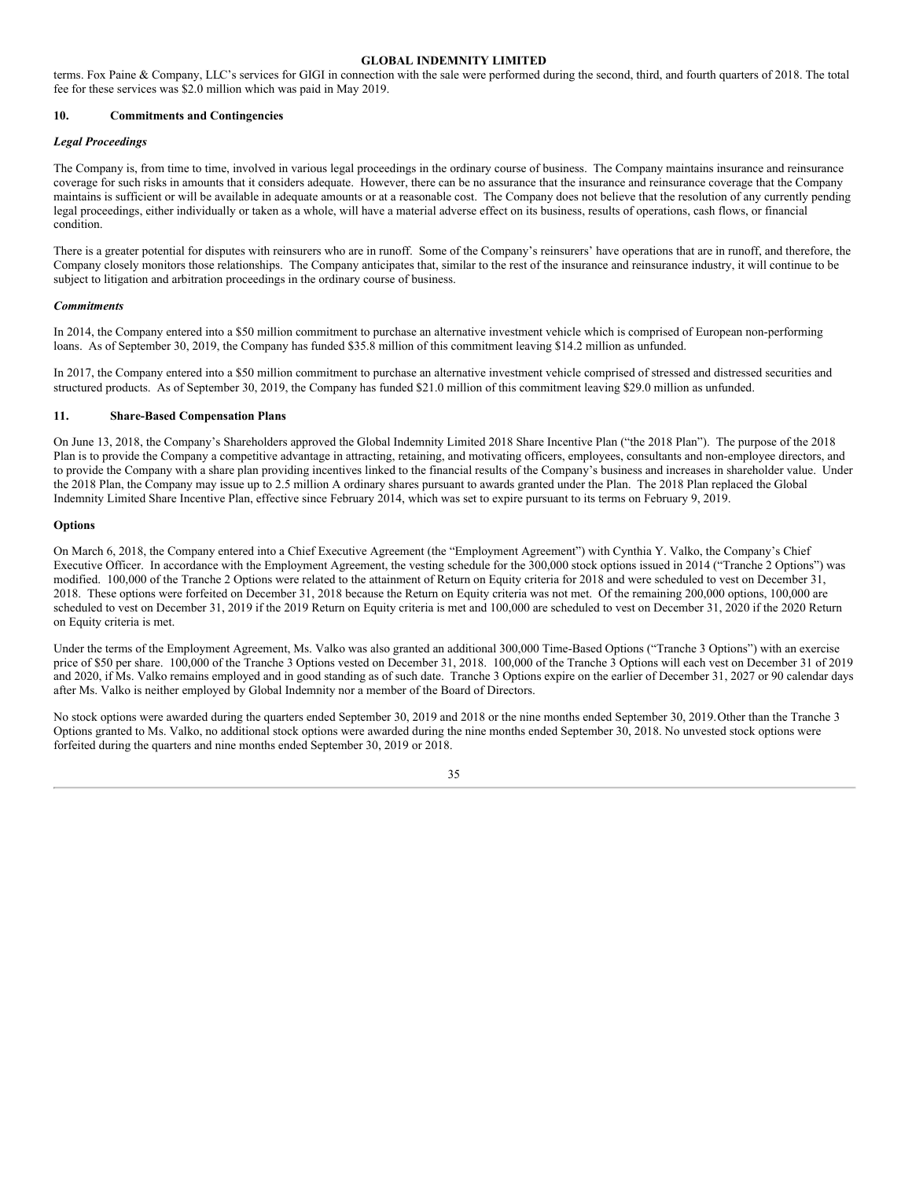terms. Fox Paine & Company, LLC's services for GIGI in connection with the sale were performed during the second, third, and fourth quarters of 2018. The total fee for these services was \$2.0 million which was paid in May 2019.

#### **10. Commitments and Contingencies**

#### *Legal Proceedings*

The Company is, from time to time, involved in various legal proceedings in the ordinary course of business. The Company maintains insurance and reinsurance coverage for such risks in amounts that it considers adequate. However, there can be no assurance that the insurance and reinsurance coverage that the Company maintains is sufficient or will be available in adequate amounts or at a reasonable cost. The Company does not believe that the resolution of any currently pending legal proceedings, either individually or taken as a whole, will have a material adverse effect on its business, results of operations, cash flows, or financial condition.

There is a greater potential for disputes with reinsurers who are in runoff. Some of the Company's reinsurers' have operations that are in runoff, and therefore, the Company closely monitors those relationships. The Company anticipates that, similar to the rest of the insurance and reinsurance industry, it will continue to be subject to litigation and arbitration proceedings in the ordinary course of business.

#### *Commitments*

In 2014, the Company entered into a \$50 million commitment to purchase an alternative investment vehicle which is comprised of European non-performing loans. As of September 30, 2019, the Company has funded \$35.8 million of this commitment leaving \$14.2 million as unfunded.

In 2017, the Company entered into a \$50 million commitment to purchase an alternative investment vehicle comprised of stressed and distressed securities and structured products. As of September 30, 2019, the Company has funded \$21.0 million of this commitment leaving \$29.0 million as unfunded.

#### **11. Share-Based Compensation Plans**

On June 13, 2018, the Company's Shareholders approved the Global Indemnity Limited 2018 Share Incentive Plan ("the 2018 Plan"). The purpose of the 2018 Plan is to provide the Company a competitive advantage in attracting, retaining, and motivating officers, employees, consultants and non-employee directors, and to provide the Company with a share plan providing incentives linked to the financial results of the Company's business and increases in shareholder value. Under the 2018 Plan, the Company may issue up to 2.5 million A ordinary shares pursuant to awards granted under the Plan. The 2018 Plan replaced the Global Indemnity Limited Share Incentive Plan, effective since February 2014, which was set to expire pursuant to its terms on February 9, 2019.

#### **Options**

On March 6, 2018, the Company entered into a Chief Executive Agreement (the "Employment Agreement") with Cynthia Y. Valko, the Company's Chief Executive Officer. In accordance with the Employment Agreement, the vesting schedule for the 300,000 stock options issued in 2014 ("Tranche 2 Options") was modified. 100,000 of the Tranche 2 Options were related to the attainment of Return on Equity criteria for 2018 and were scheduled to vest on December 31, 2018. These options were forfeited on December 31, 2018 because the Return on Equity criteria was not met. Of the remaining 200,000 options, 100,000 are scheduled to vest on December 31, 2019 if the 2019 Return on Equity criteria is met and 100,000 are scheduled to vest on December 31, 2020 if the 2020 Return on Equity criteria is met.

Under the terms of the Employment Agreement, Ms. Valko was also granted an additional 300,000 Time-Based Options ("Tranche 3 Options") with an exercise price of \$50 per share. 100,000 of the Tranche 3 Options vested on December 31, 2018. 100,000 of the Tranche 3 Options will each vest on December 31 of 2019 and 2020, if Ms. Valko remains employed and in good standing as of such date. Tranche 3 Options expire on the earlier of December 31, 2027 or 90 calendar days after Ms. Valko is neither employed by Global Indemnity nor a member of the Board of Directors.

No stock options were awarded during the quarters ended September 30, 2019 and 2018 or the nine months ended September 30, 2019.Other than the Tranche 3 Options granted to Ms. Valko, no additional stock options were awarded during the nine months ended September 30, 2018. No unvested stock options were forfeited during the quarters and nine months ended September 30, 2019 or 2018.

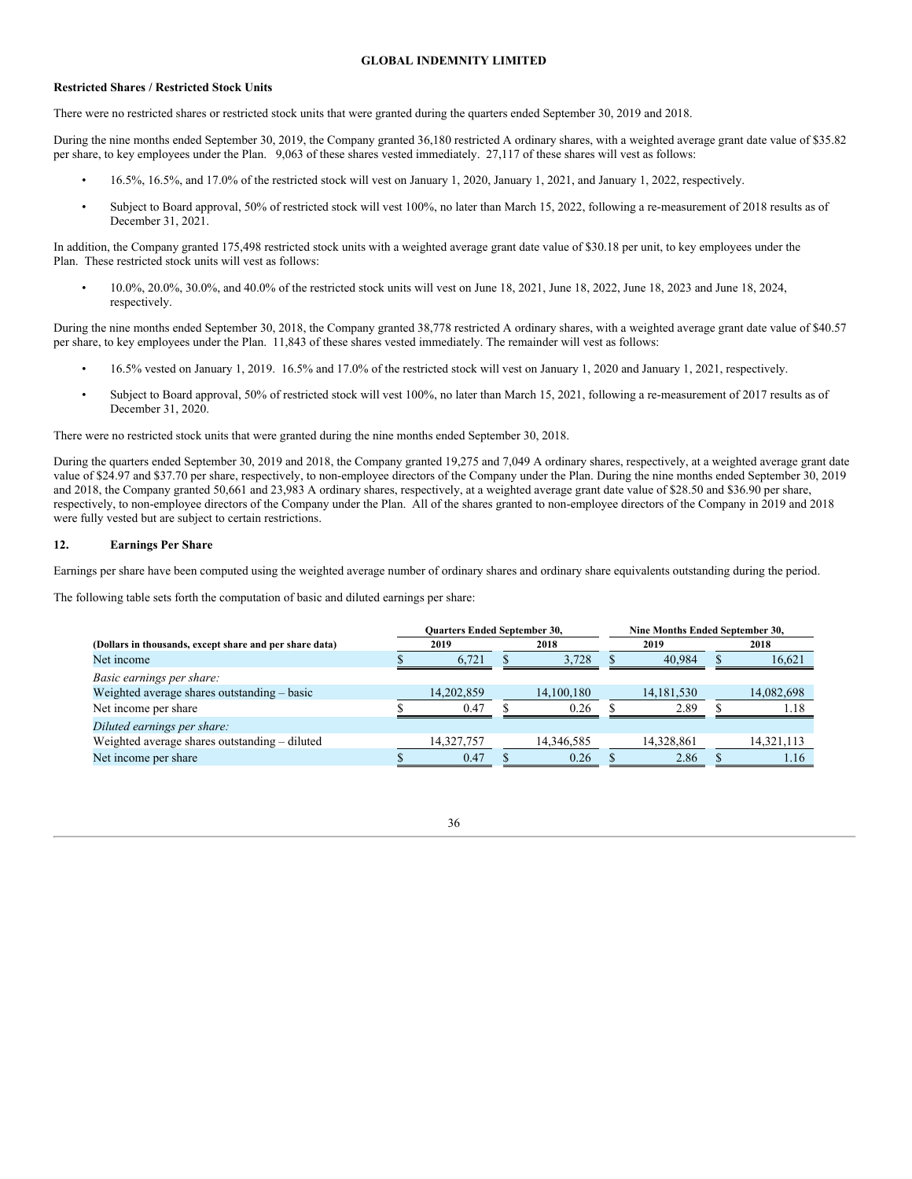#### **Restricted Shares / Restricted Stock Units**

There were no restricted shares or restricted stock units that were granted during the quarters ended September 30, 2019 and 2018.

During the nine months ended September 30, 2019, the Company granted 36,180 restricted A ordinary shares, with a weighted average grant date value of \$35.82 per share, to key employees under the Plan. 9,063 of these shares vested immediately. 27,117 of these shares will vest as follows:

- 16.5%, 16.5%, and 17.0% of the restricted stock will vest on January 1, 2020, January 1, 2021, and January 1, 2022, respectively.
- Subject to Board approval, 50% of restricted stock will vest 100%, no later than March 15, 2022, following a re-measurement of 2018 results as of December 31, 2021.

In addition, the Company granted 175,498 restricted stock units with a weighted average grant date value of \$30.18 per unit, to key employees under the Plan. These restricted stock units will vest as follows:

• 10.0%, 20.0%, 30.0%, and 40.0% of the restricted stock units will vest on June 18, 2021, June 18, 2022, June 18, 2023 and June 18, 2024, respectively.

During the nine months ended September 30, 2018, the Company granted 38,778 restricted A ordinary shares, with a weighted average grant date value of \$40.57 per share, to key employees under the Plan. 11,843 of these shares vested immediately. The remainder will vest as follows:

- 16.5% vested on January 1, 2019. 16.5% and 17.0% of the restricted stock will vest on January 1, 2020 and January 1, 2021, respectively.
- Subject to Board approval, 50% of restricted stock will vest 100%, no later than March 15, 2021, following a re-measurement of 2017 results as of December 31, 2020.

There were no restricted stock units that were granted during the nine months ended September 30, 2018.

During the quarters ended September 30, 2019 and 2018, the Company granted 19,275 and 7,049 A ordinary shares, respectively, at a weighted average grant date value of \$24.97 and \$37.70 per share, respectively, to non-employee directors of the Company under the Plan. During the nine months ended September 30, 2019 and 2018, the Company granted 50,661 and 23,983 A ordinary shares, respectively, at a weighted average grant date value of \$28.50 and \$36.90 per share, respectively, to non-employee directors of the Company under the Plan. All of the shares granted to non-employee directors of the Company in 2019 and 2018 were fully vested but are subject to certain restrictions.

#### **12. Earnings Per Share**

Earnings per share have been computed using the weighted average number of ordinary shares and ordinary share equivalents outstanding during the period.

The following table sets forth the computation of basic and diluted earnings per share:

|                                                         | Quarters Ended September 30, |            |  | Nine Months Ended September 30, |  |              |  |            |  |
|---------------------------------------------------------|------------------------------|------------|--|---------------------------------|--|--------------|--|------------|--|
| (Dollars in thousands, except share and per share data) |                              | 2019       |  | 2018                            |  | 2019         |  | 2018       |  |
| Net income                                              |                              | 6.721      |  | 3.728                           |  | 40,984       |  | 16.621     |  |
| Basic earnings per share:                               |                              |            |  |                                 |  |              |  |            |  |
| Weighted average shares outstanding – basic             |                              | 14,202,859 |  | 14,100,180                      |  | 14, 181, 530 |  | 14,082,698 |  |
| Net income per share                                    |                              | 0.47       |  | 0.26                            |  | 2.89         |  | 1.18       |  |
| Diluted earnings per share:                             |                              |            |  |                                 |  |              |  |            |  |
| Weighted average shares outstanding – diluted           |                              | 14,327,757 |  | 14,346,585                      |  | 14,328,861   |  | 14,321,113 |  |
| Net income per share                                    |                              | 0.47       |  | 0.26                            |  | 2.86         |  | 1.16       |  |

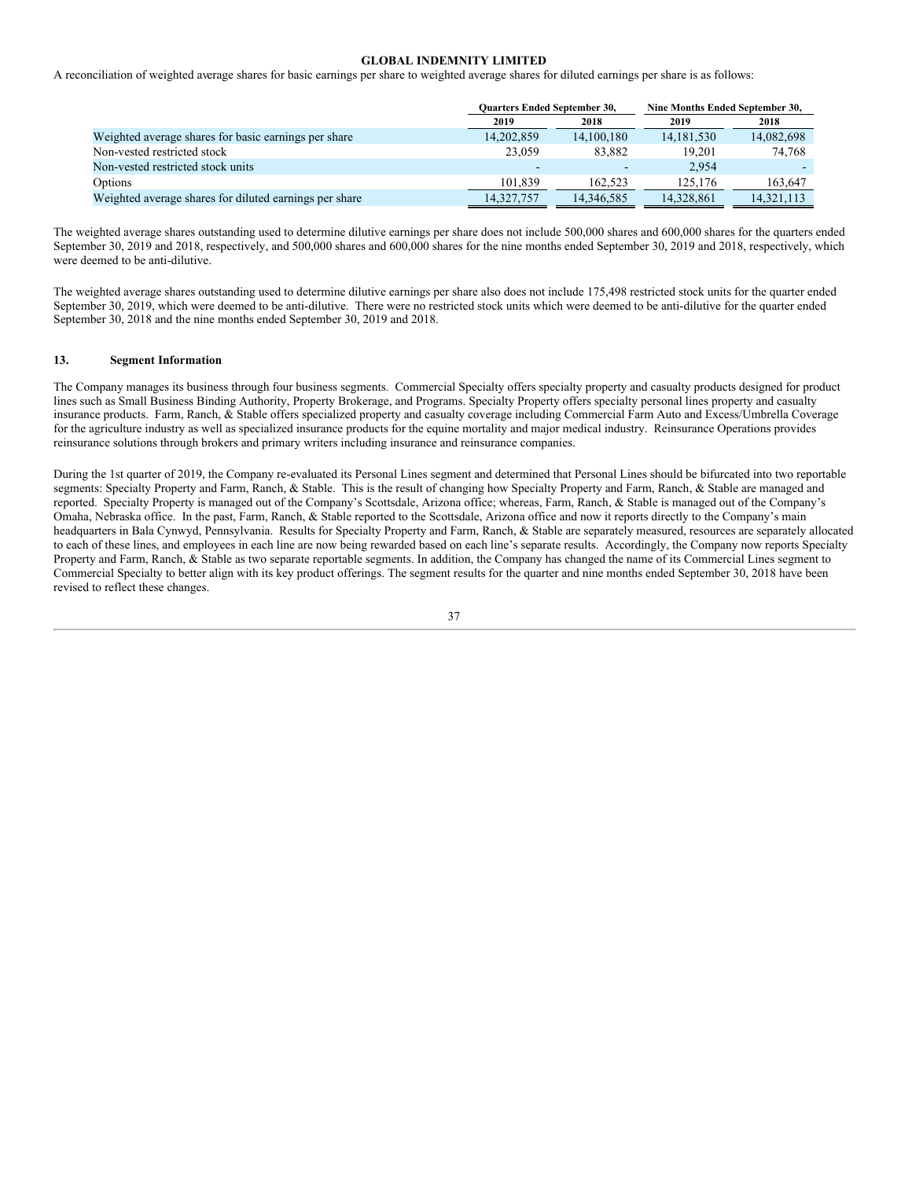A reconciliation of weighted average shares for basic earnings per share to weighted average shares for diluted earnings per share is as follows:

|                                                        | <b>Quarters Ended September 30,</b> |            | Nine Months Ended September 30, |            |
|--------------------------------------------------------|-------------------------------------|------------|---------------------------------|------------|
|                                                        | 2019                                | 2018       | 2019                            | 2018       |
| Weighted average shares for basic earnings per share   | 14.202.859                          | 14,100,180 | 14, 181, 530                    | 14,082,698 |
| Non-vested restricted stock                            | 23,059                              | 83,882     | 19.201                          | 74,768     |
| Non-vested restricted stock units                      | -                                   |            | 2.954                           |            |
| Options                                                | 101.839                             | 162.523    | 125,176                         | 163.647    |
| Weighted average shares for diluted earnings per share | 14.327.757                          | 14.346.585 | 14.328.861                      | 14.321.113 |

The weighted average shares outstanding used to determine dilutive earnings per share does not include 500,000 shares and 600,000 shares for the quarters ended September 30, 2019 and 2018, respectively, and 500,000 shares and 600,000 shares for the nine months ended September 30, 2019 and 2018, respectively, which were deemed to be anti-dilutive.

The weighted average shares outstanding used to determine dilutive earnings per share also does not include 175,498 restricted stock units for the quarter ended September 30, 2019, which were deemed to be anti-dilutive. There were no restricted stock units which were deemed to be anti-dilutive for the quarter ended September 30, 2018 and the nine months ended September 30, 2019 and 2018.

## **13. Segment Information**

The Company manages its business through four business segments. Commercial Specialty offers specialty property and casualty products designed for product lines such as Small Business Binding Authority, Property Brokerage, and Programs. Specialty Property offers specialty personal lines property and casualty insurance products. Farm, Ranch, & Stable offers specialized property and casualty coverage including Commercial Farm Auto and Excess/Umbrella Coverage for the agriculture industry as well as specialized insurance products for the equine mortality and major medical industry. Reinsurance Operations provides reinsurance solutions through brokers and primary writers including insurance and reinsurance companies.

During the 1st quarter of 2019, the Company re-evaluated its Personal Lines segment and determined that Personal Lines should be bifurcated into two reportable segments: Specialty Property and Farm, Ranch, & Stable. This is the result of changing how Specialty Property and Farm, Ranch, & Stable are managed and reported. Specialty Property is managed out of the Company's Scottsdale, Arizona office; whereas, Farm, Ranch, & Stable is managed out of the Company's Omaha, Nebraska office. In the past, Farm, Ranch, & Stable reported to the Scottsdale, Arizona office and now it reports directly to the Company's main headquarters in Bala Cynwyd, Pennsylvania. Results for Specialty Property and Farm, Ranch, & Stable are separately measured, resources are separately allocated to each of these lines, and employees in each line are now being rewarded based on each line's separate results. Accordingly, the Company now reports Specialty Property and Farm, Ranch, & Stable as two separate reportable segments. In addition, the Company has changed the name of its Commercial Lines segment to Commercial Specialty to better align with its key product offerings. The segment results for the quarter and nine months ended September 30, 2018 have been revised to reflect these changes.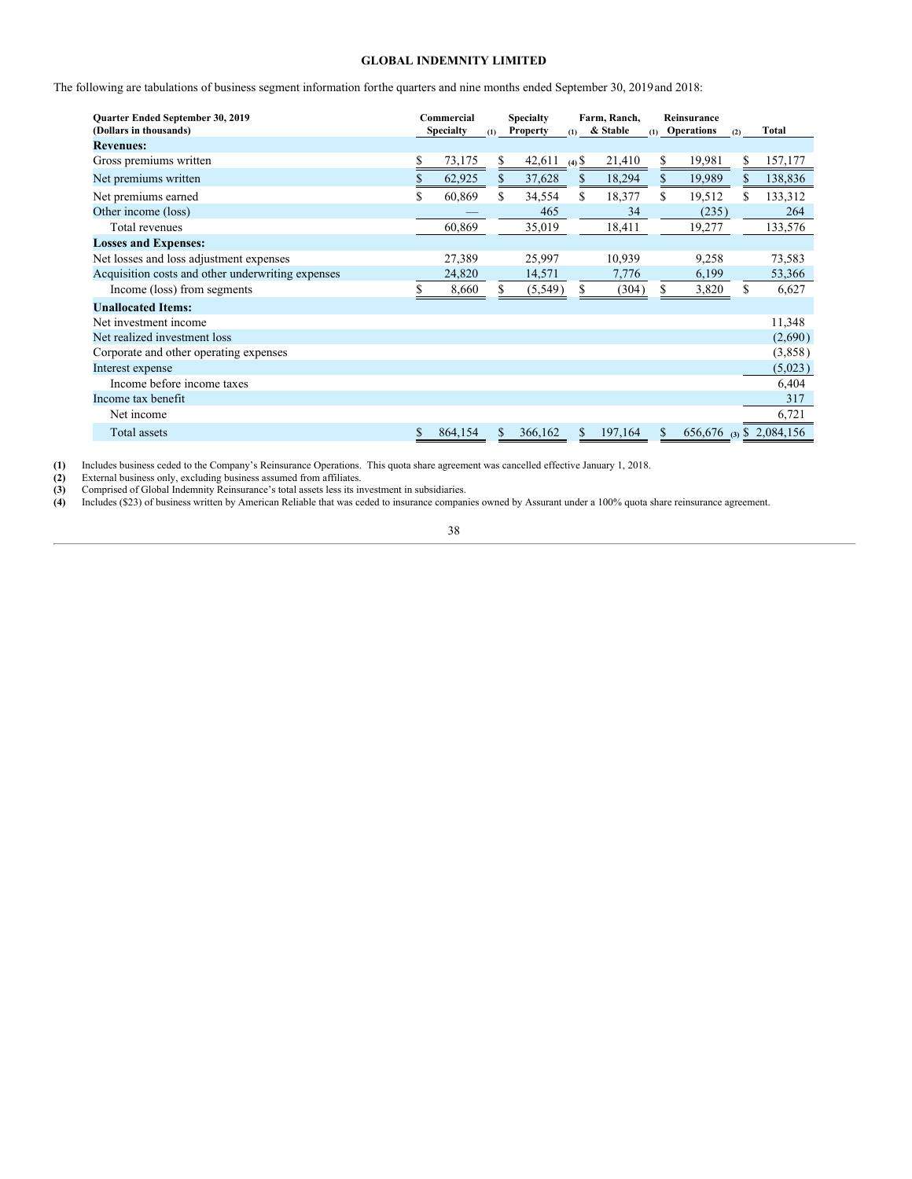The following are tabulations of business segment information forthe quarters and nine months ended September 30, 2019and 2018:

| <b>Ouarter Ended September 30, 2019</b><br>(Dollars in thousands) | Commercial<br><b>Specialty</b> | (1) | <b>Specialty</b><br><b>Property</b> |                     | Farm, Ranch,<br>$(n)$ & Stable | Reinsurance<br>$(1)$ Operations | (2) | Total                      |
|-------------------------------------------------------------------|--------------------------------|-----|-------------------------------------|---------------------|--------------------------------|---------------------------------|-----|----------------------------|
| <b>Revenues:</b>                                                  |                                |     |                                     |                     |                                |                                 |     |                            |
| Gross premiums written                                            | \$<br>73,175                   | \$  | 42,611                              | $(4)$ $\frac{6}{3}$ | 21,410                         | \$<br>19,981                    | \$  | 157,177                    |
| Net premiums written                                              | 62,925                         | \$  | 37,628                              | \$                  | 18,294                         | \$<br>19,989                    | \$  | 138,836                    |
| Net premiums earned                                               | \$<br>60,869                   | \$  | 34,554                              | S.                  | 18,377                         | S.<br>19,512                    | \$  | 133,312                    |
| Other income (loss)                                               |                                |     | 465                                 |                     | 34                             | (235)                           |     | 264                        |
| Total revenues                                                    | 60,869                         |     | 35,019                              |                     | 18,411                         | 19,277                          |     | 133,576                    |
| <b>Losses and Expenses:</b>                                       |                                |     |                                     |                     |                                |                                 |     |                            |
| Net losses and loss adjustment expenses                           | 27,389                         |     | 25,997                              |                     | 10,939                         | 9,258                           |     | 73,583                     |
| Acquisition costs and other underwriting expenses                 | 24,820                         |     | 14,571                              |                     | 7,776                          | 6,199                           |     | 53,366                     |
| Income (loss) from segments                                       | 8,660                          | \$  | (5,549)                             | S.                  | (304)                          | 3,820<br>S.                     | \$  | 6,627                      |
| <b>Unallocated Items:</b>                                         |                                |     |                                     |                     |                                |                                 |     |                            |
| Net investment income                                             |                                |     |                                     |                     |                                |                                 |     | 11,348                     |
| Net realized investment loss                                      |                                |     |                                     |                     |                                |                                 |     | (2,690)                    |
| Corporate and other operating expenses                            |                                |     |                                     |                     |                                |                                 |     | (3,858)                    |
| Interest expense                                                  |                                |     |                                     |                     |                                |                                 |     | (5,023)                    |
| Income before income taxes                                        |                                |     |                                     |                     |                                |                                 |     | 6,404                      |
| Income tax benefit                                                |                                |     |                                     |                     |                                |                                 |     | 317                        |
| Net income                                                        |                                |     |                                     |                     |                                |                                 |     | 6,721                      |
| Total assets                                                      | \$<br>864,154                  | \$  | 366,162                             | S.                  | 197,164                        | \$                              |     | $656,676$ (3) \$ 2,084,156 |

**(1)** Includes business ceded to the Company's Reinsurance Operations. This quota share agreement was cancelled effective January 1, 2018.

**(2)** External business only, excluding business assumed from affiliates.

**(3)** Comprised of Global Indemnity Reinsurance's total assets less its investment in subsidiaries.

**(4)** Includes (\$23) of business written by American Reliable that was ceded to insurance companies owned by Assurant under a 100% quota share reinsurance agreement.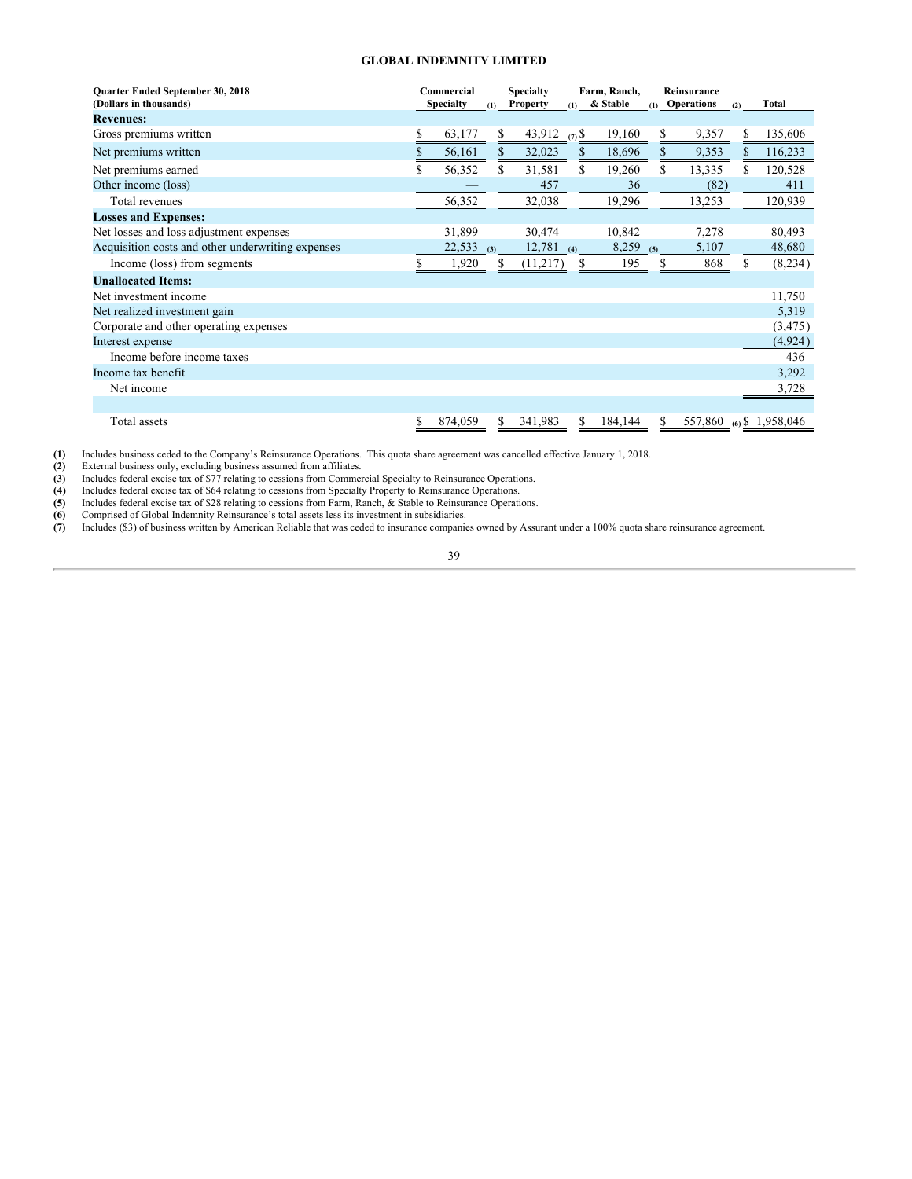| Quarter Ended September 30, 2018<br>(Dollars in thousands) |    | Commercial<br><b>Specialty</b> | (1) | <b>Specialty</b><br><b>Property</b> | (1)                 | Farm. Ranch.<br>& Stable |     | Reinsurance<br>$(1)$ Operations | (2) | <b>Total</b>           |
|------------------------------------------------------------|----|--------------------------------|-----|-------------------------------------|---------------------|--------------------------|-----|---------------------------------|-----|------------------------|
| <b>Revenues:</b>                                           |    |                                |     |                                     |                     |                          |     |                                 |     |                        |
| Gross premiums written                                     | \$ | 63,177                         | \$  | 43,912                              | $(7)$ $\frac{1}{2}$ | 19,160                   | \$  | 9,357                           | \$  | 135,606                |
| Net premiums written                                       |    | 56,161                         | \$  | 32,023                              | S.                  | 18,696                   | \$  | 9,353                           |     | 116,233                |
| Net premiums earned                                        | \$ | 56,352                         | \$  | 31,581                              |                     | 19,260                   | \$  | 13,335                          | S   | 120,528                |
| Other income (loss)                                        |    |                                |     | 457                                 |                     | 36                       |     | (82)                            |     | 411                    |
| Total revenues                                             |    | 56,352                         |     | 32,038                              |                     | 19,296                   |     | 13,253                          |     | 120,939                |
| <b>Losses and Expenses:</b>                                |    |                                |     |                                     |                     |                          |     |                                 |     |                        |
| Net losses and loss adjustment expenses                    |    | 31,899                         |     | 30,474                              |                     | 10,842                   |     | 7,278                           |     | 80,493                 |
| Acquisition costs and other underwriting expenses          |    | 22,533                         | (3) | $12,781$ (4)                        |                     | 8,259                    | (5) | 5,107                           |     | 48,680                 |
| Income (loss) from segments                                | S  | 1,920                          | \$  | (11,217)                            |                     | 195                      |     | 868                             | S   | (8,234)                |
| <b>Unallocated Items:</b>                                  |    |                                |     |                                     |                     |                          |     |                                 |     |                        |
| Net investment income                                      |    |                                |     |                                     |                     |                          |     |                                 |     | 11,750                 |
| Net realized investment gain                               |    |                                |     |                                     |                     |                          |     |                                 |     | 5,319                  |
| Corporate and other operating expenses                     |    |                                |     |                                     |                     |                          |     |                                 |     | (3, 475)               |
| Interest expense                                           |    |                                |     |                                     |                     |                          |     |                                 |     | (4,924)                |
| Income before income taxes                                 |    |                                |     |                                     |                     |                          |     |                                 |     | 436                    |
| Income tax benefit                                         |    |                                |     |                                     |                     |                          |     |                                 |     | 3,292                  |
| Net income                                                 |    |                                |     |                                     |                     |                          |     |                                 |     | 3,728                  |
|                                                            |    |                                |     |                                     |                     |                          |     |                                 |     |                        |
| Total assets                                               | \$ | 874,059                        | \$  | 341,983                             | S.                  | 184,144                  | \$  |                                 |     | 557,860 6 \$ 1,958,046 |

**(1)** Includes business ceded to the Company's Reinsurance Operations. This quota share agreement was cancelled effective January 1, 2018.

**(2)** External business only, excluding business assumed from affiliates.

**(3)** Includes federal excise tax of \$77 relating to cessions from Commercial Specialty to Reinsurance Operations.

**(4)** Includes federal excise tax of \$64 relating to cessions from Specialty Property to Reinsurance Operations.

**(5)** Includes federal excise tax of \$28 relating to cessions from Farm, Ranch, & Stable to Reinsurance Operations.

**(6)** Comprised of Global Indemnity Reinsurance's total assets less its investment in subsidiaries.

**(7)** Includes (\$3) of business written by American Reliable that was ceded to insurance companies owned by Assurant under a 100% quota share reinsurance agreement.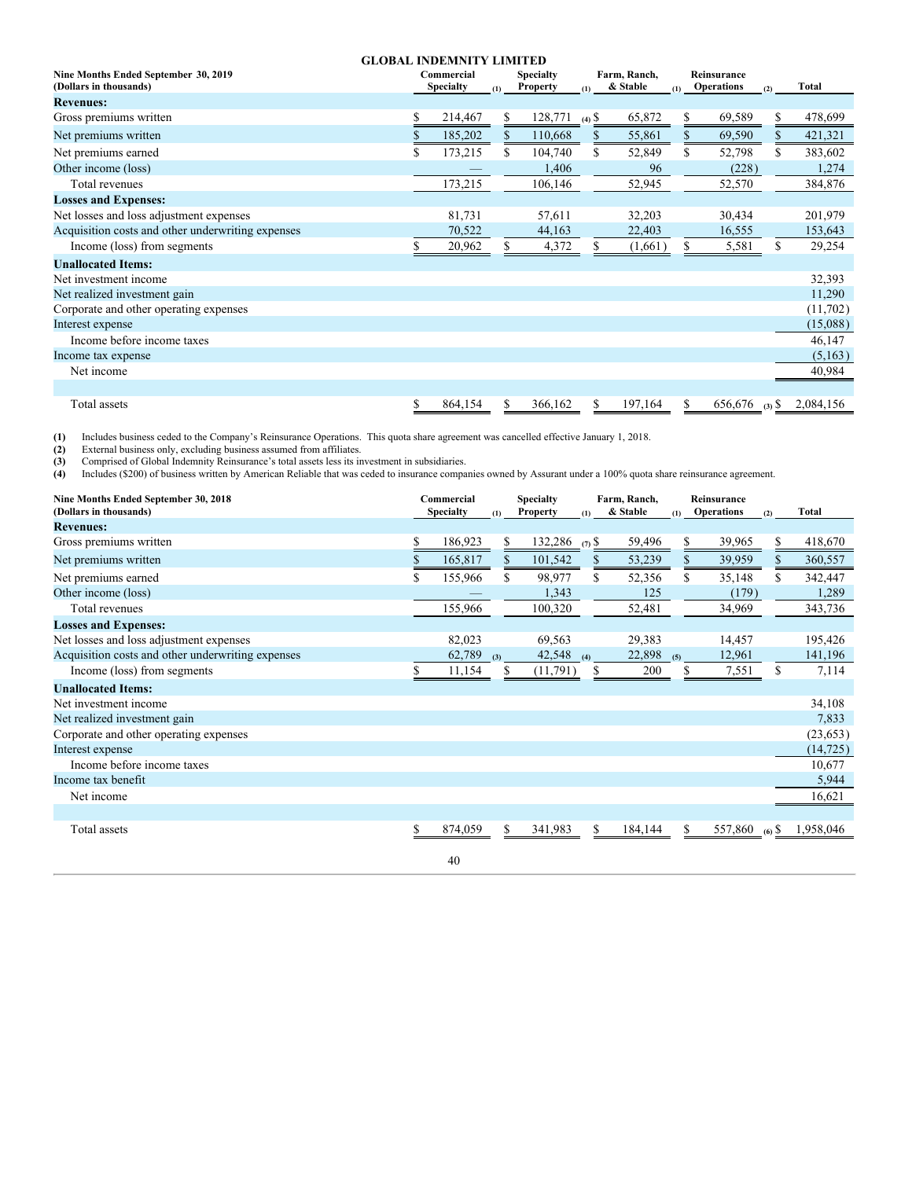|                                                   |    | <b>GLOBAL INDEMNITY LIMITED</b> |     |                  |                     |              |     |                   |                     |           |
|---------------------------------------------------|----|---------------------------------|-----|------------------|---------------------|--------------|-----|-------------------|---------------------|-----------|
| Nine Months Ended September 30, 2019              |    | Commercial                      |     | <b>Specialty</b> |                     | Farm, Ranch, |     | Reinsurance       |                     |           |
| (Dollars in thousands)                            |    | <b>Specialty</b>                | (1) | <b>Property</b>  | (1)                 | & Stable     | (1) | <b>Operations</b> | (2)                 | Total     |
| <b>Revenues:</b>                                  |    |                                 |     |                  |                     |              |     |                   |                     |           |
| Gross premiums written                            | \$ | 214,467                         | \$  | 128,771          | $(4)$ $\frac{6}{3}$ | 65,872       |     | S<br>69,589       | \$                  | 478,699   |
| Net premiums written                              |    | 185,202                         |     | 110,668          |                     | 55,861       |     | 69,590            | S                   | 421,321   |
| Net premiums earned                               | S. | 173,215                         | \$  | 104,740          |                     | 52,849       |     | \$<br>52,798      | \$                  | 383,602   |
| Other income (loss)                               |    |                                 |     | 1,406            |                     | 96           |     | (228)             |                     | 1,274     |
| Total revenues                                    |    | 173,215                         |     | 106,146          |                     | 52,945       |     | 52,570            |                     | 384,876   |
| <b>Losses and Expenses:</b>                       |    |                                 |     |                  |                     |              |     |                   |                     |           |
| Net losses and loss adjustment expenses           |    | 81,731                          |     | 57,611           |                     | 32,203       |     | 30,434            |                     | 201,979   |
| Acquisition costs and other underwriting expenses |    | 70,522                          |     | 44,163           |                     | 22,403       |     | 16,555            |                     | 153,643   |
| Income (loss) from segments                       |    | 20,962                          | S   | 4,372            |                     | (1,661)      |     | 5,581<br>N.       | S.                  | 29,254    |
| <b>Unallocated Items:</b>                         |    |                                 |     |                  |                     |              |     |                   |                     |           |
| Net investment income                             |    |                                 |     |                  |                     |              |     |                   |                     | 32,393    |
| Net realized investment gain                      |    |                                 |     |                  |                     |              |     |                   |                     | 11,290    |
| Corporate and other operating expenses            |    |                                 |     |                  |                     |              |     |                   |                     | (11,702)  |
| Interest expense                                  |    |                                 |     |                  |                     |              |     |                   |                     | (15,088)  |
| Income before income taxes                        |    |                                 |     |                  |                     |              |     |                   |                     | 46,147    |
| Income tax expense                                |    |                                 |     |                  |                     |              |     |                   |                     | (5,163)   |
| Net income                                        |    |                                 |     |                  |                     |              |     |                   |                     | 40,984    |
|                                                   |    |                                 |     |                  |                     |              |     |                   |                     |           |
| Total assets                                      | \$ | 864,154                         | \$  | 366,162          | \$                  | 197,164      |     | S<br>656,676      | $(3)$ $\frac{1}{2}$ | 2,084,156 |

**(1)** Includes business ceded to the Company's Reinsurance Operations. This quota share agreement was cancelled effective January 1, 2018.

**(2)** External business only, excluding business assumed from affiliates.

**(3)** Comprised of Global Indemnity Reinsurance's total assets less its investment in subsidiaries.

**(4)** Includes (\$200) of business written by American Reliable that was ceded to insurance companies owned by Assurant under a 100% quota share reinsurance agreement.

| Nine Months Ended September 30, 2018<br>(Dollars in thousands) |    | Commercial<br><b>Specialty</b> | (1) | <b>Specialty</b><br><b>Property</b> | (1)     | Farm, Ranch,<br>& Stable | (1) | Reinsurance<br><b>Operations</b> | (2) | <b>Total</b> |
|----------------------------------------------------------------|----|--------------------------------|-----|-------------------------------------|---------|--------------------------|-----|----------------------------------|-----|--------------|
| <b>Revenues:</b>                                               |    |                                |     |                                     |         |                          |     |                                  |     |              |
| Gross premiums written                                         | S  | 186,923                        | \$  | 132,286                             | $(7)$ S | 59,496                   | \$. | 39,965                           | S   | 418,670      |
| Net premiums written                                           |    | 165,817                        |     | 101,542                             |         | 53,239                   |     | 39,959                           |     | 360,557      |
| Net premiums earned                                            | \$ | 155,966                        | \$  | 98,977                              | S       | 52,356                   | \$  | 35,148                           | S   | 342,447      |
| Other income (loss)                                            |    |                                |     | 1,343                               |         | 125                      |     | (179)                            |     | 1,289        |
| Total revenues                                                 |    | 155,966                        |     | 100,320                             |         | 52,481                   |     | 34,969                           |     | 343,736      |
| <b>Losses and Expenses:</b>                                    |    |                                |     |                                     |         |                          |     |                                  |     |              |
| Net losses and loss adjustment expenses                        |    | 82,023                         |     | 69,563                              |         | 29,383                   |     | 14,457                           |     | 195,426      |
| Acquisition costs and other underwriting expenses              |    | 62,789                         | (3) | 42,548                              | (4)     | 22,898                   | (5) | 12,961                           |     | 141,196      |
| Income (loss) from segments                                    |    | 11,154                         | \$  | (11,791)                            |         | 200                      |     | 7,551                            | \$  | 7,114        |
| <b>Unallocated Items:</b>                                      |    |                                |     |                                     |         |                          |     |                                  |     |              |
| Net investment income                                          |    |                                |     |                                     |         |                          |     |                                  |     | 34,108       |
| Net realized investment gain                                   |    |                                |     |                                     |         |                          |     |                                  |     | 7,833        |
| Corporate and other operating expenses                         |    |                                |     |                                     |         |                          |     |                                  |     | (23, 653)    |
| Interest expense                                               |    |                                |     |                                     |         |                          |     |                                  |     | (14, 725)    |
| Income before income taxes                                     |    |                                |     |                                     |         |                          |     |                                  |     | 10,677       |
| Income tax benefit                                             |    |                                |     |                                     |         |                          |     |                                  |     | 5,944        |
| Net income                                                     |    |                                |     |                                     |         |                          |     |                                  |     | 16,621       |
|                                                                |    |                                |     |                                     |         |                          |     |                                  |     |              |
| Total assets                                                   |    | 874,059                        | S.  | 341,983                             | \$      | 184,144                  | S   | $557,860$ (6) $\frac{\$}{\$}$    |     | 1,958,046    |
|                                                                |    | 40                             |     |                                     |         |                          |     |                                  |     |              |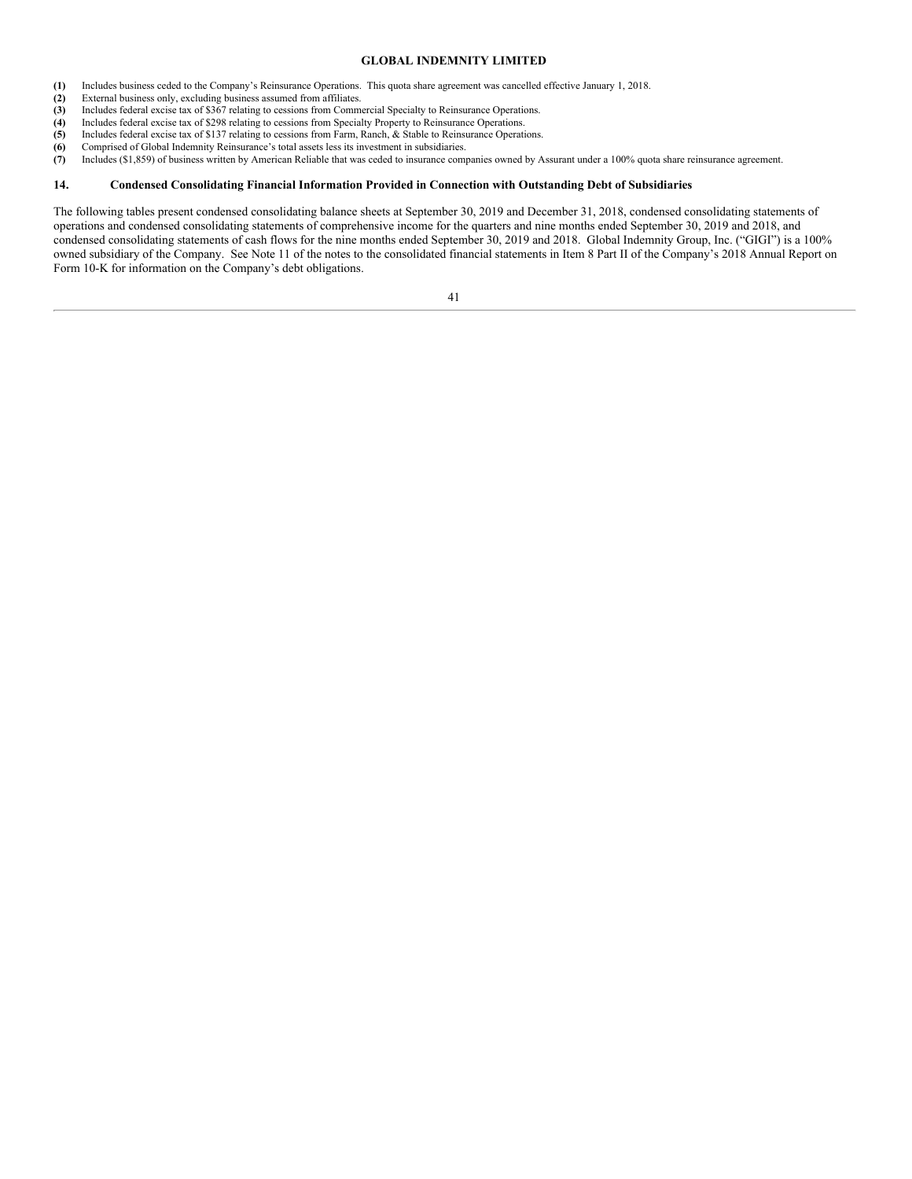- **(1)** Includes business ceded to the Company's Reinsurance Operations. This quota share agreement was cancelled effective January 1, 2018.
- **(2)** External business only, excluding business assumed from affiliates.
- **(3)** Includes federal excise tax of \$367 relating to cessions from Commercial Specialty to Reinsurance Operations.
- **(4)** Includes federal excise tax of \$298 relating to cessions from Specialty Property to Reinsurance Operations.
- **(5)** Includes federal excise tax of \$137 relating to cessions from Farm, Ranch, & Stable to Reinsurance Operations.
- **(6)** Comprised of Global Indemnity Reinsurance's total assets less its investment in subsidiaries.
- **(7)** Includes (\$1,859) of business written by American Reliable that was ceded to insurance companies owned by Assurant under a 100% quota share reinsurance agreement.

#### **14. Condensed Consolidating Financial Information Provided in Connection with Outstanding Debt of Subsidiaries**

The following tables present condensed consolidating balance sheets at September 30, 2019 and December 31, 2018, condensed consolidating statements of operations and condensed consolidating statements of comprehensive income for the quarters and nine months ended September 30, 2019 and 2018, and condensed consolidating statements of cash flows for the nine months ended September 30, 2019 and 2018. Global Indemnity Group, Inc. ("GIGI") is a 100% owned subsidiary of the Company. See Note 11 of the notes to the consolidated financial statements in Item 8 Part II of the Company's 2018 Annual Report on Form 10-K for information on the Company's debt obligations.

| I |  |
|---|--|
|   |  |
|   |  |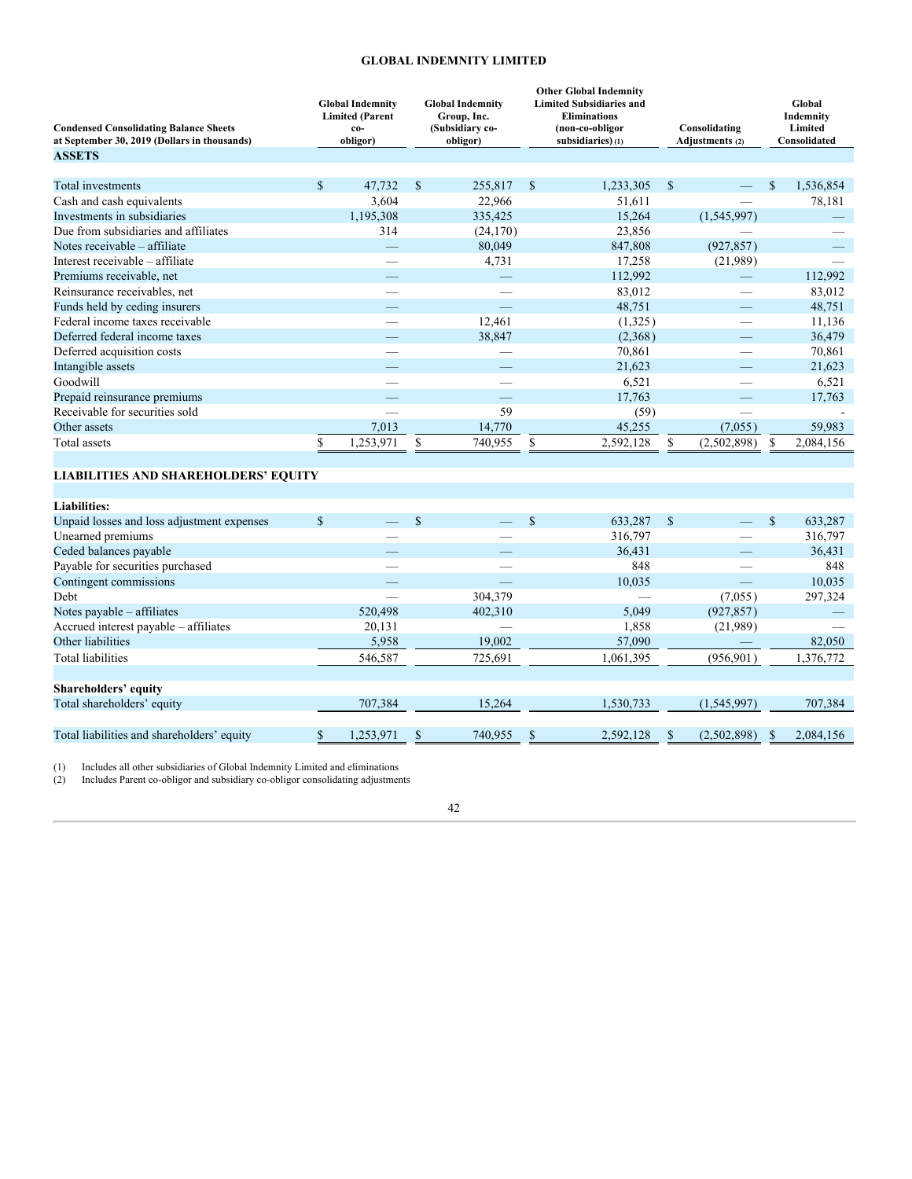| <b>Condensed Consolidating Balance Sheets</b><br>at September 30, 2019 (Dollars in thousands) |              | <b>Global Indemnity</b><br><b>Limited</b> (Parent<br>$co-$<br>obligor) |               | <b>Global Indemnity</b><br>Group, Inc.<br>(Subsidiary co-<br>obligor) |    | <b>Other Global Indemnity</b><br><b>Limited Subsidiaries and</b><br><b>Eliminations</b><br>(non-co-obligor<br>subsidiaries) (1) | Consolidating<br>Adjustments (2) |             |    | Global<br>Indemnity<br>Limited<br>Consolidated |
|-----------------------------------------------------------------------------------------------|--------------|------------------------------------------------------------------------|---------------|-----------------------------------------------------------------------|----|---------------------------------------------------------------------------------------------------------------------------------|----------------------------------|-------------|----|------------------------------------------------|
| <b>ASSETS</b>                                                                                 |              |                                                                        |               |                                                                       |    |                                                                                                                                 |                                  |             |    |                                                |
| Total investments                                                                             | $\mathbb{S}$ | 47,732                                                                 | <sup>\$</sup> | 255,817                                                               | \$ | 1,233,305                                                                                                                       | \$                               |             | \$ | 1,536,854                                      |
| Cash and cash equivalents                                                                     |              | 3,604                                                                  |               | 22,966                                                                |    | 51,611                                                                                                                          |                                  |             |    | 78,181                                         |
| Investments in subsidiaries                                                                   |              | 1,195,308                                                              |               | 335,425                                                               |    | 15,264                                                                                                                          |                                  | (1,545,997) |    |                                                |
| Due from subsidiaries and affiliates                                                          |              | 314                                                                    |               | (24,170)                                                              |    | 23,856                                                                                                                          |                                  |             |    |                                                |
| Notes receivable – affiliate                                                                  |              |                                                                        |               | 80,049                                                                |    | 847,808                                                                                                                         |                                  | (927, 857)  |    |                                                |
| Interest receivable – affiliate                                                               |              |                                                                        |               | 4,731                                                                 |    | 17,258                                                                                                                          |                                  | (21,989)    |    |                                                |
| Premiums receivable, net                                                                      |              |                                                                        |               |                                                                       |    | 112,992                                                                                                                         |                                  |             |    | 112,992                                        |
| Reinsurance receivables, net                                                                  |              |                                                                        |               |                                                                       |    | 83,012                                                                                                                          |                                  |             |    | 83,012                                         |
| Funds held by ceding insurers                                                                 |              |                                                                        |               |                                                                       |    | 48,751                                                                                                                          |                                  |             |    | 48,751                                         |
| Federal income taxes receivable                                                               |              |                                                                        |               | 12,461                                                                |    | (1,325)                                                                                                                         |                                  |             |    | 11,136                                         |
| Deferred federal income taxes                                                                 |              |                                                                        |               | 38,847                                                                |    | (2,368)                                                                                                                         |                                  |             |    | 36,479                                         |
| Deferred acquisition costs                                                                    |              |                                                                        |               |                                                                       |    | 70,861                                                                                                                          |                                  |             |    | 70,861                                         |
| Intangible assets                                                                             |              |                                                                        |               |                                                                       |    | 21,623                                                                                                                          |                                  |             |    | 21,623                                         |
| Goodwill                                                                                      |              |                                                                        |               |                                                                       |    | 6,521                                                                                                                           |                                  |             |    | 6,521                                          |
| Prepaid reinsurance premiums                                                                  |              |                                                                        |               |                                                                       |    | 17,763                                                                                                                          |                                  |             |    | 17,763                                         |
| Receivable for securities sold                                                                |              |                                                                        |               | 59                                                                    |    | (59)                                                                                                                            |                                  |             |    |                                                |
| Other assets                                                                                  |              | 7,013                                                                  |               | 14,770                                                                |    | 45,255                                                                                                                          |                                  | (7,055)     |    | 59,983                                         |
| Total assets                                                                                  |              | 1,253,971                                                              | \$            | 740,955                                                               | \$ | 2,592,128                                                                                                                       | \$                               | (2,502,898) | \$ | 2,084,156                                      |
|                                                                                               |              |                                                                        |               |                                                                       |    |                                                                                                                                 |                                  |             |    |                                                |
| <b>LIABILITIES AND SHAREHOLDERS' EQUITY</b>                                                   |              |                                                                        |               |                                                                       |    |                                                                                                                                 |                                  |             |    |                                                |
|                                                                                               |              |                                                                        |               |                                                                       |    |                                                                                                                                 |                                  |             |    |                                                |
| <b>Liabilities:</b>                                                                           |              |                                                                        |               |                                                                       |    |                                                                                                                                 |                                  |             |    |                                                |

| Unpaid losses and loss adjustment expenses | \$        | \$<br>$\qquad \qquad -$ | 633.287   | \$. | $\overline{\phantom{m}}$ | 633,287   |
|--------------------------------------------|-----------|-------------------------|-----------|-----|--------------------------|-----------|
| Unearned premiums                          |           |                         | 316,797   |     |                          | 316,797   |
| Ceded balances payable                     |           |                         | 36,431    |     |                          | 36,431    |
| Payable for securities purchased           |           |                         | 848       |     |                          | 848       |
| Contingent commissions                     |           |                         | 10,035    |     |                          | 10,035    |
| Debt                                       |           | 304,379                 |           |     | (7.055)                  | 297,324   |
| Notes payable $-$ affiliates               | 520,498   | 402,310                 | 5,049     |     | (927, 857)               |           |
| Accrued interest payable – affiliates      | 20,131    |                         | 1,858     |     | (21,989)                 |           |
| Other liabilities                          | 5,958     | 19,002                  | 57,090    |     |                          | 82,050    |
| Total liabilities                          | 546,587   | 725,691                 | 1,061,395 |     | (956, 901)               | 1,376,772 |
|                                            |           |                         |           |     |                          |           |
| Shareholders' equity                       |           |                         |           |     |                          |           |
| Total shareholders' equity                 | 707,384   | 15,264                  | 1,530,733 |     | (1,545,997)              | 707,384   |
|                                            |           |                         |           |     |                          |           |
| Total liabilities and shareholders' equity | 1,253,971 | 740,955                 | 2,592,128 |     | (2,502,898)              | 2,084,156 |

(1) Includes all other subsidiaries of Global Indemnity Limited and eliminations

(2) Includes Parent co-obligor and subsidiary co-obligor consolidating adjustments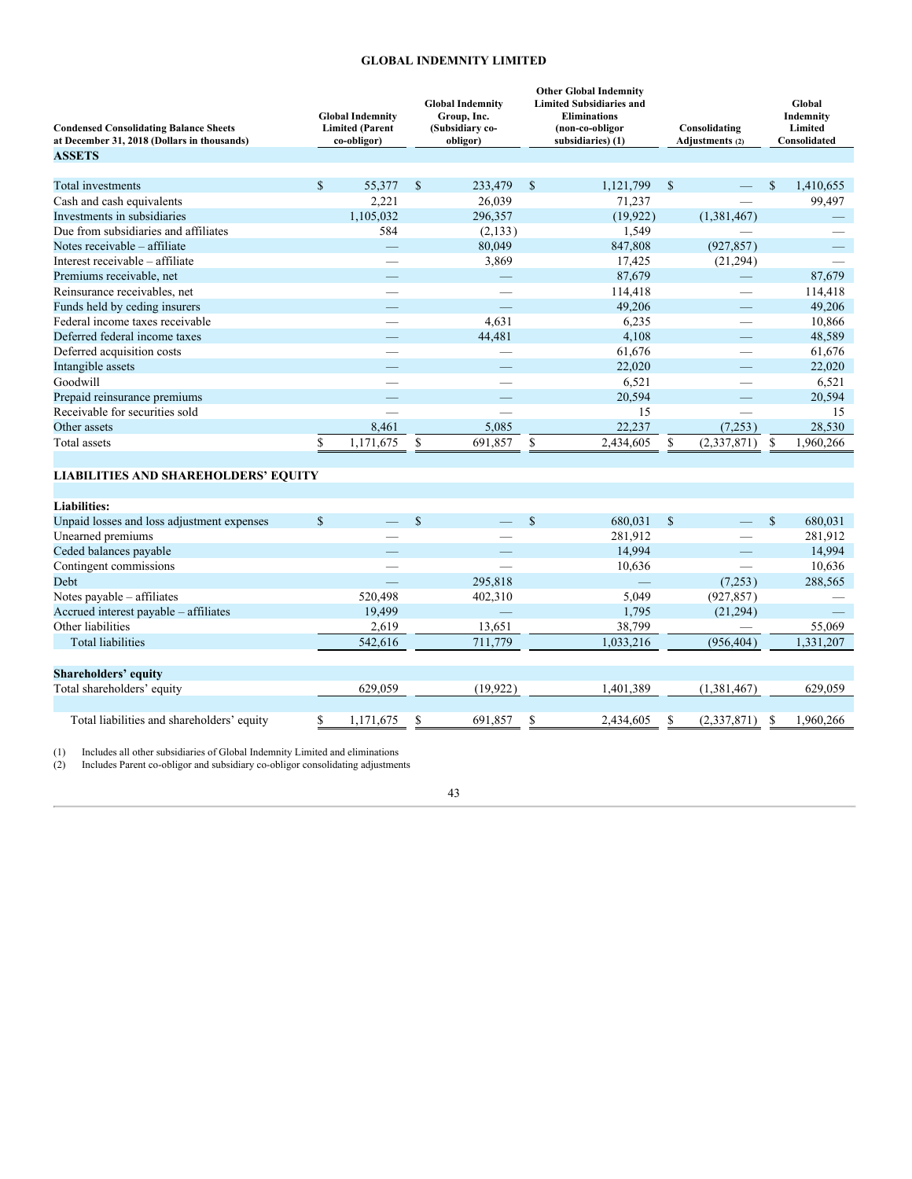| <b>Condensed Consolidating Balance Sheets</b><br>at December 31, 2018 (Dollars in thousands)<br><b>ASSETS</b> |              | <b>Global Indemnity</b><br><b>Limited (Parent</b><br>co-obligor) |               | <b>Global Indemnity</b><br>Group, Inc.<br>(Subsidiary co-<br>obligor) | <b>Other Global Indemnity</b><br><b>Limited Subsidiaries and</b><br><b>Eliminations</b><br>(non-co-obligor<br>subsidiaries) (1) |           |              | Consolidating<br>Adjustments (2) |               | Global<br>Indemnity<br>Limited<br>Consolidated |
|---------------------------------------------------------------------------------------------------------------|--------------|------------------------------------------------------------------|---------------|-----------------------------------------------------------------------|---------------------------------------------------------------------------------------------------------------------------------|-----------|--------------|----------------------------------|---------------|------------------------------------------------|
| Total investments                                                                                             | $\mathbb{S}$ | 55,377                                                           | $\mathbb{S}$  | 233,479                                                               | $\mathbf{s}$                                                                                                                    | 1,121,799 | $\mathbb{S}$ |                                  | $\mathcal{S}$ | 1.410.655                                      |
| Cash and cash equivalents                                                                                     |              | 2,221                                                            |               | 26,039                                                                |                                                                                                                                 | 71,237    |              |                                  |               | 99,497                                         |
| Investments in subsidiaries                                                                                   |              | 1.105.032                                                        |               | 296,357                                                               |                                                                                                                                 | (19,922)  |              | (1,381,467)                      |               |                                                |
| Due from subsidiaries and affiliates                                                                          |              | 584                                                              |               | (2,133)                                                               |                                                                                                                                 | 1,549     |              |                                  |               |                                                |
| Notes receivable – affiliate                                                                                  |              |                                                                  |               | 80,049                                                                |                                                                                                                                 | 847,808   |              | (927, 857)                       |               |                                                |
| Interest receivable – affiliate                                                                               |              |                                                                  |               | 3,869                                                                 |                                                                                                                                 | 17,425    |              | (21, 294)                        |               |                                                |
| Premiums receivable, net                                                                                      |              |                                                                  |               |                                                                       |                                                                                                                                 | 87,679    |              |                                  |               | 87,679                                         |
| Reinsurance receivables, net                                                                                  |              |                                                                  |               |                                                                       |                                                                                                                                 | 114,418   |              |                                  |               | 114,418                                        |
| Funds held by ceding insurers                                                                                 |              |                                                                  |               |                                                                       |                                                                                                                                 | 49,206    |              |                                  |               | 49,206                                         |
| Federal income taxes receivable                                                                               |              |                                                                  |               | 4.631                                                                 |                                                                                                                                 | 6,235     |              |                                  |               | 10,866                                         |
| Deferred federal income taxes                                                                                 |              |                                                                  |               | 44,481                                                                |                                                                                                                                 | 4,108     |              |                                  |               | 48,589                                         |
| Deferred acquisition costs                                                                                    |              |                                                                  |               |                                                                       |                                                                                                                                 | 61,676    |              |                                  |               | 61,676                                         |
| Intangible assets                                                                                             |              |                                                                  |               |                                                                       |                                                                                                                                 | 22,020    |              |                                  |               | 22,020                                         |
| Goodwill                                                                                                      |              |                                                                  |               |                                                                       |                                                                                                                                 | 6,521     |              |                                  |               |                                                |
| Prepaid reinsurance premiums                                                                                  |              |                                                                  |               |                                                                       |                                                                                                                                 | 20,594    |              |                                  |               | 6,521                                          |
| Receivable for securities sold                                                                                |              |                                                                  |               |                                                                       |                                                                                                                                 | 15        |              |                                  |               | 20,594<br>15                                   |
| Other assets                                                                                                  |              |                                                                  |               | 5,085                                                                 |                                                                                                                                 |           |              |                                  |               | 28.530                                         |
|                                                                                                               |              | 8,461                                                            |               |                                                                       |                                                                                                                                 | 22,237    |              | (7,253)                          |               |                                                |
| <b>Total</b> assets                                                                                           | \$           | 1,171,675                                                        | \$            | 691,857                                                               | \$                                                                                                                              | 2,434,605 | \$           | (2,337,871)                      | S             | 1,960,266                                      |
| <b>LIABILITIES AND SHAREHOLDERS' EQUITY</b>                                                                   |              |                                                                  |               |                                                                       |                                                                                                                                 |           |              |                                  |               |                                                |
| <b>Liabilities:</b>                                                                                           |              |                                                                  |               |                                                                       |                                                                                                                                 |           |              |                                  |               |                                                |
| Unpaid losses and loss adjustment expenses                                                                    | \$           |                                                                  | $\mathcal{S}$ |                                                                       | $\mathbb{S}$                                                                                                                    | 680.031   | $\mathbf S$  |                                  | $\mathbb{S}$  | 680.031                                        |
| Unearned premiums                                                                                             |              |                                                                  |               |                                                                       |                                                                                                                                 | 281.912   |              |                                  |               | 281,912                                        |
| Ceded balances payable                                                                                        |              |                                                                  |               |                                                                       |                                                                                                                                 | 14.994    |              |                                  |               | 14,994                                         |
| Contingent commissions                                                                                        |              |                                                                  |               |                                                                       |                                                                                                                                 | 10,636    |              |                                  |               | 10,636                                         |
| Debt                                                                                                          |              |                                                                  |               | 295.818                                                               |                                                                                                                                 |           |              | (7,253)                          |               | 288,565                                        |
| Notes payable $-$ affiliates                                                                                  |              | 520,498                                                          |               | 402,310                                                               |                                                                                                                                 | 5.049     |              | (927, 857)                       |               |                                                |
| Accrued interest payable – affiliates                                                                         |              | 19,499                                                           |               |                                                                       |                                                                                                                                 | 1,795     |              | (21, 294)                        |               |                                                |
| Other liabilities                                                                                             |              | 2.619                                                            |               | 13.651                                                                |                                                                                                                                 | 38,799    |              |                                  |               | 55,069                                         |
| <b>Total liabilities</b>                                                                                      |              | 542,616                                                          |               | 711,779                                                               |                                                                                                                                 | 1,033,216 |              | (956, 404)                       |               | 1,331,207                                      |

| <b>Shareholders' equity</b>                |          |         |           |             |          |
|--------------------------------------------|----------|---------|-----------|-------------|----------|
| Total shareholders' equity                 | 29.059ء  | 19.922  | .401.389  | 1,381,467   | 629,059  |
|                                            |          |         |           |             |          |
| Total liabilities and shareholders' equity | .171.675 | 691.857 | 2,434,605 | (2,337,871) | .960.266 |
|                                            |          |         |           |             |          |

(1) Includes all other subsidiaries of Global Indemnity Limited and eliminations

(2) Includes Parent co-obligor and subsidiary co-obligor consolidating adjustments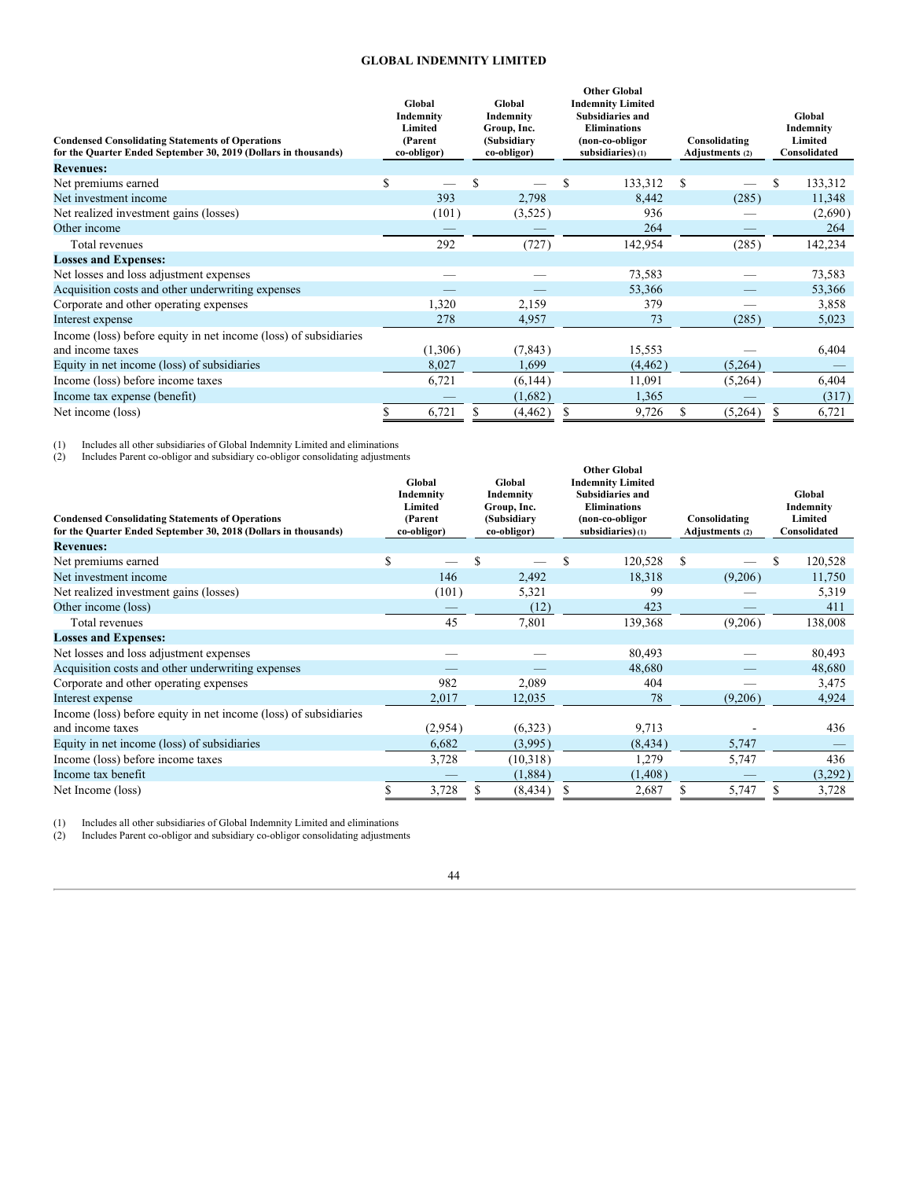| <b>Condensed Consolidating Statements of Operations</b><br>for the Quarter Ended September 30, 2019 (Dollars in thousands) |    | Global<br>Indemnity<br>Limited<br>(Parent<br>co-obligor) |    | Global<br>Indemnity<br>Group, Inc.<br>(Subsidiary<br>co-obligor) |    | <b>Other Global</b><br><b>Indemnity Limited</b><br><b>Subsidiaries and</b><br><b>Eliminations</b><br>(non-co-obligor<br>subsidiaries $(1)$ |   | Consolidating<br>Adjustments (2) |    | Global<br>Indemnity<br>Limited<br>Consolidated |
|----------------------------------------------------------------------------------------------------------------------------|----|----------------------------------------------------------|----|------------------------------------------------------------------|----|--------------------------------------------------------------------------------------------------------------------------------------------|---|----------------------------------|----|------------------------------------------------|
| <b>Revenues:</b>                                                                                                           |    |                                                          |    |                                                                  |    |                                                                                                                                            |   |                                  |    |                                                |
| Net premiums earned                                                                                                        | \$ |                                                          | S  |                                                                  | \$ | 133,312                                                                                                                                    | S |                                  | S  | 133,312                                        |
| Net investment income                                                                                                      |    | 393                                                      |    | 2,798                                                            |    | 8,442                                                                                                                                      |   | (285)                            |    | 11,348                                         |
| Net realized investment gains (losses)                                                                                     |    | (101)                                                    |    | (3,525)                                                          |    | 936                                                                                                                                        |   |                                  |    | (2,690)                                        |
| Other income                                                                                                               |    |                                                          |    |                                                                  |    | 264                                                                                                                                        |   |                                  |    | 264                                            |
| Total revenues                                                                                                             |    | 292                                                      |    | (727)                                                            |    | 142,954                                                                                                                                    |   | (285)                            |    | 142,234                                        |
| <b>Losses and Expenses:</b>                                                                                                |    |                                                          |    |                                                                  |    |                                                                                                                                            |   |                                  |    |                                                |
| Net losses and loss adjustment expenses                                                                                    |    |                                                          |    |                                                                  |    | 73,583                                                                                                                                     |   |                                  |    | 73,583                                         |
| Acquisition costs and other underwriting expenses                                                                          |    |                                                          |    |                                                                  |    | 53,366                                                                                                                                     |   |                                  |    | 53,366                                         |
| Corporate and other operating expenses                                                                                     |    | 1,320                                                    |    | 2,159                                                            |    | 379                                                                                                                                        |   |                                  |    | 3,858                                          |
| Interest expense                                                                                                           |    | 278                                                      |    | 4,957                                                            |    | 73                                                                                                                                         |   | (285)                            |    | 5,023                                          |
| Income (loss) before equity in net income (loss) of subsidiaries                                                           |    |                                                          |    |                                                                  |    |                                                                                                                                            |   |                                  |    |                                                |
| and income taxes                                                                                                           |    | (1,306)                                                  |    | (7, 843)                                                         |    | 15,553                                                                                                                                     |   |                                  |    | 6,404                                          |
| Equity in net income (loss) of subsidiaries                                                                                |    | 8,027                                                    |    | 1,699                                                            |    | (4, 462)                                                                                                                                   |   | (5,264)                          |    |                                                |
| Income (loss) before income taxes                                                                                          |    | 6,721                                                    |    | (6,144)                                                          |    | 11,091                                                                                                                                     |   | (5,264)                          |    | 6,404                                          |
| Income tax expense (benefit)                                                                                               |    |                                                          |    | (1,682)                                                          |    | 1,365                                                                                                                                      |   |                                  |    | (317)                                          |
| Net income (loss)                                                                                                          | ъ  | 6,721                                                    | \$ | (4, 462)                                                         | \$ | 9,726                                                                                                                                      | S | (5,264)                          | -S | 6,721                                          |

(1) Includes all other subsidiaries of Global Indemnity Limited and eliminations (2) Includes Parent co-obligor and subsidiary co-obligor consolidating adjustments

| <b>Condensed Consolidating Statements of Operations</b><br>for the Quarter Ended September 30, 2018 (Dollars in thousands) | Global<br>Indemnity<br>Limited<br>(Parent<br>co-obligor) |    | Global<br>Indemnity<br>Group, Inc.<br>(Subsidiary<br>co-obligor) |    | <b>Other Global</b><br><b>Indemnity Limited</b><br>Subsidiaries and<br><b>Eliminations</b><br>(non-co-obligor<br>subsidiaries $(1)$ |     | Consolidating<br>Adjustments (2) |   | Global<br>Indemnity<br>Limited<br>Consolidated |
|----------------------------------------------------------------------------------------------------------------------------|----------------------------------------------------------|----|------------------------------------------------------------------|----|-------------------------------------------------------------------------------------------------------------------------------------|-----|----------------------------------|---|------------------------------------------------|
| <b>Revenues:</b>                                                                                                           |                                                          |    |                                                                  |    |                                                                                                                                     |     |                                  |   |                                                |
| Net premiums earned                                                                                                        | \$                                                       | \$ |                                                                  | \$ | 120,528                                                                                                                             | \$. |                                  | S | 120,528                                        |
| Net investment income                                                                                                      | 146                                                      |    | 2,492                                                            |    | 18,318                                                                                                                              |     | (9,206)                          |   | 11,750                                         |
| Net realized investment gains (losses)                                                                                     | (101)                                                    |    | 5,321                                                            |    | 99                                                                                                                                  |     |                                  |   | 5,319                                          |
| Other income (loss)                                                                                                        |                                                          |    | (12)                                                             |    | 423                                                                                                                                 |     |                                  |   | 411                                            |
| Total revenues                                                                                                             | 45                                                       |    | 7,801                                                            |    | 139,368                                                                                                                             |     | (9,206)                          |   | 138,008                                        |
| <b>Losses and Expenses:</b>                                                                                                |                                                          |    |                                                                  |    |                                                                                                                                     |     |                                  |   |                                                |
| Net losses and loss adjustment expenses                                                                                    |                                                          |    |                                                                  |    | 80,493                                                                                                                              |     |                                  |   | 80,493                                         |
| Acquisition costs and other underwriting expenses                                                                          |                                                          |    |                                                                  |    | 48,680                                                                                                                              |     |                                  |   | 48,680                                         |
| Corporate and other operating expenses                                                                                     | 982                                                      |    | 2,089                                                            |    | 404                                                                                                                                 |     |                                  |   | 3,475                                          |
| Interest expense                                                                                                           | 2,017                                                    |    | 12,035                                                           |    | 78                                                                                                                                  |     | (9,206)                          |   | 4,924                                          |
| Income (loss) before equity in net income (loss) of subsidiaries<br>and income taxes                                       | (2,954)                                                  |    | (6,323)                                                          |    | 9,713                                                                                                                               |     |                                  |   | 436                                            |
| Equity in net income (loss) of subsidiaries                                                                                | 6,682                                                    |    | (3,995)                                                          |    | (8, 434)                                                                                                                            |     | 5,747                            |   |                                                |
| Income (loss) before income taxes                                                                                          | 3,728                                                    |    | (10,318)                                                         |    | 1,279                                                                                                                               |     | 5,747                            |   | 436                                            |
| Income tax benefit                                                                                                         |                                                          |    | (1,884)                                                          |    | (1, 408)                                                                                                                            |     |                                  |   | (3,292)                                        |
| Net Income (loss)                                                                                                          | 3,728                                                    |    | (8, 434)                                                         | S  | 2,687                                                                                                                               |     | 5,747                            |   | 3,728                                          |

(1) Includes all other subsidiaries of Global Indemnity Limited and eliminations

(2) Includes Parent co-obligor and subsidiary co-obligor consolidating adjustments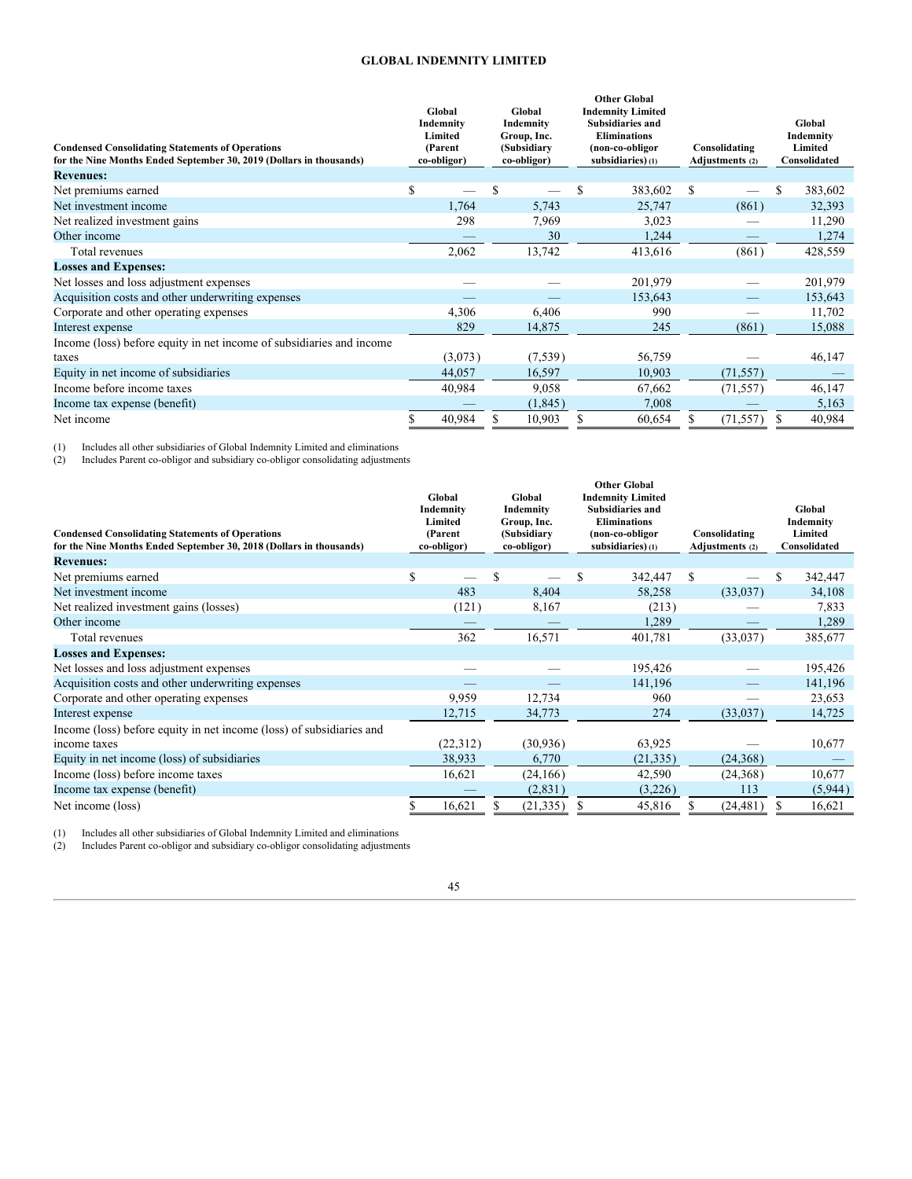| <b>Condensed Consolidating Statements of Operations</b><br>for the Nine Months Ended September 30, 2019 (Dollars in thousands) | Global<br>Indemnity<br>Limited<br>(Parent<br>co-obligor) |    | Global<br>Indemnity<br>Group, Inc.<br>(Subsidiary<br>co-obligor) |   | <b>Other Global</b><br><b>Indemnity Limited</b><br>Subsidiaries and<br><b>Eliminations</b><br>(non-co-obligor<br>subsidiaries $(1)$ | Consolidating<br>Adjustments (2) |           |    | Global<br>Indemnity<br>Limited<br>Consolidated |
|--------------------------------------------------------------------------------------------------------------------------------|----------------------------------------------------------|----|------------------------------------------------------------------|---|-------------------------------------------------------------------------------------------------------------------------------------|----------------------------------|-----------|----|------------------------------------------------|
| <b>Revenues:</b>                                                                                                               |                                                          |    |                                                                  |   |                                                                                                                                     |                                  |           |    |                                                |
| Net premiums earned                                                                                                            | \$                                                       | \$ |                                                                  | S | 383,602                                                                                                                             | \$                               |           | S  | 383,602                                        |
| Net investment income                                                                                                          | 1,764                                                    |    | 5,743                                                            |   | 25,747                                                                                                                              |                                  | (861)     |    | 32,393                                         |
| Net realized investment gains                                                                                                  | 298                                                      |    | 7,969                                                            |   | 3,023                                                                                                                               |                                  |           |    | 11,290                                         |
| Other income                                                                                                                   |                                                          |    | 30                                                               |   | 1,244                                                                                                                               |                                  |           |    | 1,274                                          |
| Total revenues                                                                                                                 | 2,062                                                    |    | 13,742                                                           |   | 413,616                                                                                                                             |                                  | (861)     |    | 428,559                                        |
| <b>Losses and Expenses:</b>                                                                                                    |                                                          |    |                                                                  |   |                                                                                                                                     |                                  |           |    |                                                |
| Net losses and loss adjustment expenses                                                                                        |                                                          |    |                                                                  |   | 201,979                                                                                                                             |                                  |           |    | 201,979                                        |
| Acquisition costs and other underwriting expenses                                                                              |                                                          |    |                                                                  |   | 153,643                                                                                                                             |                                  |           |    | 153,643                                        |
| Corporate and other operating expenses                                                                                         | 4,306                                                    |    | 6,406                                                            |   | 990                                                                                                                                 |                                  |           |    | 11,702                                         |
| Interest expense                                                                                                               | 829                                                      |    | 14,875                                                           |   | 245                                                                                                                                 |                                  | (861)     |    | 15,088                                         |
| Income (loss) before equity in net income of subsidiaries and income                                                           |                                                          |    |                                                                  |   |                                                                                                                                     |                                  |           |    |                                                |
| taxes                                                                                                                          | (3,073)                                                  |    | (7,539)                                                          |   | 56,759                                                                                                                              |                                  |           |    | 46,147                                         |
| Equity in net income of subsidiaries                                                                                           | 44,057                                                   |    | 16,597                                                           |   | 10,903                                                                                                                              |                                  | (71, 557) |    |                                                |
| Income before income taxes                                                                                                     | 40,984                                                   |    | 9,058                                                            |   | 67,662                                                                                                                              |                                  | (71, 557) |    | 46,147                                         |
| Income tax expense (benefit)                                                                                                   |                                                          |    | (1, 845)                                                         |   | 7,008                                                                                                                               |                                  |           |    | 5,163                                          |
| Net income                                                                                                                     | \$<br>40,984                                             | S  | 10,903                                                           | S | 60,654                                                                                                                              | S                                | (71, 557) | -S | 40,984                                         |

(1) Includes all other subsidiaries of Global Indemnity Limited and eliminations

(2) Includes Parent co-obligor and subsidiary co-obligor consolidating adjustments

| <b>Revenues:</b>                                                                                                       | Consolidated |
|------------------------------------------------------------------------------------------------------------------------|--------------|
|                                                                                                                        |              |
| S<br>S<br>\$<br>S<br>342,447<br>S<br>Net premiums earned                                                               | 342,447      |
| Net investment income<br>483<br>8,404<br>58,258<br>(33,037)                                                            | 34,108       |
| Net realized investment gains (losses)<br>(121)<br>8,167<br>(213)                                                      | 7,833        |
| Other income<br>1,289                                                                                                  | 1,289        |
| 362<br>16,571<br>(33,037)<br>401,781<br>Total revenues                                                                 | 385,677      |
| <b>Losses and Expenses:</b>                                                                                            |              |
| Net losses and loss adjustment expenses<br>195,426                                                                     | 195,426      |
| Acquisition costs and other underwriting expenses<br>141,196                                                           | 141,196      |
| Corporate and other operating expenses<br>9,959<br>12,734<br>960                                                       | 23,653       |
| 12,715<br>34,773<br>274<br>(33,037)<br>Interest expense                                                                | 14,725       |
| Income (loss) before equity in net income (loss) of subsidiaries and<br>(22,312)<br>(30,936)<br>63,925<br>income taxes | 10,677       |
|                                                                                                                        |              |
| Equity in net income (loss) of subsidiaries<br>38,933<br>6,770<br>(24, 368)<br>(21, 335)                               |              |
| 16,621<br>Income (loss) before income taxes<br>(24, 166)<br>42,590<br>(24,368)                                         | 10,677       |
| 113<br>Income tax expense (benefit)<br>(2,831)<br>(3,226)                                                              | (5,944)      |
| 16,621<br>(24, 481)<br>Net income (loss)<br>(21, 335)<br>45,816<br>S                                                   | 16,621       |

(1) Includes all other subsidiaries of Global Indemnity Limited and eliminations

(2) Includes Parent co-obligor and subsidiary co-obligor consolidating adjustments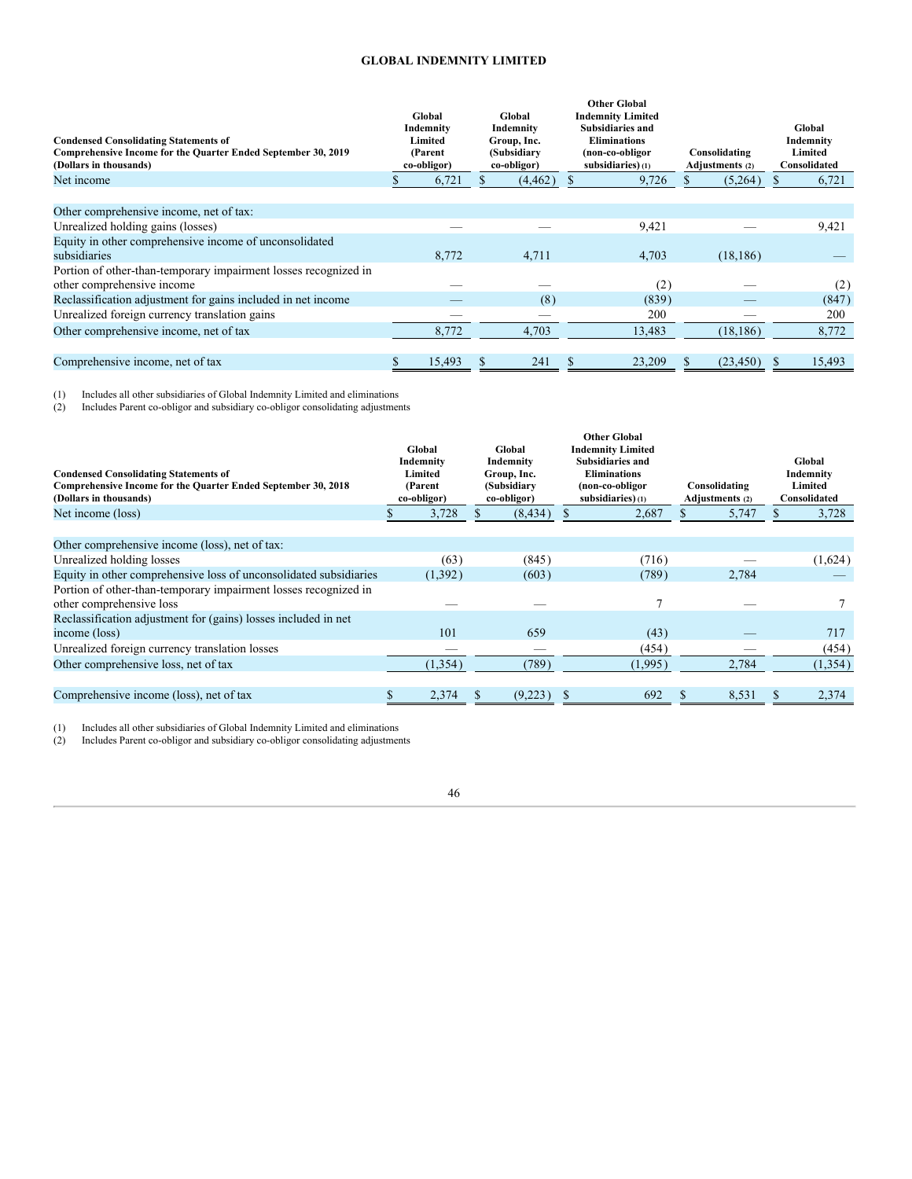| <b>Condensed Consolidating Statements of</b><br>Comprehensive Income for the Quarter Ended September 30, 2019<br>(Dollars in thousands) |   | Global<br>Indemnity<br>Limited<br>(Parent<br>co-obligor) | Global<br>Indemnity<br>Group, Inc.<br>(Subsidiary<br>co-obligor) | <b>Other Global</b><br><b>Indemnity Limited</b><br>Subsidiaries and<br><b>Eliminations</b><br>(non-co-obligor<br>subsidiaries $(1)$ | Consolidating<br>Adjustments (2) | Global<br>Indemnity<br>Limited<br>Consolidated |
|-----------------------------------------------------------------------------------------------------------------------------------------|---|----------------------------------------------------------|------------------------------------------------------------------|-------------------------------------------------------------------------------------------------------------------------------------|----------------------------------|------------------------------------------------|
| Net income                                                                                                                              |   | 6,721                                                    | (4, 462)                                                         | 9,726                                                                                                                               | (5,264)                          | 6,721                                          |
| Other comprehensive income, net of tax:<br>Unrealized holding gains (losses)                                                            |   |                                                          |                                                                  | 9,421                                                                                                                               |                                  | 9,421                                          |
| Equity in other comprehensive income of unconsolidated<br>subsidiaries                                                                  |   | 8,772                                                    | 4,711                                                            | 4,703                                                                                                                               | (18, 186)                        |                                                |
| Portion of other-than-temporary impairment losses recognized in<br>other comprehensive income                                           |   |                                                          |                                                                  | (2)                                                                                                                                 |                                  | (2)                                            |
| Reclassification adjustment for gains included in net income                                                                            |   |                                                          | (8)                                                              | (839)                                                                                                                               |                                  | (847)                                          |
| Unrealized foreign currency translation gains<br>Other comprehensive income, net of tax                                                 |   | 8,772                                                    | 4,703                                                            | 200<br>13,483                                                                                                                       | (18, 186)                        | <b>200</b><br>8,772                            |
| Comprehensive income, net of tax                                                                                                        | ъ | 15.493                                                   | 241                                                              | \$<br>23,209                                                                                                                        | (23, 450)                        | 15,493                                         |

(1) Includes all other subsidiaries of Global Indemnity Limited and eliminations

(2) Includes Parent co-obligor and subsidiary co-obligor consolidating adjustments

| <b>Condensed Consolidating Statements of</b><br>Comprehensive Income for the Quarter Ended September 30, 2018<br>(Dollars in thousands) | <b>Other Global</b><br><b>Indemnity Limited</b><br>Global<br>Global<br>Subsidiaries and<br>Indemnity<br>Indemnity<br>Limited<br><b>Eliminations</b><br>Group, Inc.<br>(Subsidiary<br>(non-co-obligor<br>(Parent<br>subsidiaries) (1)<br>co-obligor)<br>co-obligor) |          | Consolidating<br>Adjustments (2) | Global<br>Indemnity<br>Limited<br>Consolidated |          |
|-----------------------------------------------------------------------------------------------------------------------------------------|--------------------------------------------------------------------------------------------------------------------------------------------------------------------------------------------------------------------------------------------------------------------|----------|----------------------------------|------------------------------------------------|----------|
| Net income (loss)                                                                                                                       | 3,728                                                                                                                                                                                                                                                              | (8, 434) | 2,687<br><sup>S</sup>            | 5,747                                          | 3,728    |
| Other comprehensive income (loss), net of tax:                                                                                          |                                                                                                                                                                                                                                                                    |          |                                  |                                                |          |
| Unrealized holding losses                                                                                                               | (63)                                                                                                                                                                                                                                                               | (845)    | (716)                            |                                                | (1,624)  |
| Equity in other comprehensive loss of unconsolidated subsidiaries                                                                       | (1,392)                                                                                                                                                                                                                                                            | (603)    | (789)                            | 2,784                                          |          |
| Portion of other-than-temporary impairment losses recognized in<br>other comprehensive loss                                             |                                                                                                                                                                                                                                                                    |          |                                  |                                                |          |
| Reclassification adjustment for (gains) losses included in net                                                                          |                                                                                                                                                                                                                                                                    |          |                                  |                                                |          |
| income (loss)                                                                                                                           | 101                                                                                                                                                                                                                                                                | 659      | (43)                             |                                                | 717      |
| Unrealized foreign currency translation losses                                                                                          |                                                                                                                                                                                                                                                                    |          | (454)                            |                                                | (454)    |
| Other comprehensive loss, net of tax                                                                                                    | (1,354)                                                                                                                                                                                                                                                            | (789)    | (1,995)                          | 2,784                                          | (1, 354) |
| Comprehensive income (loss), net of tax                                                                                                 | 2,374                                                                                                                                                                                                                                                              | (9,223)  | 692                              | 8,531                                          | 2,374    |

(1) Includes all other subsidiaries of Global Indemnity Limited and eliminations

(2) Includes Parent co-obligor and subsidiary co-obligor consolidating adjustments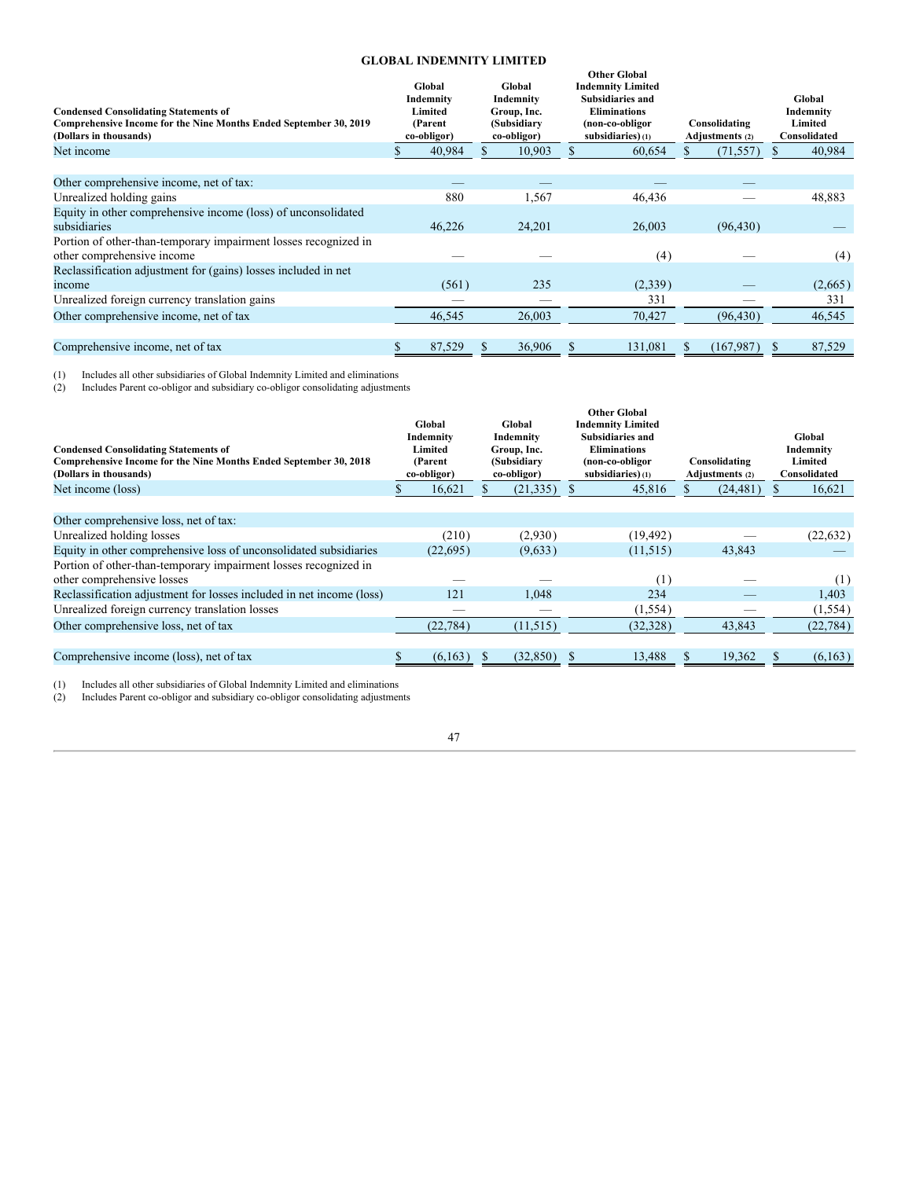| <b>Condensed Consolidating Statements of</b><br>Comprehensive Income for the Nine Months Ended September 30, 2019<br>(Dollars in thousands) |    | Global<br>Indemnity<br>Limited<br>(Parent<br>co-obligor) |   | Global<br>Indemnity<br>Group, Inc.<br>(Subsidiary<br>co-obligor) |  | <b>Other Global</b><br><b>Indemnity Limited</b><br>Subsidiaries and<br><b>Eliminations</b><br>(non-co-obligor<br>subsidiaries $(1)$ |    | Consolidating<br>Adjustments (2) | Global<br>Indemnity<br>Limited<br>Consolidated |         |
|---------------------------------------------------------------------------------------------------------------------------------------------|----|----------------------------------------------------------|---|------------------------------------------------------------------|--|-------------------------------------------------------------------------------------------------------------------------------------|----|----------------------------------|------------------------------------------------|---------|
| Net income                                                                                                                                  |    | 40,984                                                   |   | 10,903                                                           |  | 60,654                                                                                                                              |    | (71, 557)                        | <b>S</b>                                       | 40,984  |
| Other comprehensive income, net of tax:                                                                                                     |    |                                                          |   |                                                                  |  |                                                                                                                                     |    |                                  |                                                |         |
| Unrealized holding gains                                                                                                                    |    | 880                                                      |   | 1,567                                                            |  | 46,436                                                                                                                              |    |                                  |                                                | 48,883  |
| Equity in other comprehensive income (loss) of unconsolidated<br>subsidiaries                                                               |    | 46,226                                                   |   | 24,201                                                           |  | 26,003                                                                                                                              |    | (96, 430)                        |                                                |         |
| Portion of other-than-temporary impairment losses recognized in<br>other comprehensive income                                               |    |                                                          |   |                                                                  |  | (4)                                                                                                                                 |    |                                  |                                                | (4)     |
| Reclassification adjustment for (gains) losses included in net<br>income                                                                    |    | (561)                                                    |   | 235                                                              |  | (2,339)                                                                                                                             |    |                                  |                                                | (2,665) |
| Unrealized foreign currency translation gains                                                                                               |    |                                                          |   |                                                                  |  | 331                                                                                                                                 |    |                                  |                                                | 331     |
| Other comprehensive income, net of tax                                                                                                      |    | 46,545                                                   |   | 26,003                                                           |  | 70,427                                                                                                                              |    | (96, 430)                        |                                                | 46,545  |
| Comprehensive income, net of tax                                                                                                            | \$ | 87,529                                                   | S | 36,906                                                           |  | 131.081                                                                                                                             | S. | (167,987)                        |                                                | 87,529  |

(1) Includes all other subsidiaries of Global Indemnity Limited and eliminations

(2) Includes Parent co-obligor and subsidiary co-obligor consolidating adjustments

| <b>Condensed Consolidating Statements of</b><br>Comprehensive Income for the Nine Months Ended September 30, 2018<br>(Dollars in thousands) | Global<br>Indemnity<br>Limited<br>(Parent<br>co-obligor) | Global<br>Indemnity<br>Group, Inc.<br>(Subsidiary<br>co-obligor) | <b>Other Global</b><br><b>Indemnity Limited</b><br>Subsidiaries and<br><b>Eliminations</b><br>(non-co-obligor<br>subsidiaries $(1)$ | Consolidating<br>Adjustments (2) | Global<br>Indemnity<br>Limited<br>Consolidated |
|---------------------------------------------------------------------------------------------------------------------------------------------|----------------------------------------------------------|------------------------------------------------------------------|-------------------------------------------------------------------------------------------------------------------------------------|----------------------------------|------------------------------------------------|
| Net income (loss)                                                                                                                           | 16,621                                                   | (21, 335)                                                        | 45,816<br>-S                                                                                                                        | (24, 481)                        | 16,621                                         |
| Other comprehensive loss, net of tax:                                                                                                       |                                                          |                                                                  |                                                                                                                                     |                                  |                                                |
| Unrealized holding losses                                                                                                                   | (210)                                                    | (2,930)                                                          | (19, 492)                                                                                                                           |                                  | (22, 632)                                      |
| Equity in other comprehensive loss of unconsolidated subsidiaries                                                                           | (22,695)                                                 | (9,633)                                                          | (11, 515)                                                                                                                           | 43,843                           |                                                |
| Portion of other-than-temporary impairment losses recognized in<br>other comprehensive losses                                               |                                                          |                                                                  | (1)                                                                                                                                 |                                  | (1)                                            |
| Reclassification adjustment for losses included in net income (loss)                                                                        | 121                                                      | 1.048                                                            | 234                                                                                                                                 |                                  | 1,403                                          |
| Unrealized foreign currency translation losses                                                                                              |                                                          |                                                                  | (1, 554)                                                                                                                            |                                  | (1, 554)                                       |
| Other comprehensive loss, net of tax                                                                                                        | (22, 784)                                                | (11,515)                                                         | (32,328)                                                                                                                            | 43,843                           | (22, 784)                                      |
|                                                                                                                                             |                                                          |                                                                  |                                                                                                                                     |                                  |                                                |
| Comprehensive income (loss), net of tax                                                                                                     | (6,163)                                                  | (32, 850)                                                        | 13,488                                                                                                                              | 19,362                           | (6,163)                                        |

(1) Includes all other subsidiaries of Global Indemnity Limited and eliminations

Includes Parent co-obligor and subsidiary co-obligor consolidating adjustments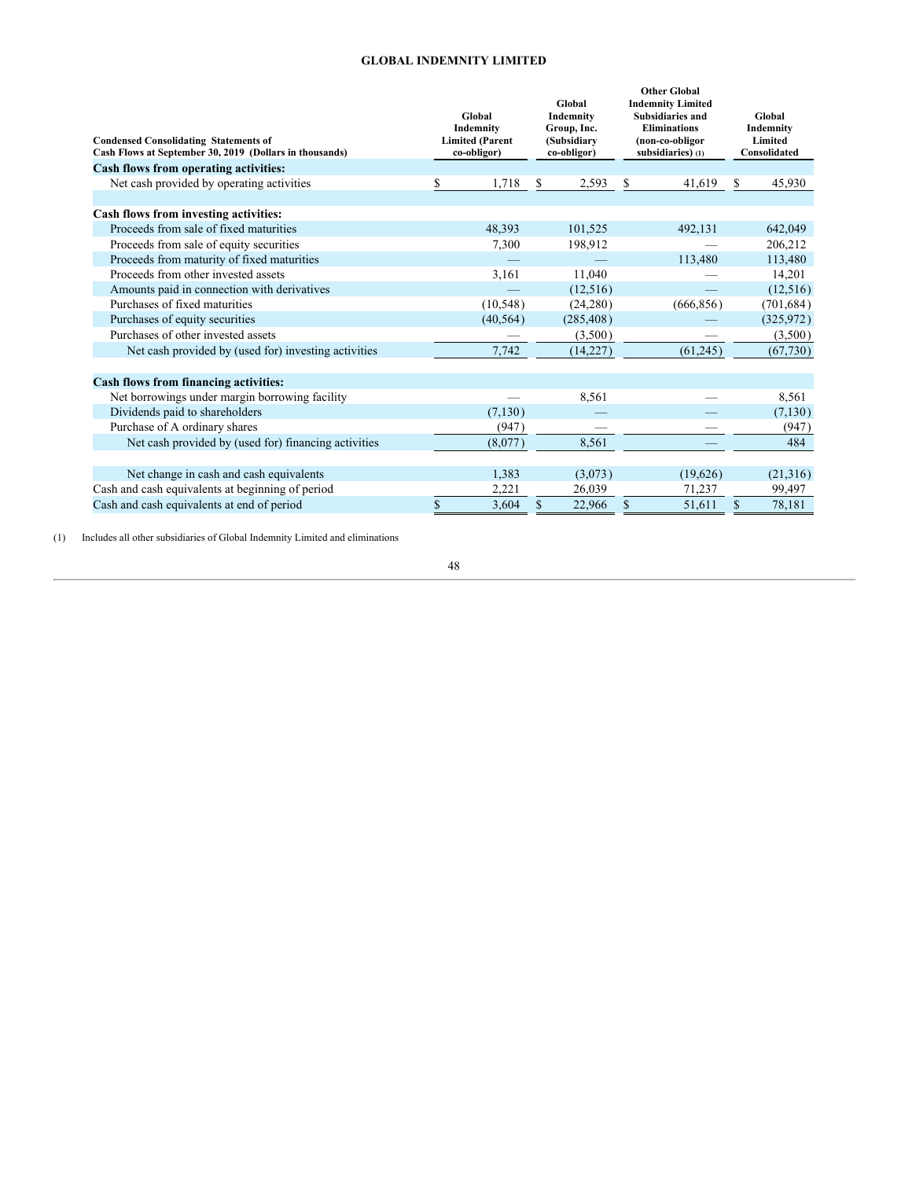| <b>Condensed Consolidating Statements of</b><br>Cash Flows at September 30, 2019 (Dollars in thousands) | Global<br>Indemnity<br><b>Limited (Parent</b><br>co-obligor) | Global<br>Indemnity<br>Group, Inc.<br>(Subsidiary<br>co-obligor) | <b>Other Global</b><br><b>Indemnity Limited</b><br><b>Subsidiaries and</b><br><b>Eliminations</b><br>(non-co-obligor<br>subsidiaries) (1) | Global<br>Indemnity<br>Limited<br>Consolidated |
|---------------------------------------------------------------------------------------------------------|--------------------------------------------------------------|------------------------------------------------------------------|-------------------------------------------------------------------------------------------------------------------------------------------|------------------------------------------------|
| Cash flows from operating activities:                                                                   |                                                              |                                                                  |                                                                                                                                           |                                                |
| Net cash provided by operating activities                                                               | \$<br>1,718                                                  | 2,593<br>\$                                                      | 41,619<br>\$                                                                                                                              | S<br>45,930                                    |
|                                                                                                         |                                                              |                                                                  |                                                                                                                                           |                                                |
| Cash flows from investing activities:                                                                   |                                                              |                                                                  |                                                                                                                                           |                                                |
| Proceeds from sale of fixed maturities                                                                  | 48,393                                                       | 101,525                                                          | 492,131                                                                                                                                   | 642,049                                        |
| Proceeds from sale of equity securities                                                                 | 7,300                                                        | 198,912                                                          |                                                                                                                                           | 206,212                                        |
| Proceeds from maturity of fixed maturities                                                              |                                                              |                                                                  | 113,480                                                                                                                                   | 113,480                                        |
| Proceeds from other invested assets                                                                     | 3,161                                                        | 11,040                                                           |                                                                                                                                           | 14,201                                         |
| Amounts paid in connection with derivatives                                                             |                                                              | (12,516)                                                         |                                                                                                                                           | (12,516)                                       |
| Purchases of fixed maturities                                                                           | (10, 548)                                                    | (24, 280)                                                        | (666, 856)                                                                                                                                | (701, 684)                                     |
| Purchases of equity securities                                                                          | (40, 564)                                                    | (285, 408)                                                       |                                                                                                                                           | (325, 972)                                     |
| Purchases of other invested assets                                                                      |                                                              | (3,500)                                                          |                                                                                                                                           | (3,500)                                        |
| Net cash provided by (used for) investing activities                                                    | 7,742                                                        | (14, 227)                                                        | (61,245)                                                                                                                                  | (67, 730)                                      |
|                                                                                                         |                                                              |                                                                  |                                                                                                                                           |                                                |
| Cash flows from financing activities:                                                                   |                                                              |                                                                  |                                                                                                                                           |                                                |
| Net borrowings under margin borrowing facility                                                          |                                                              | 8,561                                                            |                                                                                                                                           | 8,561                                          |
| Dividends paid to shareholders                                                                          | (7, 130)                                                     |                                                                  |                                                                                                                                           | (7,130)                                        |
| Purchase of A ordinary shares                                                                           | (947)                                                        |                                                                  |                                                                                                                                           | (947)                                          |
| Net cash provided by (used for) financing activities                                                    | (8,077)                                                      | 8,561                                                            |                                                                                                                                           | 484                                            |
|                                                                                                         |                                                              |                                                                  |                                                                                                                                           |                                                |
| Net change in cash and cash equivalents                                                                 | 1,383                                                        | (3,073)                                                          | (19,626)                                                                                                                                  | (21,316)                                       |
| Cash and cash equivalents at beginning of period                                                        | 2,221                                                        | 26,039                                                           | 71,237                                                                                                                                    | 99,497                                         |
| Cash and cash equivalents at end of period                                                              | \$<br>3,604                                                  | $\mathbb{S}$<br>22,966                                           | \$<br>51,611                                                                                                                              | \$<br>78,181                                   |

(1) Includes all other subsidiaries of Global Indemnity Limited and eliminations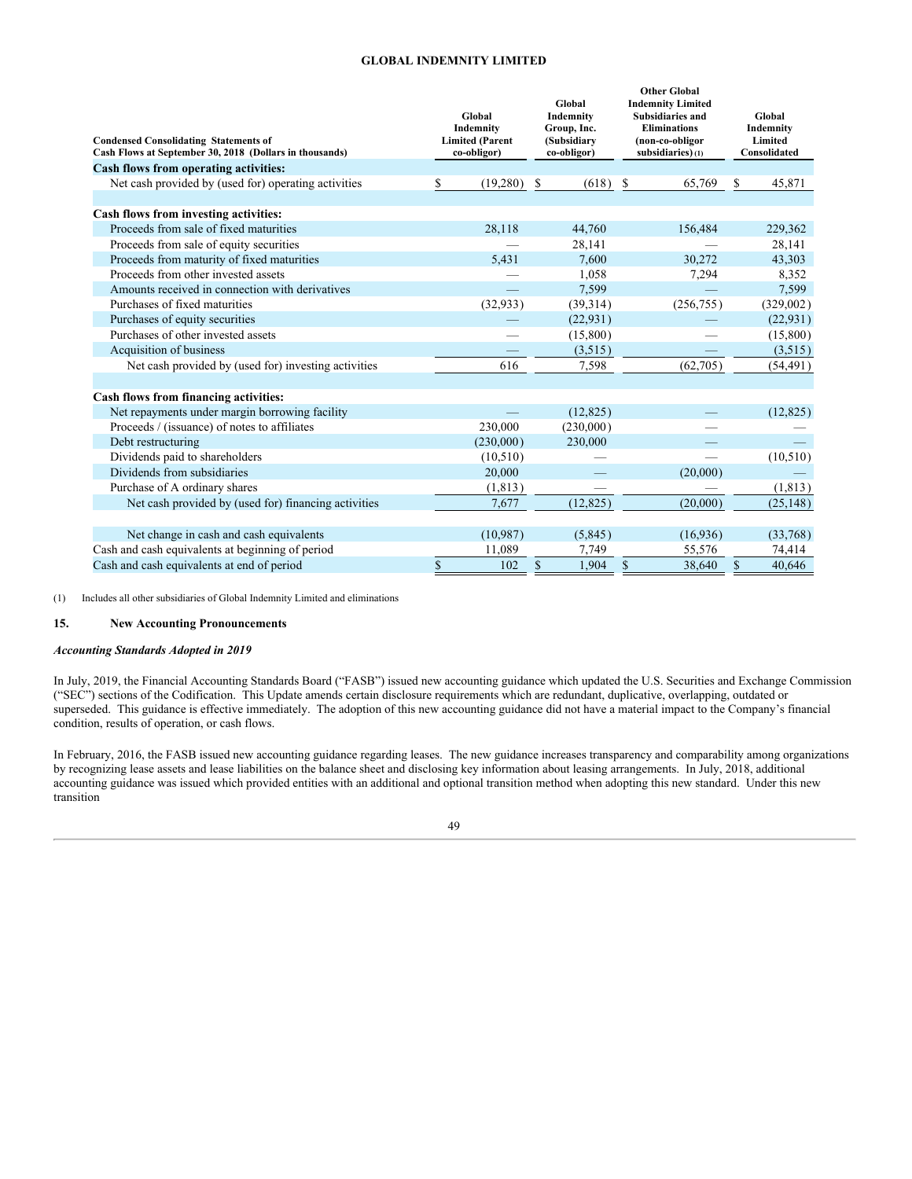| <b>Condensed Consolidating Statements of</b><br>Cash Flows at September 30, 2018 (Dollars in thousands) | Global<br>Indemnity<br><b>Limited (Parent</b><br>co-obligor) | Global<br>Indemnity<br>Group, Inc.<br>(Subsidiary<br>co-obligor) | <b>Other Global</b><br><b>Indemnity Limited</b><br><b>Subsidiaries and</b><br><b>Eliminations</b><br>(non-co-obligor<br>subsidiaries) $(1)$ | Global<br>Indemnity<br>Limited<br>Consolidated |
|---------------------------------------------------------------------------------------------------------|--------------------------------------------------------------|------------------------------------------------------------------|---------------------------------------------------------------------------------------------------------------------------------------------|------------------------------------------------|
| Cash flows from operating activities:                                                                   |                                                              |                                                                  |                                                                                                                                             |                                                |
| Net cash provided by (used for) operating activities                                                    | \$<br>(19,280)                                               | S<br>(618)                                                       | S<br>65,769                                                                                                                                 | S<br>45,871                                    |
|                                                                                                         |                                                              |                                                                  |                                                                                                                                             |                                                |
| Cash flows from investing activities:                                                                   |                                                              |                                                                  |                                                                                                                                             |                                                |
| Proceeds from sale of fixed maturities                                                                  | 28,118                                                       | 44,760                                                           | 156,484                                                                                                                                     | 229,362                                        |
| Proceeds from sale of equity securities                                                                 |                                                              | 28,141                                                           |                                                                                                                                             | 28,141                                         |
| Proceeds from maturity of fixed maturities                                                              | 5.431                                                        | 7.600                                                            | 30,272                                                                                                                                      | 43,303                                         |
| Proceeds from other invested assets                                                                     |                                                              | 1,058                                                            | 7,294                                                                                                                                       | 8,352                                          |
| Amounts received in connection with derivatives                                                         |                                                              | 7.599                                                            |                                                                                                                                             | 7,599                                          |
| Purchases of fixed maturities                                                                           | (32, 933)                                                    | (39,314)                                                         | (256, 755)                                                                                                                                  | (329,002)                                      |
| Purchases of equity securities                                                                          |                                                              | (22, 931)                                                        |                                                                                                                                             | (22, 931)                                      |
| Purchases of other invested assets                                                                      |                                                              | (15,800)                                                         |                                                                                                                                             | (15,800)                                       |
| Acquisition of business                                                                                 |                                                              | (3,515)                                                          |                                                                                                                                             | (3,515)                                        |
| Net cash provided by (used for) investing activities                                                    | 616                                                          | 7,598                                                            | (62, 705)                                                                                                                                   | (54, 491)                                      |
|                                                                                                         |                                                              |                                                                  |                                                                                                                                             |                                                |
| Cash flows from financing activities:                                                                   |                                                              |                                                                  |                                                                                                                                             |                                                |
| Net repayments under margin borrowing facility                                                          |                                                              | (12, 825)                                                        |                                                                                                                                             | (12, 825)                                      |
| Proceeds / (issuance) of notes to affiliates                                                            | 230,000                                                      | (230,000)                                                        |                                                                                                                                             |                                                |
| Debt restructuring                                                                                      | (230,000)                                                    | 230,000                                                          |                                                                                                                                             |                                                |
| Dividends paid to shareholders                                                                          | (10, 510)                                                    |                                                                  |                                                                                                                                             | (10, 510)                                      |
| Dividends from subsidiaries                                                                             | 20,000                                                       |                                                                  | (20,000)                                                                                                                                    |                                                |
| Purchase of A ordinary shares                                                                           | (1, 813)                                                     |                                                                  |                                                                                                                                             | (1, 813)                                       |
| Net cash provided by (used for) financing activities                                                    | 7.677                                                        | (12, 825)                                                        | (20,000)                                                                                                                                    | (25, 148)                                      |
|                                                                                                         |                                                              |                                                                  |                                                                                                                                             |                                                |
| Net change in cash and cash equivalents                                                                 | (10,987)                                                     | (5,845)                                                          | (16,936)                                                                                                                                    | (33,768)                                       |
| Cash and cash equivalents at beginning of period                                                        | 11,089                                                       | 7,749                                                            | 55,576                                                                                                                                      | 74,414                                         |
| Cash and cash equivalents at end of period                                                              | \$<br>102                                                    | $\mathbb{S}$<br>1,904                                            | $\mathbb{S}$<br>38,640                                                                                                                      | $\mathbb{S}$<br>40,646                         |

(1) Includes all other subsidiaries of Global Indemnity Limited and eliminations

#### **15. New Accounting Pronouncements**

### *Accounting Standards Adopted in 2019*

In July, 2019, the Financial Accounting Standards Board ("FASB") issued new accounting guidance which updated the U.S. Securities and Exchange Commission ("SEC") sections of the Codification. This Update amends certain disclosure requirements which are redundant, duplicative, overlapping, outdated or superseded. This guidance is effective immediately. The adoption of this new accounting guidance did not have a material impact to the Company's financial condition, results of operation, or cash flows.

In February, 2016, the FASB issued new accounting guidance regarding leases. The new guidance increases transparency and comparability among organizations by recognizing lease assets and lease liabilities on the balance sheet and disclosing key information about leasing arrangements. In July, 2018, additional accounting guidance was issued which provided entities with an additional and optional transition method when adopting this new standard. Under this new transition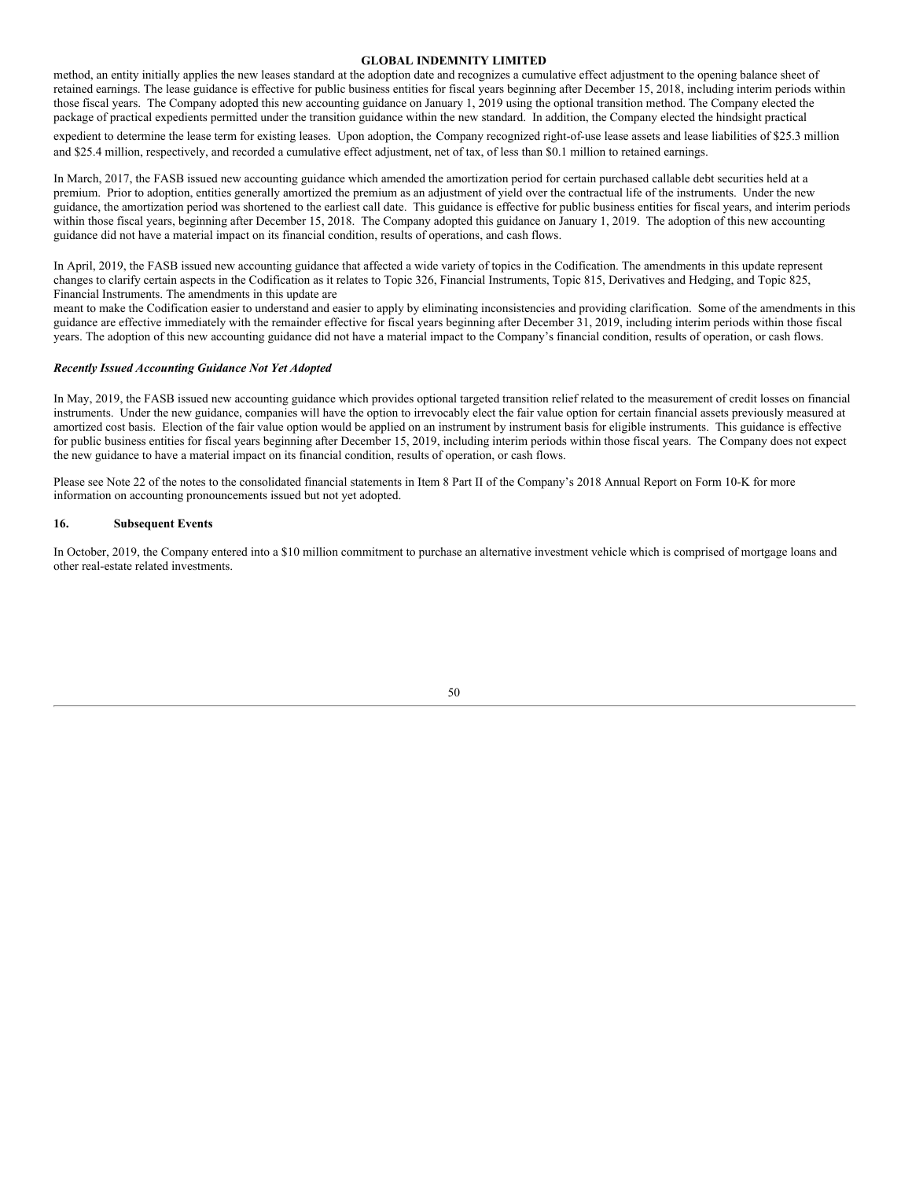method, an entity initially applies the new leases standard at the adoption date and recognizes a cumulative effect adjustment to the opening balance sheet of retained earnings. The lease guidance is effective for public business entities for fiscal years beginning after December 15, 2018, including interim periods within those fiscal years. The Company adopted this new accounting guidance on January 1, 2019 using the optional transition method. The Company elected the package of practical expedients permitted under the transition guidance within the new standard. In addition, the Company elected the hindsight practical

expedient to determine the lease term for existing leases. Upon adoption, the Company recognized right-of-use lease assets and lease liabilities of \$25.3 million and \$25.4 million, respectively, and recorded a cumulative effect adjustment, net of tax, of less than \$0.1 million to retained earnings.

In March, 2017, the FASB issued new accounting guidance which amended the amortization period for certain purchased callable debt securities held at a premium. Prior to adoption, entities generally amortized the premium as an adjustment of yield over the contractual life of the instruments. Under the new guidance, the amortization period was shortened to the earliest call date. This guidance is effective for public business entities for fiscal years, and interim periods within those fiscal years, beginning after December 15, 2018. The Company adopted this guidance on January 1, 2019. The adoption of this new accounting guidance did not have a material impact on its financial condition, results of operations, and cash flows.

In April, 2019, the FASB issued new accounting guidance that affected a wide variety of topics in the Codification. The amendments in this update represent changes to clarify certain aspects in the Codification as it relates to Topic 326, Financial Instruments, Topic 815, Derivatives and Hedging, and Topic 825, Financial Instruments. The amendments in this update are

meant to make the Codification easier to understand and easier to apply by eliminating inconsistencies and providing clarification. Some of the amendments in this guidance are effective immediately with the remainder effective for fiscal years beginning after December 31, 2019, including interim periods within those fiscal years. The adoption of this new accounting guidance did not have a material impact to the Company's financial condition, results of operation, or cash flows.

#### *Recently Issued Accounting Guidance Not Yet Adopted*

In May, 2019, the FASB issued new accounting guidance which provides optional targeted transition relief related to the measurement of credit losses on financial instruments. Under the new guidance, companies will have the option to irrevocably elect the fair value option for certain financial assets previously measured at amortized cost basis. Election of the fair value option would be applied on an instrument by instrument basis for eligible instruments. This guidance is effective for public business entities for fiscal years beginning after December 15, 2019, including interim periods within those fiscal years. The Company does not expect the new guidance to have a material impact on its financial condition, results of operation, or cash flows.

Please see Note 22 of the notes to the consolidated financial statements in Item 8 Part II of the Company's 2018 Annual Report on Form 10-K for more information on accounting pronouncements issued but not yet adopted.

### **16. Subsequent Events**

In October, 2019, the Company entered into a \$10 million commitment to purchase an alternative investment vehicle which is comprised of mortgage loans and other real-estate related investments.

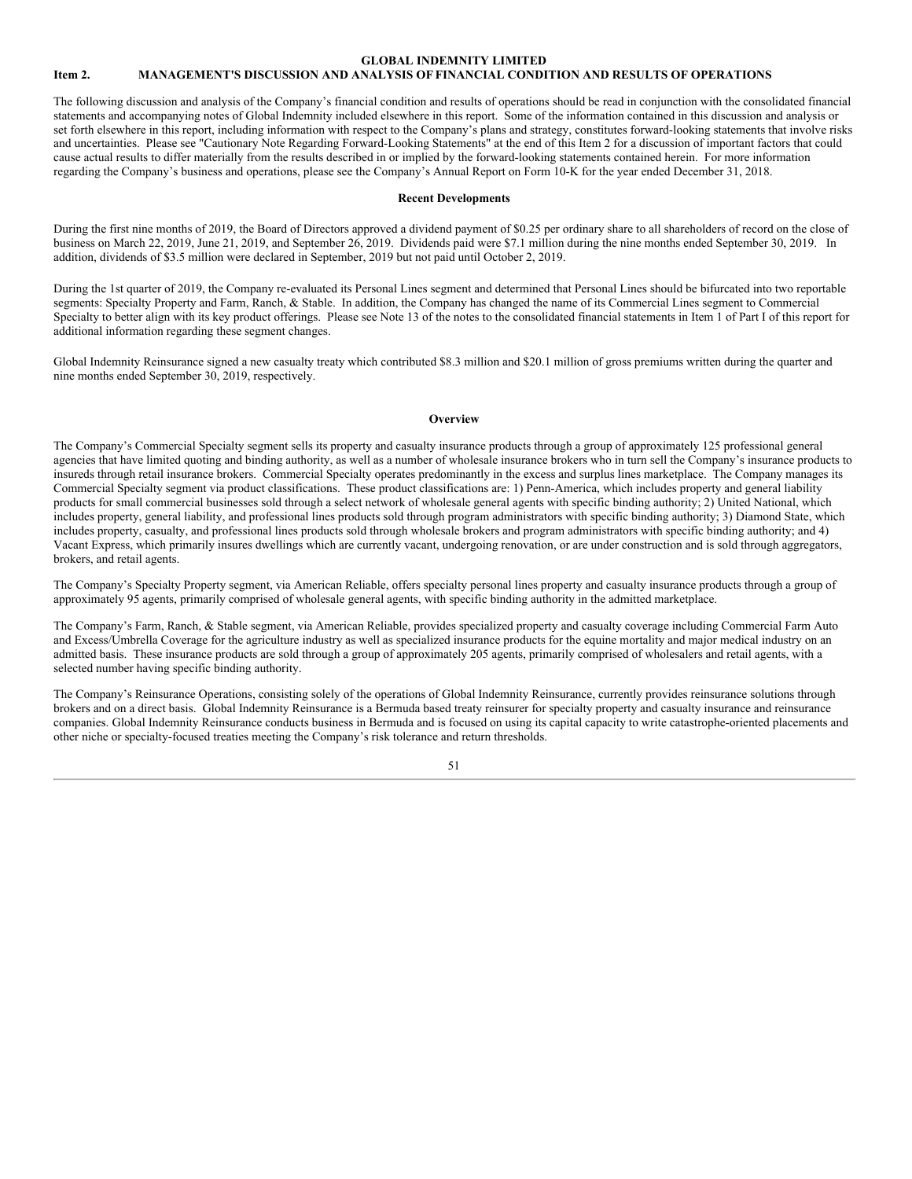# **Item 2. MANAGEMENT'S DISCUSSION AND ANALYSIS OF FINANCIAL CONDITION AND RESULTS OF OPERATIONS**

The following discussion and analysis of the Company's financial condition and results of operations should be read in conjunction with the consolidated financial statements and accompanying notes of Global Indemnity included elsewhere in this report. Some of the information contained in this discussion and analysis or set forth elsewhere in this report, including information with respect to the Company's plans and strategy, constitutes forward-looking statements that involve risks and uncertainties. Please see "Cautionary Note Regarding Forward-Looking Statements" at the end of this Item 2 for a discussion of important factors that could cause actual results to differ materially from the results described in or implied by the forward-looking statements contained herein. For more information regarding the Company's business and operations, please see the Company's Annual Report on Form 10-K for the year ended December 31, 2018.

#### **Recent Developments**

During the first nine months of 2019, the Board of Directors approved a dividend payment of \$0.25 per ordinary share to all shareholders of record on the close of business on March 22, 2019, June 21, 2019, and September 26, 2019. Dividends paid were \$7.1 million during the nine months ended September 30, 2019. In addition, dividends of \$3.5 million were declared in September, 2019 but not paid until October 2, 2019.

During the 1st quarter of 2019, the Company re-evaluated its Personal Lines segment and determined that Personal Lines should be bifurcated into two reportable segments: Specialty Property and Farm, Ranch, & Stable. In addition, the Company has changed the name of its Commercial Lines segment to Commercial Specialty to better align with its key product offerings. Please see Note 13 of the notes to the consolidated financial statements in Item 1 of Part I of this report for additional information regarding these segment changes.

Global Indemnity Reinsurance signed a new casualty treaty which contributed \$8.3 million and \$20.1 million of gross premiums written during the quarter and nine months ended September 30, 2019, respectively.

#### **Overview**

The Company's Commercial Specialty segment sells its property and casualty insurance products through a group of approximately 125 professional general agencies that have limited quoting and binding authority, as well as a number of wholesale insurance brokers who in turn sell the Company's insurance products to insureds through retail insurance brokers. Commercial Specialty operates predominantly in the excess and surplus lines marketplace. The Company manages its Commercial Specialty segment via product classifications. These product classifications are: 1) Penn-America, which includes property and general liability products for small commercial businesses sold through a select network of wholesale general agents with specific binding authority; 2) United National, which includes property, general liability, and professional lines products sold through program administrators with specific binding authority; 3) Diamond State, which includes property, casualty, and professional lines products sold through wholesale brokers and program administrators with specific binding authority; and 4) Vacant Express, which primarily insures dwellings which are currently vacant, undergoing renovation, or are under construction and is sold through aggregators, brokers, and retail agents.

The Company's Specialty Property segment, via American Reliable, offers specialty personal lines property and casualty insurance products through a group of approximately 95 agents, primarily comprised of wholesale general agents, with specific binding authority in the admitted marketplace.

The Company's Farm, Ranch, & Stable segment, via American Reliable, provides specialized property and casualty coverage including Commercial Farm Auto and Excess/Umbrella Coverage for the agriculture industry as well as specialized insurance products for the equine mortality and major medical industry on an admitted basis. These insurance products are sold through a group of approximately 205 agents, primarily comprised of wholesalers and retail agents, with a selected number having specific binding authority.

The Company's Reinsurance Operations, consisting solely of the operations of Global Indemnity Reinsurance, currently provides reinsurance solutions through brokers and on a direct basis. Global Indemnity Reinsurance is a Bermuda based treaty reinsurer for specialty property and casualty insurance and reinsurance companies. Global Indemnity Reinsurance conducts business in Bermuda and is focused on using its capital capacity to write catastrophe-oriented placements and other niche or specialty-focused treaties meeting the Company's risk tolerance and return thresholds.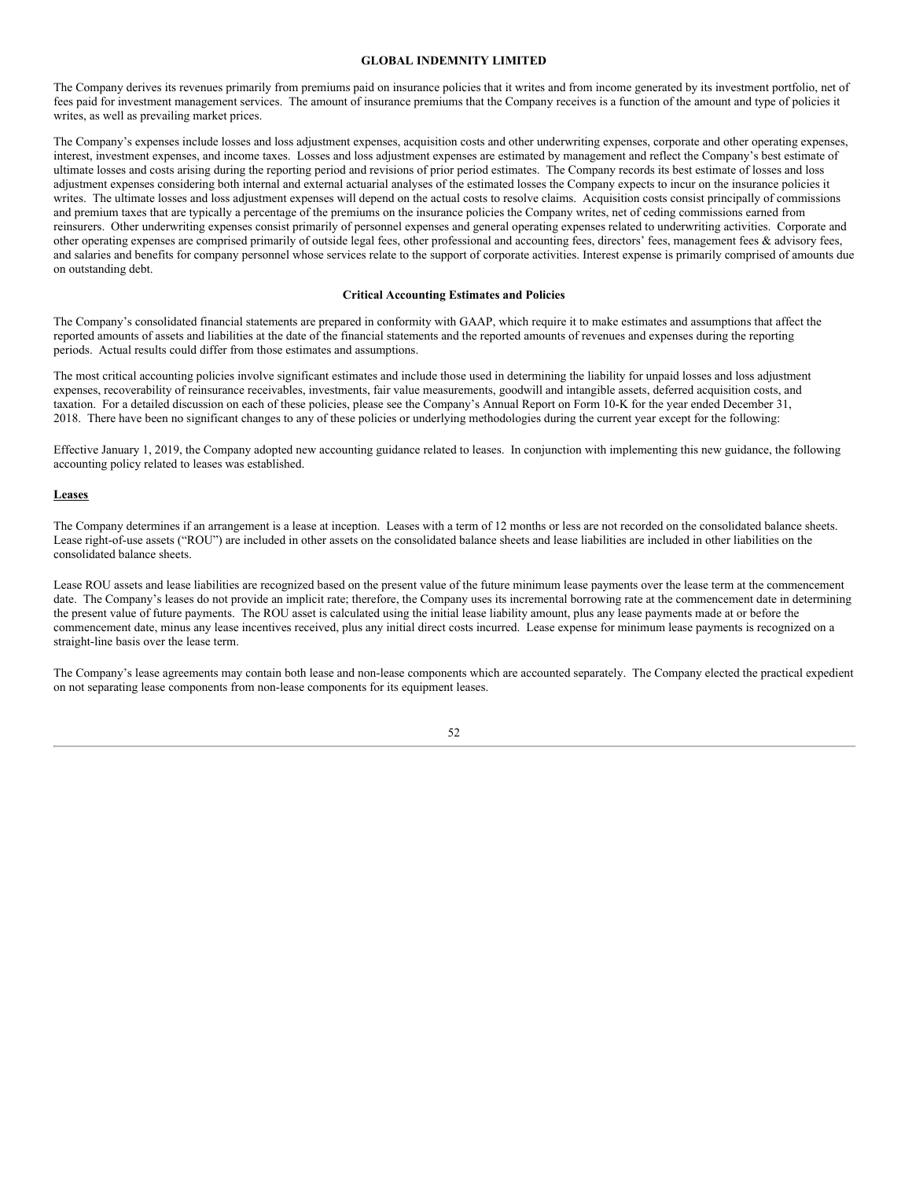The Company derives its revenues primarily from premiums paid on insurance policies that it writes and from income generated by its investment portfolio, net of fees paid for investment management services. The amount of insurance premiums that the Company receives is a function of the amount and type of policies it writes, as well as prevailing market prices.

The Company's expenses include losses and loss adjustment expenses, acquisition costs and other underwriting expenses, corporate and other operating expenses, interest, investment expenses, and income taxes. Losses and loss adjustment expenses are estimated by management and reflect the Company's best estimate of ultimate losses and costs arising during the reporting period and revisions of prior period estimates. The Company records its best estimate of losses and loss adjustment expenses considering both internal and external actuarial analyses of the estimated losses the Company expects to incur on the insurance policies it writes. The ultimate losses and loss adjustment expenses will depend on the actual costs to resolve claims. Acquisition costs consist principally of commissions and premium taxes that are typically a percentage of the premiums on the insurance policies the Company writes, net of ceding commissions earned from reinsurers. Other underwriting expenses consist primarily of personnel expenses and general operating expenses related to underwriting activities. Corporate and other operating expenses are comprised primarily of outside legal fees, other professional and accounting fees, directors' fees, management fees & advisory fees, and salaries and benefits for company personnel whose services relate to the support of corporate activities. Interest expense is primarily comprised of amounts due on outstanding debt.

#### **Critical Accounting Estimates and Policies**

The Company's consolidated financial statements are prepared in conformity with GAAP, which require it to make estimates and assumptions that affect the reported amounts of assets and liabilities at the date of the financial statements and the reported amounts of revenues and expenses during the reporting periods. Actual results could differ from those estimates and assumptions.

The most critical accounting policies involve significant estimates and include those used in determining the liability for unpaid losses and loss adjustment expenses, recoverability of reinsurance receivables, investments, fair value measurements, goodwill and intangible assets, deferred acquisition costs, and taxation. For a detailed discussion on each of these policies, please see the Company's Annual Report on Form 10-K for the year ended December 31, 2018. There have been no significant changes to any of these policies or underlying methodologies during the current year except for the following:

Effective January 1, 2019, the Company adopted new accounting guidance related to leases. In conjunction with implementing this new guidance, the following accounting policy related to leases was established.

#### **Leases**

The Company determines if an arrangement is a lease at inception. Leases with a term of 12 months or less are not recorded on the consolidated balance sheets. Lease right-of-use assets ("ROU") are included in other assets on the consolidated balance sheets and lease liabilities are included in other liabilities on the consolidated balance sheets.

Lease ROU assets and lease liabilities are recognized based on the present value of the future minimum lease payments over the lease term at the commencement date. The Company's leases do not provide an implicit rate; therefore, the Company uses its incremental borrowing rate at the commencement date in determining the present value of future payments. The ROU asset is calculated using the initial lease liability amount, plus any lease payments made at or before the commencement date, minus any lease incentives received, plus any initial direct costs incurred. Lease expense for minimum lease payments is recognized on a straight-line basis over the lease term.

The Company's lease agreements may contain both lease and non-lease components which are accounted separately. The Company elected the practical expedient on not separating lease components from non-lease components for its equipment leases.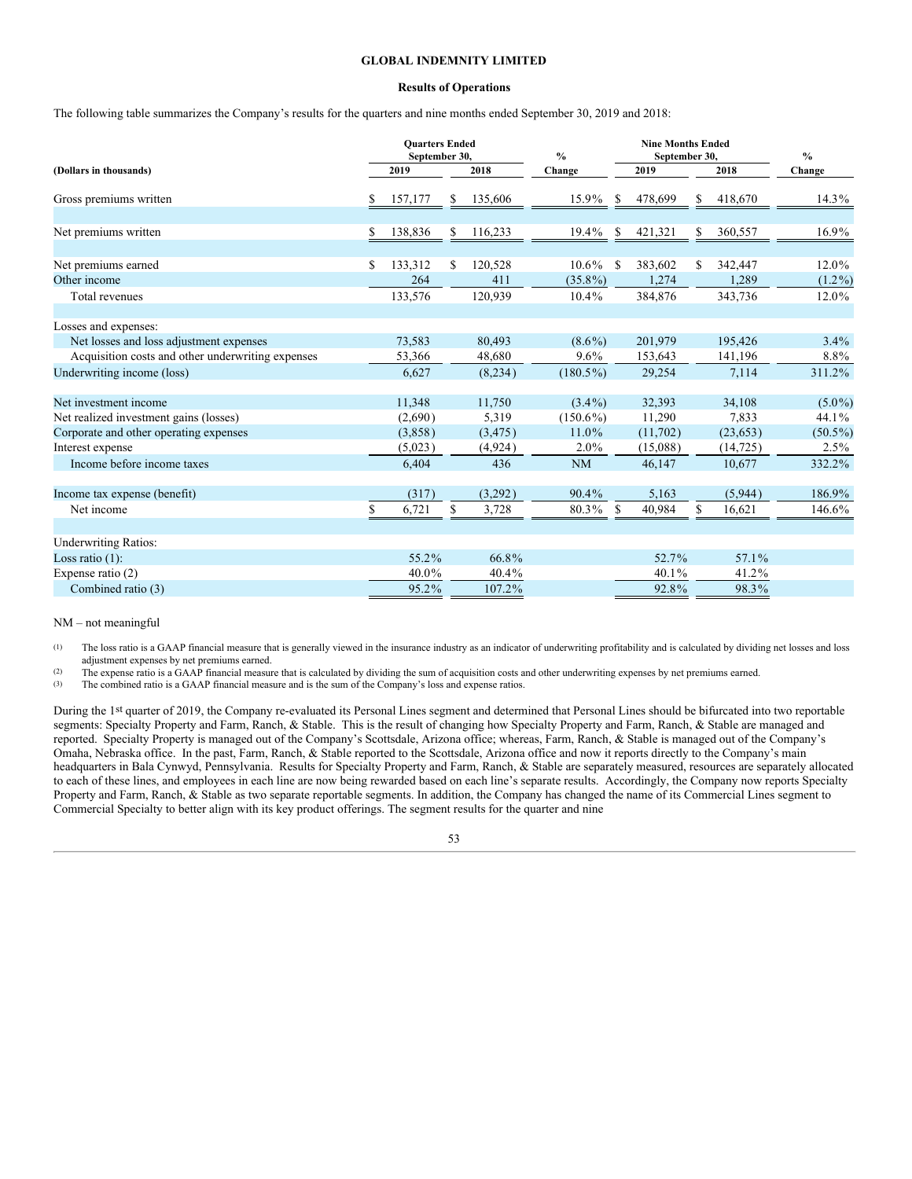#### **Results of Operations**

The following table summarizes the Company's results for the quarters and nine months ended September 30, 2019 and 2018:

|                                                   |    | <b>Ouarters Ended</b><br>September 30, |   |          | $\frac{0}{0}$ |               | <b>Nine Months Ended</b><br>September 30, | $\frac{0}{0}$ |           |            |
|---------------------------------------------------|----|----------------------------------------|---|----------|---------------|---------------|-------------------------------------------|---------------|-----------|------------|
| (Dollars in thousands)                            |    | 2019                                   |   | 2018     | Change        |               | 2019                                      |               | 2018      | Change     |
| Gross premiums written                            |    | 157,177                                | S | 135,606  | 15.9%         | S             | 478,699                                   | \$            | 418,670   | 14.3%      |
| Net premiums written                              |    | 138,836                                | S | 116,233  | 19.4%         | S             | 421,321                                   | S             | 360,557   | 16.9%      |
| Net premiums earned                               | S. | 133,312                                | S | 120,528  | $10.6\%$      | -S            | 383,602                                   | \$.           | 342,447   | 12.0%      |
| Other income                                      |    | 264                                    |   | 411      | $(35.8\%)$    |               | 1.274                                     |               | 1.289     | $(1.2\%)$  |
| Total revenues                                    |    | 133,576                                |   | 120,939  | 10.4%         |               | 384,876                                   |               | 343,736   | 12.0%      |
| Losses and expenses:                              |    |                                        |   |          |               |               |                                           |               |           |            |
| Net losses and loss adjustment expenses           |    | 73,583                                 |   | 80,493   | $(8.6\%)$     |               | 201,979                                   |               | 195,426   | 3.4%       |
| Acquisition costs and other underwriting expenses |    | 53,366                                 |   | 48,680   | $9.6\%$       |               | 153,643                                   |               | 141,196   | 8.8%       |
| Underwriting income (loss)                        |    | 6,627                                  |   | (8,234)  | $(180.5\%)$   |               | 29,254                                    |               | 7,114     | 311.2%     |
| Net investment income                             |    | 11,348                                 |   | 11,750   | $(3.4\%)$     |               | 32,393                                    |               | 34,108    | $(5.0\%)$  |
| Net realized investment gains (losses)            |    | (2,690)                                |   | 5,319    | $(150.6\%)$   |               | 11,290                                    |               | 7,833     | 44.1%      |
| Corporate and other operating expenses            |    | (3,858)                                |   | (3, 475) | $11.0\%$      |               | (11,702)                                  |               | (23, 653) | $(50.5\%)$ |
| Interest expense                                  |    | (5,023)                                |   | (4,924)  | $2.0\%$       |               | (15,088)                                  |               | (14, 725) | 2.5%       |
| Income before income taxes                        |    | 6.404                                  |   | 436      | NM            |               | 46,147                                    |               | 10.677    | 332.2%     |
| Income tax expense (benefit)                      |    | (317)                                  |   | (3,292)  | 90.4%         |               | 5,163                                     |               | (5,944)   | 186.9%     |
| Net income                                        |    | 6,721                                  | S | 3,728    | 80.3%         | <sup>\$</sup> | 40,984                                    | \$            | 16,621    | 146.6%     |
| <b>Underwriting Ratios:</b>                       |    |                                        |   |          |               |               |                                           |               |           |            |
| Loss ratio $(1)$ :                                |    | 55.2%                                  |   | 66.8%    |               |               | 52.7%                                     |               | 57.1%     |            |
| Expense ratio $(2)$                               |    | 40.0%                                  |   | 40.4%    |               |               | 40.1%                                     |               | 41.2%     |            |
| Combined ratio (3)                                |    | 95.2%                                  |   | 107.2%   |               |               | 92.8%                                     |               | 98.3%     |            |
|                                                   |    |                                        |   |          |               |               |                                           |               |           |            |

#### NM – not meaningful

(1) The loss ratio is a GAAP financial measure that is generally viewed in the insurance industry as an indicator of underwriting profitability and is calculated by dividing net losses and loss adjustment expenses by net premiums earned.

(2) The expense ratio is a GAAP financial measure that is calculated by dividing the sum of acquisition costs and other underwriting expenses by net premiums earned.<br>
(3) The combined ratio is a GAAP financial measure and

The combined ratio is a GAAP financial measure and is the sum of the Company's loss and expense ratios.

During the 1st quarter of 2019, the Company re-evaluated its Personal Lines segment and determined that Personal Lines should be bifurcated into two reportable segments: Specialty Property and Farm, Ranch, & Stable. This is the result of changing how Specialty Property and Farm, Ranch, & Stable are managed and reported. Specialty Property is managed out of the Company's Scottsdale, Arizona office; whereas, Farm, Ranch, & Stable is managed out of the Company's Omaha, Nebraska office. In the past, Farm, Ranch, & Stable reported to the Scottsdale, Arizona office and now it reports directly to the Company's main headquarters in Bala Cynwyd, Pennsylvania. Results for Specialty Property and Farm, Ranch, & Stable are separately measured, resources are separately allocated to each of these lines, and employees in each line are now being rewarded based on each line's separate results. Accordingly, the Company now reports Specialty Property and Farm, Ranch, & Stable as two separate reportable segments. In addition, the Company has changed the name of its Commercial Lines segment to Commercial Specialty to better align with its key product offerings. The segment results for the quarter and nine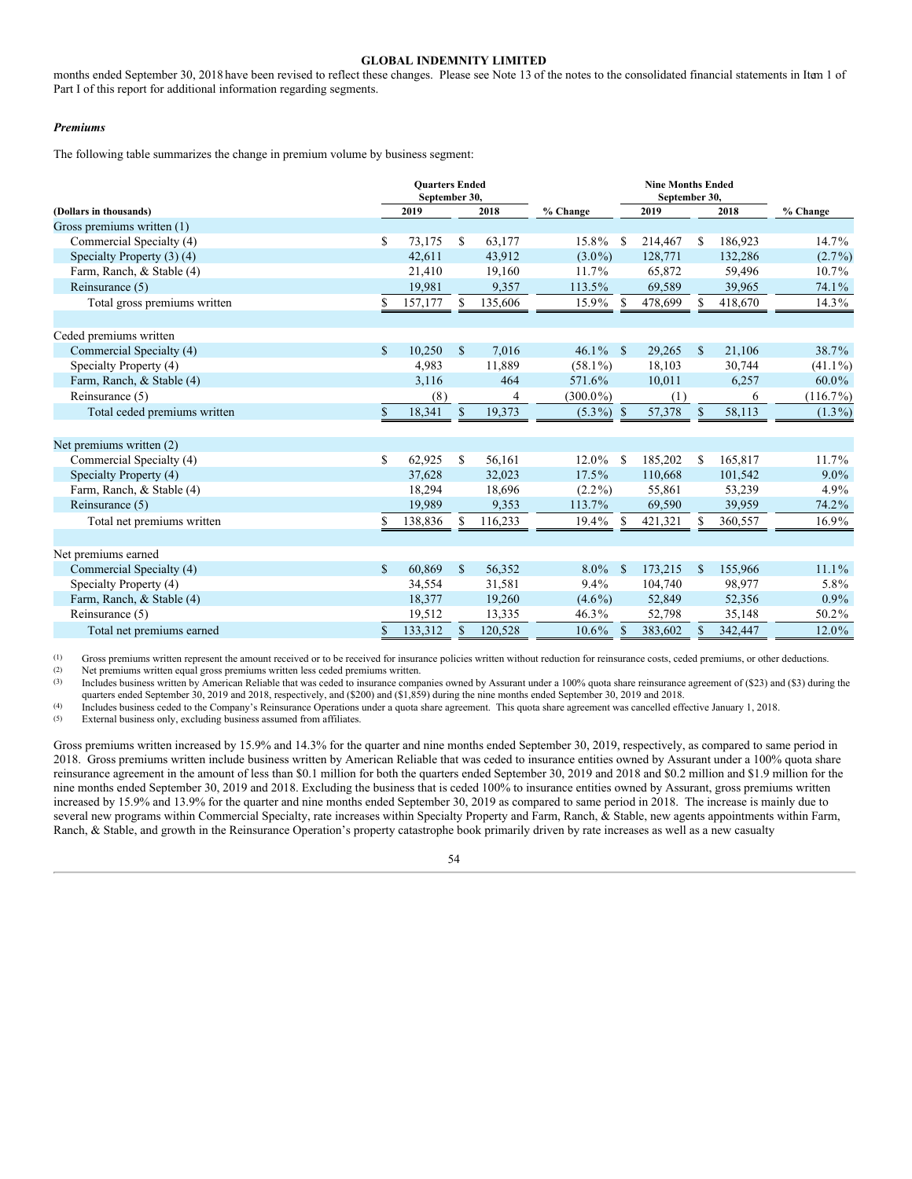months ended September 30, 2018 have been revised to reflect these changes. Please see Note 13 of the notes to the consolidated financial statements in Item 1 of Part I of this report for additional information regarding segments.

#### *Premiums*

The following table summarizes the change in premium volume by business segment:

|                              |               | <b>Ouarters Ended</b><br>September 30, |               |         |             |               |         |               |         |             |
|------------------------------|---------------|----------------------------------------|---------------|---------|-------------|---------------|---------|---------------|---------|-------------|
| (Dollars in thousands)       |               | 2019                                   |               | 2018    | % Change    |               | 2019    |               | 2018    | % Change    |
| Gross premiums written (1)   |               |                                        |               |         |             |               |         |               |         |             |
| Commercial Specialty (4)     | S             | 73,175                                 | S             | 63,177  | 15.8%       | <sup>\$</sup> | 214,467 | S             | 186,923 | 14.7%       |
| Specialty Property (3) (4)   |               | 42.611                                 |               | 43.912  | $(3.0\%)$   |               | 128,771 |               | 132,286 | $(2.7\%)$   |
| Farm, Ranch, & Stable (4)    |               | 21,410                                 |               | 19,160  | 11.7%       |               | 65,872  |               | 59,496  | 10.7%       |
| Reinsurance (5)              |               | 19.981                                 |               | 9,357   | 113.5%      |               | 69,589  |               | 39,965  | 74.1%       |
| Total gross premiums written | \$            | 157,177                                | S             | 135,606 | 15.9%       | <sup>\$</sup> | 478,699 | S             | 418,670 | 14.3%       |
| Ceded premiums written       |               |                                        |               |         |             |               |         |               |         |             |
| Commercial Specialty (4)     | $\mathbb{S}$  | 10.250                                 | $\mathbb{S}$  | 7.016   | $46.1\%$    | <sup>\$</sup> | 29,265  | $\mathbb{S}$  | 21.106  | 38.7%       |
| Specialty Property (4)       |               | 4,983                                  |               | 11,889  | $(58.1\%)$  |               | 18,103  |               | 30,744  | $(41.1\%)$  |
| Farm, Ranch, & Stable (4)    |               | 3,116                                  |               | 464     | 571.6%      |               | 10,011  |               | 6,257   | 60.0%       |
| Reinsurance (5)              |               | (8)                                    |               | 4       | $(300.0\%)$ |               | (1)     |               | 6       | $(116.7\%)$ |
| Total ceded premiums written | \$            | 18,341                                 | $\mathbb{S}$  | 19,373  | $(5.3\%)$   | <sup>\$</sup> | 57,378  | $\mathbb{S}$  | 58,113  | $(1.3\%)$   |
| Net premiums written (2)     |               |                                        |               |         |             |               |         |               |         |             |
| Commercial Specialty (4)     | S.            | 62,925                                 | \$            | 56,161  | $12.0\%$    | <sup>\$</sup> | 185,202 | S             | 165,817 | 11.7%       |
| Specialty Property (4)       |               | 37.628                                 |               | 32,023  | 17.5%       |               | 110.668 |               | 101.542 | $9.0\%$     |
| Farm, Ranch, & Stable (4)    |               | 18,294                                 |               | 18,696  | $(2.2\%)$   |               | 55,861  |               | 53,239  | 4.9%        |
| Reinsurance (5)              |               | 19,989                                 |               | 9,353   | 113.7%      |               | 69,590  |               | 39,959  | 74.2%       |
| Total net premiums written   |               | 138,836                                | S.            | 116,233 | 19.4%       | \$            | 421,321 | S             | 360,557 | 16.9%       |
| Net premiums earned          |               |                                        |               |         |             |               |         |               |         |             |
| Commercial Specialty (4)     | $\mathcal{S}$ | 60.869                                 | $\mathcal{S}$ | 56,352  | $8.0\%$     | <sup>\$</sup> | 173,215 | <sup>\$</sup> | 155,966 | 11.1%       |
| Specialty Property (4)       |               | 34,554                                 |               | 31,581  | $9.4\%$     |               | 104,740 |               | 98,977  | 5.8%        |
| Farm, Ranch, & Stable (4)    |               | 18,377                                 |               | 19,260  | $(4.6\%)$   |               | 52,849  |               | 52,356  | $0.9\%$     |
| Reinsurance (5)              |               | 19,512                                 |               | 13,335  | 46.3%       |               | 52,798  |               | 35,148  | 50.2%       |
| Total net premiums earned    | \$            | 133,312                                | $\mathbb{S}$  | 120,528 | 10.6%       | $\mathcal{S}$ | 383,602 | $\mathbf S$   | 342,447 | 12.0%       |

(1) Gross premiums written represent the amount received or to be received for insurance policies written without reduction for reinsurance costs, ceded premiums, or other deductions.

(2) Net premiums written equal gross premiums written less ceded premiums written.

(3) Includes business written by American Reliable that was ceded to insurance companies owned by Assurant under a 100% quota share reinsurance agreement of (\$23) and (\$3) during the quarters ended September 30, 2019 and 2018, respectively, and (\$200) and (\$1,859) during the nine months ended September 30, 2019 and 2018.

(4) Includes business ceded to the Company's Reinsurance Operations under a quota share agreement. This quota share agreement was cancelled effective January 1, 2018.<br>
External business only, excluding business assumed fro

External business only, excluding business assumed from affiliates.

Gross premiums written increased by 15.9% and 14.3% for the quarter and nine months ended September 30, 2019, respectively, as compared to same period in 2018. Gross premiums written include business written by American Reliable that was ceded to insurance entities owned by Assurant under a 100% quota share reinsurance agreement in the amount of less than \$0.1 million for both the quarters ended September 30, 2019 and 2018 and \$0.2 million and \$1.9 million for the nine months ended September 30, 2019 and 2018. Excluding the business that is ceded 100% to insurance entities owned by Assurant, gross premiums written increased by 15.9% and 13.9% for the quarter and nine months ended September 30, 2019 as compared to same period in 2018. The increase is mainly due to several new programs within Commercial Specialty, rate increases within Specialty Property and Farm, Ranch, & Stable, new agents appointments within Farm, Ranch, & Stable, and growth in the Reinsurance Operation's property catastrophe book primarily driven by rate increases as well as a new casualty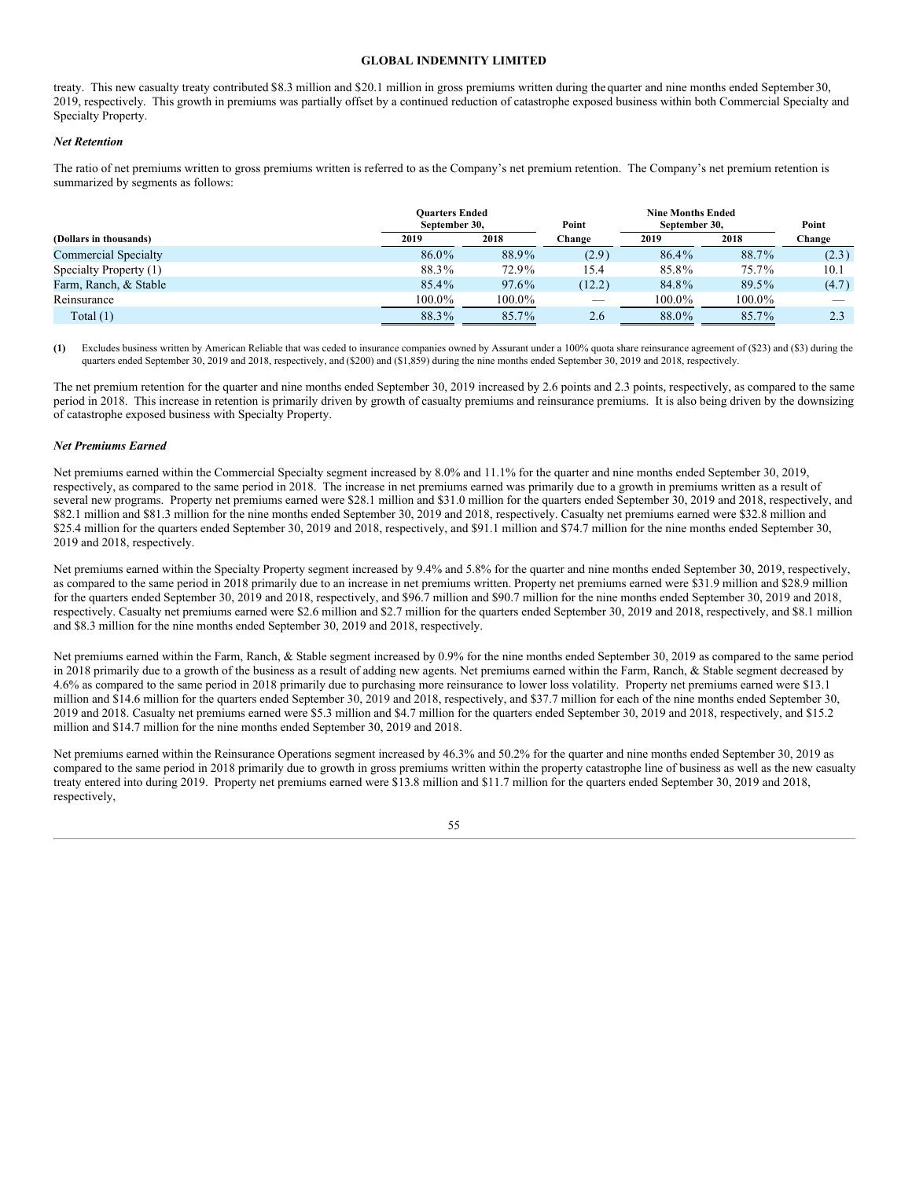treaty. This new casualty treaty contributed \$8.3 million and \$20.1 million in gross premiums written during the quarter and nine months ended September 30, 2019, respectively. This growth in premiums was partially offset by a continued reduction of catastrophe exposed business within both Commercial Specialty and Specialty Property.

### *Net Retention*

The ratio of net premiums written to gross premiums written is referred to as the Company's net premium retention. The Company's net premium retention is summarized by segments as follows:

|                        | <b>Ouarters Ended</b><br>September 30. |        | Point                    | Point  |        |        |
|------------------------|----------------------------------------|--------|--------------------------|--------|--------|--------|
| (Dollars in thousands) | 2019                                   | 2018   | Change                   | 2019   | 2018   | Change |
| Commercial Specialty   | 86.0%                                  | 88.9%  | (2.9)                    | 86.4%  | 88.7%  | (2.3)  |
| Specialty Property (1) | 88.3%                                  | 72.9%  | 15.4                     | 85.8%  | 75.7%  | 10.1   |
| Farm, Ranch, & Stable  | 85.4%                                  | 97.6%  | (12.2)                   | 84.8%  | 89.5%  | (4.7)  |
| Reinsurance            | $100.0\%$                              | 100.0% | $\overline{\phantom{a}}$ | 100.0% | 100.0% |        |
| Total $(1)$            | 88.3%                                  | 85.7%  | 2.6                      | 88.0%  | 85.7%  | 2.3    |

**(1)** Excludes business written by American Reliable that was ceded to insurance companies owned by Assurant under a 100% quota share reinsurance agreement of (\$23) and (\$3) during the quarters ended September 30, 2019 and 2018, respectively, and (\$200) and (\$1,859) during the nine months ended September 30, 2019 and 2018, respectively.

The net premium retention for the quarter and nine months ended September 30, 2019 increased by 2.6 points and 2.3 points, respectively, as compared to the same period in 2018. This increase in retention is primarily driven by growth of casualty premiums and reinsurance premiums. It is also being driven by the downsizing of catastrophe exposed business with Specialty Property.

#### *Net Premiums Earned*

Net premiums earned within the Commercial Specialty segment increased by 8.0% and 11.1% for the quarter and nine months ended September 30, 2019, respectively, as compared to the same period in 2018. The increase in net premiums earned was primarily due to a growth in premiums written as a result of several new programs. Property net premiums earned were \$28.1 million and \$31.0 million for the quarters ended September 30, 2019 and 2018, respectively, and \$82.1 million and \$81.3 million for the nine months ended September 30, 2019 and 2018, respectively. Casualty net premiums earned were \$32.8 million and \$25.4 million for the quarters ended September 30, 2019 and 2018, respectively, and \$91.1 million and \$74.7 million for the nine months ended September 30, 2019 and 2018, respectively.

Net premiums earned within the Specialty Property segment increased by 9.4% and 5.8% for the quarter and nine months ended September 30, 2019, respectively, as compared to the same period in 2018 primarily due to an increase in net premiums written. Property net premiums earned were \$31.9 million and \$28.9 million for the quarters ended September 30, 2019 and 2018, respectively, and \$96.7 million and \$90.7 million for the nine months ended September 30, 2019 and 2018, respectively. Casualty net premiums earned were \$2.6 million and \$2.7 million for the quarters ended September 30, 2019 and 2018, respectively, and \$8.1 million and \$8.3 million for the nine months ended September 30, 2019 and 2018, respectively.

Net premiums earned within the Farm, Ranch, & Stable segment increased by 0.9% for the nine months ended September 30, 2019 as compared to the same period in 2018 primarily due to a growth of the business as a result of adding new agents. Net premiums earned within the Farm, Ranch, & Stable segment decreased by 4.6% as compared to the same period in 2018 primarily due to purchasing more reinsurance to lower loss volatility. Property net premiums earned were \$13.1 million and \$14.6 million for the quarters ended September 30, 2019 and 2018, respectively, and \$37.7 million for each of the nine months ended September 30, 2019 and 2018. Casualty net premiums earned were \$5.3 million and \$4.7 million for the quarters ended September 30, 2019 and 2018, respectively, and \$15.2 million and \$14.7 million for the nine months ended September 30, 2019 and 2018.

Net premiums earned within the Reinsurance Operations segment increased by 46.3% and 50.2% for the quarter and nine months ended September 30, 2019 as compared to the same period in 2018 primarily due to growth in gross premiums written within the property catastrophe line of business as well as the new casualty treaty entered into during 2019. Property net premiums earned were \$13.8 million and \$11.7 million for the quarters ended September 30, 2019 and 2018, respectively,

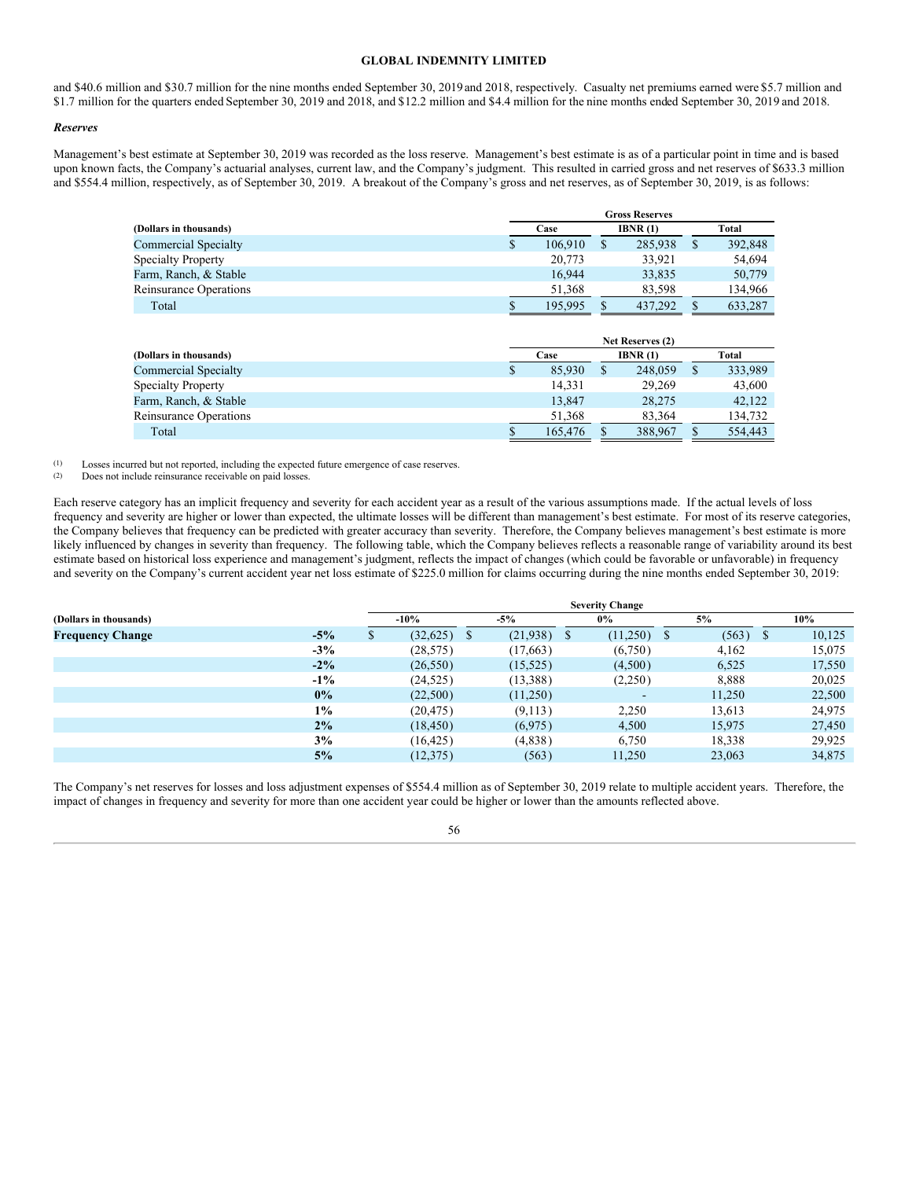and \$40.6 million and \$30.7 million for the nine months ended September 30, 2019and 2018, respectively. Casualty net premiums earned were \$5.7 million and \$1.7 million for the quarters ended September 30, 2019 and 2018, and \$12.2 million and \$4.4 million for the nine months ended September 30, 2019 and 2018.

#### *Reserves*

Management's best estimate at September 30, 2019 was recorded as the loss reserve. Management's best estimate is as of a particular point in time and is based upon known facts, the Company's actuarial analyses, current law, and the Company's judgment. This resulted in carried gross and net reserves of \$633.3 million and \$554.4 million, respectively, as of September 30, 2019. A breakout of the Company's gross and net reserves, as of September 30, 2019, is as follows:

|                           | <b>Gross Reserves</b> |         |  |         |  |         |  |  |  |  |  |  |  |
|---------------------------|-----------------------|---------|--|---------|--|---------|--|--|--|--|--|--|--|
| (Dollars in thousands)    |                       | Case    |  | IBNR(1) |  | Total   |  |  |  |  |  |  |  |
| Commercial Specialty      | S                     | 106.910 |  | 285,938 |  | 392,848 |  |  |  |  |  |  |  |
| <b>Specialty Property</b> |                       | 20,773  |  | 33.921  |  | 54,694  |  |  |  |  |  |  |  |
| Farm, Ranch, & Stable     |                       | 16.944  |  | 33,835  |  | 50,779  |  |  |  |  |  |  |  |
| Reinsurance Operations    |                       | 51.368  |  | 83.598  |  | 134,966 |  |  |  |  |  |  |  |
| Total                     | S                     | 195,995 |  | 437.292 |  | 633.287 |  |  |  |  |  |  |  |

|                        | Net Reserves (2) |         |  |         |  |         |  |  |  |  |  |
|------------------------|------------------|---------|--|---------|--|---------|--|--|--|--|--|
| (Dollars in thousands) |                  | Case    |  | IBNR(1) |  | Total   |  |  |  |  |  |
| Commercial Specialty   | \$               | 85.930  |  | 248,059 |  | 333,989 |  |  |  |  |  |
| Specialty Property     |                  | 14.331  |  | 29.269  |  | 43,600  |  |  |  |  |  |
| Farm, Ranch, & Stable  |                  | 13.847  |  | 28,275  |  | 42,122  |  |  |  |  |  |
| Reinsurance Operations |                  | 51.368  |  | 83,364  |  | 134.732 |  |  |  |  |  |
| Total                  | S                | 165,476 |  | 388,967 |  | 554,443 |  |  |  |  |  |

(1) Losses incurred but not reported, including the expected future emergence of case reserves.<br>
(2) Does not include reinsurance receivable on paid losses

Each reserve category has an implicit frequency and severity for each accident year as a result of the various assumptions made. If the actual levels of loss frequency and severity are higher or lower than expected, the ultimate losses will be different than management's best estimate. For most of its reserve categories, the Company believes that frequency can be predicted with greater accuracy than severity. Therefore, the Company believes management's best estimate is more likely influenced by changes in severity than frequency. The following table, which the Company believes reflects a reasonable range of variability around its best estimate based on historical loss experience and management's judgment, reflects the impact of changes (which could be favorable or unfavorable) in frequency and severity on the Company's current accident year net loss estimate of \$225.0 million for claims occurring during the nine months ended September 30, 2019:

|                         |        | <b>Severity Change</b> |           |   |           |              |          |    |        |  |        |  |  |
|-------------------------|--------|------------------------|-----------|---|-----------|--------------|----------|----|--------|--|--------|--|--|
| (Dollars in thousands)  |        |                        | $-10%$    |   | $-5%$     |              | $0\%$    |    | 5%     |  | 10%    |  |  |
| <b>Frequency Change</b> | $-5%$  | D.                     | (32,625)  | D | (21,938)  | <sup>S</sup> | (11,250) | -S | (563)  |  | 10,125 |  |  |
|                         | $-3\%$ |                        | (28, 575) |   | (17,663)  |              | (6,750)  |    | 4,162  |  | 15,075 |  |  |
|                         | $-2\%$ |                        | (26, 550) |   | (15, 525) |              | (4,500)  |    | 6,525  |  | 17,550 |  |  |
|                         | $-1\%$ |                        | (24, 525) |   | (13,388)  |              | (2,250)  |    | 8,888  |  | 20,025 |  |  |
|                         | $0\%$  |                        | (22,500)  |   | (11,250)  |              |          |    | 11,250 |  | 22,500 |  |  |
|                         | $1\%$  |                        | (20, 475) |   | (9,113)   |              | 2,250    |    | 13,613 |  | 24,975 |  |  |
|                         | 2%     |                        | (18, 450) |   | (6,975)   |              | 4,500    |    | 15,975 |  | 27,450 |  |  |
|                         | 3%     |                        | (16, 425) |   | (4,838)   |              | 6,750    |    | 18,338 |  | 29,925 |  |  |
|                         | 5%     |                        | (12, 375) |   | (563)     |              | 11.250   |    | 23,063 |  | 34,875 |  |  |

The Company's net reserves for losses and loss adjustment expenses of \$554.4 million as of September 30, 2019 relate to multiple accident years. Therefore, the impact of changes in frequency and severity for more than one accident year could be higher or lower than the amounts reflected above.



Does not include reinsurance receivable on paid losses.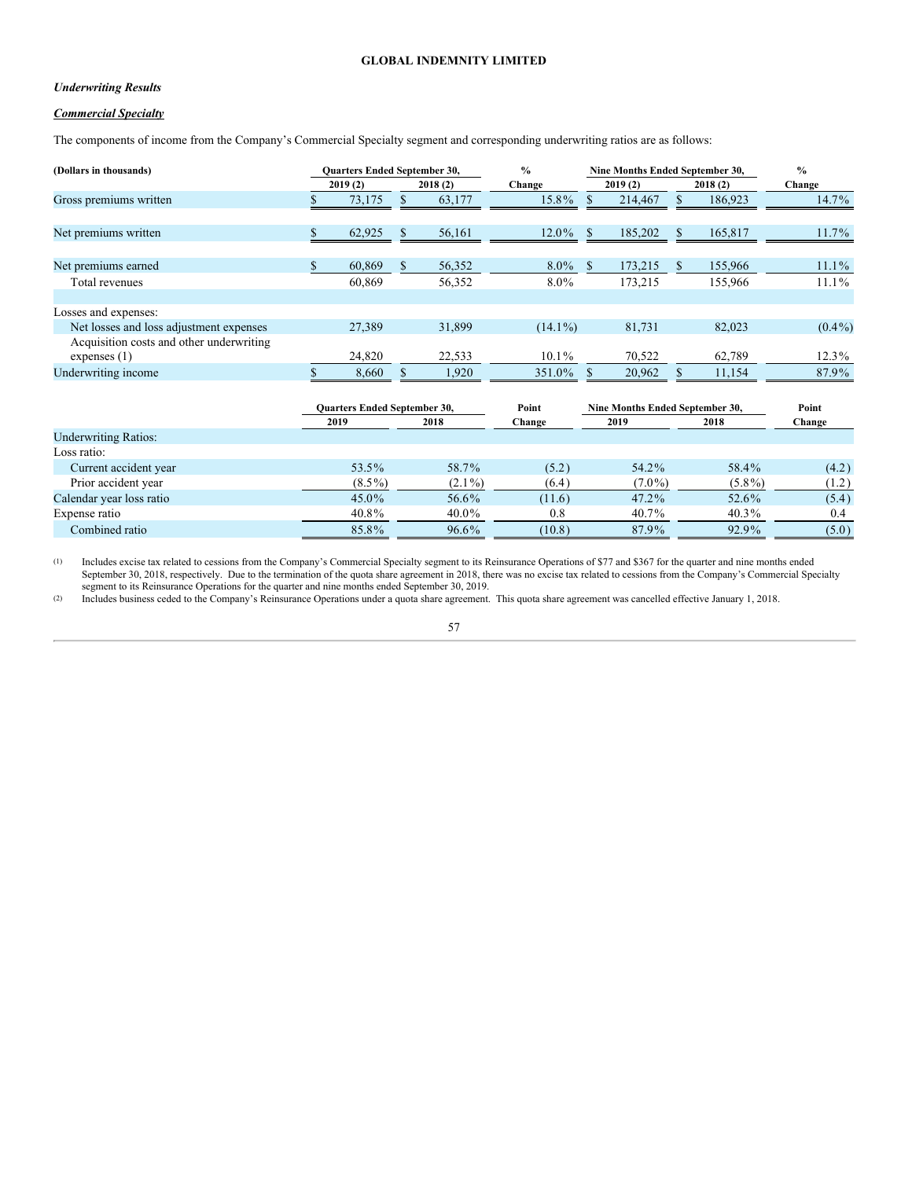# *Underwriting Results*

# *Commercial Specialty*

The components of income from the Company's Commercial Specialty segment and corresponding underwriting ratios are as follows:

| (Dollars in thousands)                                     |    | <b>Ouarters Ended September 30,</b> |                                             |           | $\frac{0}{0}$   |                                         | Nine Months Ended September 30, |     | $\frac{0}{n}$ |                 |
|------------------------------------------------------------|----|-------------------------------------|---------------------------------------------|-----------|-----------------|-----------------------------------------|---------------------------------|-----|---------------|-----------------|
|                                                            |    | 2019(2)                             |                                             | 2018(2)   | Change          |                                         | 2019(2)                         |     | 2018(2)       | Change          |
| Gross premiums written                                     | S. | 73,175                              | <sup>\$</sup>                               | 63,177    | 15.8%           | <sup>\$</sup>                           | 214,467                         | \$. | 186,923       | $14.7\%$        |
| Net premiums written                                       | \$ | 62,925                              |                                             | 56,161    | $12.0\%$        | <sup>\$</sup>                           | 185,202                         | \$. | 165,817       | 11.7%           |
| Net premiums earned                                        | \$ | 60,869                              | \$.                                         | 56,352    | $8.0\%$         | <sup>\$</sup>                           | 173,215                         | \$. | 155,966       | 11.1%           |
| Total revenues                                             |    | 60,869                              |                                             | 56,352    | $8.0\%$         |                                         | 173,215                         |     | 155,966       | $11.1\%$        |
| Losses and expenses:                                       |    |                                     |                                             |           |                 |                                         |                                 |     |               |                 |
| Net losses and loss adjustment expenses                    |    | 27,389                              |                                             | 31,899    | $(14.1\%)$      |                                         | 81,731                          |     | 82,023        | $(0.4\%)$       |
| Acquisition costs and other underwriting<br>expenses $(1)$ |    | 24,820                              |                                             | 22,533    | $10.1\%$        |                                         | 70,522                          |     | 62,789        | $12.3\%$        |
| Underwriting income                                        |    | 8,660                               | <b>S</b>                                    | 1,920     | 351.0%          | 20,962<br>\$                            |                                 | \$  | 11,154        | 87.9%           |
|                                                            |    | 2019                                | <b>Ouarters Ended September 30,</b><br>2018 |           | Point<br>Change | Nine Months Ended September 30,<br>2019 |                                 |     | 2018          | Point<br>Change |
| <b>Underwriting Ratios:</b>                                |    |                                     |                                             |           |                 |                                         |                                 |     |               |                 |
| Loss ratio:                                                |    |                                     |                                             |           |                 |                                         |                                 |     |               |                 |
| Current accident year                                      |    | 53.5%                               |                                             | 58.7%     | (5.2)           |                                         | 54.2%                           |     | 58.4%         | (4.2)           |
| Prior accident year                                        |    | $(8.5\%)$                           |                                             | $(2.1\%)$ | (6.4)           |                                         | $(7.0\%)$                       |     | $(5.8\%)$     | (1.2)           |
| Calendar year loss ratio                                   |    | 45.0%                               |                                             | 56.6%     | (11.6)          |                                         | 47.2%                           |     | 52.6%         | (5.4)           |
| Expense ratio                                              |    | 40.8%                               |                                             | 40.0%     | 0.8             |                                         | 40.7%                           |     | $40.3\%$      | 0.4             |
| Combined ratio                                             |    | 85.8%                               |                                             | 96.6%     | (10.8)          |                                         | 87.9%                           |     | 92.9%         | (5.0)           |

(1) Includes excise tax related to cessions from the Company's Commercial Specialty segment to its Reinsurance Operations of \$77 and \$367 for the quarter and nine months ended September 30, 2018, respectively. Due to the termination of the quota share agreement in 2018, there was no excise tax related to cessions from the Company's Commercial Specialty segment to its Reinsurance Operations for the quarter and nine months ended September 30, 2019.

(2) Includes business ceded to the Company's Reinsurance Operations under a quota share agreement. This quota share agreement was cancelled effective January 1, 2018.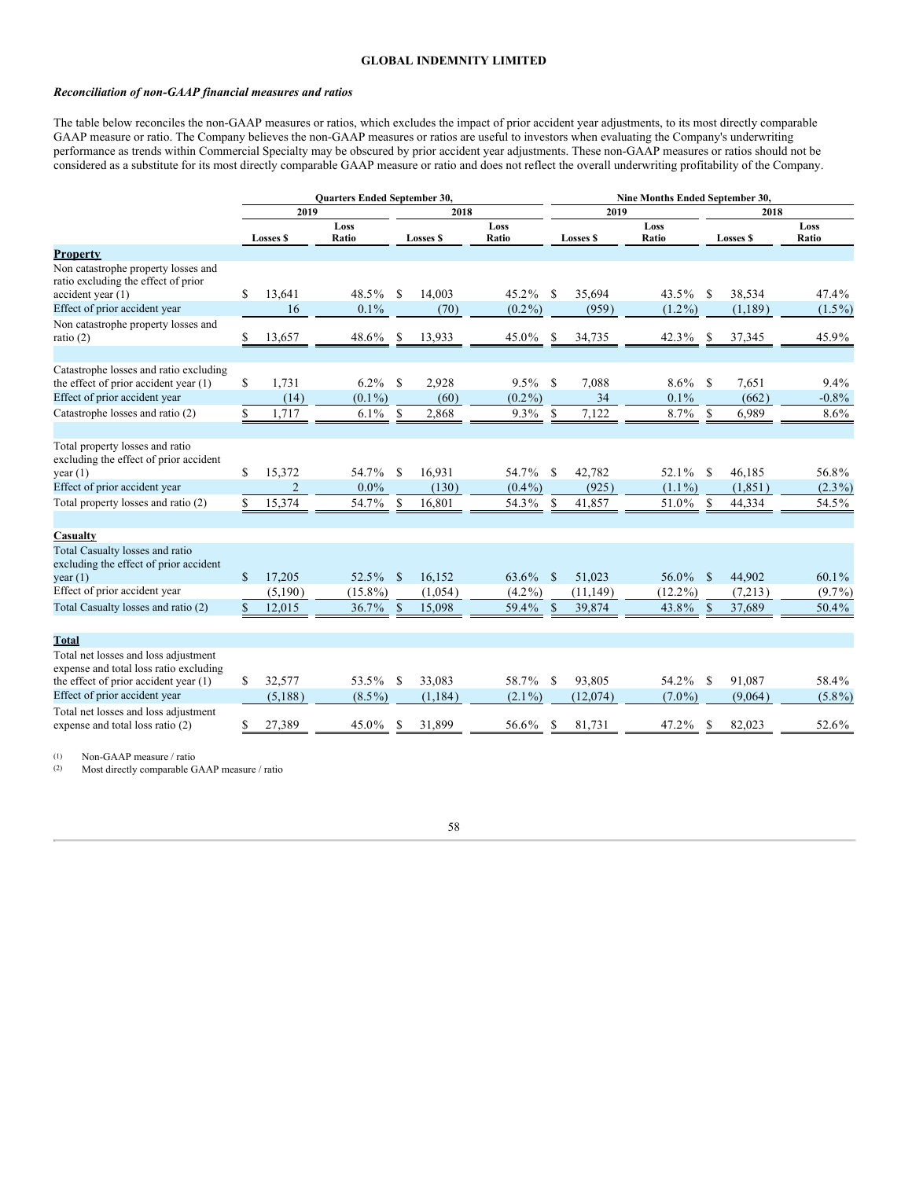## *Reconciliation of non-GAAP financial measures and ratios*

The table below reconciles the non-GAAP measures or ratios, which excludes the impact of prior accident year adjustments, to its most directly comparable GAAP measure or ratio. The Company believes the non-GAAP measures or ratios are useful to investors when evaluating the Company's underwriting performance as trends within Commercial Specialty may be obscured by prior accident year adjustments. These non-GAAP measures or ratios should not be considered as a substitute for its most directly comparable GAAP measure or ratio and does not reflect the overall underwriting profitability of the Company.

|                                                                                                                         | Quarters Ended September 30, |                  |               |               |                  |               | Nine Months Ended September 30, |                  |               |              |                  |               |  |
|-------------------------------------------------------------------------------------------------------------------------|------------------------------|------------------|---------------|---------------|------------------|---------------|---------------------------------|------------------|---------------|--------------|------------------|---------------|--|
|                                                                                                                         |                              | 2019             |               |               | 2018             |               |                                 | 2019             |               |              | 2018             |               |  |
|                                                                                                                         |                              | <b>Losses \$</b> | Loss<br>Ratio |               | <b>Losses \$</b> | Loss<br>Ratio |                                 | <b>Losses \$</b> | Loss<br>Ratio |              | <b>Losses \$</b> | Loss<br>Ratio |  |
| <b>Property</b>                                                                                                         |                              |                  |               |               |                  |               |                                 |                  |               |              |                  |               |  |
| Non catastrophe property losses and<br>ratio excluding the effect of prior<br>accident year (1)                         | \$                           | 13,641           | 48.5%         | <sup>\$</sup> | 14,003           | $45.2\%$      | -S                              | 35,694           | $43.5\%$      | -S           | 38,534           | 47.4%         |  |
| Effect of prior accident year                                                                                           |                              | 16               | $0.1\%$       |               | (70)             | $(0.2\%)$     |                                 | (959)            | $(1.2\%)$     |              | (1,189)          | $(1.5\%)$     |  |
| Non catastrophe property losses and<br>ratio $(2)$                                                                      | \$                           | 13,657           | 48.6%         | S             | 13,933           | 45.0%         | S                               | 34,735           | 42.3%         | \$           | 37,345           | 45.9%         |  |
| Catastrophe losses and ratio excluding<br>the effect of prior accident year (1)                                         | \$                           | 1,731            | $6.2\%$       | S             | 2,928            | $9.5\%$       | -S                              | 7,088            | 8.6%          | S            | 7,651            | $9.4\%$       |  |
| Effect of prior accident year                                                                                           |                              | (14)             | $(0.1\%)$     |               | (60)             | $(0.2\%)$     |                                 | 34               | $0.1\%$       |              | (662)            | $-0.8\%$      |  |
| Catastrophe losses and ratio (2)                                                                                        | S.                           | 1,717            | $6.1\%$       | S             | 2,868            | $9.3\%$       | \$                              | 7,122            | $8.7\%$       | S            | 6,989            | $8.6\%$       |  |
| Total property losses and ratio<br>excluding the effect of prior accident<br>year(1)                                    | \$                           | 15,372           | 54.7%         | \$            | 16,931           | 54.7%         | <sup>\$</sup>                   | 42,782           | 52.1%         | S            | 46,185           | 56.8%         |  |
| Effect of prior accident year                                                                                           |                              | $\overline{2}$   | $0.0\%$       |               | (130)            | $(0.4\%)$     |                                 | (925)            | $(1.1\%)$     |              | (1, 851)         | $(2.3\%)$     |  |
| Total property losses and ratio (2)                                                                                     | \$                           | 15,374           | 54.7%         | \$            | 16,801           | 54.3%         | \$                              | 41,857           | 51.0%         | \$           | 44,334           | 54.5%         |  |
| Casualty                                                                                                                |                              |                  |               |               |                  |               |                                 |                  |               |              |                  |               |  |
| Total Casualty losses and ratio<br>excluding the effect of prior accident<br>year(1)                                    | \$                           | 17,205           | 52.5%         | $\mathbf{s}$  | 16,152           | 63.6%         | <sup>\$</sup>                   | 51,023           | 56.0%         | $\mathbf{s}$ | 44,902           | 60.1%         |  |
| Effect of prior accident year                                                                                           |                              | (5,190)          | $(15.8\%)$    |               | (1,054)          | $(4.2\%)$     |                                 | (11, 149)        | $(12.2\%)$    |              | (7,213)          | $(9.7\%)$     |  |
| Total Casualty losses and ratio (2)                                                                                     | $\mathbf{s}$                 | 12.015           | 36.7%         | $\mathbf{s}$  | 15,098           | 59.4%         | $\mathbb{S}$                    | 39,874           | 43.8%         | $\mathbf S$  | 37,689           | 50.4%         |  |
| <b>Total</b>                                                                                                            |                              |                  |               |               |                  |               |                                 |                  |               |              |                  |               |  |
| Total net losses and loss adjustment<br>expense and total loss ratio excluding<br>the effect of prior accident year (1) | \$                           | 32,577           | 53.5%         | <sup>\$</sup> | 33,083           | 58.7%         | \$                              | 93,805           | 54.2%         | S            | 91,087           | 58.4%         |  |
| Effect of prior accident year                                                                                           |                              | (5,188)          | $(8.5\%)$     |               | (1, 184)         | $(2.1\%)$     |                                 | (12,074)         | $(7.0\%)$     |              | (9,064)          | $(5.8\%)$     |  |
| Total net losses and loss adjustment<br>expense and total loss ratio (2)                                                |                              | 27,389           | 45.0%         |               | 31,899           | 56.6%         | -S                              | 81.731           | 47.2%         | S            | 82,023           | 52.6%         |  |

58

(1) Non-GAAP measure / ratio<br>(2) Most directly comparable G

Most directly comparable GAAP measure / ratio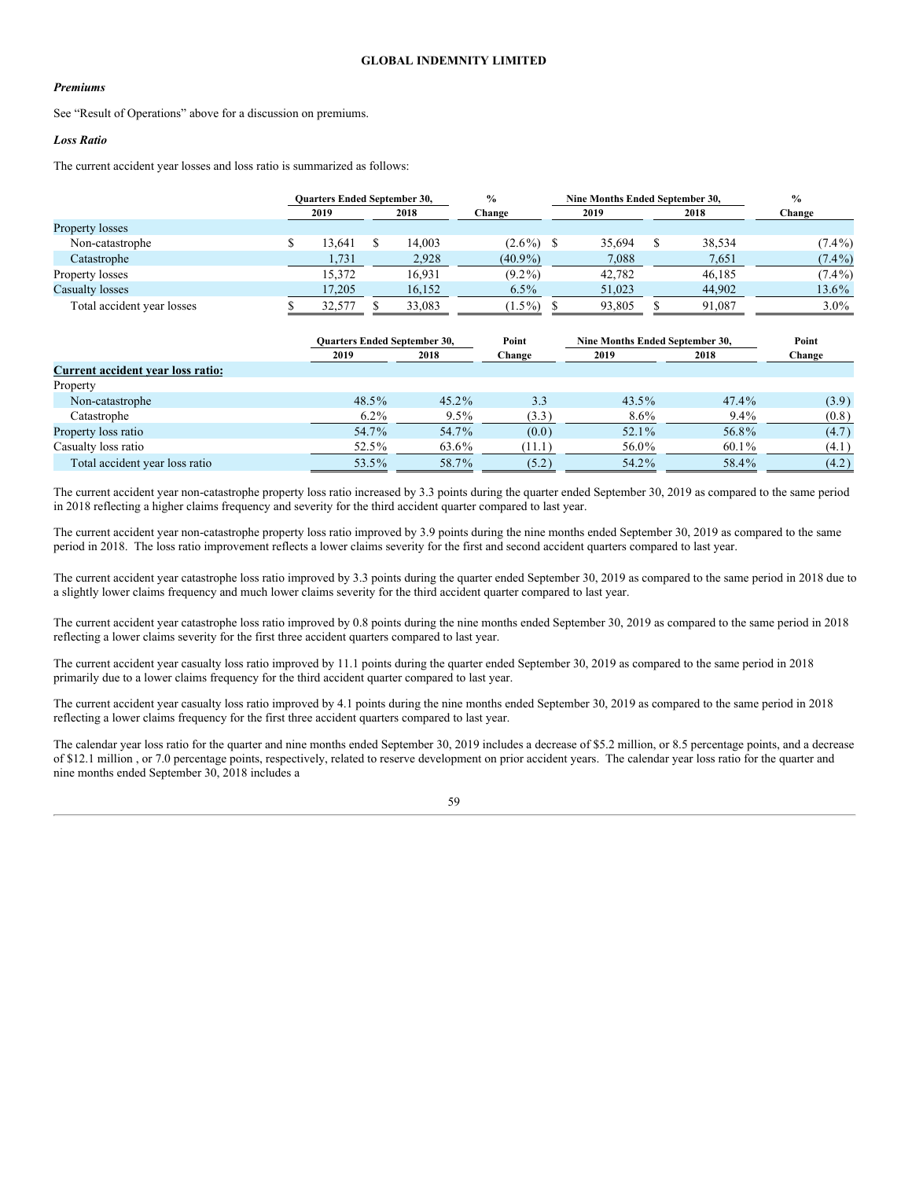#### *Premiums*

See "Result of Operations" above for a discussion on premiums.

#### *Loss Ratio*

The current accident year losses and loss ratio is summarized as follows:

|                            | <b>Ouarters Ended September 30,</b> |  | $\frac{0}{0}$ | Nine Months Ended September 30. | $\frac{0}{0}$ |        |           |
|----------------------------|-------------------------------------|--|---------------|---------------------------------|---------------|--------|-----------|
|                            | 2019                                |  | 2018          | Change                          | 2019          | 2018   | Change    |
| Property losses            |                                     |  |               |                                 |               |        |           |
| Non-catastrophe            | 13.641                              |  | 14.003        | $(2.6\%)$ \$                    | 35,694        | 38,534 | $(7.4\%)$ |
| Catastrophe                | 1,731                               |  | 2,928         | $(40.9\%)$                      | 7,088         | 7,651  | $(7.4\%)$ |
| Property losses            | 15.372                              |  | 16.931        | $(9.2\%)$                       | 42.782        | 46.185 | $(7.4\%)$ |
| Casualty losses            | 17.205                              |  | 16.152        | $6.5\%$                         | 51,023        | 44,902 | 13.6%     |
| Total accident year losses | 32,577                              |  | 33.083        | $(1.5\%)$ \$                    | 93,805        | 91.087 | $3.0\%$   |

|                                   |          | <b>Ouarters Ended September 30,</b> |        | Nine Months Ended September 30, | Point    |        |
|-----------------------------------|----------|-------------------------------------|--------|---------------------------------|----------|--------|
|                                   | 2019     | 2018                                | Change | 2019                            | 2018     | Change |
| Current accident year loss ratio: |          |                                     |        |                                 |          |        |
| Property                          |          |                                     |        |                                 |          |        |
| Non-catastrophe                   | $48.5\%$ | $45.2\%$                            | 3.3    | $43.5\%$                        | $47.4\%$ | (3.9)  |
| Catastrophe                       | $6.2\%$  | $9.5\%$                             | (3.3)  | $8.6\%$                         | $9.4\%$  | (0.8)  |
| Property loss ratio               | 54.7%    | 54.7%                               | (0.0)  | $52.1\%$                        | 56.8%    | (4.7)  |
| Casualty loss ratio               | 52.5%    | 63.6%                               | (11.1) | 56.0%                           | $60.1\%$ | (4.1)  |
| Total accident year loss ratio    | 53.5%    | 58.7%                               | (5.2)  | 54.2%                           | 58.4%    | (4.2)  |

The current accident year non-catastrophe property loss ratio increased by 3.3 points during the quarter ended September 30, 2019 as compared to the same period in 2018 reflecting a higher claims frequency and severity for the third accident quarter compared to last year.

The current accident year non-catastrophe property loss ratio improved by 3.9 points during the nine months ended September 30, 2019 as compared to the same period in 2018. The loss ratio improvement reflects a lower claims severity for the first and second accident quarters compared to last year.

The current accident year catastrophe loss ratio improved by 3.3 points during the quarter ended September 30, 2019 as compared to the same period in 2018 due to a slightly lower claims frequency and much lower claims severity for the third accident quarter compared to last year.

The current accident year catastrophe loss ratio improved by 0.8 points during the nine months ended September 30, 2019 as compared to the same period in 2018 reflecting a lower claims severity for the first three accident quarters compared to last year.

The current accident year casualty loss ratio improved by 11.1 points during the quarter ended September 30, 2019 as compared to the same period in 2018 primarily due to a lower claims frequency for the third accident quarter compared to last year.

The current accident year casualty loss ratio improved by 4.1 points during the nine months ended September 30, 2019 as compared to the same period in 2018 reflecting a lower claims frequency for the first three accident quarters compared to last year.

The calendar year loss ratio for the quarter and nine months ended September 30, 2019 includes a decrease of \$5.2 million, or 8.5 percentage points, and a decrease of \$12.1 million , or 7.0 percentage points, respectively, related to reserve development on prior accident years. The calendar year loss ratio for the quarter and nine months ended September 30, 2018 includes a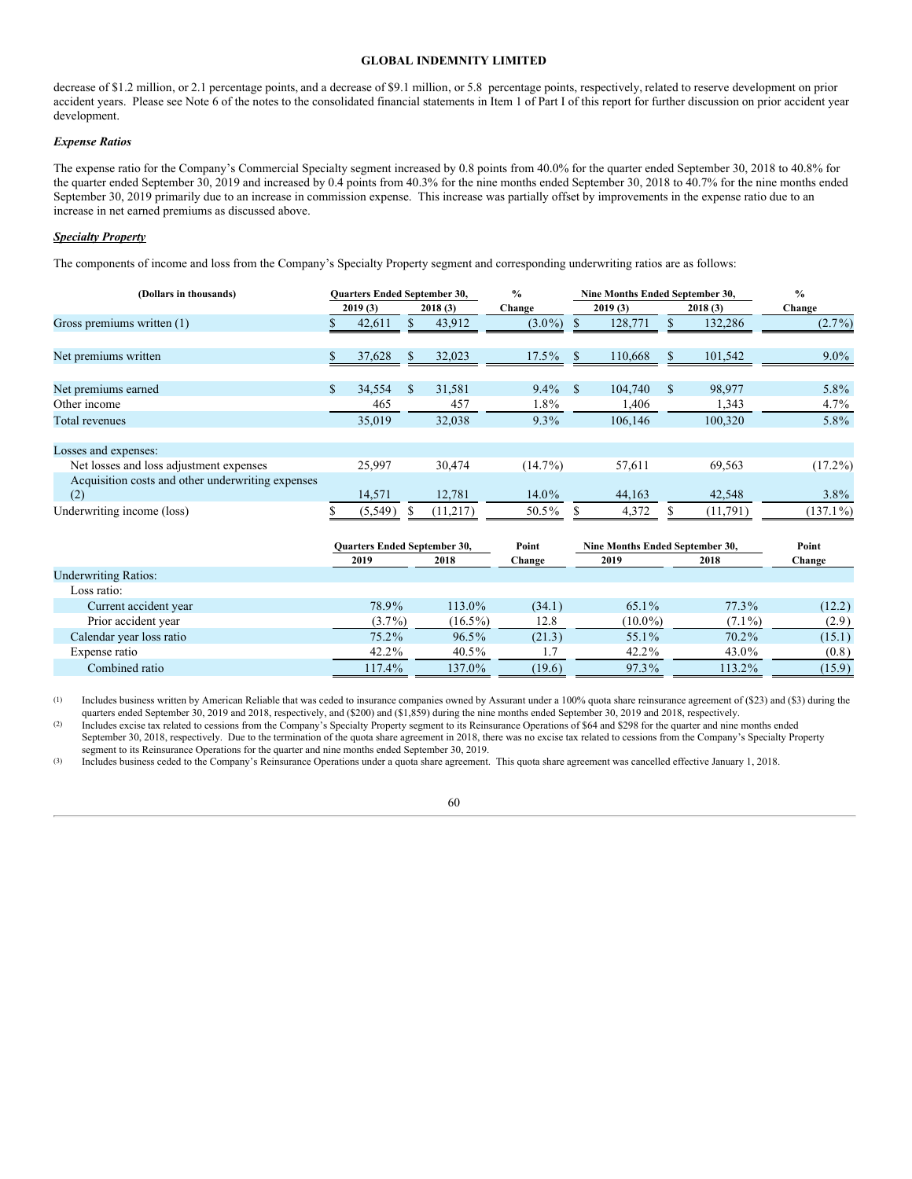decrease of \$1.2 million, or 2.1 percentage points, and a decrease of \$9.1 million, or 5.8 percentage points, respectively, related to reserve development on prior accident years. Please see Note 6 of the notes to the consolidated financial statements in Item 1 of Part I of this report for further discussion on prior accident year development.

### *Expense Ratios*

The expense ratio for the Company's Commercial Specialty segment increased by 0.8 points from 40.0% for the quarter ended September 30, 2018 to 40.8% for the quarter ended September 30, 2019 and increased by 0.4 points from 40.3% for the nine months ended September 30, 2018 to 40.7% for the nine months ended September 30, 2019 primarily due to an increase in commission expense. This increase was partially offset by improvements in the expense ratio due to an increase in net earned premiums as discussed above.

#### *Specialty Property*

The components of income and loss from the Company's Specialty Property segment and corresponding underwriting ratios are as follows:

| (Dollars in thousands)                            | <b>Ouarters Ended September 30,</b> |     |          | $\frac{0}{0}$ |               | Nine Months Ended September 30, | $\frac{0}{0}$ |          |             |
|---------------------------------------------------|-------------------------------------|-----|----------|---------------|---------------|---------------------------------|---------------|----------|-------------|
|                                                   | 2019(3)                             |     | 2018(3)  | Change        |               | 2019(3)                         |               | 2018(3)  | Change      |
| Gross premiums written (1)                        | 42,611                              |     | 43,912   | $(3.0\%)$     | $\mathcal{L}$ | 128,771                         |               | 132,286  | $(2.7\%)$   |
|                                                   |                                     |     |          |               |               |                                 |               |          |             |
| Net premiums written                              | 37,628                              |     | 32,023   | $17.5\%$      |               | 110,668                         |               | 101,542  | $9.0\%$     |
|                                                   |                                     |     |          |               |               |                                 |               |          |             |
| Net premiums earned                               | 34,554                              | \$. | 31,581   | $9.4\%$ \$    |               | 104,740                         | <b>S</b>      | 98,977   | $5.8\%$     |
| Other income                                      | 465                                 |     | 457      | 1.8%          |               | 1,406                           |               | 1,343    | 4.7%        |
| Total revenues                                    | 35,019                              |     | 32,038   | $9.3\%$       |               | 106,146                         |               | 100,320  | $5.8\%$     |
|                                                   |                                     |     |          |               |               |                                 |               |          |             |
| Losses and expenses:                              |                                     |     |          |               |               |                                 |               |          |             |
| Net losses and loss adjustment expenses           | 25,997                              |     | 30,474   | $(14.7\%)$    |               | 57,611                          |               | 69,563   | $(17.2\%)$  |
| Acquisition costs and other underwriting expenses |                                     |     |          |               |               |                                 |               |          |             |
| (2)                                               | 14,571                              |     | 12,781   | $14.0\%$      |               | 44,163                          |               | 42,548   | $3.8\%$     |
| Underwriting income (loss)                        | (5, 549)                            |     | (11,217) | 50.5%         |               | 4,372                           |               | (11,791) | $(137.1\%)$ |

|                             | <b>Ouarters Ended September 30,</b> |            | Point  | Nine Months Ended September 30, | Point     |        |
|-----------------------------|-------------------------------------|------------|--------|---------------------------------|-----------|--------|
|                             | 2019                                | 2018       | Change | 2019                            | 2018      | Change |
| <b>Underwriting Ratios:</b> |                                     |            |        |                                 |           |        |
| Loss ratio:                 |                                     |            |        |                                 |           |        |
| Current accident year       | 78.9%                               | $113.0\%$  | (34.1) | 65.1%                           | $77.3\%$  | (12.2) |
| Prior accident year         | $(3.7\%)$                           | $(16.5\%)$ | 12.8   | $(10.0\%)$                      | $(7.1\%)$ | (2.9)  |
| Calendar year loss ratio    | $75.2\%$                            | $96.5\%$   | (21.3) | $55.1\%$                        | $70.2\%$  | (15.1) |
| Expense ratio               | $42.2\%$                            | $40.5\%$   | 1.7    | $42.2\%$                        | 43.0%     | (0.8)  |
| Combined ratio              | $117.4\%$                           | 137.0%     | (19.6) | 97.3%                           | 113.2%    | (15.9) |

(1) Includes business written by American Reliable that was ceded to insurance companies owned by Assurant under a 100% quota share reinsurance agreement of (\$23) and (\$3) during the quarters ended September 30, 2019 and 2018, respectively, and (\$200) and (\$1,859) during the nine months ended September 30, 2019 and 2018, respectively.

(2) Includes excise tax related to cessions from the Company's Specialty Property segment to its Reinsurance Operations of \$64 and \$298 for the quarter and nine months ended September 30, 2018, respectively. Due to the termination of the quota share agreement in 2018, there was no excise tax related to cessions from the Company's Specialty Property segment to its Reinsurance Operations for the quarter and nine months ended September 30, 2019.

(3) Includes business ceded to the Company's Reinsurance Operations under a quota share agreement. This quota share agreement was cancelled effective January 1, 2018.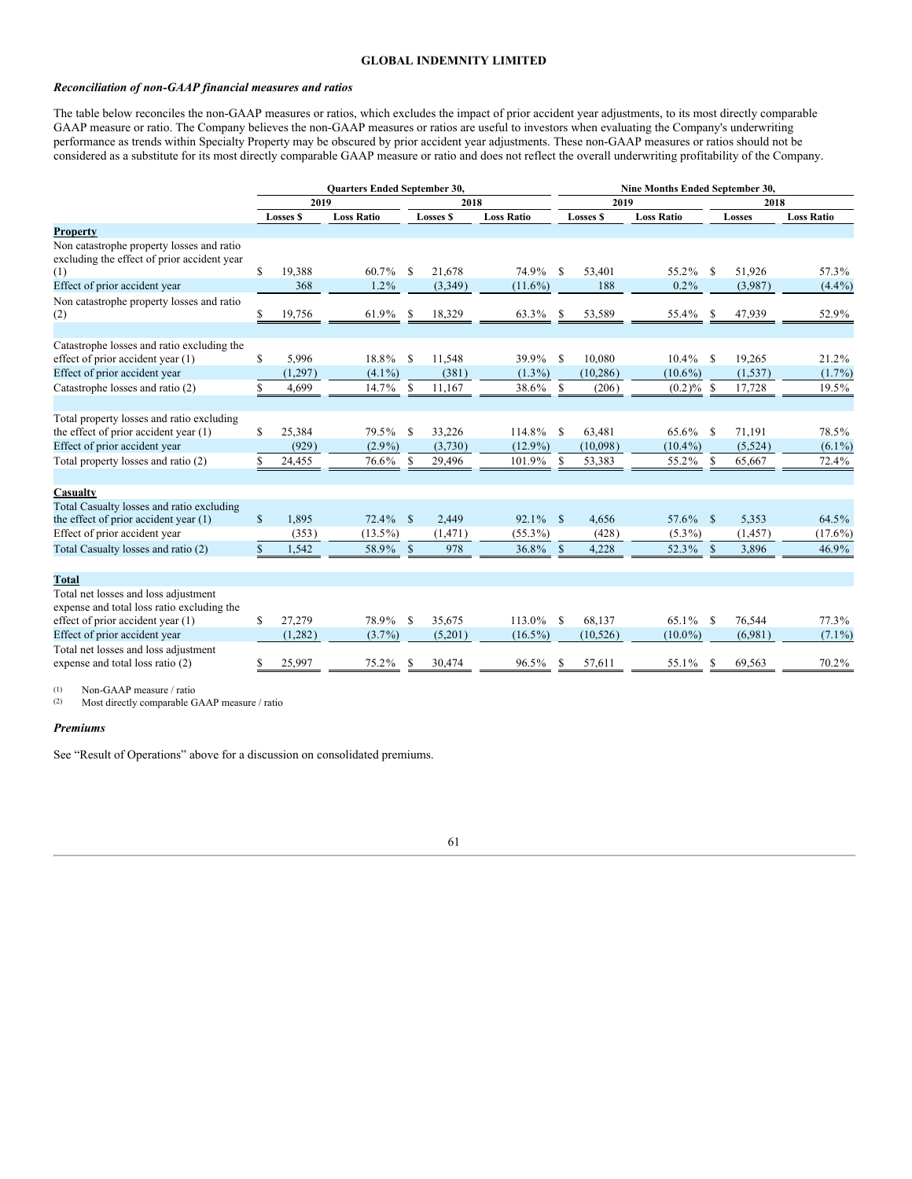# *Reconciliation of non-GAAP financial measures and ratios*

The table below reconciles the non-GAAP measures or ratios, which excludes the impact of prior accident year adjustments, to its most directly comparable GAAP measure or ratio. The Company believes the non-GAAP measures or ratios are useful to investors when evaluating the Company's underwriting performance as trends within Specialty Property may be obscured by prior accident year adjustments. These non-GAAP measures or ratios should not be considered as a substitute for its most directly comparable GAAP measure or ratio and does not reflect the overall underwriting profitability of the Company.

| 2019<br>2019<br>2018<br>2018<br><b>Losses \$</b><br><b>Loss Ratio</b><br><b>Losses \$</b><br><b>Loss Ratio</b><br><b>Losses \$</b><br><b>Loss Ratio</b><br>Losses<br><b>Property</b><br>Non catastrophe property losses and ratio<br>excluding the effect of prior accident year<br>\$<br><sup>\$</sup><br>(1)<br>19,388<br>60.7%<br>21,678<br>74.9%<br>S<br>53,401<br>55.2%<br><sup>\$</sup><br>51,926<br>Effect of prior accident year<br>368<br>$1.2\%$<br>$(11.6\%)$<br>188<br>$0.2\%$<br>(3,987)<br>(3,349)<br>Non catastrophe property losses and ratio<br>\$<br>61.9%<br>18,329<br>63.3%<br>47,939<br>19,756<br><sup>\$</sup><br>53,589<br>55.4%<br>(2)<br>S<br>-S<br>Catastrophe losses and ratio excluding the<br>\$<br>18.8%<br>\$<br>\$<br><sup>\$</sup><br>effect of prior accident year (1)<br>5,996<br>11,548<br>39.9%<br>10,080<br>$10.4\%$<br>19,265<br>Effect of prior accident year<br>(381)<br>(10, 286)<br>(1, 537)<br>(1,297)<br>$(4.1\%)$<br>$(1.3\%)$<br>$(10.6\%)$<br>Catastrophe losses and ratio (2)<br>\$<br>$\mathbb{S}$<br>\$<br>4,699<br>14.7%<br>11.167<br>38.6%<br>(206)<br>$(0.2)\%$ \$<br>17,728<br>Total property losses and ratio excluding<br>the effect of prior accident year (1)<br>\$<br>79.5%<br>\$<br>33,226<br>114.8%<br>\$<br>65.6%<br><sup>\$</sup><br>71,191<br>25,384<br>63,481<br>Effect of prior accident year<br>(929)<br>$(2.9\%)$<br>(3,730)<br>$(12.9\%)$<br>(10,098)<br>$(10.4\%)$<br>(5,524)<br>Total property losses and ratio (2)<br>\$<br>\$<br>76.6%<br>29,496<br>101.9%<br>53,383<br>55.2%<br>\$<br>S<br>24,455<br>65,667<br>Casualty<br>Total Casualty losses and ratio excluding<br>$\mathbf S$<br>the effect of prior accident year (1)<br>1,895<br>72.4%<br>$\mathcal{S}$<br>92.1%<br>$\mathbb{S}$<br>57.6%<br>$\mathcal{S}$<br>2,449<br>4,656<br>5,353<br>Effect of prior accident year<br>(353)<br>$(13.5\%)$<br>$(55.3\%)$<br>(428)<br>(1, 457)<br>(1, 471)<br>$(5.3\%)$<br>Total Casualty losses and ratio (2)<br>$\mathbf{s}$<br>1,542<br>$\mathbb{S}$<br>978<br>$\mathbf{s}$<br>4,228<br><sup>S</sup><br>3,896<br>58.9%<br>36.8%<br>52.3%<br><b>Total</b><br>Total net losses and loss adjustment<br>expense and total loss ratio excluding the |  | Quarters Ended September 30, |  | Nine Months Ended September 30, |  |  |  |  |                     |  |
|------------------------------------------------------------------------------------------------------------------------------------------------------------------------------------------------------------------------------------------------------------------------------------------------------------------------------------------------------------------------------------------------------------------------------------------------------------------------------------------------------------------------------------------------------------------------------------------------------------------------------------------------------------------------------------------------------------------------------------------------------------------------------------------------------------------------------------------------------------------------------------------------------------------------------------------------------------------------------------------------------------------------------------------------------------------------------------------------------------------------------------------------------------------------------------------------------------------------------------------------------------------------------------------------------------------------------------------------------------------------------------------------------------------------------------------------------------------------------------------------------------------------------------------------------------------------------------------------------------------------------------------------------------------------------------------------------------------------------------------------------------------------------------------------------------------------------------------------------------------------------------------------------------------------------------------------------------------------------------------------------------------------------------------------------------------------------------------------------------------------------------------------------------------------------------------------------------------------|--|------------------------------|--|---------------------------------|--|--|--|--|---------------------|--|
|                                                                                                                                                                                                                                                                                                                                                                                                                                                                                                                                                                                                                                                                                                                                                                                                                                                                                                                                                                                                                                                                                                                                                                                                                                                                                                                                                                                                                                                                                                                                                                                                                                                                                                                                                                                                                                                                                                                                                                                                                                                                                                                                                                                                                        |  |                              |  |                                 |  |  |  |  |                     |  |
|                                                                                                                                                                                                                                                                                                                                                                                                                                                                                                                                                                                                                                                                                                                                                                                                                                                                                                                                                                                                                                                                                                                                                                                                                                                                                                                                                                                                                                                                                                                                                                                                                                                                                                                                                                                                                                                                                                                                                                                                                                                                                                                                                                                                                        |  |                              |  |                                 |  |  |  |  | <b>Loss Ratio</b>   |  |
|                                                                                                                                                                                                                                                                                                                                                                                                                                                                                                                                                                                                                                                                                                                                                                                                                                                                                                                                                                                                                                                                                                                                                                                                                                                                                                                                                                                                                                                                                                                                                                                                                                                                                                                                                                                                                                                                                                                                                                                                                                                                                                                                                                                                                        |  |                              |  |                                 |  |  |  |  |                     |  |
|                                                                                                                                                                                                                                                                                                                                                                                                                                                                                                                                                                                                                                                                                                                                                                                                                                                                                                                                                                                                                                                                                                                                                                                                                                                                                                                                                                                                                                                                                                                                                                                                                                                                                                                                                                                                                                                                                                                                                                                                                                                                                                                                                                                                                        |  |                              |  |                                 |  |  |  |  |                     |  |
|                                                                                                                                                                                                                                                                                                                                                                                                                                                                                                                                                                                                                                                                                                                                                                                                                                                                                                                                                                                                                                                                                                                                                                                                                                                                                                                                                                                                                                                                                                                                                                                                                                                                                                                                                                                                                                                                                                                                                                                                                                                                                                                                                                                                                        |  |                              |  |                                 |  |  |  |  | 57.3%               |  |
|                                                                                                                                                                                                                                                                                                                                                                                                                                                                                                                                                                                                                                                                                                                                                                                                                                                                                                                                                                                                                                                                                                                                                                                                                                                                                                                                                                                                                                                                                                                                                                                                                                                                                                                                                                                                                                                                                                                                                                                                                                                                                                                                                                                                                        |  |                              |  |                                 |  |  |  |  | $(4.4\%)$           |  |
|                                                                                                                                                                                                                                                                                                                                                                                                                                                                                                                                                                                                                                                                                                                                                                                                                                                                                                                                                                                                                                                                                                                                                                                                                                                                                                                                                                                                                                                                                                                                                                                                                                                                                                                                                                                                                                                                                                                                                                                                                                                                                                                                                                                                                        |  |                              |  |                                 |  |  |  |  | 52.9%               |  |
|                                                                                                                                                                                                                                                                                                                                                                                                                                                                                                                                                                                                                                                                                                                                                                                                                                                                                                                                                                                                                                                                                                                                                                                                                                                                                                                                                                                                                                                                                                                                                                                                                                                                                                                                                                                                                                                                                                                                                                                                                                                                                                                                                                                                                        |  |                              |  |                                 |  |  |  |  |                     |  |
|                                                                                                                                                                                                                                                                                                                                                                                                                                                                                                                                                                                                                                                                                                                                                                                                                                                                                                                                                                                                                                                                                                                                                                                                                                                                                                                                                                                                                                                                                                                                                                                                                                                                                                                                                                                                                                                                                                                                                                                                                                                                                                                                                                                                                        |  |                              |  |                                 |  |  |  |  | 21.2%               |  |
|                                                                                                                                                                                                                                                                                                                                                                                                                                                                                                                                                                                                                                                                                                                                                                                                                                                                                                                                                                                                                                                                                                                                                                                                                                                                                                                                                                                                                                                                                                                                                                                                                                                                                                                                                                                                                                                                                                                                                                                                                                                                                                                                                                                                                        |  |                              |  |                                 |  |  |  |  | $(1.7\%)$           |  |
|                                                                                                                                                                                                                                                                                                                                                                                                                                                                                                                                                                                                                                                                                                                                                                                                                                                                                                                                                                                                                                                                                                                                                                                                                                                                                                                                                                                                                                                                                                                                                                                                                                                                                                                                                                                                                                                                                                                                                                                                                                                                                                                                                                                                                        |  |                              |  |                                 |  |  |  |  | 19.5%               |  |
|                                                                                                                                                                                                                                                                                                                                                                                                                                                                                                                                                                                                                                                                                                                                                                                                                                                                                                                                                                                                                                                                                                                                                                                                                                                                                                                                                                                                                                                                                                                                                                                                                                                                                                                                                                                                                                                                                                                                                                                                                                                                                                                                                                                                                        |  |                              |  |                                 |  |  |  |  | 78.5%               |  |
|                                                                                                                                                                                                                                                                                                                                                                                                                                                                                                                                                                                                                                                                                                                                                                                                                                                                                                                                                                                                                                                                                                                                                                                                                                                                                                                                                                                                                                                                                                                                                                                                                                                                                                                                                                                                                                                                                                                                                                                                                                                                                                                                                                                                                        |  |                              |  |                                 |  |  |  |  | $(6.1\%)$           |  |
|                                                                                                                                                                                                                                                                                                                                                                                                                                                                                                                                                                                                                                                                                                                                                                                                                                                                                                                                                                                                                                                                                                                                                                                                                                                                                                                                                                                                                                                                                                                                                                                                                                                                                                                                                                                                                                                                                                                                                                                                                                                                                                                                                                                                                        |  |                              |  |                                 |  |  |  |  | 72.4%               |  |
|                                                                                                                                                                                                                                                                                                                                                                                                                                                                                                                                                                                                                                                                                                                                                                                                                                                                                                                                                                                                                                                                                                                                                                                                                                                                                                                                                                                                                                                                                                                                                                                                                                                                                                                                                                                                                                                                                                                                                                                                                                                                                                                                                                                                                        |  |                              |  |                                 |  |  |  |  |                     |  |
|                                                                                                                                                                                                                                                                                                                                                                                                                                                                                                                                                                                                                                                                                                                                                                                                                                                                                                                                                                                                                                                                                                                                                                                                                                                                                                                                                                                                                                                                                                                                                                                                                                                                                                                                                                                                                                                                                                                                                                                                                                                                                                                                                                                                                        |  |                              |  |                                 |  |  |  |  | 64.5%<br>$(17.6\%)$ |  |
|                                                                                                                                                                                                                                                                                                                                                                                                                                                                                                                                                                                                                                                                                                                                                                                                                                                                                                                                                                                                                                                                                                                                                                                                                                                                                                                                                                                                                                                                                                                                                                                                                                                                                                                                                                                                                                                                                                                                                                                                                                                                                                                                                                                                                        |  |                              |  |                                 |  |  |  |  | 46.9%               |  |
|                                                                                                                                                                                                                                                                                                                                                                                                                                                                                                                                                                                                                                                                                                                                                                                                                                                                                                                                                                                                                                                                                                                                                                                                                                                                                                                                                                                                                                                                                                                                                                                                                                                                                                                                                                                                                                                                                                                                                                                                                                                                                                                                                                                                                        |  |                              |  |                                 |  |  |  |  |                     |  |
|                                                                                                                                                                                                                                                                                                                                                                                                                                                                                                                                                                                                                                                                                                                                                                                                                                                                                                                                                                                                                                                                                                                                                                                                                                                                                                                                                                                                                                                                                                                                                                                                                                                                                                                                                                                                                                                                                                                                                                                                                                                                                                                                                                                                                        |  |                              |  |                                 |  |  |  |  |                     |  |
| effect of prior accident year (1)<br>S<br>27,279<br>78.9%<br>S<br>35,675<br>113.0%<br>-S<br>68,137<br>65.1%<br>-S<br>76,544                                                                                                                                                                                                                                                                                                                                                                                                                                                                                                                                                                                                                                                                                                                                                                                                                                                                                                                                                                                                                                                                                                                                                                                                                                                                                                                                                                                                                                                                                                                                                                                                                                                                                                                                                                                                                                                                                                                                                                                                                                                                                            |  |                              |  |                                 |  |  |  |  | 77.3%               |  |
| Effect of prior accident year<br>(1, 282)<br>$(3.7\%)$<br>(5,201)<br>$(16.5\%)$<br>(10, 526)<br>(6,981)<br>$(10.0\%)$                                                                                                                                                                                                                                                                                                                                                                                                                                                                                                                                                                                                                                                                                                                                                                                                                                                                                                                                                                                                                                                                                                                                                                                                                                                                                                                                                                                                                                                                                                                                                                                                                                                                                                                                                                                                                                                                                                                                                                                                                                                                                                  |  |                              |  |                                 |  |  |  |  | $(7.1\%)$           |  |
| Total net losses and loss adjustment<br>expense and total loss ratio (2)<br>25,997<br>75.2%<br>30,474<br>96.5%<br>57,611<br>55.1%<br>69,563<br>S                                                                                                                                                                                                                                                                                                                                                                                                                                                                                                                                                                                                                                                                                                                                                                                                                                                                                                                                                                                                                                                                                                                                                                                                                                                                                                                                                                                                                                                                                                                                                                                                                                                                                                                                                                                                                                                                                                                                                                                                                                                                       |  |                              |  |                                 |  |  |  |  | 70.2%               |  |

(1) Non-GAAP measure / ratio<br>(2) Most directly comparable G

Most directly comparable GAAP measure / ratio

## *Premiums*

See "Result of Operations" above for a discussion on consolidated premiums.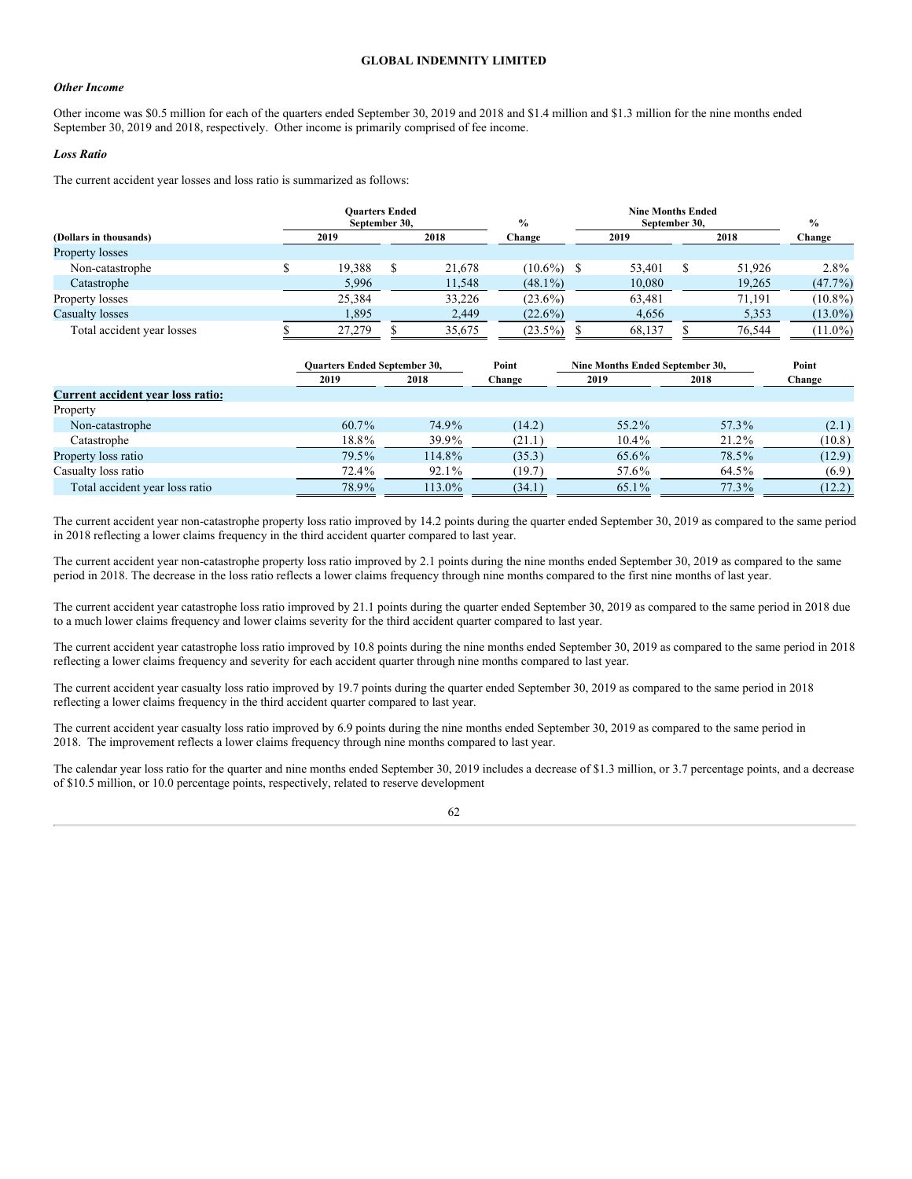#### *Other Income*

Other income was \$0.5 million for each of the quarters ended September 30, 2019 and 2018 and \$1.4 million and \$1.3 million for the nine months ended September 30, 2019 and 2018, respectively. Other income is primarily comprised of fee income.

#### *Loss Ratio*

The current accident year losses and loss ratio is summarized as follows:

|                            | <b>Quarters Ended</b><br>September 30, |        | $\frac{0}{0}$ |      | <b>Nine Months Ended</b><br>September 30, | $\frac{0}{0}$ |        |            |
|----------------------------|----------------------------------------|--------|---------------|------|-------------------------------------------|---------------|--------|------------|
| (Dollars in thousands)     | 2019                                   | 2018   | Change        | 2019 |                                           | 2018          |        | Change     |
| Property losses            |                                        |        |               |      |                                           |               |        |            |
| Non-catastrophe            | 19.388                                 | 21.678 | $(10.6\%)$    |      | 53.401                                    |               | 51.926 | $2.8\%$    |
| Catastrophe                | 5,996                                  | 11,548 | $(48.1\%)$    |      | 10,080                                    |               | 19,265 | $(47.7\%)$ |
| Property losses            | 25,384                                 | 33,226 | $(23.6\%)$    |      | 63,481                                    |               | 71,191 | $(10.8\%)$ |
| Casualty losses            | 1,895                                  | 2,449  | $(22.6\%)$    |      | 4,656                                     |               | 5,353  | $(13.0\%)$ |
| Total accident year losses | 27.279                                 | 35.675 | $(23.5\%)$    |      | 68,137                                    |               | 76.544 | $(11.0\%)$ |

|                                   | <b>Ouarters Ended September 30,</b> |        | Point  | Nine Months Ended September 30, | Point |        |
|-----------------------------------|-------------------------------------|--------|--------|---------------------------------|-------|--------|
|                                   | 2019                                | 2018   | Change | 2019                            | 2018  | Change |
| Current accident year loss ratio: |                                     |        |        |                                 |       |        |
| Property                          |                                     |        |        |                                 |       |        |
| Non-catastrophe                   | 60.7%                               | 74.9%  | (14.2) | 55.2%                           | 57.3% | (2.1)  |
| Catastrophe                       | 18.8%                               | 39.9%  | (21.1) | $10.4\%$                        | 21.2% | (10.8) |
| Property loss ratio               | 79.5%                               | 114.8% | (35.3) | 65.6%                           | 78.5% | (12.9) |
| Casualty loss ratio               | 72.4%                               | 92.1%  | (19.7) | 57.6%                           | 64.5% | (6.9)  |
| Total accident year loss ratio    | 78.9%                               | 113.0% | (34.1) | 65.1%                           | 77.3% | (12.2) |

The current accident year non-catastrophe property loss ratio improved by 14.2 points during the quarter ended September 30, 2019 as compared to the same period in 2018 reflecting a lower claims frequency in the third accident quarter compared to last year.

The current accident year non-catastrophe property loss ratio improved by 2.1 points during the nine months ended September 30, 2019 as compared to the same period in 2018. The decrease in the loss ratio reflects a lower claims frequency through nine months compared to the first nine months of last year.

The current accident year catastrophe loss ratio improved by 21.1 points during the quarter ended September 30, 2019 as compared to the same period in 2018 due to a much lower claims frequency and lower claims severity for the third accident quarter compared to last year.

The current accident year catastrophe loss ratio improved by 10.8 points during the nine months ended September 30, 2019 as compared to the same period in 2018 reflecting a lower claims frequency and severity for each accident quarter through nine months compared to last year.

The current accident year casualty loss ratio improved by 19.7 points during the quarter ended September 30, 2019 as compared to the same period in 2018 reflecting a lower claims frequency in the third accident quarter compared to last year.

The current accident year casualty loss ratio improved by 6.9 points during the nine months ended September 30, 2019 as compared to the same period in 2018. The improvement reflects a lower claims frequency through nine months compared to last year.

The calendar year loss ratio for the quarter and nine months ended September 30, 2019 includes a decrease of \$1.3 million, or 3.7 percentage points, and a decrease of \$10.5 million, or 10.0 percentage points, respectively, related to reserve development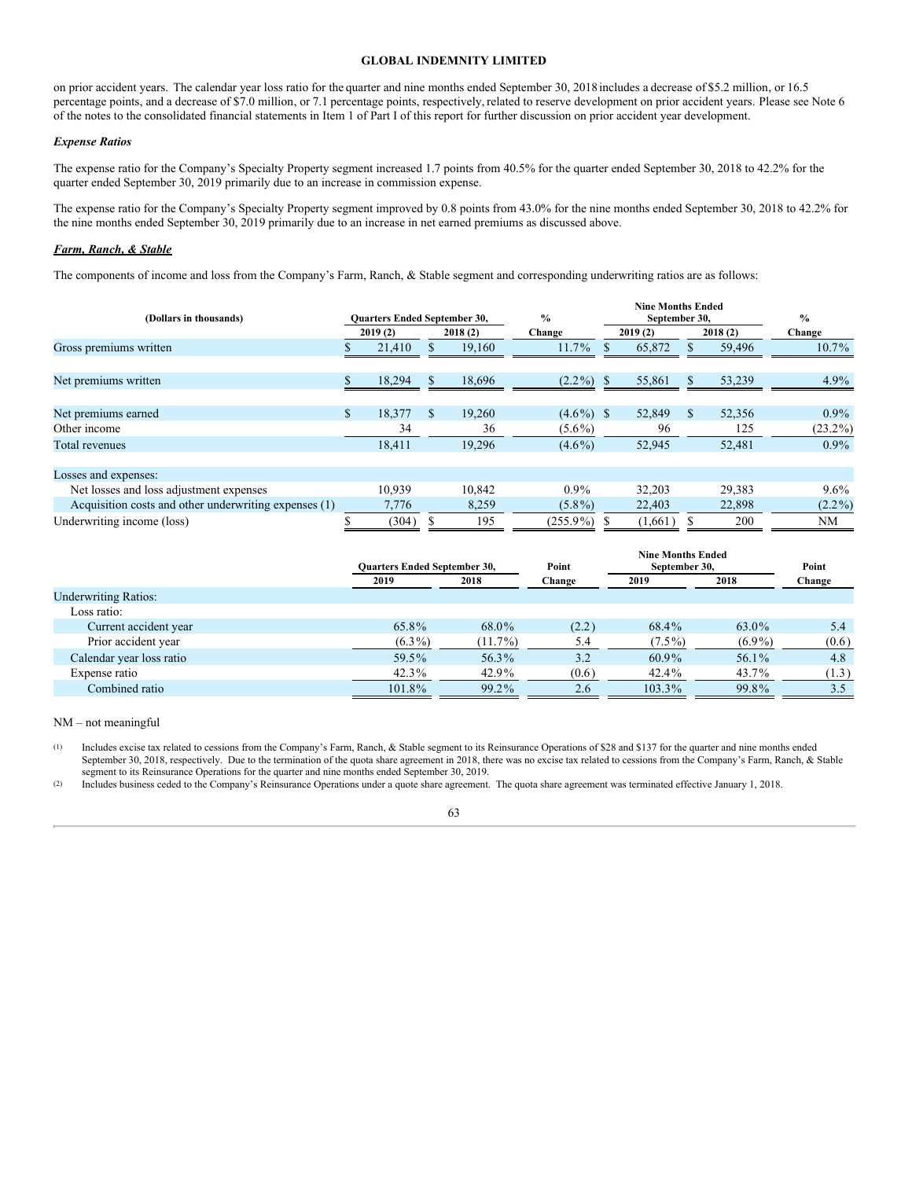on prior accident years. The calendar year loss ratio for the quarter and nine months ended September 30, 2018includes a decrease of \$5.2 million, or 16.5 percentage points, and a decrease of \$7.0 million, or 7.1 percentage points, respectively, related to reserve development on prior accident years. Please see Note 6 of the notes to the consolidated financial statements in Item 1 of Part I of this report for further discussion on prior accident year development.

### *Expense Ratios*

The expense ratio for the Company's Specialty Property segment increased 1.7 points from 40.5% for the quarter ended September 30, 2018 to 42.2% for the quarter ended September 30, 2019 primarily due to an increase in commission expense.

The expense ratio for the Company's Specialty Property segment improved by 0.8 points from 43.0% for the nine months ended September 30, 2018 to 42.2% for the nine months ended September 30, 2019 primarily due to an increase in net earned premiums as discussed above.

#### *Farm, Ranch, & Stable*

The components of income and loss from the Company's Farm, Ranch, & Stable segment and corresponding underwriting ratios are as follows:

| (Dollars in thousands)                                | <b>Ouarters Ended September 30,</b> |     |         | $\frac{0}{0}$  | <b>Nine Months Ended</b><br>September 30, | $\frac{0}{0}$ |         |            |
|-------------------------------------------------------|-------------------------------------|-----|---------|----------------|-------------------------------------------|---------------|---------|------------|
|                                                       | 2019(2)                             |     | 2018(2) | Change         | 2019(2)                                   |               | 2018(2) | Change     |
| Gross premiums written                                | 21,410                              |     | 19,160  | $11.7\%$       | 65,872                                    |               | 59,496  | $10.7\%$   |
|                                                       |                                     |     |         |                |                                           |               |         |            |
| Net premiums written                                  | 18,294                              |     | 18,696  | $(2.2\%)$ \$   | 55,861                                    |               | 53,239  | 4.9%       |
|                                                       |                                     |     |         |                |                                           |               |         |            |
| Net premiums earned                                   | \$<br>18.377                        | \$. | 19,260  | $(4.6\%)$ \$   | 52,849                                    | \$.           | 52,356  | $0.9\%$    |
| Other income                                          | 34                                  |     | 36      | $(5.6\%)$      | 96                                        |               | 125     | $(23.2\%)$ |
| Total revenues                                        | 18,411                              |     | 19,296  | $(4.6\%)$      | 52,945                                    |               | 52,481  | $0.9\%$    |
|                                                       |                                     |     |         |                |                                           |               |         |            |
| Losses and expenses:                                  |                                     |     |         |                |                                           |               |         |            |
| Net losses and loss adjustment expenses               | 10,939                              |     | 10.842  | $0.9\%$        | 32,203                                    |               | 29,383  | $9.6\%$    |
| Acquisition costs and other underwriting expenses (1) | 7.776                               |     | 8,259   | $(5.8\%)$      | 22,403                                    |               | 22,898  | $(2.2\%)$  |
| Underwriting income (loss)                            | (304)                               |     | 195     | $(255.9\%)$ \$ | (1,661)                                   |               | 200     | <b>NM</b>  |

|                             | Point<br><b>Quarters Ended September 30,</b> |            |        | <b>Nine Months Ended</b><br>September 30, |           | Point  |  |
|-----------------------------|----------------------------------------------|------------|--------|-------------------------------------------|-----------|--------|--|
|                             | 2019                                         | 2018       | Change | 2019                                      | 2018      | Change |  |
| <b>Underwriting Ratios:</b> |                                              |            |        |                                           |           |        |  |
| Loss ratio:                 |                                              |            |        |                                           |           |        |  |
| Current accident year       | 65.8%                                        | 68.0%      | (2.2)  | 68.4%                                     | 63.0%     | 5.4    |  |
| Prior accident year         | $(6.3\%)$                                    | $(11.7\%)$ | 5.4    | $(7.5\%)$                                 | $(6.9\%)$ | (0.6)  |  |
| Calendar year loss ratio    | 59.5%                                        | 56.3%      | 3.2    | $60.9\%$                                  | 56.1%     | 4.8    |  |
| Expense ratio               | $42.3\%$                                     | 42.9%      | (0.6)  | 42.4%                                     | 43.7%     | (1.3)  |  |
| Combined ratio              | 101.8%                                       | 99.2%      | 2.6    | $103.3\%$                                 | 99.8%     | 3.5    |  |

NM – not meaningful

(1) Includes excise tax related to cessions from the Company's Farm, Ranch, & Stable segment to its Reinsurance Operations of \$28 and \$137 for the quarter and nine months ended September 30, 2018, respectively. Due to the termination of the quota share agreement in 2018, there was no excise tax related to cessions from the Company's Farm, Ranch, & Stable segment to its Reinsurance Operations for the quarter and nine months ended September 30, 2019.

(2) Includes business ceded to the Company's Reinsurance Operations under a quote share agreement. The quota share agreement was terminated effective January 1, 2018.

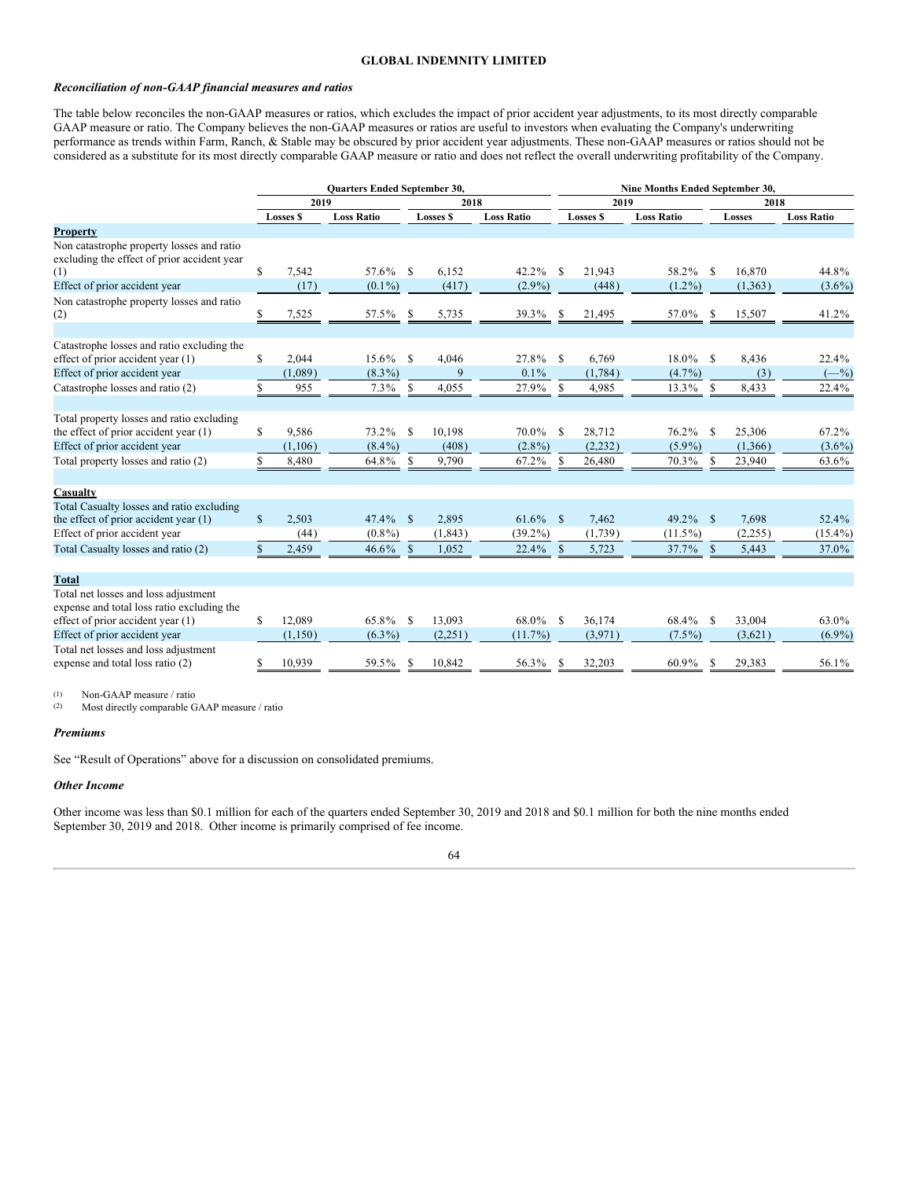## *Reconciliation of non-GAAP financial measures and ratios*

The table below reconciles the non-GAAP measures or ratios, which excludes the impact of prior accident year adjustments, to its most directly comparable GAAP measure or ratio. The Company believes the non-GAAP measures or ratios are useful to investors when evaluating the Company's underwriting performance as trends within Farm, Ranch, & Stable may be obscured by prior accident year adjustments. These non-GAAP measures or ratios should not be considered as a substitute for its most directly comparable GAAP measure or ratio and does not reflect the overall underwriting profitability of the Company.

|                                                                                                                     | Quarters Ended September 30, |                  |                    |  |               |                   | Nine Months Ended September 30, |              |                  |                     |               |                  |                     |  |
|---------------------------------------------------------------------------------------------------------------------|------------------------------|------------------|--------------------|--|---------------|-------------------|---------------------------------|--------------|------------------|---------------------|---------------|------------------|---------------------|--|
|                                                                                                                     |                              | 2019             |                    |  |               | 2018              |                                 |              | 2019             |                     |               | 2018             |                     |  |
|                                                                                                                     |                              | <b>Losses \$</b> | <b>Loss Ratio</b>  |  |               | <b>Losses \$</b>  | <b>Loss Ratio</b>               |              | <b>Losses \$</b> | <b>Loss Ratio</b>   |               | Losses           | <b>Loss Ratio</b>   |  |
| <b>Property</b>                                                                                                     |                              |                  |                    |  |               |                   |                                 |              |                  |                     |               |                  |                     |  |
| Non catastrophe property losses and ratio<br>excluding the effect of prior accident year                            |                              |                  |                    |  |               |                   |                                 |              |                  |                     |               |                  |                     |  |
| (1)                                                                                                                 | \$                           | 7,542            | 57.6%              |  | <sup>\$</sup> | 6,152             | $42.2\%$                        | S            | 21.943           | 58.2%               | <sup>\$</sup> | 16,870           | 44.8%               |  |
| Effect of prior accident year                                                                                       |                              | (17)             | $(0.1\%)$          |  |               | (417)             | $(2.9\%)$                       |              | (448)            | $(1.2\%)$           |               | (1,363)          | $(3.6\%)$           |  |
| Non catastrophe property losses and ratio<br>(2)                                                                    | S                            | 7,525            | 57.5%              |  | <sup>\$</sup> | 5,735             | 39.3%                           | S            | 21,495           | 57.0%               | -S            | 15,507           | 41.2%               |  |
| Catastrophe losses and ratio excluding the                                                                          |                              |                  |                    |  |               |                   |                                 |              |                  |                     |               |                  |                     |  |
| effect of prior accident year (1)                                                                                   | \$                           | 2,044            | 15.6%              |  | \$            | 4,046             | 27.8%                           | \$           | 6,769            | 18.0%               | <sup>\$</sup> | 8,436            | 22.4%               |  |
| Effect of prior accident year                                                                                       |                              | (1,089)          | $(8.3\%)$          |  |               | 9                 | $0.1\%$                         |              | (1,784)          | $(4.7\%)$           |               | (3)              | $(-\%)$             |  |
| Catastrophe losses and ratio (2)                                                                                    | \$                           | 955              | $7.3\%$            |  | \$            | 4,055             | 27.9%                           | \$           | 4,985            | 13.3%               | \$            | 8,433            | 22.4%               |  |
| Total property losses and ratio excluding<br>the effect of prior accident year (1)                                  | \$                           | 9,586            | 73.2%              |  | \$            | 10,198            | 70.0%                           | \$           | 28,712           | 76.2%               | <sup>\$</sup> | 25,306           | 67.2%               |  |
| Effect of prior accident year                                                                                       |                              | (1,106)          | $(8.4\%)$          |  |               | (408)             | $(2.8\%)$                       |              | (2,232)          | $(5.9\%)$           |               | (1,366)          | $(3.6\%)$           |  |
| Total property losses and ratio (2)                                                                                 | S                            | 8,480            | 64.8%              |  | \$            | 9,790             | 67.2%                           | \$           | 26,480           | 70.3%               | <sup>\$</sup> | 23,940           | 63.6%               |  |
| Casualty                                                                                                            |                              |                  |                    |  |               |                   |                                 |              |                  |                     |               |                  |                     |  |
| Total Casualty losses and ratio excluding<br>the effect of prior accident year (1)<br>Effect of prior accident year | $\mathbf S$                  | 2,503<br>(44)    | 47.4%<br>$(0.8\%)$ |  | <sup>\$</sup> | 2,895<br>(1, 843) | 61.6%<br>$(39.2\%)$             | $\mathbb{S}$ | 7,462<br>(1,739) | 49.2%<br>$(11.5\%)$ | -S            | 7,698<br>(2,255) | 52.4%<br>$(15.4\%)$ |  |
| Total Casualty losses and ratio (2)                                                                                 | \$.                          | 2,459            | $46.6\%$           |  | $\mathbb{S}$  | 1,052             | 22.4%                           | $\mathbf{s}$ | 5,723            | 37.7%               | <sup>S</sup>  | 5,443            | 37.0%               |  |
| <b>Total</b>                                                                                                        |                              |                  |                    |  |               |                   |                                 |              |                  |                     |               |                  |                     |  |
| Total net losses and loss adjustment<br>expense and total loss ratio excluding the                                  |                              |                  |                    |  |               |                   |                                 |              |                  |                     |               |                  |                     |  |
| effect of prior accident year (1)                                                                                   | S                            | 12.089           | 65.8%              |  | -S            | 13.093            | 68.0%                           | -S           | 36,174           | 68.4%               | -S            | 33,004           | 63.0%               |  |
| Effect of prior accident year                                                                                       |                              | (1,150)          | $(6.3\%)$          |  |               | (2,251)           | $(11.7\%)$                      |              | (3,971)          | $(7.5\%)$           |               | (3,621)          | $(6.9\%)$           |  |
| Total net losses and loss adjustment<br>expense and total loss ratio (2)                                            | S                            | 10,939           | 59.5%              |  | S             | 10,842            | 56.3%                           |              | 32,203           | 60.9%               | S             | 29,383           | 56.1%               |  |

(1) Non-GAAP measure / ratio<br>(2) Most directly comparable G

Most directly comparable GAAP measure / ratio

#### *Premiums*

See "Result of Operations" above for a discussion on consolidated premiums.

#### *Other Income*

Other income was less than \$0.1 million for each of the quarters ended September 30, 2019 and 2018 and \$0.1 million for both the nine months ended September 30, 2019 and 2018. Other income is primarily comprised of fee income.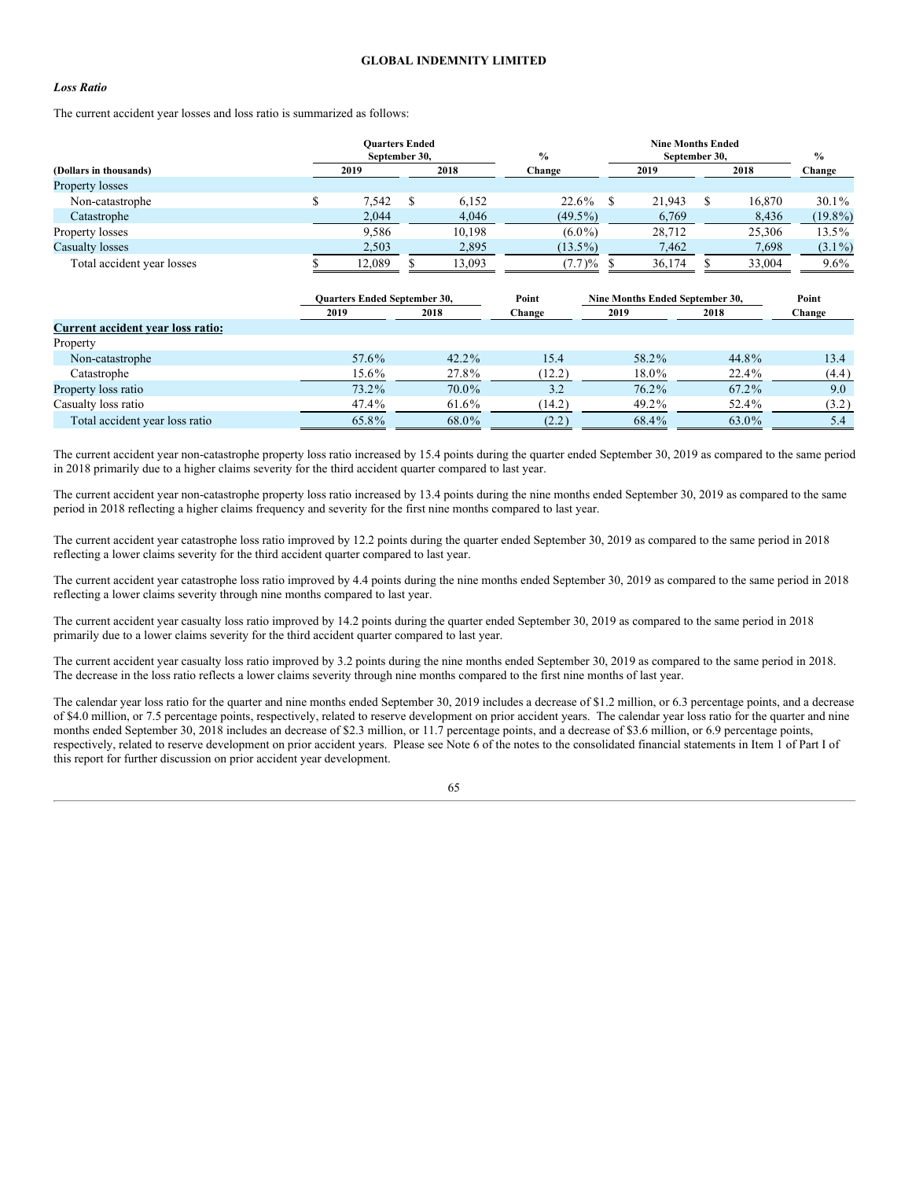# *Loss Ratio*

The current accident year losses and loss ratio is summarized as follows:

|                            | <b>Ouarters Ended</b> | September 30, |        | $\frac{6}{9}$ | <b>Nine Months Ended</b><br>September 30, | $\frac{0}{0}$ |            |
|----------------------------|-----------------------|---------------|--------|---------------|-------------------------------------------|---------------|------------|
| (Dollars in thousands)     | 2019                  |               | 2018   | Change        | 2019                                      | 2018          | Change     |
| Property losses            |                       |               |        |               |                                           |               |            |
| Non-catastrophe            | 7,542                 |               | 6,152  | 22.6%         | 21,943                                    | 16.870        | $30.1\%$   |
| Catastrophe                | 2,044                 |               | 4,046  | $(49.5\%)$    | 6,769                                     | 8,436         | $(19.8\%)$ |
| Property losses            | 9.586                 |               | 10.198 | $(6.0\%)$     | 28,712                                    | 25,306        | $13.5\%$   |
| Casualty losses            | 2,503                 |               | 2,895  | $(13.5\%)$    | 7,462                                     | 7,698         | $(3.1\%)$  |
| Total accident year losses | 12.089                |               | 13.093 | $(7.7) \%$ \$ | 36,174                                    | 33,004        | $9.6\%$    |

|                                   | <b>Ouarters Ended September 30,</b> |          | Point  | Nine Months Ended September 30, | Point    |        |
|-----------------------------------|-------------------------------------|----------|--------|---------------------------------|----------|--------|
|                                   | 2019<br>2018                        |          | Change | 2019                            | 2018     | Change |
| Current accident year loss ratio: |                                     |          |        |                                 |          |        |
| Property                          |                                     |          |        |                                 |          |        |
| Non-catastrophe                   | 57.6%                               | $42.2\%$ | 15.4   | 58.2%                           | 44.8%    | 13.4   |
| Catastrophe                       | 15.6%                               | 27.8%    | (12.2) | 18.0%                           | $22.4\%$ | (4.4)  |
| Property loss ratio               | $73.2\%$                            | 70.0%    | 3.2    | 76.2%                           | 67.2%    | 9.0    |
| Casualty loss ratio               | 47.4%                               | 61.6%    | (14.2) | 49.2%                           | 52.4%    | (3.2)  |
| Total accident year loss ratio    | 65.8%                               | 68.0%    | (2.2)  | 68.4%                           | 63.0%    | 5.4    |

The current accident year non-catastrophe property loss ratio increased by 15.4 points during the quarter ended September 30, 2019 as compared to the same period in 2018 primarily due to a higher claims severity for the third accident quarter compared to last year.

The current accident year non-catastrophe property loss ratio increased by 13.4 points during the nine months ended September 30, 2019 as compared to the same period in 2018 reflecting a higher claims frequency and severity for the first nine months compared to last year.

The current accident year catastrophe loss ratio improved by 12.2 points during the quarter ended September 30, 2019 as compared to the same period in 2018 reflecting a lower claims severity for the third accident quarter compared to last year.

The current accident year catastrophe loss ratio improved by 4.4 points during the nine months ended September 30, 2019 as compared to the same period in 2018 reflecting a lower claims severity through nine months compared to last year.

The current accident year casualty loss ratio improved by 14.2 points during the quarter ended September 30, 2019 as compared to the same period in 2018 primarily due to a lower claims severity for the third accident quarter compared to last year.

The current accident year casualty loss ratio improved by 3.2 points during the nine months ended September 30, 2019 as compared to the same period in 2018. The decrease in the loss ratio reflects a lower claims severity through nine months compared to the first nine months of last year.

The calendar year loss ratio for the quarter and nine months ended September 30, 2019 includes a decrease of \$1.2 million, or 6.3 percentage points, and a decrease of \$4.0 million, or 7.5 percentage points, respectively, related to reserve development on prior accident years. The calendar year loss ratio for the quarter and nine months ended September 30, 2018 includes an decrease of \$2.3 million, or 11.7 percentage points, and a decrease of \$3.6 million, or 6.9 percentage points, respectively, related to reserve development on prior accident years. Please see Note 6 of the notes to the consolidated financial statements in Item 1 of Part I of this report for further discussion on prior accident year development.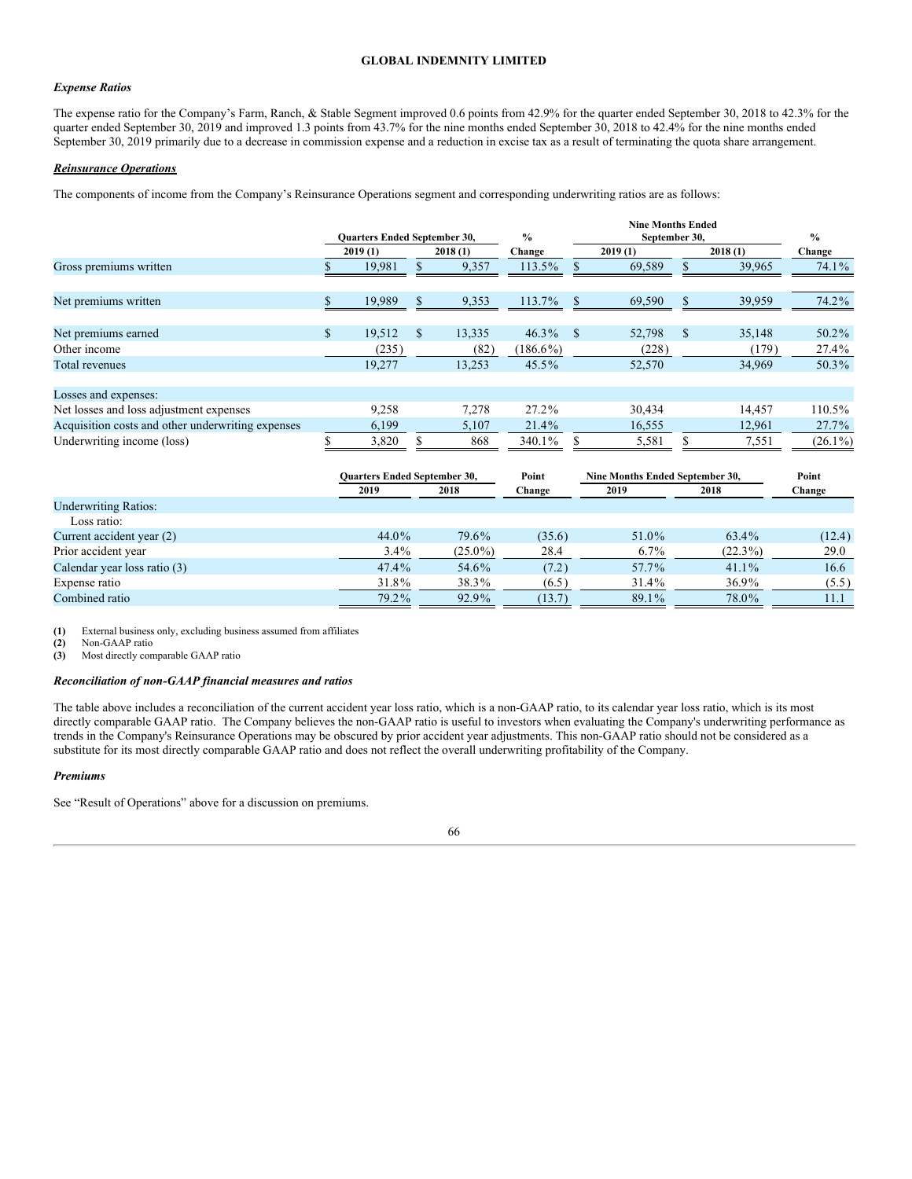### *Expense Ratios*

The expense ratio for the Company's Farm, Ranch, & Stable Segment improved 0.6 points from 42.9% for the quarter ended September 30, 2018 to 42.3% for the quarter ended September 30, 2019 and improved 1.3 points from 43.7% for the nine months ended September 30, 2018 to 42.4% for the nine months ended September 30, 2019 primarily due to a decrease in commission expense and a reduction in excise tax as a result of terminating the quota share arrangement.

### *Reinsurance Operations*

The components of income from the Company's Reinsurance Operations segment and corresponding underwriting ratios are as follows:

|                                                   | <b>Ouarters Ended September 30,</b> |         |               |         | $\%$        | <b>Nine Months Ended</b><br>September 30, |    | $\frac{6}{9}$ |            |
|---------------------------------------------------|-------------------------------------|---------|---------------|---------|-------------|-------------------------------------------|----|---------------|------------|
|                                                   |                                     | 2019(1) |               | 2018(1) | Change      | 2019(1)                                   |    | 2018(1)       | Change     |
| Gross premiums written                            |                                     | 19,981  |               | 9,357   | 113.5%      | 69,589                                    |    | 39,965        | $74.1\%$   |
| Net premiums written                              |                                     | 19,989  |               | 9,353   | 113.7%      | 69,590                                    | S  | 39,959        | 74.2%      |
|                                                   |                                     |         |               |         |             |                                           |    |               |            |
| Net premiums earned                               | S.                                  | 19,512  | <sup>\$</sup> | 13,335  | $46.3\%$ \$ | 52,798                                    | \$ | 35,148        | 50.2%      |
| Other income                                      |                                     | (235)   |               | (82)    | $(186.6\%)$ | (228)                                     |    | (179)         | 27.4%      |
| Total revenues                                    |                                     | 19,277  |               | 13,253  | $45.5\%$    | 52,570                                    |    | 34.969        | 50.3%      |
| Losses and expenses:                              |                                     |         |               |         |             |                                           |    |               |            |
| Net losses and loss adjustment expenses           |                                     | 9,258   |               | 7,278   | $27.2\%$    | 30,434                                    |    | 14,457        | 110.5%     |
| Acquisition costs and other underwriting expenses |                                     | 6,199   |               | 5,107   | 21.4%       | 16,555                                    |    | 12,961        | $27.7\%$   |
| Underwriting income (loss)                        |                                     | 3,820   |               | 868     | 340.1%      | 5,581                                     |    | 7,551         | $(26.1\%)$ |

| <b>Ouarters Ended September 30,</b> |            | Point  |          | Point      |                                 |
|-------------------------------------|------------|--------|----------|------------|---------------------------------|
| 2019                                | 2018       | Change | 2019     | 2018       | Change                          |
|                                     |            |        |          |            |                                 |
|                                     |            |        |          |            |                                 |
| 44.0%                               | 79.6%      | (35.6) | 51.0%    | 63.4%      | (12.4)                          |
| $3.4\%$                             | $(25.0\%)$ | 28.4   | $6.7\%$  | $(22.3\%)$ | 29.0                            |
| 47.4%                               | 54.6%      | (7.2)  | 57.7%    | $41.1\%$   | 16.6                            |
| 31.8%                               | 38.3%      | (6.5)  | $31.4\%$ | 36.9%      | (5.5)                           |
| 79.2%                               | 92.9%      | (13.7) | 89.1%    | 78.0%      | 11.1                            |
|                                     |            |        |          |            | Nine Months Ended September 30. |

**(1)** External business only, excluding business assumed from affiliates

**(2)** Non-GAAP ratio

**(3)** Most directly comparable GAAP ratio

#### *Reconciliation of non-GAAP financial measures and ratios*

The table above includes a reconciliation of the current accident year loss ratio, which is a non-GAAP ratio, to its calendar year loss ratio, which is its most directly comparable GAAP ratio. The Company believes the non-GAAP ratio is useful to investors when evaluating the Company's underwriting performance as trends in the Company's Reinsurance Operations may be obscured by prior accident year adjustments. This non-GAAP ratio should not be considered as a substitute for its most directly comparable GAAP ratio and does not reflect the overall underwriting profitability of the Company.

#### *Premiums*

See "Result of Operations" above for a discussion on premiums.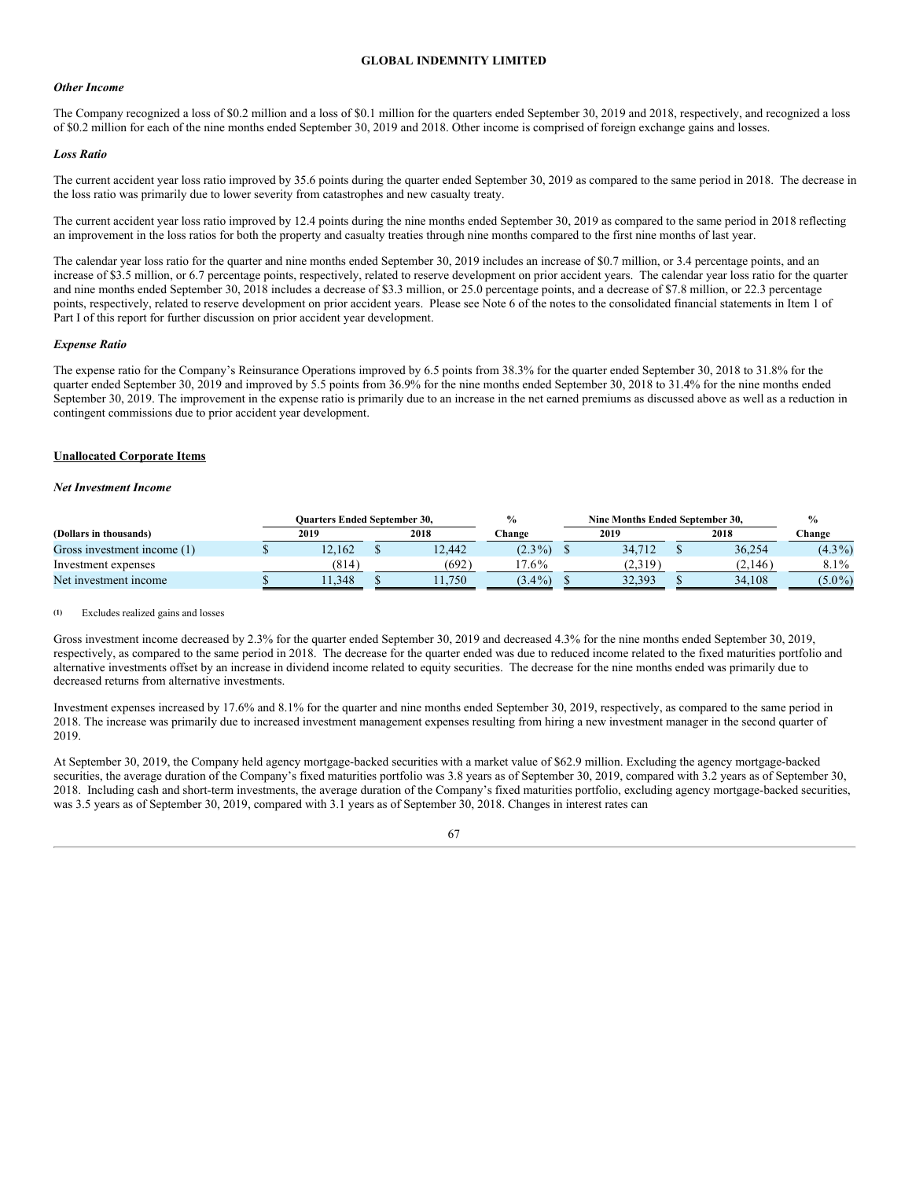#### *Other Income*

The Company recognized a loss of \$0.2 million and a loss of \$0.1 million for the quarters ended September 30, 2019 and 2018, respectively, and recognized a loss of \$0.2 million for each of the nine months ended September 30, 2019 and 2018. Other income is comprised of foreign exchange gains and losses.

#### *Loss Ratio*

The current accident year loss ratio improved by 35.6 points during the quarter ended September 30, 2019 as compared to the same period in 2018. The decrease in the loss ratio was primarily due to lower severity from catastrophes and new casualty treaty.

The current accident year loss ratio improved by 12.4 points during the nine months ended September 30, 2019 as compared to the same period in 2018 reflecting an improvement in the loss ratios for both the property and casualty treaties through nine months compared to the first nine months of last year.

The calendar year loss ratio for the quarter and nine months ended September 30, 2019 includes an increase of \$0.7 million, or 3.4 percentage points, and an increase of \$3.5 million, or 6.7 percentage points, respectively, related to reserve development on prior accident years. The calendar year loss ratio for the quarter and nine months ended September 30, 2018 includes a decrease of \$3.3 million, or 25.0 percentage points, and a decrease of \$7.8 million, or 22.3 percentage points, respectively, related to reserve development on prior accident years. Please see Note 6 of the notes to the consolidated financial statements in Item 1 of Part I of this report for further discussion on prior accident year development.

#### *Expense Ratio*

The expense ratio for the Company's Reinsurance Operations improved by 6.5 points from 38.3% for the quarter ended September 30, 2018 to 31.8% for the quarter ended September 30, 2019 and improved by 5.5 points from 36.9% for the nine months ended September 30, 2018 to 31.4% for the nine months ended September 30, 2019. The improvement in the expense ratio is primarily due to an increase in the net earned premiums as discussed above as well as a reduction in contingent commissions due to prior accident year development.

### **Unallocated Corporate Items**

### *Net Investment Income*

|                             | <b>Ouarters Ended September 30.</b> |  |        | Nine Months Ended September 30. |         |         |           |
|-----------------------------|-------------------------------------|--|--------|---------------------------------|---------|---------|-----------|
| (Dollars in thousands)      | 2019                                |  | 2018   | Change                          | 2019    | 2018    | Change    |
| Gross investment income (1) | 12.162                              |  | 12.442 | $(2.3\%)$                       | 34.712  | 36.254  | $(4.3\%)$ |
| Investment expenses         | (814)                               |  | (692)  | $7.6\%$                         | (2.319) | (2.146) | $8.1\%$   |
| Net investment income       | 11.348                              |  | 1.750  | $(3.4\%)$                       | 32.393  | 34.108  | $(5.0\%)$ |

#### **(1)** Excludes realized gains and losses

Gross investment income decreased by 2.3% for the quarter ended September 30, 2019 and decreased 4.3% for the nine months ended September 30, 2019, respectively, as compared to the same period in 2018. The decrease for the quarter ended was due to reduced income related to the fixed maturities portfolio and alternative investments offset by an increase in dividend income related to equity securities. The decrease for the nine months ended was primarily due to decreased returns from alternative investments.

Investment expenses increased by 17.6% and 8.1% for the quarter and nine months ended September 30, 2019, respectively, as compared to the same period in 2018. The increase was primarily due to increased investment management expenses resulting from hiring a new investment manager in the second quarter of 2019.

At September 30, 2019, the Company held agency mortgage-backed securities with a market value of \$62.9 million. Excluding the agency mortgage-backed securities, the average duration of the Company's fixed maturities portfolio was 3.8 years as of September 30, 2019, compared with 3.2 years as of September 30, 2018. Including cash and short-term investments, the average duration of the Company's fixed maturities portfolio, excluding agency mortgage-backed securities, was 3.5 years as of September 30, 2019, compared with 3.1 years as of September 30, 2018. Changes in interest rates can

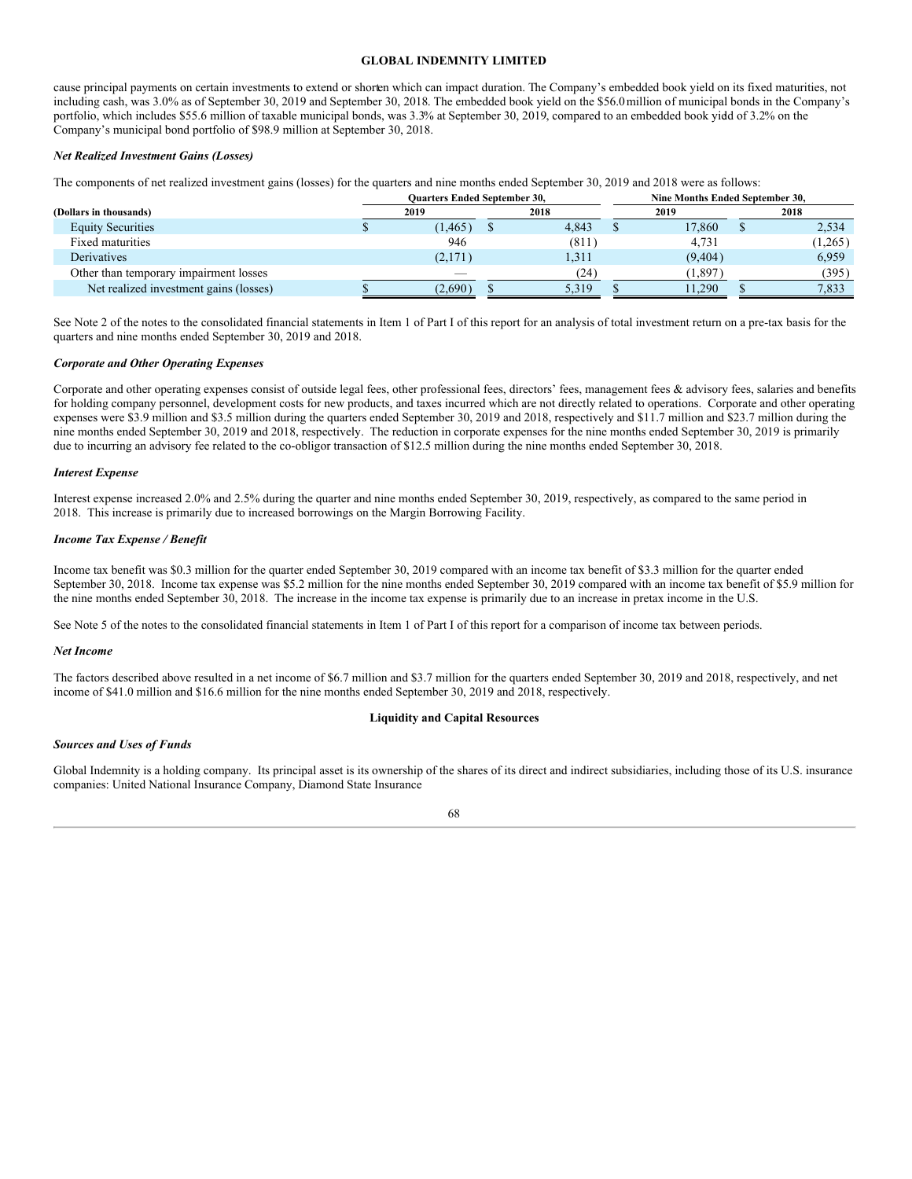cause principal payments on certain investments to extend or shorten which can impact duration. The Company's embedded book yield on its fixed maturities, not including cash, was 3.0% as of September 30, 2019 and September 30, 2018. The embedded book yield on the \$56.0million of municipal bonds in the Company's portfolio, which includes \$55.6 million of taxable municipal bonds, was 3.3% at September 30, 2019, compared to an embedded book yield of 3.2% on the Company's municipal bond portfolio of \$98.9 million at September 30, 2018.

### *Net Realized Investment Gains (Losses)*

The components of net realized investment gains (losses) for the quarters and nine months ended September 30, 2019 and 2018 were as follows:

|                                        | <b>Ouarters Ended September 30,</b> |  | Nine Months Ended September 30. |  |         |  |         |
|----------------------------------------|-------------------------------------|--|---------------------------------|--|---------|--|---------|
| (Dollars in thousands)                 | 2019                                |  | 2018                            |  | 2019    |  | 2018    |
| <b>Equity Securities</b>               | (1, 465)                            |  | 4.843                           |  | 17.860  |  | 2,534   |
| Fixed maturities                       | 946                                 |  | (811)                           |  | 4.731   |  | (1,265) |
| Derivatives                            | (2,171)                             |  | 1.311                           |  | (9,404) |  | 6,959   |
| Other than temporary impairment losses | __                                  |  | (24)                            |  | (1.897) |  | (395)   |
| Net realized investment gains (losses) | (2.690)                             |  | 5.319                           |  | 11.290  |  | 7.833   |

See Note 2 of the notes to the consolidated financial statements in Item 1 of Part I of this report for an analysis of total investment return on a pre-tax basis for the quarters and nine months ended September 30, 2019 and 2018.

### *Corporate and Other Operating Expenses*

Corporate and other operating expenses consist of outside legal fees, other professional fees, directors' fees, management fees & advisory fees, salaries and benefits for holding company personnel, development costs for new products, and taxes incurred which are not directly related to operations. Corporate and other operating expenses were \$3.9 million and \$3.5 million during the quarters ended September 30, 2019 and 2018, respectively and \$11.7 million and \$23.7 million during the nine months ended September 30, 2019 and 2018, respectively. The reduction in corporate expenses for the nine months ended September 30, 2019 is primarily due to incurring an advisory fee related to the co-obligor transaction of \$12.5 million during the nine months ended September 30, 2018.

### *Interest Expense*

Interest expense increased 2.0% and 2.5% during the quarter and nine months ended September 30, 2019, respectively, as compared to the same period in 2018. This increase is primarily due to increased borrowings on the Margin Borrowing Facility.

### *Income Tax Expense / Benefit*

Income tax benefit was \$0.3 million for the quarter ended September 30, 2019 compared with an income tax benefit of \$3.3 million for the quarter ended September 30, 2018. Income tax expense was \$5.2 million for the nine months ended September 30, 2019 compared with an income tax benefit of \$5.9 million for the nine months ended September 30, 2018. The increase in the income tax expense is primarily due to an increase in pretax income in the U.S.

See Note 5 of the notes to the consolidated financial statements in Item 1 of Part I of this report for a comparison of income tax between periods.

#### *Net Income*

The factors described above resulted in a net income of \$6.7 million and \$3.7 million for the quarters ended September 30, 2019 and 2018, respectively, and net income of \$41.0 million and \$16.6 million for the nine months ended September 30, 2019 and 2018, respectively.

## **Liquidity and Capital Resources**

## *Sources and Uses of Funds*

Global Indemnity is a holding company. Its principal asset is its ownership of the shares of its direct and indirect subsidiaries, including those of its U.S. insurance companies: United National Insurance Company, Diamond State Insurance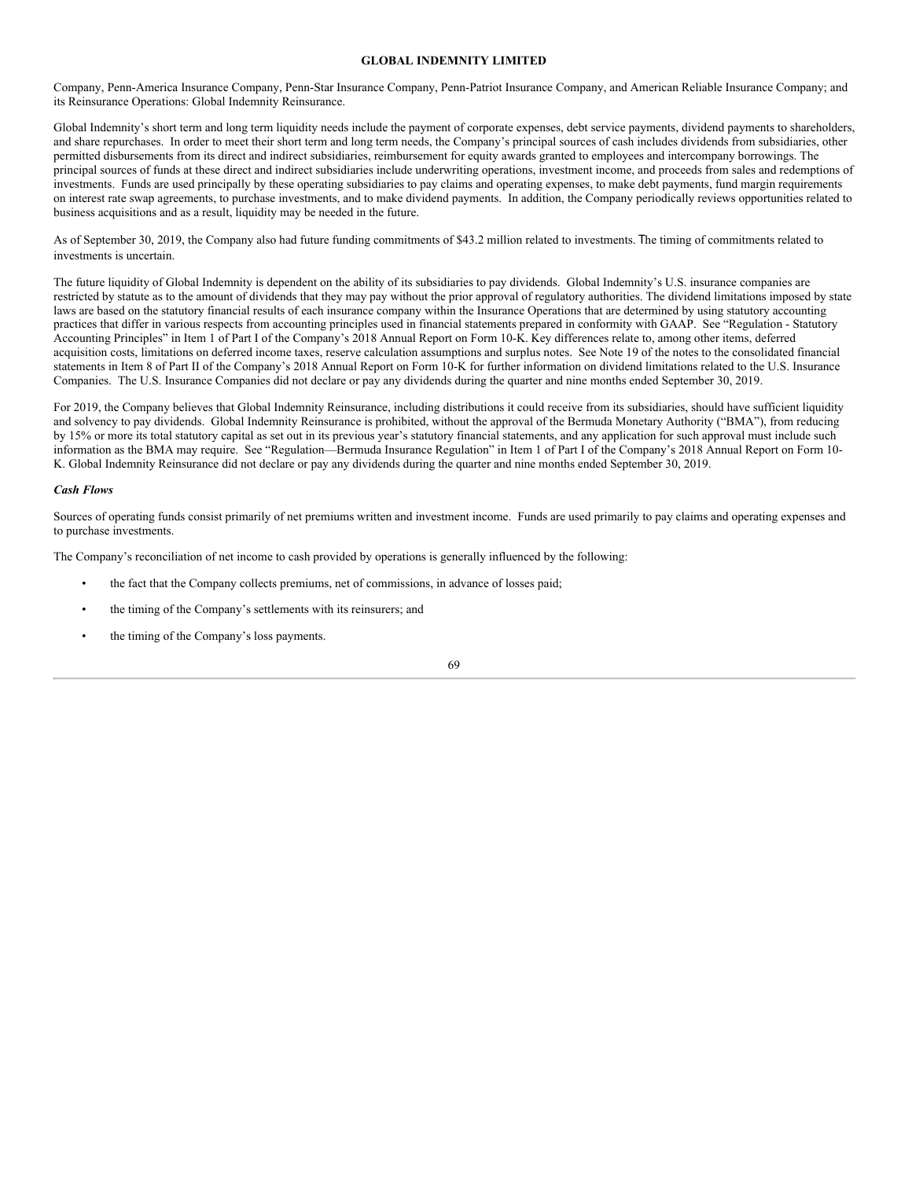Company, Penn-America Insurance Company, Penn-Star Insurance Company, Penn-Patriot Insurance Company, and American Reliable Insurance Company; and its Reinsurance Operations: Global Indemnity Reinsurance.

Global Indemnity's short term and long term liquidity needs include the payment of corporate expenses, debt service payments, dividend payments to shareholders, and share repurchases. In order to meet their short term and long term needs, the Company's principal sources of cash includes dividends from subsidiaries, other permitted disbursements from its direct and indirect subsidiaries, reimbursement for equity awards granted to employees and intercompany borrowings. The principal sources of funds at these direct and indirect subsidiaries include underwriting operations, investment income, and proceeds from sales and redemptions of investments. Funds are used principally by these operating subsidiaries to pay claims and operating expenses, to make debt payments, fund margin requirements on interest rate swap agreements, to purchase investments, and to make dividend payments. In addition, the Company periodically reviews opportunities related to business acquisitions and as a result, liquidity may be needed in the future.

As of September 30, 2019, the Company also had future funding commitments of \$43.2 million related to investments. The timing of commitments related to investments is uncertain.

The future liquidity of Global Indemnity is dependent on the ability of its subsidiaries to pay dividends. Global Indemnity's U.S. insurance companies are restricted by statute as to the amount of dividends that they may pay without the prior approval of regulatory authorities. The dividend limitations imposed by state laws are based on the statutory financial results of each insurance company within the Insurance Operations that are determined by using statutory accounting practices that differ in various respects from accounting principles used in financial statements prepared in conformity with GAAP. See "Regulation - Statutory Accounting Principles" in Item 1 of Part I of the Company's 2018 Annual Report on Form 10-K. Key differences relate to, among other items, deferred acquisition costs, limitations on deferred income taxes, reserve calculation assumptions and surplus notes. See Note 19 of the notes to the consolidated financial statements in Item 8 of Part II of the Company's 2018 Annual Report on Form 10-K for further information on dividend limitations related to the U.S. Insurance Companies. The U.S. Insurance Companies did not declare or pay any dividends during the quarter and nine months ended September 30, 2019.

For 2019, the Company believes that Global Indemnity Reinsurance, including distributions it could receive from its subsidiaries, should have sufficient liquidity and solvency to pay dividends. Global Indemnity Reinsurance is prohibited, without the approval of the Bermuda Monetary Authority ("BMA"), from reducing by 15% or more its total statutory capital as set out in its previous year's statutory financial statements, and any application for such approval must include such information as the BMA may require. See "Regulation—Bermuda Insurance Regulation" in Item 1 of Part I of the Company's 2018 Annual Report on Form 10- K. Global Indemnity Reinsurance did not declare or pay any dividends during the quarter and nine months ended September 30, 2019.

## *Cash Flows*

Sources of operating funds consist primarily of net premiums written and investment income. Funds are used primarily to pay claims and operating expenses and to purchase investments.

The Company's reconciliation of net income to cash provided by operations is generally influenced by the following:

- the fact that the Company collects premiums, net of commissions, in advance of losses paid;
- the timing of the Company's settlements with its reinsurers; and
- the timing of the Company's loss payments.

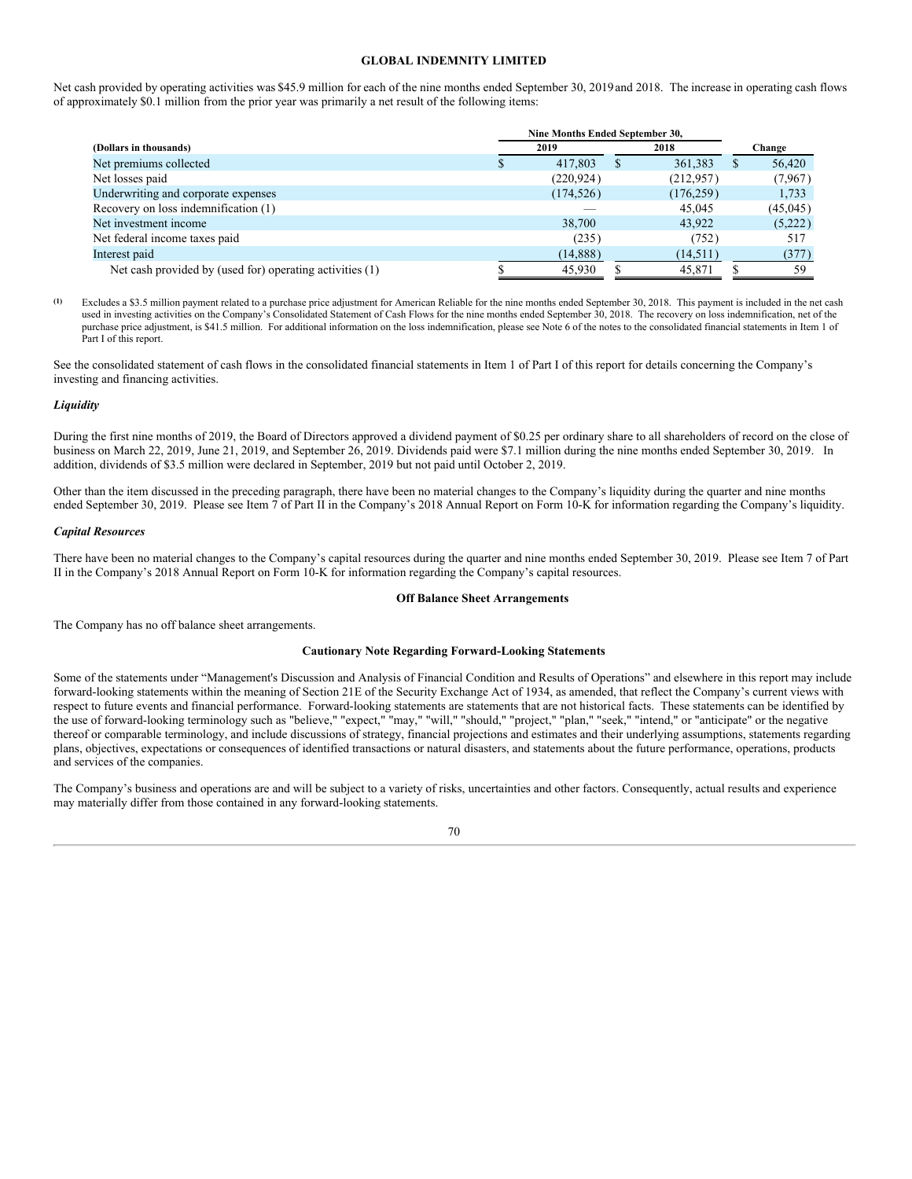Net cash provided by operating activities was \$45.9 million for each of the nine months ended September 30, 2019and 2018. The increase in operating cash flows of approximately \$0.1 million from the prior year was primarily a net result of the following items:

| (Dollars in thousands)                                   |    | 2019       | 2018       |   | Change   |
|----------------------------------------------------------|----|------------|------------|---|----------|
| Net premiums collected                                   | ۰D | 417,803    | 361.383    | S | 56,420   |
| Net losses paid                                          |    | (220, 924) | (212, 957) |   | (7,967)  |
| Underwriting and corporate expenses                      |    | (174, 526) | (176, 259) |   | 1,733    |
| Recovery on loss indemnification (1)                     |    |            | 45,045     |   | (45,045) |
| Net investment income                                    |    | 38,700     | 43,922     |   | (5,222)  |
| Net federal income taxes paid                            |    | (235)      | (752)      |   | 517      |
| Interest paid                                            |    | (14, 888)  | (14, 511)  |   | (377)    |
| Net cash provided by (used for) operating activities (1) |    | 45.930     | 45,871     |   | 59       |

**(1)** Excludes a \$3.5 million payment related to a purchase price adjustment for American Reliable for the nine months ended September 30, 2018. This payment is included in the net cash used in investing activities on the Company's Consolidated Statement of Cash Flows for the nine months ended September 30, 2018. The recovery on loss indemnification, net of the purchase price adjustment, is \$41.5 million. For additional information on the loss indemnification, please see Note 6 of the notes to the consolidated financial statements in Item 1 of Part I of this report.

See the consolidated statement of cash flows in the consolidated financial statements in Item 1 of Part I of this report for details concerning the Company's investing and financing activities.

#### *Liquidity*

During the first nine months of 2019, the Board of Directors approved a dividend payment of \$0.25 per ordinary share to all shareholders of record on the close of business on March 22, 2019, June 21, 2019, and September 26, 2019. Dividends paid were \$7.1 million during the nine months ended September 30, 2019. In addition, dividends of \$3.5 million were declared in September, 2019 but not paid until October 2, 2019.

Other than the item discussed in the preceding paragraph, there have been no material changes to the Company's liquidity during the quarter and nine months ended September 30, 2019. Please see Item 7 of Part II in the Company's 2018 Annual Report on Form 10-K for information regarding the Company's liquidity.

#### *Capital Resources*

There have been no material changes to the Company's capital resources during the quarter and nine months ended September 30, 2019. Please see Item 7 of Part II in the Company's 2018 Annual Report on Form 10-K for information regarding the Company's capital resources.

#### **Off Balance Sheet Arrangements**

The Company has no off balance sheet arrangements.

#### **Cautionary Note Regarding Forward-Looking Statements**

Some of the statements under "Management's Discussion and Analysis of Financial Condition and Results of Operations" and elsewhere in this report may include forward-looking statements within the meaning of Section 21E of the Security Exchange Act of 1934, as amended, that reflect the Company's current views with respect to future events and financial performance. Forward-looking statements are statements that are not historical facts. These statements can be identified by the use of forward-looking terminology such as "believe," "expect," "may," "will," "should," "project," "plan," "seek," "intend," or "anticipate" or the negative thereof or comparable terminology, and include discussions of strategy, financial projections and estimates and their underlying assumptions, statements regarding plans, objectives, expectations or consequences of identified transactions or natural disasters, and statements about the future performance, operations, products and services of the companies.

The Company's business and operations are and will be subject to a variety of risks, uncertainties and other factors. Consequently, actual results and experience may materially differ from those contained in any forward-looking statements.

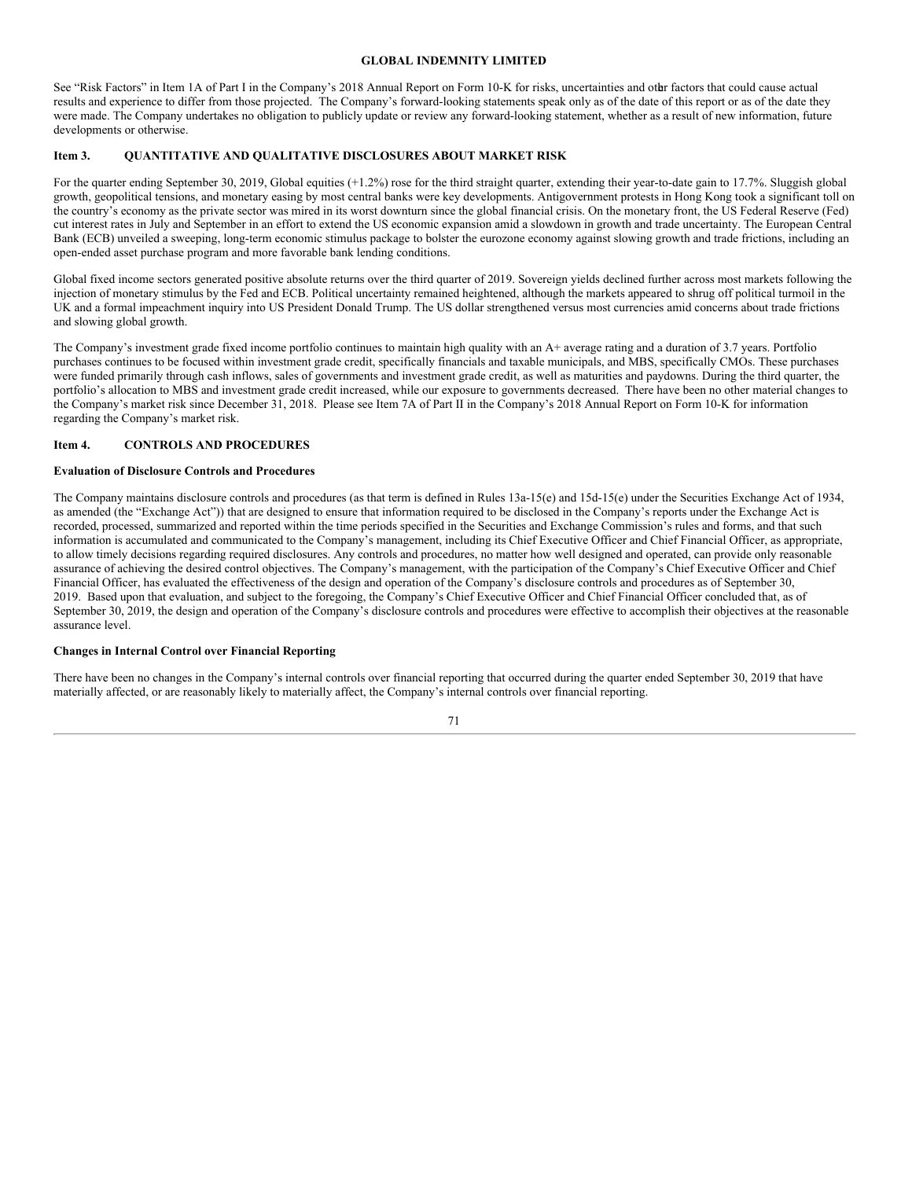See "Risk Factors" in Item 1A of Part I in the Company's 2018 Annual Report on Form 10-K for risks, uncertainties and other factors that could cause actual results and experience to differ from those projected. The Company's forward-looking statements speak only as of the date of this report or as of the date they were made. The Company undertakes no obligation to publicly update or review any forward-looking statement, whether as a result of new information, future developments or otherwise.

## **Item 3. QUANTITATIVE AND QUALITATIVE DISCLOSURES ABOUT MARKET RISK**

For the quarter ending September 30, 2019, Global equities (+1.2%) rose for the third straight quarter, extending their year-to-date gain to 17.7%. Sluggish global growth, geopolitical tensions, and monetary easing by most central banks were key developments. Antigovernment protests in Hong Kong took a significant toll on the country's economy as the private sector was mired in its worst downturn since the global financial crisis. On the monetary front, the US Federal Reserve (Fed) cut interest rates in July and September in an effort to extend the US economic expansion amid a slowdown in growth and trade uncertainty. The European Central Bank (ECB) unveiled a sweeping, long-term economic stimulus package to bolster the eurozone economy against slowing growth and trade frictions, including an open-ended asset purchase program and more favorable bank lending conditions.

Global fixed income sectors generated positive absolute returns over the third quarter of 2019. Sovereign yields declined further across most markets following the injection of monetary stimulus by the Fed and ECB. Political uncertainty remained heightened, although the markets appeared to shrug off political turmoil in the UK and a formal impeachment inquiry into US President Donald Trump. The US dollar strengthened versus most currencies amid concerns about trade frictions and slowing global growth.

The Company's investment grade fixed income portfolio continues to maintain high quality with an A+ average rating and a duration of 3.7 years. Portfolio purchases continues to be focused within investment grade credit, specifically financials and taxable municipals, and MBS, specifically CMOs. These purchases were funded primarily through cash inflows, sales of governments and investment grade credit, as well as maturities and paydowns. During the third quarter, the portfolio's allocation to MBS and investment grade credit increased, while our exposure to governments decreased. There have been no other material changes to the Company's market risk since December 31, 2018. Please see Item 7A of Part II in the Company's 2018 Annual Report on Form 10-K for information regarding the Company's market risk.

## **Item 4. CONTROLS AND PROCEDURES**

### **Evaluation of Disclosure Controls and Procedures**

The Company maintains disclosure controls and procedures (as that term is defined in Rules 13a-15(e) and 15d-15(e) under the Securities Exchange Act of 1934, as amended (the "Exchange Act")) that are designed to ensure that information required to be disclosed in the Company's reports under the Exchange Act is recorded, processed, summarized and reported within the time periods specified in the Securities and Exchange Commission's rules and forms, and that such information is accumulated and communicated to the Company's management, including its Chief Executive Officer and Chief Financial Officer, as appropriate, to allow timely decisions regarding required disclosures. Any controls and procedures, no matter how well designed and operated, can provide only reasonable assurance of achieving the desired control objectives. The Company's management, with the participation of the Company's Chief Executive Officer and Chief Financial Officer, has evaluated the effectiveness of the design and operation of the Company's disclosure controls and procedures as of September 30, 2019. Based upon that evaluation, and subject to the foregoing, the Company's Chief Executive Officer and Chief Financial Officer concluded that, as of September 30, 2019, the design and operation of the Company's disclosure controls and procedures were effective to accomplish their objectives at the reasonable assurance level.

#### **Changes in Internal Control over Financial Reporting**

There have been no changes in the Company's internal controls over financial reporting that occurred during the quarter ended September 30, 2019 that have materially affected, or are reasonably likely to materially affect, the Company's internal controls over financial reporting.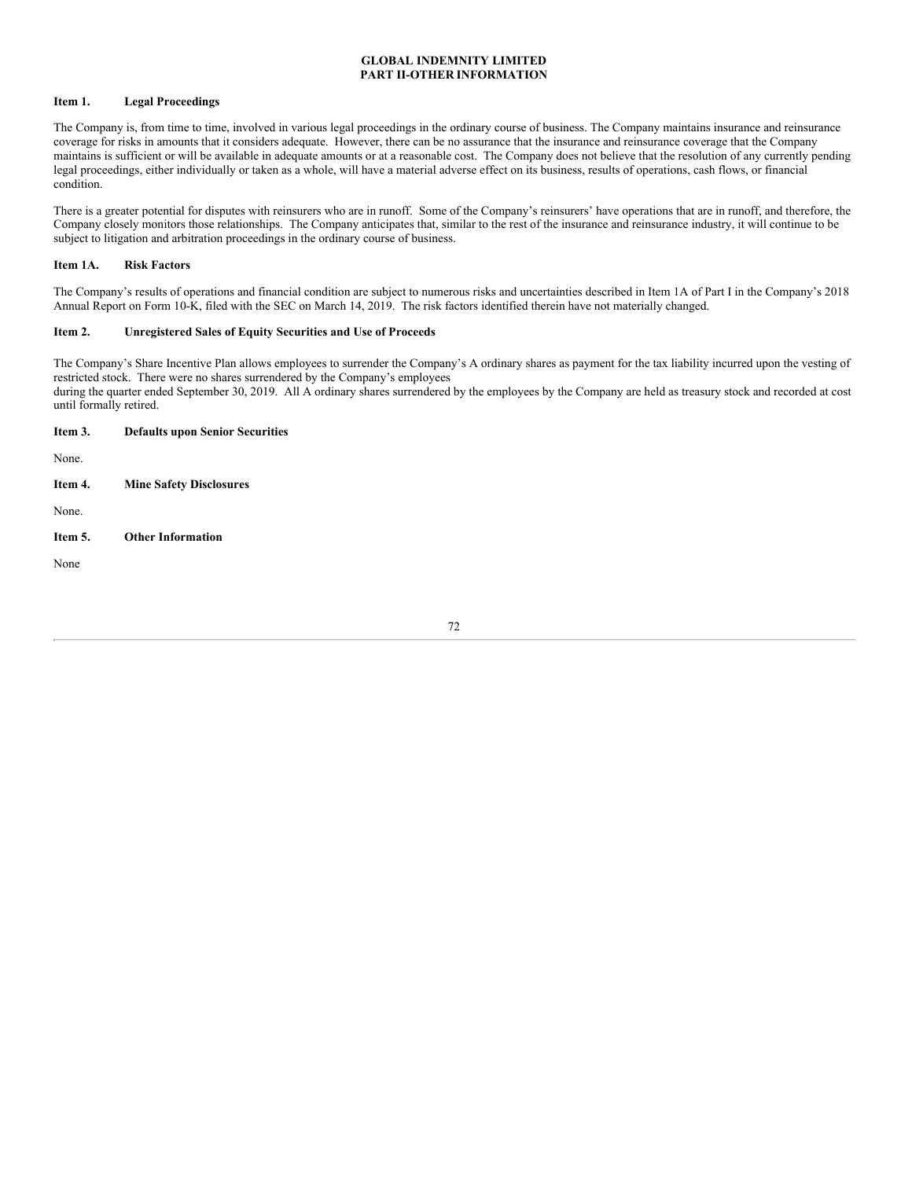## **GLOBAL INDEMNITY LIMITED PART II-OTHER INFORMATION**

### **Item 1. Legal Proceedings**

The Company is, from time to time, involved in various legal proceedings in the ordinary course of business. The Company maintains insurance and reinsurance coverage for risks in amounts that it considers adequate. However, there can be no assurance that the insurance and reinsurance coverage that the Company maintains is sufficient or will be available in adequate amounts or at a reasonable cost. The Company does not believe that the resolution of any currently pending legal proceedings, either individually or taken as a whole, will have a material adverse effect on its business, results of operations, cash flows, or financial condition.

There is a greater potential for disputes with reinsurers who are in runoff. Some of the Company's reinsurers' have operations that are in runoff, and therefore, the Company closely monitors those relationships. The Company anticipates that, similar to the rest of the insurance and reinsurance industry, it will continue to be subject to litigation and arbitration proceedings in the ordinary course of business.

#### **Item 1A. Risk Factors**

The Company's results of operations and financial condition are subject to numerous risks and uncertainties described in Item 1A of Part I in the Company's 2018 Annual Report on Form 10-K, filed with the SEC on March 14, 2019. The risk factors identified therein have not materially changed.

# **Item 2. Unregistered Sales of Equity Securities and Use of Proceeds**

The Company's Share Incentive Plan allows employees to surrender the Company's A ordinary shares as payment for the tax liability incurred upon the vesting of restricted stock. There were no shares surrendered by the Company's employees during the quarter ended September 30, 2019. All A ordinary shares surrendered by the employees by the Company are held as treasury stock and recorded at cost until formally retired.

| Item 3. | <b>Defaults upon Senior Securities</b> |
|---------|----------------------------------------|
| None.   |                                        |
| Item 4. | <b>Mine Safety Disclosures</b>         |
| None.   |                                        |
| Item 5. | <b>Other Information</b>               |
| None    |                                        |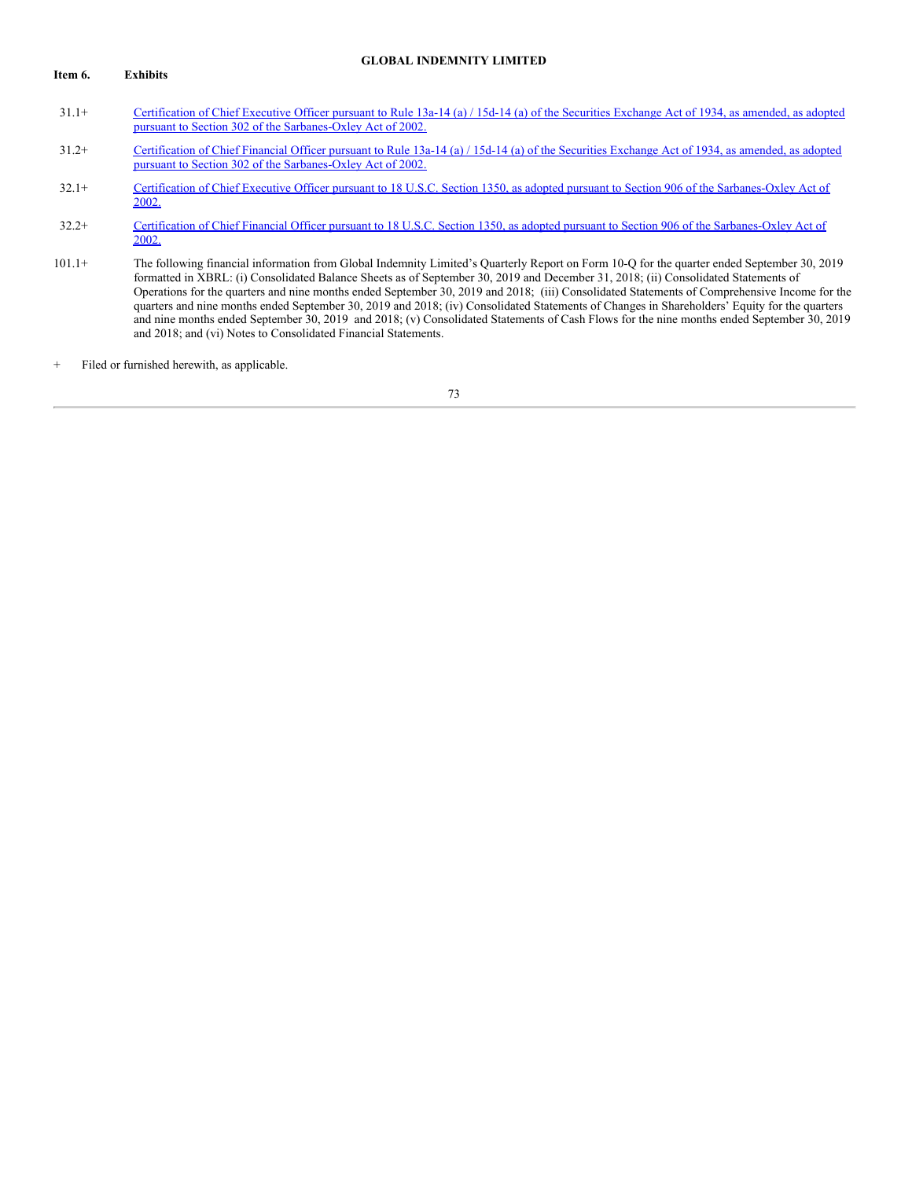## **GLOBAL INDEMNITY LIMITED**

| Item 6. | <b>Exhibits</b> |
|---------|-----------------|
|         |                 |

- 31.1+ Certification of Chief Executive Officer pursuant to Rule 13a-14 (a) / 15d-14 (a) of the Securities Exchange Act of 1934, as amended, as adopted pursuant to Section 302 of the [Sarbanes-Oxley](#page-74-0) Act of 2002.
- 31.2+ Certification of Chief Financial Officer pursuant to Rule 13a-14 (a) / 15d-14 (a) of the Securities Exchange Act of 1934, as amended, as adopted pursuant to Section 302 of the [Sarbanes-Oxley](#page-75-0) Act of 2002.
- 32.1+ Certification of Chief Executive Officer pursuant to 18 U.S.C. Section 1350, as adopted pursuant to Section 906 of the [Sarbanes-Oxley](#page-76-0) Act of 2002.
- 32.2+ Certification of Chief Financial Officer pursuant to 18 U.S.C. Section 1350, as adopted pursuant to Section 906 of the [Sarbanes-Oxley](#page-77-0) Act of 2002.
- 101.1+ The following financial information from Global Indemnity Limited's Quarterly Report on Form 10-Q for the quarter ended September 30, 2019 formatted in XBRL: (i) Consolidated Balance Sheets as of September 30, 2019 and December 31, 2018; (ii) Consolidated Statements of Operations for the quarters and nine months ended September 30, 2019 and 2018; (iii) Consolidated Statements of Comprehensive Income for the quarters and nine months ended September 30, 2019 and 2018; (iv) Consolidated Statements of Changes in Shareholders' Equity for the quarters and nine months ended September 30, 2019 and 2018; (v) Consolidated Statements of Cash Flows for the nine months ended September 30, 2019 and 2018; and (vi) Notes to Consolidated Financial Statements.
- + Filed or furnished herewith, as applicable.

73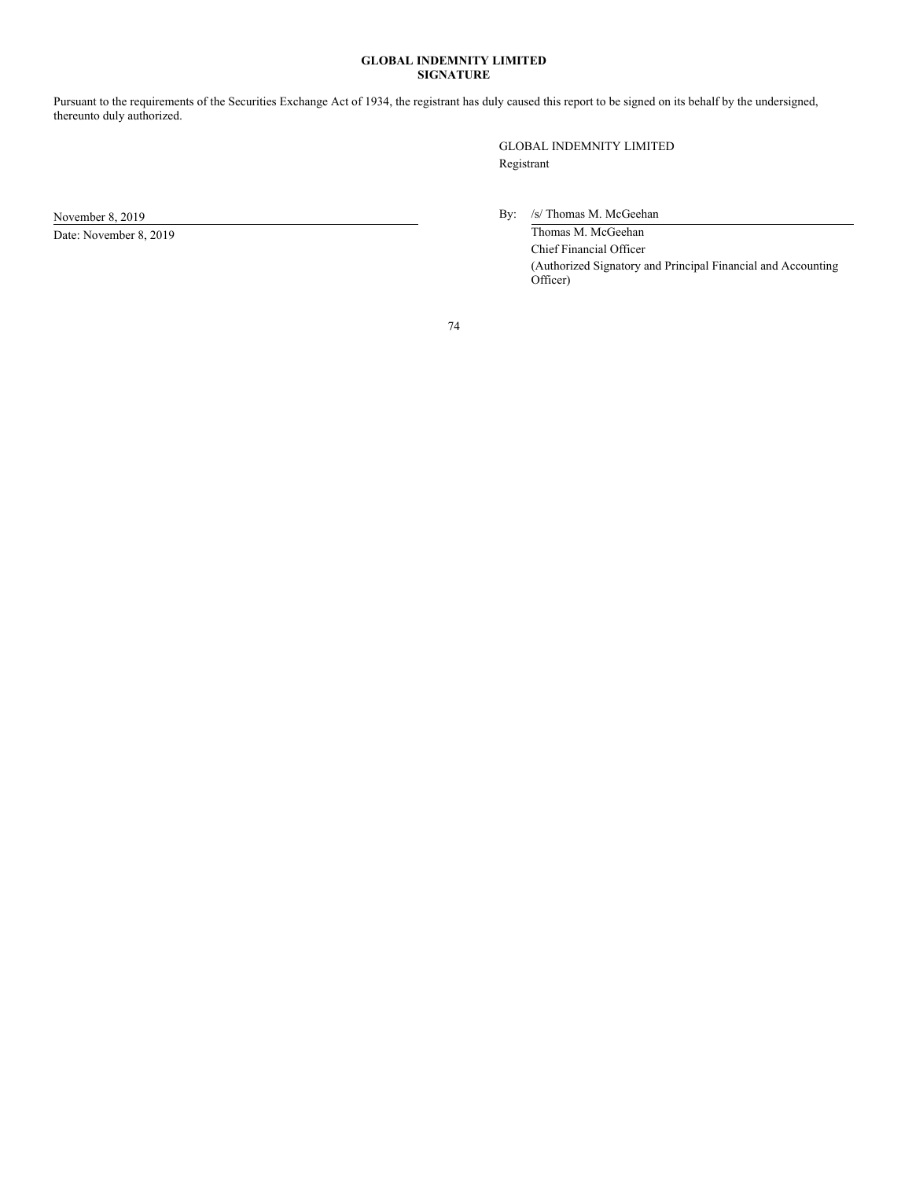# **GLOBAL INDEMNITY LIMITED SIGNATURE**

Pursuant to the requirements of the Securities Exchange Act of 1934, the registrant has duly caused this report to be signed on its behalf by the undersigned, thereunto duly authorized.

> GLOBAL INDEMNITY LIMITED Registrant

Date: November 8, 2019

November 8, 2019<br>
Date: November 8, 2019<br>
Date: November 8, 2019<br>
Date: November 8, 2019

Chief Financial Officer (Authorized Signatory and Principal Financial and Accounting Officer)

74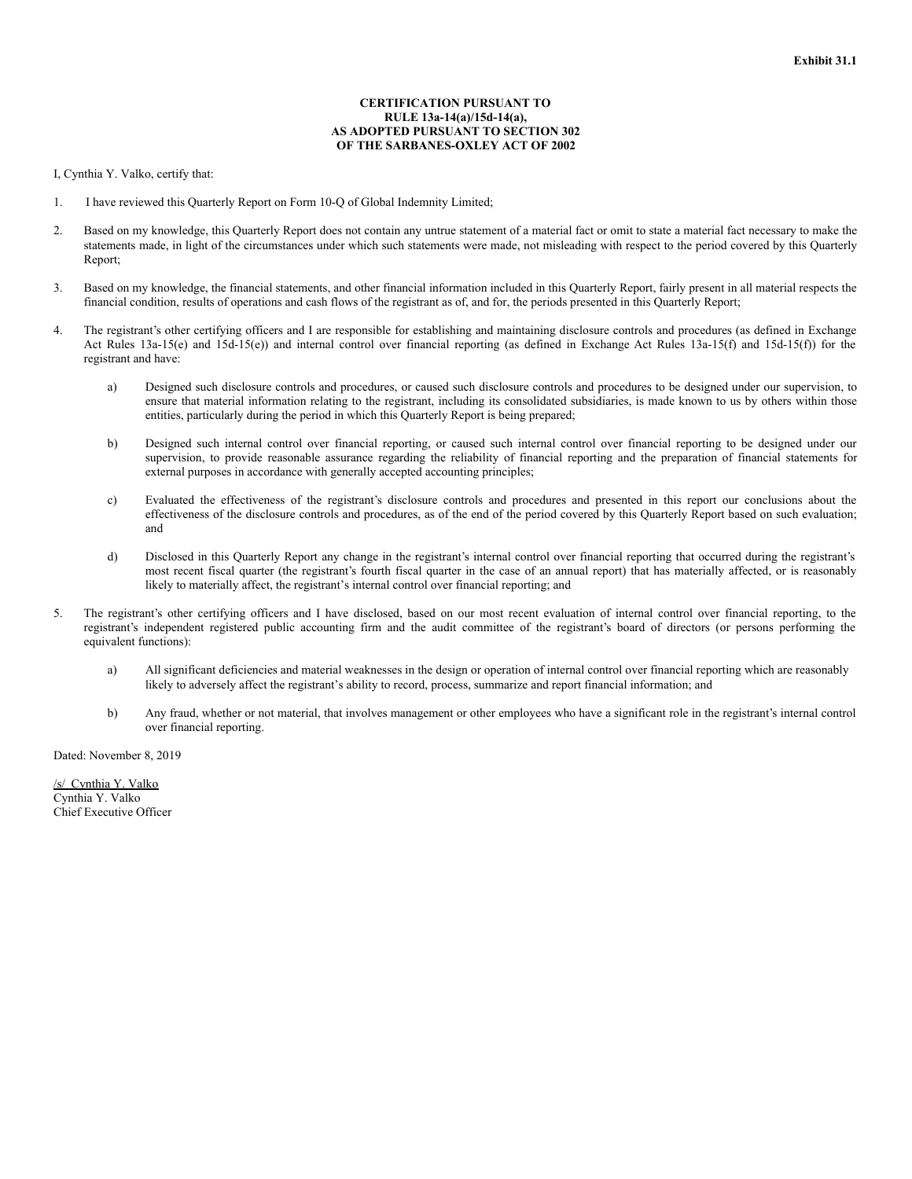## **CERTIFICATION PURSUANT TO RULE 13a-14(a)/15d-14(a), AS ADOPTED PURSUANT TO SECTION 302 OF THE SARBANES-OXLEY ACT OF 2002**

<span id="page-74-0"></span>I, Cynthia Y. Valko, certify that:

- 1. I have reviewed this Quarterly Report on Form 10-Q of Global Indemnity Limited;
- 2. Based on my knowledge, this Quarterly Report does not contain any untrue statement of a material fact or omit to state a material fact necessary to make the statements made, in light of the circumstances under which such statements were made, not misleading with respect to the period covered by this Quarterly Report;
- 3. Based on my knowledge, the financial statements, and other financial information included in this Quarterly Report, fairly present in all material respects the financial condition, results of operations and cash flows of the registrant as of, and for, the periods presented in this Quarterly Report;
- 4. The registrant's other certifying officers and I are responsible for establishing and maintaining disclosure controls and procedures (as defined in Exchange Act Rules 13a-15(e) and 15d-15(e)) and internal control over financial reporting (as defined in Exchange Act Rules 13a-15(f) and 15d-15(f)) for the registrant and have:
	- a) Designed such disclosure controls and procedures, or caused such disclosure controls and procedures to be designed under our supervision, to ensure that material information relating to the registrant, including its consolidated subsidiaries, is made known to us by others within those entities, particularly during the period in which this Quarterly Report is being prepared;
	- b) Designed such internal control over financial reporting, or caused such internal control over financial reporting to be designed under our supervision, to provide reasonable assurance regarding the reliability of financial reporting and the preparation of financial statements for external purposes in accordance with generally accepted accounting principles;
	- c) Evaluated the effectiveness of the registrant's disclosure controls and procedures and presented in this report our conclusions about the effectiveness of the disclosure controls and procedures, as of the end of the period covered by this Quarterly Report based on such evaluation; and
	- d) Disclosed in this Quarterly Report any change in the registrant's internal control over financial reporting that occurred during the registrant's most recent fiscal quarter (the registrant's fourth fiscal quarter in the case of an annual report) that has materially affected, or is reasonably likely to materially affect, the registrant's internal control over financial reporting; and
- 5. The registrant's other certifying officers and I have disclosed, based on our most recent evaluation of internal control over financial reporting, to the registrant's independent registered public accounting firm and the audit committee of the registrant's board of directors (or persons performing the equivalent functions):
	- a) All significant deficiencies and material weaknesses in the design or operation of internal control over financial reporting which are reasonably likely to adversely affect the registrant's ability to record, process, summarize and report financial information; and
	- b) Any fraud, whether or not material, that involves management or other employees who have a significant role in the registrant's internal control over financial reporting.

Dated: November 8, 2019

/s/ Cynthia Y. Valko Cynthia Y. Valko Chief Executive Officer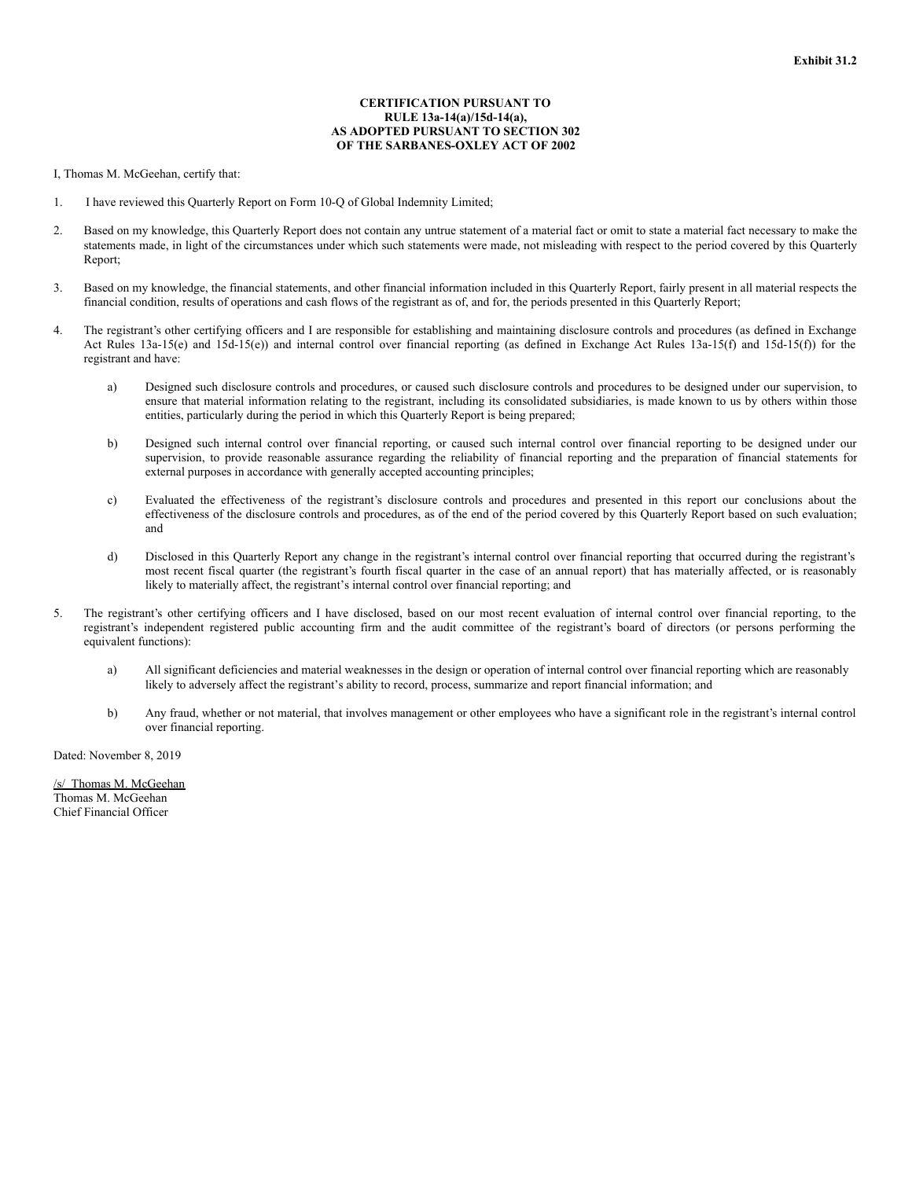## **CERTIFICATION PURSUANT TO RULE 13a-14(a)/15d-14(a), AS ADOPTED PURSUANT TO SECTION 302 OF THE SARBANES-OXLEY ACT OF 2002**

<span id="page-75-0"></span>I, Thomas M. McGeehan, certify that:

- 1. I have reviewed this Quarterly Report on Form 10-Q of Global Indemnity Limited;
- 2. Based on my knowledge, this Quarterly Report does not contain any untrue statement of a material fact or omit to state a material fact necessary to make the statements made, in light of the circumstances under which such statements were made, not misleading with respect to the period covered by this Quarterly Report;
- 3. Based on my knowledge, the financial statements, and other financial information included in this Quarterly Report, fairly present in all material respects the financial condition, results of operations and cash flows of the registrant as of, and for, the periods presented in this Quarterly Report;
- 4. The registrant's other certifying officers and I are responsible for establishing and maintaining disclosure controls and procedures (as defined in Exchange Act Rules 13a-15(e) and 15d-15(e)) and internal control over financial reporting (as defined in Exchange Act Rules 13a-15(f) and 15d-15(f)) for the registrant and have:
	- a) Designed such disclosure controls and procedures, or caused such disclosure controls and procedures to be designed under our supervision, to ensure that material information relating to the registrant, including its consolidated subsidiaries, is made known to us by others within those entities, particularly during the period in which this Quarterly Report is being prepared;
	- b) Designed such internal control over financial reporting, or caused such internal control over financial reporting to be designed under our supervision, to provide reasonable assurance regarding the reliability of financial reporting and the preparation of financial statements for external purposes in accordance with generally accepted accounting principles;
	- c) Evaluated the effectiveness of the registrant's disclosure controls and procedures and presented in this report our conclusions about the effectiveness of the disclosure controls and procedures, as of the end of the period covered by this Quarterly Report based on such evaluation; and
	- d) Disclosed in this Quarterly Report any change in the registrant's internal control over financial reporting that occurred during the registrant's most recent fiscal quarter (the registrant's fourth fiscal quarter in the case of an annual report) that has materially affected, or is reasonably likely to materially affect, the registrant's internal control over financial reporting; and
- 5. The registrant's other certifying officers and I have disclosed, based on our most recent evaluation of internal control over financial reporting, to the registrant's independent registered public accounting firm and the audit committee of the registrant's board of directors (or persons performing the equivalent functions):
	- a) All significant deficiencies and material weaknesses in the design or operation of internal control over financial reporting which are reasonably likely to adversely affect the registrant's ability to record, process, summarize and report financial information; and
	- b) Any fraud, whether or not material, that involves management or other employees who have a significant role in the registrant's internal control over financial reporting.

Dated: November 8, 2019

/s/ Thomas M. McGeehan Thomas M. McGeehan Chief Financial Officer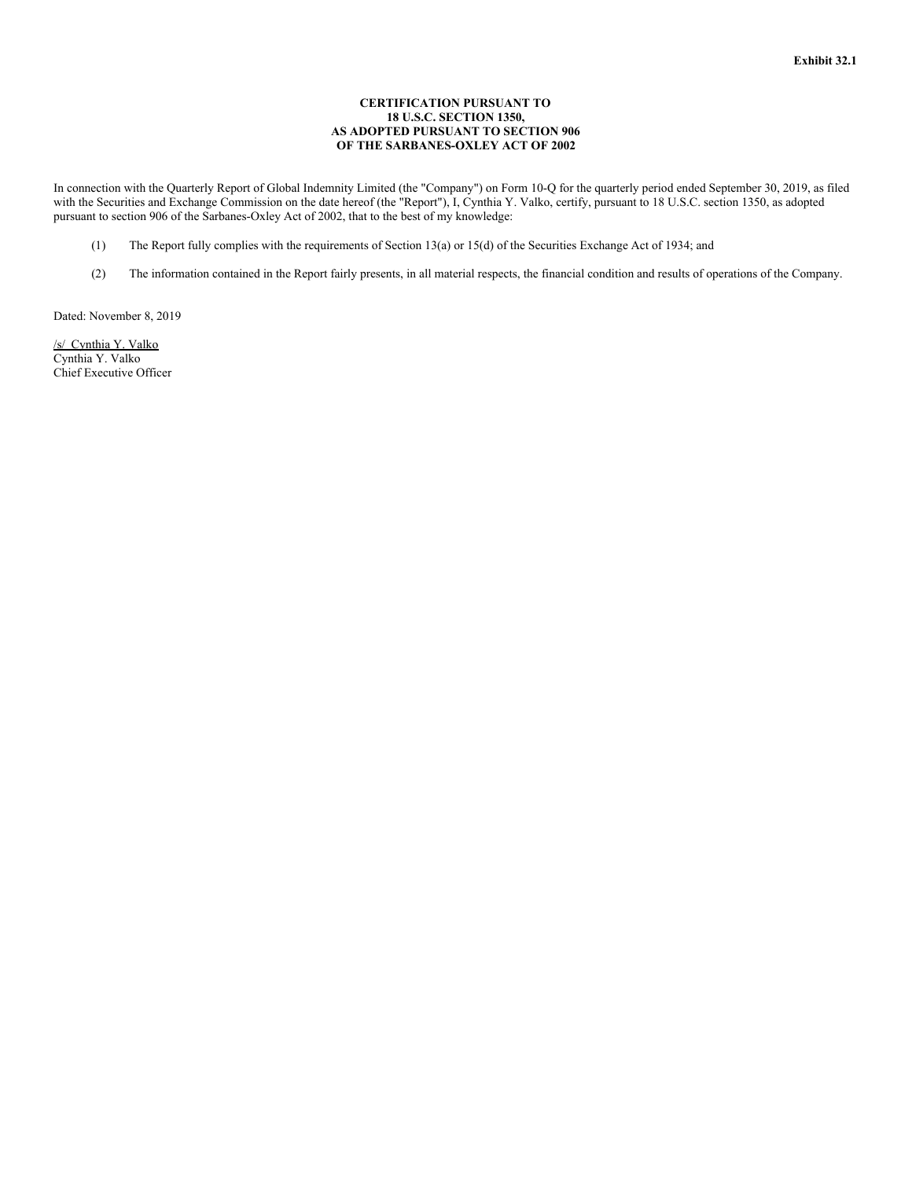#### **CERTIFICATION PURSUANT TO 18 U.S.C. SECTION 1350, AS ADOPTED PURSUANT TO SECTION 906 OF THE SARBANES-OXLEY ACT OF 2002**

<span id="page-76-0"></span>In connection with the Quarterly Report of Global Indemnity Limited (the "Company") on Form 10-Q for the quarterly period ended September 30, 2019, as filed with the Securities and Exchange Commission on the date hereof (the "Report"), I, Cynthia Y. Valko, certify, pursuant to 18 U.S.C. section 1350, as adopted pursuant to section 906 of the Sarbanes-Oxley Act of 2002, that to the best of my knowledge:

- (1) The Report fully complies with the requirements of Section 13(a) or 15(d) of the Securities Exchange Act of 1934; and
- (2) The information contained in the Report fairly presents, in all material respects, the financial condition and results of operations of the Company.

Dated: November 8, 2019

/s/ Cynthia Y. Valko Cynthia Y. Valko Chief Executive Officer